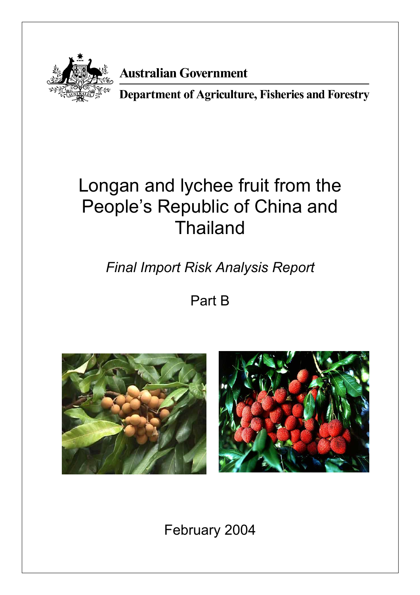

# **Australian Government**

Department of Agriculture, Fisheries and Forestry

# Longan and lychee fruit from the People's Republic of China and Thailand

*Final Import Risk Analysis Report* 

Part B





February 2004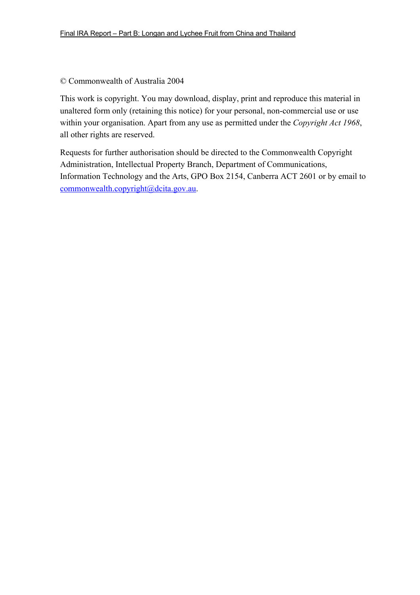#### © Commonwealth of Australia 2004

This work is copyright. You may download, display, print and reproduce this material in unaltered form only (retaining this notice) for your personal, non-commercial use or use within your organisation. Apart from any use as permitted under the *Copyright Act 1968*, all other rights are reserved.

Requests for further authorisation should be directed to the Commonwealth Copyright Administration, Intellectual Property Branch, Department of Communications, Information Technology and the Arts, GPO Box 2154, Canberra ACT 2601 or by email to commonwealth.copyright@dcita.gov.au.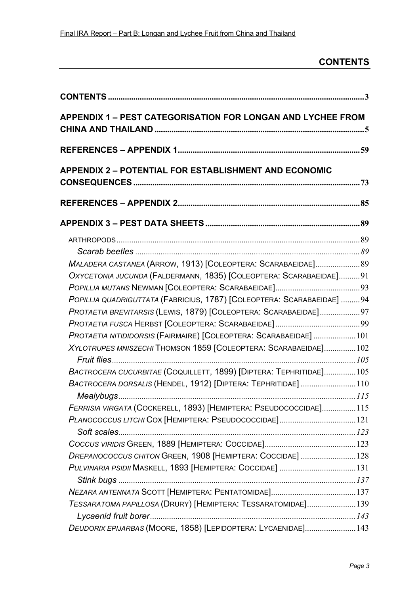## **CONTENTS**

| <b>APPENDIX 1 - PEST CATEGORISATION FOR LONGAN AND LYCHEE FROM</b>      |  |
|-------------------------------------------------------------------------|--|
|                                                                         |  |
| <b>APPENDIX 2 - POTENTIAL FOR ESTABLISHMENT AND ECONOMIC</b>            |  |
|                                                                         |  |
|                                                                         |  |
|                                                                         |  |
|                                                                         |  |
|                                                                         |  |
| MALADERA CASTANEA (ARROW, 1913) [COLEOPTERA: SCARABAEIDAE] 89           |  |
| OXYCETONIA JUCUNDA (FALDERMANN, 1835) [COLEOPTERA: SCARABAEIDAE]91      |  |
|                                                                         |  |
| POPILLIA QUADRIGUTTATA (FABRICIUS, 1787) [COLEOPTERA: SCARABAEIDAE]  94 |  |
| PROTAETIA BREVITARSIS (LEWIS, 1879) [COLEOPTERA: SCARABAEIDAE]97        |  |
|                                                                         |  |
| PROTAETIA NITIDIDORSIS (FAIRMAIRE) [COLEOPTERA: SCARABAEIDAE]101        |  |
| XYLOTRUPES MNISZECHI THOMSON 1859 [COLEOPTERA: SCARABAEIDAE]102         |  |
|                                                                         |  |
| BACTROCERA CUCURBITAE (COQUILLETT, 1899) [DIPTERA: TEPHRITIDAE]105      |  |
| BACTROCERA DORSALIS (HENDEL, 1912) [DIPTERA: TEPHRITIDAE]  110          |  |
|                                                                         |  |
| FERRISIA VIRGATA (COCKERELL, 1893) [HEMIPTERA: PSEUDOCOCCIDAE]115       |  |
| PLANOCOCCUS LITCHI COX [HEMIPTERA: PSEUDOCOCCIDAE] 121                  |  |
|                                                                         |  |
|                                                                         |  |
| DREPANOCOCCUS CHITON GREEN, 1908 [HEMIPTERA: COCCIDAE] 128              |  |
| PULVINARIA PSIDII MASKELL, 1893 [HEMIPTERA: COCCIDAE]  131              |  |
|                                                                         |  |
|                                                                         |  |
| TESSARATOMA PAPILLOSA (DRURY) [HEMIPTERA: TESSARATOMIDAE]139            |  |
|                                                                         |  |
| DEUDORIX EPIJARBAS (MOORE, 1858) [LEPIDOPTERA: LYCAENIDAE] 143          |  |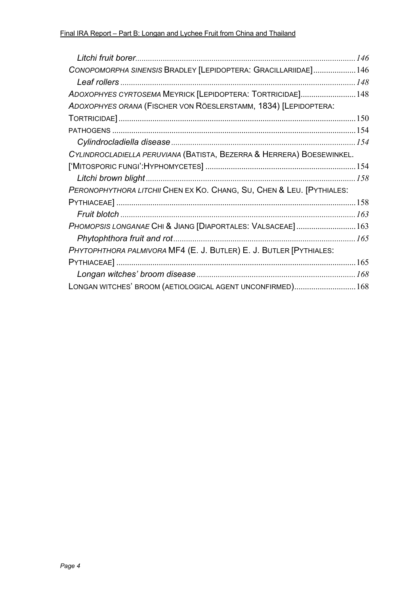| CONOPOMORPHA SINENSIS BRADLEY [LEPIDOPTERA: GRACILLARIIDAE]146        |  |
|-----------------------------------------------------------------------|--|
|                                                                       |  |
| ADOXOPHYES CYRTOSEMA MEYRICK [LEPIDOPTERA: TORTRICIDAE]148            |  |
| ADOXOPHYES ORANA (FISCHER VON RÖESLERSTAMM, 1834) [LEPIDOPTERA:       |  |
|                                                                       |  |
|                                                                       |  |
|                                                                       |  |
| CYLINDROCLADIELLA PERUVIANA (BATISTA, BEZERRA & HERRERA) BOESEWINKEL. |  |
|                                                                       |  |
|                                                                       |  |
| PERONOPHYTHORA LITCHII CHEN EX KO. CHANG, SU, CHEN & LEU. [PYTHIALES: |  |
|                                                                       |  |
|                                                                       |  |
| PHOMOPSIS LONGANAE CHI & JIANG [DIAPORTALES: VALSACEAE] 163           |  |
| Phytophthora fruit and rot                                            |  |
| PHYTOPHTHORA PALMIVORA MF4 (E. J. BUTLER) E. J. BUTLER [PYTHIALES:    |  |
|                                                                       |  |
|                                                                       |  |
| LONGAN WITCHES' BROOM (AETIOLOGICAL AGENT UNCONFIRMED) 168            |  |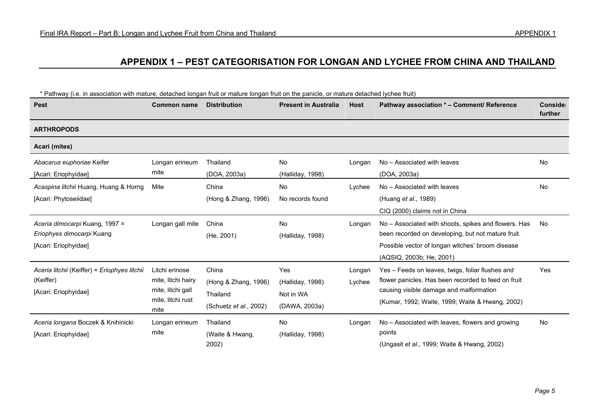### **APPENDIX 1 – PEST CATEGORISATION FOR LONGAN AND LYCHEE FROM CHINA AND THAILAND**

| <b>Pest</b>                                                                         | <b>Common name</b>                                                                     | <b>Distribution</b>                                                         | <b>Present in Australia</b>                           | <b>Host</b>      | Pathway association * - Comment/ Reference                                                                                                                                                            | Conside<br>further |
|-------------------------------------------------------------------------------------|----------------------------------------------------------------------------------------|-----------------------------------------------------------------------------|-------------------------------------------------------|------------------|-------------------------------------------------------------------------------------------------------------------------------------------------------------------------------------------------------|--------------------|
| <b>ARTHROPODS</b>                                                                   |                                                                                        |                                                                             |                                                       |                  |                                                                                                                                                                                                       |                    |
| Acari (mites)                                                                       |                                                                                        |                                                                             |                                                       |                  |                                                                                                                                                                                                       |                    |
| Abacarus euphoriae Keifer<br>[Acari: Eriophyidae]                                   | Longan erineum<br>mite                                                                 | Thailand<br>(DOA, 2003a)                                                    | <b>No</b><br>(Halliday, 1998)                         | Longan           | No - Associated with leaves<br>(DOA, 2003a)                                                                                                                                                           | <b>No</b>          |
| Acaspina litchii Huang, Huang & Horng<br>[Acari: Phytoseiidae]                      | Mite                                                                                   | China<br>(Hong & Zhang, 1996)                                               | No<br>No records found                                | Lychee           | No - Associated with leaves<br>(Huang et al., 1989)<br>CIQ (2000) claims not in China                                                                                                                 | No                 |
| Aceria dimocarpi Kuang, 1997 =<br>Eriophyes dimocarpi Kuang<br>[Acari: Eriophyidae] | Longan gall mite                                                                       | China<br>(He, 2001)                                                         | No<br>(Halliday, 1998)                                | Longan           | No – Associated with shoots, spikes and flowers. Has<br>been recorded on developing, but not mature fruit.<br>Possible vector of longan witches' broom disease<br>(AQSIQ, 2003b; He, 2001)            | No                 |
| Aceria litchii (Keiffer) = Eriophyes litchii<br>(Keiffer)<br>[Acari: Eriophyidae]   | Litchi erinose<br>mite, litchi hairy<br>mite, litchi gall<br>mite, litchi rust<br>mite | China<br>(Hong & Zhang, 1996)<br>Thailand<br>(Schuetz <i>et al.</i> , 2002) | Yes<br>(Halliday, 1998)<br>Not in WA<br>(DAWA, 2003a) | Longan<br>Lychee | Yes – Feeds on leaves, twigs, foliar flushes and<br>flower panicles. Has been recorded to feed on fruit<br>causing visible damage and malformation<br>(Kumar, 1992; Waite, 1999; Waite & Hwang, 2002) | <b>Yes</b>         |
| Aceria longana Boczek & Knihinicki<br>[Acari: Eriophyidae]                          | Longan erineum<br>mite                                                                 | Thailand<br>(Waite & Hwang,<br>2002)                                        | <b>No</b><br>(Halliday, 1998)                         | Longan           | No – Associated with leaves, flowers and growing<br>points<br>(Ungasit et al., 1999; Waite & Hwang, 2002)                                                                                             | No                 |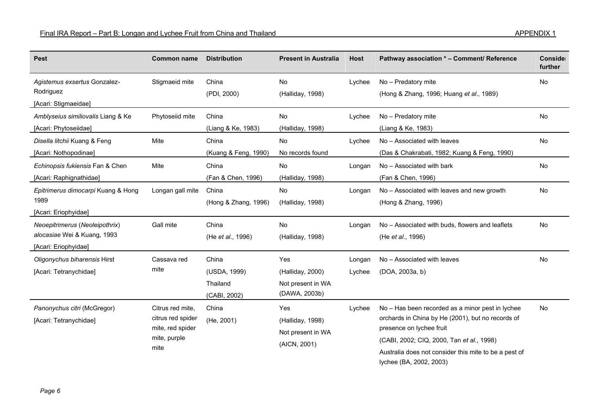| <b>Pest</b>                                                                           | <b>Common name</b>                                                                | <b>Distribution</b>                               | <b>Present in Australia</b>                                   | <b>Host</b>      | Pathway association * - Comment/ Reference                                                                                                                                                                                                                         | Conside<br>further |
|---------------------------------------------------------------------------------------|-----------------------------------------------------------------------------------|---------------------------------------------------|---------------------------------------------------------------|------------------|--------------------------------------------------------------------------------------------------------------------------------------------------------------------------------------------------------------------------------------------------------------------|--------------------|
| Agistemus exsertus Gonzalez-<br>Rodriguez<br>[Acari: Stigmaeidae]                     | Stigmaeid mite                                                                    | China<br>(PDI, 2000)                              | No<br>(Halliday, 1998)                                        | Lychee           | No - Predatory mite<br>(Hong & Zhang, 1996; Huang et al., 1989)                                                                                                                                                                                                    | No                 |
| Amblyseius similiovalis Liang & Ke<br>[Acari: Phytoseiidae]                           | Phytoseiid mite                                                                   | China<br>(Liang & Ke, 1983)                       | No<br>(Halliday, 1998)                                        | Lychee           | No - Predatory mite<br>(Liang & Ke, 1983)                                                                                                                                                                                                                          | No                 |
| Disella litchii Kuang & Feng<br>[Acari: Nothopodinae]                                 | Mite                                                                              | China<br>(Kuang & Feng, 1990)                     | No<br>No records found                                        | Lychee           | No - Associated with leaves<br>(Das & Chakrabati, 1982; Kuang & Feng, 1990)                                                                                                                                                                                        | No                 |
| Echinopsis fukiensis Fan & Chen<br>[Acari: Raphignathidae]                            | Mite                                                                              | China<br>(Fan & Chen, 1996)                       | No<br>(Halliday, 1998)                                        | Longan           | No - Associated with bark<br>(Fan & Chen, 1996)                                                                                                                                                                                                                    | No                 |
| Epitrimerus dimocarpi Kuang & Hong<br>1989<br>[Acari: Eriophyidae]                    | Longan gall mite                                                                  | China<br>(Hong & Zhang, 1996)                     | No<br>(Halliday, 1998)                                        | Longan           | No - Associated with leaves and new growth<br>(Hong & Zhang, 1996)                                                                                                                                                                                                 | No                 |
| Neoepitrimerus (Neoleipothrix)<br>alocasiae Wei & Kuang, 1993<br>[Acari: Eriophyidae] | Gall mite                                                                         | China<br>(He et al., 1996)                        | No<br>(Halliday, 1998)                                        | Longan           | No - Associated with buds, flowers and leaflets<br>(He et al., 1996)                                                                                                                                                                                               | No                 |
| Oligonychus biharensis Hirst<br>[Acari: Tetranychidae]                                | Cassava red<br>mite                                                               | China<br>(USDA, 1999)<br>Thailand<br>(CABI, 2002) | Yes<br>(Halliday, 2000)<br>Not present in WA<br>(DAWA, 2003b) | Longan<br>Lychee | No - Associated with leaves<br>(DOA, 2003a, b)                                                                                                                                                                                                                     | No                 |
| Panonychus citri (McGregor)<br>[Acari: Tetranychidae]                                 | Citrus red mite,<br>citrus red spider<br>mite, red spider<br>mite, purple<br>mite | China<br>(He, 2001)                               | Yes<br>(Halliday, 1998)<br>Not present in WA<br>(AICN, 2001)  | Lychee           | No - Has been recorded as a minor pest in lychee<br>orchards in China by He (2001), but no records of<br>presence on lychee fruit<br>(CABI, 2002; CIQ, 2000, Tan et al., 1998)<br>Australia does not consider this mite to be a pest of<br>lychee (BA, 2002, 2003) | No                 |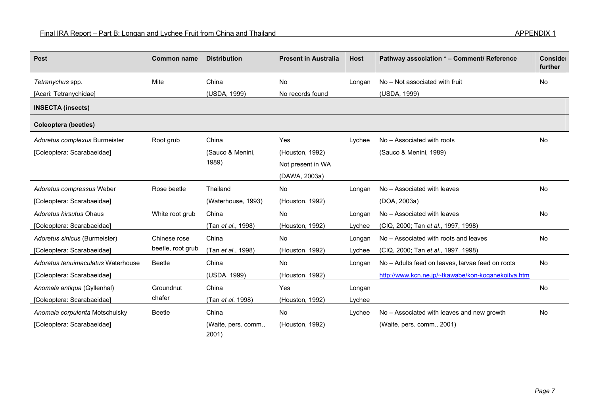| <b>Pest</b>                        | <b>Common name</b> | <b>Distribution</b>           | <b>Present in Australia</b> | <b>Host</b> | Pathway association * - Comment/ Reference         | Conside<br>further |
|------------------------------------|--------------------|-------------------------------|-----------------------------|-------------|----------------------------------------------------|--------------------|
| Tetranychus spp.                   | Mite               | China                         | <b>No</b>                   | Longan      | No - Not associated with fruit                     | No                 |
| [Acari: Tetranychidae]             |                    | (USDA, 1999)                  | No records found            |             | (USDA, 1999)                                       |                    |
| <b>INSECTA (insects)</b>           |                    |                               |                             |             |                                                    |                    |
| <b>Coleoptera (beetles)</b>        |                    |                               |                             |             |                                                    |                    |
| Adoretus complexus Burmeister      | Root grub          | China                         | Yes                         | Lychee      | No - Associated with roots                         | <b>No</b>          |
| [Coleoptera: Scarabaeidae]         |                    | (Sauco & Menini,              | (Houston, 1992)             |             | (Sauco & Menini, 1989)                             |                    |
|                                    |                    | 1989)                         | Not present in WA           |             |                                                    |                    |
|                                    |                    |                               | (DAWA, 2003a)               |             |                                                    |                    |
| Adoretus compressus Weber          | Rose beetle        | Thailand                      | No                          | Longan      | No - Associated with leaves                        | No                 |
| [Coleoptera: Scarabaeidae]         |                    | (Waterhouse, 1993)            | (Houston, 1992)             |             | (DOA, 2003a)                                       |                    |
| Adoretus hirsutus Ohaus            | White root grub    | China                         | No                          | Longan      | No - Associated with leaves                        | No                 |
| [Coleoptera: Scarabaeidae]         |                    | (Tan et al., 1998)            | (Houston, 1992)             | Lychee      | (CIQ, 2000; Tan et al., 1997, 1998)                |                    |
| Adoretus sinicus (Burmeister)      | Chinese rose       | China                         | No                          | Longan      | No - Associated with roots and leaves              | No                 |
| [Coleoptera: Scarabaeidae]         | beetle, root grub  | (Tan et al., 1998)            | (Houston, 1992)             | Lychee      | (CIQ, 2000; Tan et al., 1997, 1998)                |                    |
| Adoretus tenuimaculatus Waterhouse | <b>Beetle</b>      | China                         | <b>No</b>                   | Longan      | No - Adults feed on leaves, larvae feed on roots   | <b>No</b>          |
| [Coleoptera: Scarabaeidae]         |                    | (USDA, 1999)                  | (Houston, 1992)             |             | http://www.kcn.ne.jp/~tkawabe/kon-koganekoitya.htm |                    |
| Anomala antiqua (Gyllenhal)        | Groundnut          | China                         | Yes                         | Longan      |                                                    | <b>No</b>          |
| [Coleoptera: Scarabaeidae]         | chafer             | (Tan et al. 1998)             | (Houston, 1992)             | Lychee      |                                                    |                    |
| Anomala corpulenta Motschulsky     | <b>Beetle</b>      | China                         | <b>No</b>                   | Lychee      | No - Associated with leaves and new growth         | No                 |
| [Coleoptera: Scarabaeidae]         |                    | (Waite, pers. comm.,<br>2001) | (Houston, 1992)             |             | (Waite, pers. comm., 2001)                         |                    |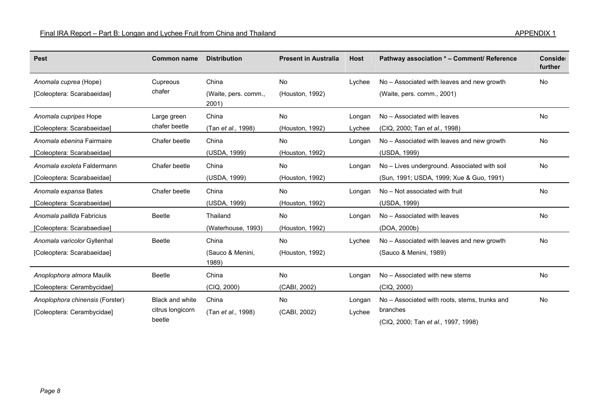| <b>Pest</b>                     | <b>Common name</b> | <b>Distribution</b>           | <b>Present in Australia</b> | <b>Host</b> | Pathway association * - Comment/ Reference    | Conside<br>further |
|---------------------------------|--------------------|-------------------------------|-----------------------------|-------------|-----------------------------------------------|--------------------|
| Anomala cuprea (Hope)           | Cupreous           | China                         | No                          | Lychee      | No - Associated with leaves and new growth    | No                 |
| [Coleoptera: Scarabaeidae]      | chafer             | (Waite, pers. comm.,<br>2001) | (Houston, 1992)             |             | (Waite, pers. comm., 2001)                    |                    |
| Anomala cupripes Hope           | Large green        | China                         | <b>No</b>                   | Longan      | No - Associated with leaves                   | No                 |
| [Coleoptera: Scarabaeidae]      | chafer beetle      | (Tan et al., 1998)            | (Houston, 1992)             | Lychee      | (CIQ, 2000; Tan et al., 1998)                 |                    |
| Anomala ebenina Fairmaire       | Chafer beetle      | China                         | No                          | Longan      | No - Associated with leaves and new growth    | No                 |
| [Coleoptera: Scarabaeidae]      |                    | (USDA, 1999)                  | (Houston, 1992)             |             | (USDA, 1999)                                  |                    |
| Anomala exoleta Faldermann      | Chafer beetle      | China                         | No                          | Longan      | No - Lives underground. Associated with soil  | <b>No</b>          |
| [Coleoptera: Scarabaeidae]      |                    | (USDA, 1999)                  | (Houston, 1992)             |             | (Sun, 1991; USDA, 1999; Xue & Guo, 1991)      |                    |
| Anomala expansa Bates           | Chafer beetle      | China                         | No                          | Longan      | No - Not associated with fruit                | <b>No</b>          |
| [Coleoptera: Scarabaeidae]      |                    | (USDA, 1999)                  | (Houston, 1992)             |             | (USDA, 1999)                                  |                    |
| Anomala pallida Fabricius       | Beetle             | Thailand                      | No                          | Longan      | No - Associated with leaves                   | No                 |
| [Coleoptera: Scarabaediae]      |                    | (Waterhouse, 1993)            | (Houston, 1992)             |             | (DOA, 2000b)                                  |                    |
| Anomala varicolor Gyllenhal     | Beetle             | China                         | No                          | Lychee      | No – Associated with leaves and new growth    | No                 |
| [Coleoptera: Scarabaeidae]      |                    | (Sauco & Menini,<br>1989)     | (Houston, 1992)             |             | (Sauco & Menini, 1989)                        |                    |
| Anoplophora almora Maulik       | Beetle             | China                         | No                          | Longan      | No – Associated with new stems                | No                 |
| [Coleoptera: Cerambycidae]      |                    | (CIQ, 2000)                   | (CABI, 2002)                |             | (CIQ, 2000)                                   |                    |
| Anoplophora chinensis (Forster) | Black and white    | China                         | No                          | Longan      | No - Associated with roots, stems, trunks and | No                 |
| [Coleoptera: Cerambycidae]      | citrus longicorn   | (Tan et al., 1998)            | (CABI, 2002)                | Lychee      | branches                                      |                    |
|                                 | beetle             |                               |                             |             | (CIQ, 2000; Tan et al., 1997, 1998)           |                    |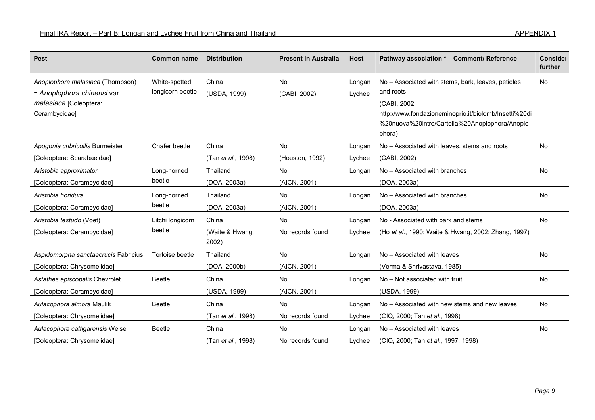| <b>Pest</b>                                                                                                | <b>Common name</b>                | <b>Distribution</b>        | <b>Present in Australia</b> | <b>Host</b>      | Pathway association * - Comment/ Reference                                                                                                                                                           | Conside<br>further |
|------------------------------------------------------------------------------------------------------------|-----------------------------------|----------------------------|-----------------------------|------------------|------------------------------------------------------------------------------------------------------------------------------------------------------------------------------------------------------|--------------------|
| Anoplophora malasiaca (Thompson)<br>= Anoplophora chinensi var.<br>malasiaca [Coleoptera:<br>Cerambycidae] | White-spotted<br>longicorn beetle | China<br>(USDA, 1999)      | No<br>(CABI, 2002)          | Longan<br>Lychee | No - Associated with stems, bark, leaves, petioles<br>and roots<br>(CABI, 2002;<br>http://www.fondazioneminoprio.it/biolomb/Insetti%20di<br>%20nuova%20intro/Cartella%20Anoplophora/Anoplo<br>phora) | No                 |
| Apogonia cribricollis Burmeister                                                                           | Chafer beetle                     | China                      | No                          | Longan           | No – Associated with leaves, stems and roots                                                                                                                                                         | No                 |
| [Coleoptera: Scarabaeidae]                                                                                 |                                   | (Tan <i>et al.</i> , 1998) | (Houston, 1992)             | Lychee           | (CABI, 2002)                                                                                                                                                                                         |                    |
| Aristobia approximator                                                                                     | Long-horned                       | Thailand                   | <b>No</b>                   | Longan           | No - Associated with branches                                                                                                                                                                        | No                 |
| [Coleoptera: Cerambycidae]                                                                                 | beetle                            | (DOA, 2003a)               | (AICN, 2001)                |                  | (DOA, 2003a)                                                                                                                                                                                         |                    |
| Aristobia horidura                                                                                         | Long-horned                       | Thailand                   | <b>No</b>                   | Longan           | No - Associated with branches                                                                                                                                                                        | <b>No</b>          |
| [Coleoptera: Cerambycidae]                                                                                 | beetle                            | (DOA, 2003a)               | (AICN, 2001)                |                  | (DOA, 2003a)                                                                                                                                                                                         |                    |
| Aristobia testudo (Voet)                                                                                   | Litchi longicorn                  | China                      | <b>No</b>                   | Longan           | No - Associated with bark and stems                                                                                                                                                                  | <b>No</b>          |
| [Coleoptera: Cerambycidae]                                                                                 | beetle                            | (Waite & Hwang,<br>2002)   | No records found            | Lychee           | (Ho et al., 1990; Waite & Hwang, 2002; Zhang, 1997)                                                                                                                                                  |                    |
| Aspidomorpha sanctaecrucis Fabricius                                                                       | Tortoise beetle                   | Thailand                   | No                          | Longan           | No - Associated with leaves                                                                                                                                                                          | No                 |
| [Coleoptera: Chrysomelidae]                                                                                |                                   | (DOA, 2000b)               | (AICN, 2001)                |                  | (Verma & Shrivastava, 1985)                                                                                                                                                                          |                    |
| Astathes episcopalis Chevrolet                                                                             | <b>Beetle</b>                     | China                      | No                          | Longan           | No - Not associated with fruit                                                                                                                                                                       | No                 |
| [Coleoptera: Cerambycidae]                                                                                 |                                   | (USDA, 1999)               | (AICN, 2001)                |                  | (USDA, 1999)                                                                                                                                                                                         |                    |
| Aulacophora almora Maulik                                                                                  | <b>Beetle</b>                     | China                      | No                          | Longan           | No - Associated with new stems and new leaves                                                                                                                                                        | No                 |
| [Coleoptera: Chrysomelidae]                                                                                |                                   | (Tan et al., 1998)         | No records found            | Lychee           | (CIQ, 2000; Tan et al., 1998)                                                                                                                                                                        |                    |
| Aulacophora cattigarensis Weise                                                                            | <b>Beetle</b>                     | China                      | <b>No</b>                   | Longan           | No - Associated with leaves                                                                                                                                                                          | <b>No</b>          |
| [Coleoptera: Chrysomelidae]                                                                                |                                   | (Tan et al., 1998)         | No records found            | Lychee           | (CIQ, 2000; Tan et al., 1997, 1998)                                                                                                                                                                  |                    |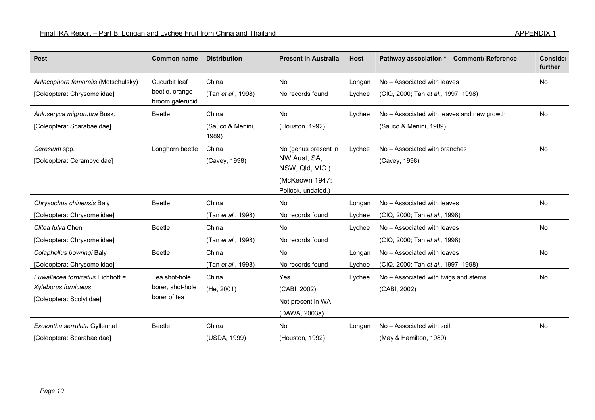| <b>Pest</b>                                                                          | <b>Common name</b>                                 | <b>Distribution</b>                | <b>Present in Australia</b>                                                                    | <b>Host</b>      | Pathway association * - Comment/ Reference                           | Conside<br>further |
|--------------------------------------------------------------------------------------|----------------------------------------------------|------------------------------------|------------------------------------------------------------------------------------------------|------------------|----------------------------------------------------------------------|--------------------|
| Aulacophora femoralis (Motschulsky)<br>[Coleoptera: Chrysomelidae]                   | Cucurbit leaf<br>beetle, orange<br>broom galerucid | China<br>(Tan et al., 1998)        | No<br>No records found                                                                         | Longan<br>Lychee | No - Associated with leaves<br>(CIQ, 2000; Tan et al., 1997, 1998)   | <b>No</b>          |
| Auloseryca migrorubra Busk.<br>[Coleoptera: Scarabaeidae]                            | Beetle                                             | China<br>(Sauco & Menini,<br>1989) | No<br>(Houston, 1992)                                                                          | Lychee           | No – Associated with leaves and new growth<br>(Sauco & Menini, 1989) | No                 |
| Ceresium spp.<br>[Coleoptera: Cerambycidae]                                          | Longhorn beetle                                    | China<br>(Cavey, 1998)             | No (genus present in<br>NW Aust, SA,<br>NSW, Qld, VIC)<br>(McKeown 1947;<br>Pollock, undated.) | Lychee           | No - Associated with branches<br>(Cavey, 1998)                       | <b>No</b>          |
| Chrysochus chinensis Baly<br>[Coleoptera: Chrysomelidae]                             | <b>Beetle</b>                                      | China<br>(Tan et al., 1998)        | No<br>No records found                                                                         | Longan<br>Lychee | No - Associated with leaves<br>(CIQ, 2000; Tan et al., 1998)         | No                 |
| Clitea fulva Chen<br>[Coleoptera: Chrysomelidae]                                     | <b>Beetle</b>                                      | China<br>(Tan et al., 1998)        | No<br>No records found                                                                         | Lychee           | No - Associated with leaves<br>(CIQ, 2000; Tan et al., 1998)         | No                 |
| Colaphellus bowringi Baly<br>[Coleoptera: Chrysomelidae]                             | <b>Beetle</b>                                      | China<br>(Tan et al., 1998)        | No<br>No records found                                                                         | Longan<br>Lychee | No - Associated with leaves<br>(CIQ, 2000; Tan et al., 1997, 1998)   | No                 |
| Euwallacea fornicatus Eichhoff =<br>Xyleborus fornicalus<br>[Coleoptera: Scolytidae] | Tea shot-hole<br>borer, shot-hole<br>borer of tea  | China<br>(He, 2001)                | Yes<br>(CABI, 2002)<br>Not present in WA<br>(DAWA, 2003a)                                      | Lychee           | No - Associated with twigs and stems<br>(CABI, 2002)                 | No                 |
| Exolontha serrulata Gyllenhal<br>[Coleoptera: Scarabaeidae]                          | <b>Beetle</b>                                      | China<br>(USDA, 1999)              | No<br>(Houston, 1992)                                                                          | Longan           | No - Associated with soil<br>(May & Hamilton, 1989)                  | No                 |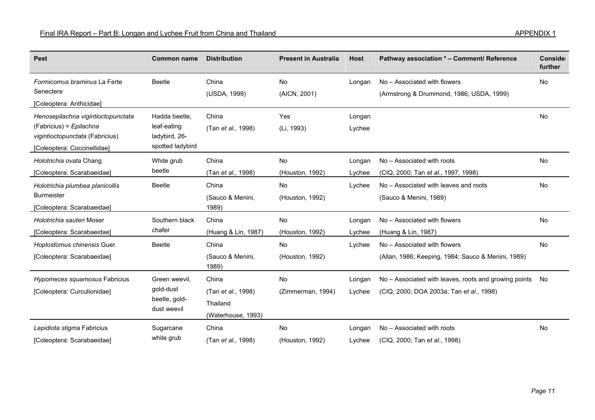| <b>Pest</b>                                                    | <b>Common name</b>                | <b>Distribution</b>       | <b>Present in Australia</b> | <b>Host</b> | Pathway association * - Comment/ Reference                               | Conside<br>further |
|----------------------------------------------------------------|-----------------------------------|---------------------------|-----------------------------|-------------|--------------------------------------------------------------------------|--------------------|
| Formicomus braminus La Ferte<br>Senectere                      | <b>Beetle</b>                     | China<br>(USDA, 1999)     | No<br>(AICN, 2001)          | Longan      | No - Associated with flowers<br>(Armstrong & Drummond, 1986; USDA, 1999) | No                 |
| [Coleoptera: Anthicidae]                                       |                                   |                           |                             |             |                                                                          |                    |
| Henosepilachna vigintioctopunctata                             | Hadda beetle,                     | China                     | Yes                         | Longan      |                                                                          | No                 |
| $(Fabricius) = Epilachna$                                      | leaf-eating                       | (Tan et al., 1998)        | (Li, 1993)                  | Lychee      |                                                                          |                    |
| vigintioctopunctata (Fabricius)<br>[Coleoptera: Coccinellidae] | ladybird, 26-<br>spotted ladybird |                           |                             |             |                                                                          |                    |
| Holotrichia ovata Chang                                        | White grub                        | China                     | No                          | Longan      | No - Associated with roots                                               | <b>No</b>          |
| [Coleoptera: Scarabaeidae]                                     | beetle                            | (Tan et al., 1998)        | (Houston, 1992)             | Lychee      | (CIQ, 2000; Tan et al., 1997, 1998)                                      |                    |
| Holotrichia plumbea planicollis                                | <b>Beetle</b>                     | China                     | No                          | Lychee      | No - Associated with leaves and roots                                    | No                 |
| <b>Burmeister</b>                                              |                                   | (Sauco & Menini,          | (Houston, 1992)             |             | (Sauco & Menini, 1989)                                                   |                    |
| [Coleoptera: Scarabaeidae]                                     |                                   | 1989)                     |                             |             |                                                                          |                    |
| Holotrichia sauteri Moser                                      | Southern black                    | China                     | No                          | Longan      | No - Associated with flowers                                             | <b>No</b>          |
| [Coleoptera: Scarabaeidae]                                     | chafer                            | (Huang & Lin, 1987)       | (Houston, 1992)             | Lychee      | (Huang & Lin, 1987)                                                      |                    |
| Hoplostomus chinensis Guer.                                    | <b>Beetle</b>                     | China                     | No                          | Lychee      | No - Associated with flowers                                             | No                 |
| [Coleoptera: Scarabaeidae]                                     |                                   | (Sauco & Menini,<br>1989) | (Houston, 1992)             |             | (Allan, 1986; Keeping, 1984; Sauco & Menini, 1989)                       |                    |
| Hypomeces squamosus Fabricius                                  | Green weevil,                     | China                     | <b>No</b>                   | Longan      | No – Associated with leaves, roots and growing points                    | No.                |
| [Coleoptera: Curculionidae]                                    | gold-dust                         | (Tan et al., 1998)        | (Zimmerman, 1994)           | Lychee      | (CIQ, 2000; DOA 2003a; Tan et al., 1998)                                 |                    |
|                                                                | beetle, gold-<br>dust weevil      | Thailand                  |                             |             |                                                                          |                    |
|                                                                |                                   | (Waterhouse, 1993)        |                             |             |                                                                          |                    |
| Lepidiota stigma Fabricius                                     | Sugarcane                         | China                     | No                          | Longan      | No - Associated with roots                                               | No                 |
| [Coleoptera: Scarabaeidae]                                     | white grub                        | (Tan et al., 1998)        | (Houston, 1992)             | Lychee      | (CIQ, 2000; Tan et al., 1998)                                            |                    |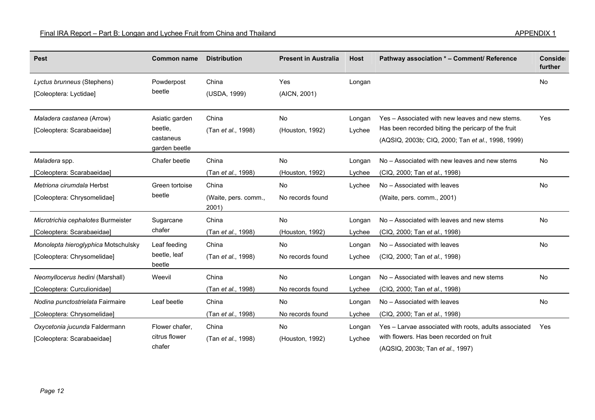| <b>Pest</b>                                                        | <b>Common name</b>                                      | <b>Distribution</b>                    | <b>Present in Australia</b>   | <b>Host</b>      | Pathway association * - Comment/ Reference                                                                                                                 | Conside<br>further |
|--------------------------------------------------------------------|---------------------------------------------------------|----------------------------------------|-------------------------------|------------------|------------------------------------------------------------------------------------------------------------------------------------------------------------|--------------------|
| Lyctus brunneus (Stephens)<br>[Coleoptera: Lyctidae]               | Powderpost<br>beetle                                    | China<br>(USDA, 1999)                  | Yes<br>(AICN, 2001)           | Longan           |                                                                                                                                                            | No                 |
| Maladera castanea (Arrow)<br>[Coleoptera: Scarabaeidae]            | Asiatic garden<br>beetle,<br>castaneus<br>garden beetle | China<br>(Tan et al., 1998)            | No<br>(Houston, 1992)         | Longan<br>Lychee | Yes – Associated with new leaves and new stems.<br>Has been recorded biting the pericarp of the fruit<br>(AQSIQ, 2003b; CIQ, 2000; Tan et al., 1998, 1999) | Yes                |
| Maladera spp.<br>[Coleoptera: Scarabaeidae]                        | Chafer beetle                                           | China<br>(Tan et al., 1998)            | <b>No</b><br>(Houston, 1992)  | Longan<br>Lychee | No – Associated with new leaves and new stems<br>(CIQ, 2000; Tan et al., 1998)                                                                             | <b>No</b>          |
| Metriona cirumdala Herbst<br>[Coleoptera: Chrysomelidae]           | Green tortoise<br>beetle                                | China<br>(Waite, pers. comm.,<br>2001) | No<br>No records found        | Lychee           | No - Associated with leaves<br>(Waite, pers. comm., 2001)                                                                                                  | <b>No</b>          |
| Microtrichia cephalotes Burmeister<br>[Coleoptera: Scarabaeidae]   | Sugarcane<br>chafer                                     | China<br>(Tan et al., 1998)            | <b>No</b><br>(Houston, 1992)  | Longan<br>Lychee | No – Associated with leaves and new stems<br>(CIQ, 2000; Tan et al., 1998)                                                                                 | <b>No</b>          |
| Monolepta hieroglyphica Motschulsky<br>[Coleoptera: Chrysomelidae] | Leaf feeding<br>beetle, leaf<br>beetle                  | China<br>(Tan et al., 1998)            | No<br>No records found        | Longan<br>Lychee | No - Associated with leaves<br>(CIQ, 2000; Tan et al., 1998)                                                                                               | No                 |
| Neomyllocerus hedini (Marshall)<br>[Coleoptera: Curculionidae]     | Weevil                                                  | China<br>(Tan et al., 1998)            | <b>No</b><br>No records found | Longan<br>Lychee | No – Associated with leaves and new stems<br>(CIQ, 2000; Tan et al., 1998)                                                                                 | <b>No</b>          |
| Nodina punctostrielata Fairmaire<br>[Coleoptera: Chrysomelidae]    | Leaf beetle                                             | China<br>(Tan et al., 1998)            | <b>No</b><br>No records found | Longan<br>Lychee | No - Associated with leaves<br>(CIQ, 2000; Tan et al., 1998)                                                                                               | No                 |
| Oxycetonia jucunda Faldermann<br>[Coleoptera: Scarabaeidae]        | Flower chafer,<br>citrus flower<br>chafer               | China<br>(Tan et al., 1998)            | No<br>(Houston, 1992)         | Longan<br>Lychee | Yes - Larvae associated with roots, adults associated<br>with flowers. Has been recorded on fruit<br>(AQSIQ, 2003b; Tan et al., 1997)                      | Yes                |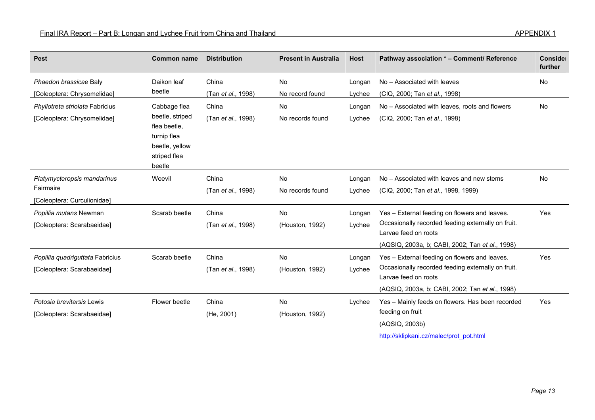| <b>Pest</b>                                                             | <b>Common name</b>                                                                                         | <b>Distribution</b>         | <b>Present in Australia</b>   | <b>Host</b>      | Pathway association * - Comment/ Reference                                                                                                                                     | Conside<br>further |
|-------------------------------------------------------------------------|------------------------------------------------------------------------------------------------------------|-----------------------------|-------------------------------|------------------|--------------------------------------------------------------------------------------------------------------------------------------------------------------------------------|--------------------|
| Phaedon brassicae Baly<br>[Coleoptera: Chrysomelidae]                   | Daikon leaf<br>beetle                                                                                      | China<br>(Tan et al., 1998) | No<br>No record found         | Longan<br>Lychee | No - Associated with leaves<br>(CIQ, 2000; Tan et al., 1998)                                                                                                                   | No                 |
| Phyllotreta striolata Fabricius<br>[Coleoptera: Chrysomelidae]          | Cabbage flea<br>beetle, striped<br>flea beetle,<br>turnip flea<br>beetle, yellow<br>striped flea<br>beetle | China<br>(Tan et al., 1998) | <b>No</b><br>No records found | Longan<br>Lychee | No - Associated with leaves, roots and flowers<br>(CIQ, 2000; Tan et al., 1998)                                                                                                | No                 |
| Platymycteropsis mandarinus<br>Fairmaire<br>[Coleoptera: Curculionidae] | Weevil                                                                                                     | China<br>(Tan et al., 1998) | No<br>No records found        | Longan<br>Lychee | No - Associated with leaves and new stems<br>(CIQ, 2000; Tan et al., 1998, 1999)                                                                                               | No                 |
| Popillia mutans Newman<br>[Coleoptera: Scarabaeidae]                    | Scarab beetle                                                                                              | China<br>(Tan et al., 1998) | <b>No</b><br>(Houston, 1992)  | Longan<br>Lychee | Yes - External feeding on flowers and leaves.<br>Occasionally recorded feeding externally on fruit.<br>Larvae feed on roots<br>(AQSIQ, 2003a, b; CABI, 2002; Tan et al., 1998) | Yes                |
| Popillia quadriguttata Fabricius<br>[Coleoptera: Scarabaeidae]          | Scarab beetle                                                                                              | China<br>(Tan et al., 1998) | No<br>(Houston, 1992)         | Longan<br>Lychee | Yes - External feeding on flowers and leaves.<br>Occasionally recorded feeding externally on fruit.<br>Larvae feed on roots<br>(AQSIQ, 2003a, b; CABI, 2002; Tan et al., 1998) | Yes                |
| Potosia brevitarsis Lewis<br>[Coleoptera: Scarabaeidae]                 | Flower beetle                                                                                              | China<br>(He, 2001)         | No<br>(Houston, 1992)         | Lychee           | Yes - Mainly feeds on flowers. Has been recorded<br>feeding on fruit<br>(AQSIQ, 2003b)<br>http://sklipkani.cz/malec/prot_pot.html                                              | Yes                |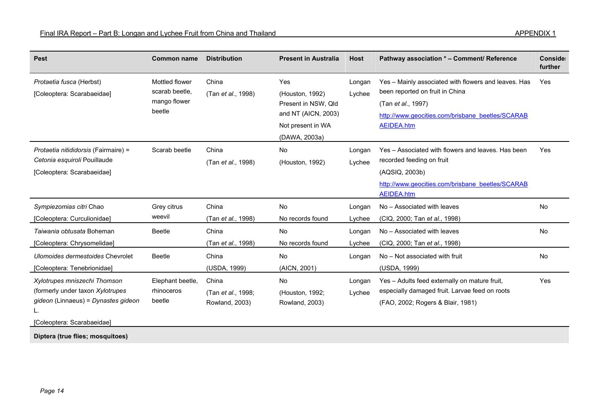| <b>Pest</b>                                                                                                                                                          | <b>Common name</b>                                         | <b>Distribution</b>                                           | <b>Present in Australia</b>                                                                                | <b>Host</b>                | Pathway association * - Comment/ Reference                                                                                                                                      | Conside<br>further |
|----------------------------------------------------------------------------------------------------------------------------------------------------------------------|------------------------------------------------------------|---------------------------------------------------------------|------------------------------------------------------------------------------------------------------------|----------------------------|---------------------------------------------------------------------------------------------------------------------------------------------------------------------------------|--------------------|
| Protaetia fusca (Herbst)<br>[Coleoptera: Scarabaeidae]                                                                                                               | Mottled flower<br>scarab beetle.<br>mango flower<br>beetle | China<br>(Tan et al., 1998)                                   | Yes<br>(Houston, 1992)<br>Present in NSW, Qld<br>and NT (AICN, 2003)<br>Not present in WA<br>(DAWA, 2003a) | Longan<br>Lychee           | Yes - Mainly associated with flowers and leaves. Has<br>been reported on fruit in China<br>(Tan et al., 1997)<br>http://www.geocities.com/brisbane_beetles/SCARAB<br>AEIDEA.htm | Yes                |
| Protaetia nitididorsis (Fairmaire) =<br>Cetonia esquiroli Pouillaude<br>[Coleoptera: Scarabaeidae]                                                                   | Scarab beetle                                              | China<br>(Tan et al., 1998)                                   | No<br>(Houston, 1992)                                                                                      | Longan<br>Lychee           | Yes - Associated with flowers and leaves. Has been<br>recorded feeding on fruit<br>(AQSIQ, 2003b)<br>http://www.geocities.com/brisbane beetles/SCARAB<br><b>AEIDEA.htm</b>      | Yes                |
| Sympiezomias citri Chao<br>[Coleoptera: Curculionidae]                                                                                                               | Grey citrus<br>weevil                                      | China<br>(Tan et al., 1998)                                   | No<br>No records found                                                                                     | Longan<br>Lychee           | No - Associated with leaves<br>(CIQ, 2000; Tan et al., 1998)                                                                                                                    | No                 |
| Taiwania obtusata Boheman<br>[Coleoptera: Chrysomelidae]<br>Ulomoides dermestoides Chevrolet                                                                         | <b>Beetle</b><br><b>Beetle</b>                             | China<br>(Tan et al., 1998)<br>China                          | No<br>No records found<br>No                                                                               | Longan<br>Lychee<br>Longan | No - Associated with leaves<br>(CIQ, 2000; Tan et al., 1998)<br>No - Not associated with fruit                                                                                  | <b>No</b><br>No    |
| [Coleoptera: Tenebrionidae]<br>Xylotrupes mniszechi Thomson<br>(formerly under taxon Xylotrupes<br>gideon (Linnaeus) = Dynastes gideon<br>[Coleoptera: Scarabaeidae] | Elephant beetle,<br>rhinoceros<br>beetle                   | (USDA, 1999)<br>China<br>(Tan et al., 1998;<br>Rowland, 2003) | (AICN, 2001)<br>No<br>(Houston, 1992;<br>Rowland, 2003)                                                    | Longan<br>Lychee           | (USDA, 1999)<br>Yes - Adults feed externally on mature fruit,<br>especially damaged fruit. Larvae feed on roots<br>(FAO, 2002; Rogers & Blair, 1981)                            | Yes                |

**Diptera (true flies; mosquitoes)**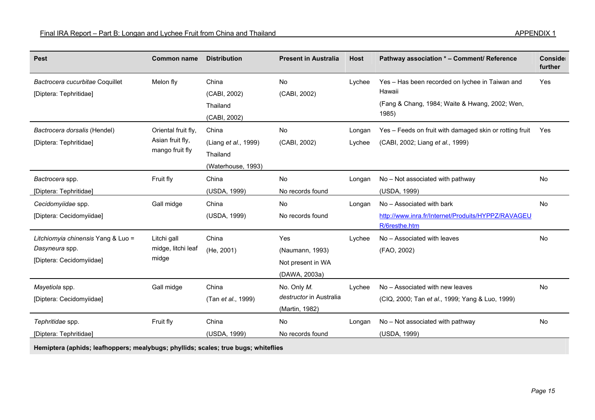| <b>Pest</b>                                                                      | <b>Common name</b>                                         | <b>Distribution</b>                                             | <b>Present in Australia</b>                                  | <b>Host</b>      | Pathway association * - Comment/ Reference                                                                           | Conside<br>further |
|----------------------------------------------------------------------------------|------------------------------------------------------------|-----------------------------------------------------------------|--------------------------------------------------------------|------------------|----------------------------------------------------------------------------------------------------------------------|--------------------|
| Bactrocera cucurbitae Coquillet<br>[Diptera: Tephritidae]                        | Melon fly                                                  | China<br>(CABI, 2002)<br>Thailand<br>(CABI, 2002)               | No<br>(CABI, 2002)                                           | Lychee           | Yes - Has been recorded on lychee in Taiwan and<br>Hawaii<br>(Fang & Chang, 1984; Waite & Hwang, 2002; Wen,<br>1985) | Yes                |
| Bactrocera dorsalis (Hendel)<br>[Diptera: Tephritidae]                           | Oriental fruit fly,<br>Asian fruit fly,<br>mango fruit fly | China<br>(Liang et al., 1999)<br>Thailand<br>(Waterhouse, 1993) | No<br>(CABI, 2002)                                           | Longan<br>Lychee | Yes - Feeds on fruit with damaged skin or rotting fruit<br>(CABI, 2002; Liang et al., 1999)                          | Yes                |
| Bactrocera spp.<br>[Diptera: Tephritidae]                                        | Fruit fly                                                  | China<br>(USDA, 1999)                                           | No<br>No records found                                       | Longan           | No - Not associated with pathway<br>(USDA, 1999)                                                                     | No                 |
| Cecidomyiidae spp.<br>[Diptera: Cecidomyiidae]                                   | Gall midge                                                 | China<br>(USDA, 1999)                                           | <b>No</b><br>No records found                                | Longan           | No - Associated with bark<br>http://www.inra.fr/Internet/Produits/HYPPZ/RAVAGEU<br>R/6resthe.htm                     | No                 |
| Litchiomyia chinensis Yang & Luo =<br>Dasyneura spp.<br>[Diptera: Cecidomyiidae] | Litchi gall<br>midge, litchi leaf<br>midge                 | China<br>(He, 2001)                                             | Yes<br>(Naumann, 1993)<br>Not present in WA<br>(DAWA, 2003a) | Lychee           | No - Associated with leaves<br>(FAO, 2002)                                                                           | <b>No</b>          |
| Mayetiola spp.<br>[Diptera: Cecidomyiidae]                                       | Gall midge                                                 | China<br>(Tan et al., 1999)                                     | No. Only M.<br>destructor in Australia<br>(Martin, 1982)     | Lychee           | No - Associated with new leaves<br>(CIQ, 2000; Tan et al., 1999; Yang & Luo, 1999)                                   | <b>No</b>          |
| Tephritidae spp.<br>[Diptera: Tephritidae]                                       | Fruit fly                                                  | China<br>(USDA, 1999)                                           | No<br>No records found                                       | Longan           | No - Not associated with pathway<br>(USDA, 1999)                                                                     | No                 |

**Hemiptera (aphids; leafhoppers; mealybugs; phyllids; scales; true bugs; whiteflies**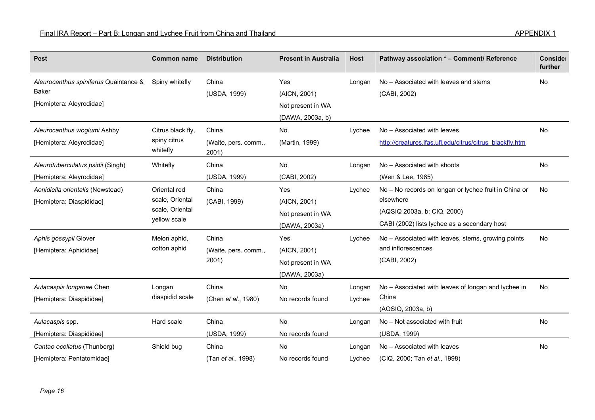| <b>Pest</b>                                                                       | <b>Common name</b>                                                 | <b>Distribution</b>                    | <b>Present in Australia</b>                                  | <b>Host</b>      | Pathway association * - Comment/ Reference                                                                                                        | Conside<br>further |
|-----------------------------------------------------------------------------------|--------------------------------------------------------------------|----------------------------------------|--------------------------------------------------------------|------------------|---------------------------------------------------------------------------------------------------------------------------------------------------|--------------------|
| Aleurocanthus spiniferus Quaintance &<br><b>Baker</b><br>[Hemiptera: Aleyrodidae] | Spiny whitefly                                                     | China<br>(USDA, 1999)                  | Yes<br>(AICN, 2001)<br>Not present in WA<br>(DAWA, 2003a, b) | Longan           | No - Associated with leaves and stems<br>(CABI, 2002)                                                                                             | No                 |
| Aleurocanthus woglumi Ashby<br>[Hemiptera: Aleyrodidae]                           | Citrus black fly,<br>spiny citrus<br>whitefly                      | China<br>(Waite, pers. comm.,<br>2001) | <b>No</b><br>(Martin, 1999)                                  | Lychee           | No - Associated with leaves<br>http://creatures.ifas.ufl.edu/citrus/citrus_blackfly.htm                                                           | <b>No</b>          |
| Aleurotuberculatus psidii (Singh)<br>[Hemiptera: Aleyrodidae]                     | Whitefly                                                           | China<br>(USDA, 1999)                  | No<br>(CABI, 2002)                                           | Longan           | No - Associated with shoots<br>(Wen & Lee, 1985)                                                                                                  | No                 |
| Aonidiella orientalis (Newstead)<br>[Hemiptera: Diaspididae]                      | Oriental red<br>scale, Oriental<br>scale, Oriental<br>yellow scale | China<br>(CABI, 1999)                  | Yes<br>(AICN, 2001)<br>Not present in WA<br>(DAWA, 2003a)    | Lychee           | No - No records on longan or lychee fruit in China or<br>elsewhere<br>(AQSIQ 2003a, b; CIQ, 2000)<br>CABI (2002) lists lychee as a secondary host | No                 |
| Aphis gossypii Glover<br>[Hemiptera: Aphididae]                                   | Melon aphid,<br>cotton aphid                                       | China<br>(Waite, pers. comm.,<br>2001) | Yes<br>(AICN, 2001)<br>Not present in WA<br>(DAWA, 2003a)    | Lychee           | No – Associated with leaves, stems, growing points<br>and inflorescences<br>(CABI, 2002)                                                          | <b>No</b>          |
| Aulacaspis longanae Chen<br>[Hemiptera: Diaspididae]                              | Longan<br>diaspidid scale                                          | China<br>(Chen et al., 1980)           | No<br>No records found                                       | Longan<br>Lychee | No - Associated with leaves of longan and lychee in<br>China<br>(AQSIQ, 2003a, b)                                                                 | No                 |
| Aulacaspis spp.<br>[Hemiptera: Diaspididae]                                       | Hard scale                                                         | China<br>(USDA, 1999)                  | No<br>No records found                                       | Longan           | No - Not associated with fruit<br>(USDA, 1999)                                                                                                    | No                 |
| Cantao ocellatus (Thunberg)<br>[Hemiptera: Pentatomidae]                          | Shield bug                                                         | China<br>(Tan et al., 1998)            | No<br>No records found                                       | Longan<br>Lychee | No - Associated with leaves<br>(CIQ, 2000; Tan et al., 1998)                                                                                      | No                 |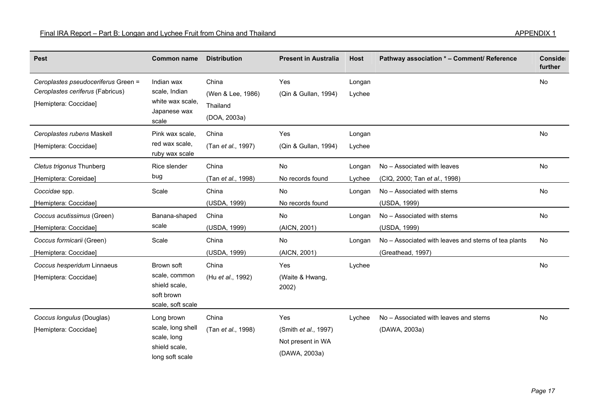| <b>Pest</b>                                                                                      | <b>Common name</b>                                                                 | <b>Distribution</b>                                    | <b>Present in Australia</b>                                               | <b>Host</b>      | Pathway association * - Comment/ Reference                               | Conside<br>further |
|--------------------------------------------------------------------------------------------------|------------------------------------------------------------------------------------|--------------------------------------------------------|---------------------------------------------------------------------------|------------------|--------------------------------------------------------------------------|--------------------|
| Ceroplastes pseudoceriferus Green =<br>Ceroplastes ceriferus (Fabricus)<br>[Hemiptera: Coccidae] | Indian wax<br>scale, Indian<br>white wax scale,<br>Japanese wax<br>scale           | China<br>(Wen & Lee, 1986)<br>Thailand<br>(DOA, 2003a) | Yes<br>(Qin & Gullan, 1994)                                               | Longan<br>Lychee |                                                                          | <b>No</b>          |
| Ceroplastes rubens Maskell<br>[Hemiptera: Coccidae]                                              | Pink wax scale,<br>red wax scale,<br>ruby wax scale                                | China<br>(Tan et al., 1997)                            | Yes<br>(Qin & Gullan, 1994)                                               | Longan<br>Lychee |                                                                          | <b>No</b>          |
| Cletus trigonus Thunberg<br>[Hemiptera: Coreidae]                                                | Rice slender<br>bug                                                                | China<br>(Tan et al., 1998)                            | No<br>No records found                                                    | Longan<br>Lychee | No - Associated with leaves<br>(CIQ, 2000; Tan et al., 1998)             | <b>No</b>          |
| Coccidae spp.<br>[Hemiptera: Coccidae]                                                           | Scale                                                                              | China<br>(USDA, 1999)                                  | No<br>No records found                                                    | Longan           | No - Associated with stems<br>(USDA, 1999)                               | No                 |
| Coccus acutissimus (Green)<br>[Hemiptera: Coccidae]                                              | Banana-shaped<br>scale                                                             | China<br>(USDA, 1999)                                  | No<br>(AICN, 2001)                                                        | Longan           | No - Associated with stems<br>(USDA, 1999)                               | No                 |
| Coccus formicarii (Green)<br>[Hemiptera: Coccidae]                                               | Scale                                                                              | China<br>(USDA, 1999)                                  | No<br>(AICN, 2001)                                                        | Longan           | No - Associated with leaves and stems of tea plants<br>(Greathead, 1997) | No                 |
| Coccus hesperidum Linnaeus<br>[Hemiptera: Coccidae]                                              | Brown soft<br>scale, common<br>shield scale,<br>soft brown<br>scale, soft scale    | China<br>(Hu et al., 1992)                             | Yes<br>(Waite & Hwang,<br>2002)                                           | Lychee           |                                                                          | <b>No</b>          |
| Coccus longulus (Douglas)<br>[Hemiptera: Coccidae]                                               | Long brown<br>scale, long shell<br>scale, long<br>shield scale.<br>long soft scale | China<br>(Tan et al., 1998)                            | Yes<br>(Smith <i>et al.</i> , 1997)<br>Not present in WA<br>(DAWA, 2003a) | Lychee           | No - Associated with leaves and stems<br>(DAWA, 2003a)                   | No                 |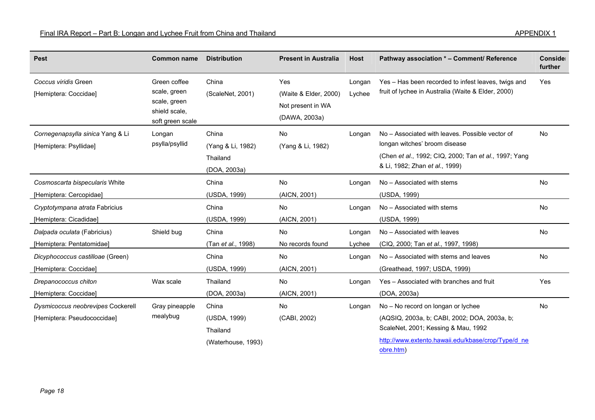| <b>Pest</b>                                                      | <b>Common name</b>                                                                | <b>Distribution</b>                                     | <b>Present in Australia</b>                                        | <b>Host</b>      | Pathway association * - Comment/ Reference                                                                                                                                                   | Conside<br>further |
|------------------------------------------------------------------|-----------------------------------------------------------------------------------|---------------------------------------------------------|--------------------------------------------------------------------|------------------|----------------------------------------------------------------------------------------------------------------------------------------------------------------------------------------------|--------------------|
| Coccus viridis Green<br>[Hemiptera: Coccidae]                    | Green coffee<br>scale, green<br>scale, green<br>shield scale,<br>soft green scale | China<br>(ScaleNet, 2001)                               | Yes<br>(Waite & Elder, 2000)<br>Not present in WA<br>(DAWA, 2003a) | Longan<br>Lychee | Yes - Has been recorded to infest leaves, twigs and<br>fruit of lychee in Australia (Waite & Elder, 2000)                                                                                    | Yes                |
| Cornegenapsylla sinica Yang & Li<br>[Hemiptera: Psyllidae]       | Longan<br>psylla/psyllid                                                          | China<br>(Yang & Li, 1982)<br>Thailand<br>(DOA, 2003a)  | No<br>(Yang & Li, 1982)                                            | Longan           | No - Associated with leaves. Possible vector of<br>longan witches' broom disease<br>(Chen et al., 1992; CIQ, 2000; Tan et al., 1997; Yang<br>& Li, 1982; Zhan et al., 1999)                  | <b>No</b>          |
| Cosmoscarta bispecularis White<br>[Hemiptera: Cercopidae]        |                                                                                   | China<br>(USDA, 1999)                                   | No<br>(AICN, 2001)                                                 | Longan           | No - Associated with stems<br>(USDA, 1999)                                                                                                                                                   | No                 |
| Cryptotympana atrata Fabricius<br>[Hemiptera: Cicadidae]         |                                                                                   | China<br>(USDA, 1999)                                   | No<br>(AICN, 2001)                                                 | Longan           | No - Associated with stems<br>(USDA, 1999)                                                                                                                                                   | <b>No</b>          |
| Dalpada oculata (Fabricius)<br>[Hemiptera: Pentatomidae]         | Shield bug                                                                        | China<br>(Tan et al., 1998)                             | No<br>No records found                                             | Longan<br>Lychee | No - Associated with leaves<br>(CIQ, 2000; Tan et al., 1997, 1998)                                                                                                                           | <b>No</b>          |
| Dicyphococcus castilloae (Green)<br>[Hemiptera: Coccidae]        |                                                                                   | China<br>(USDA, 1999)                                   | No<br>(AICN, 2001)                                                 | Longan           | No - Associated with stems and leaves<br>(Greathead, 1997; USDA, 1999)                                                                                                                       | No                 |
| Drepanococcus chiton<br>[Hemiptera: Coccidae]                    | Wax scale                                                                         | Thailand<br>(DOA, 2003a)                                | No<br>(AICN, 2001)                                                 | Longan           | Yes - Associated with branches and fruit<br>(DOA, 2003a)                                                                                                                                     | Yes                |
| Dysmicoccus neobrevipes Cockerell<br>[Hemiptera: Pseudococcidae] | Gray pineapple<br>mealybug                                                        | China<br>(USDA, 1999)<br>Thailand<br>(Waterhouse, 1993) | <b>No</b><br>(CABI, 2002)                                          | Longan           | No - No record on longan or lychee<br>(AQSIQ, 2003a, b; CABI, 2002; DOA, 2003a, b;<br>ScaleNet, 2001; Kessing & Mau, 1992<br>http://www.extento.hawaii.edu/kbase/crop/Type/d ne<br>obre.htm) | <b>No</b>          |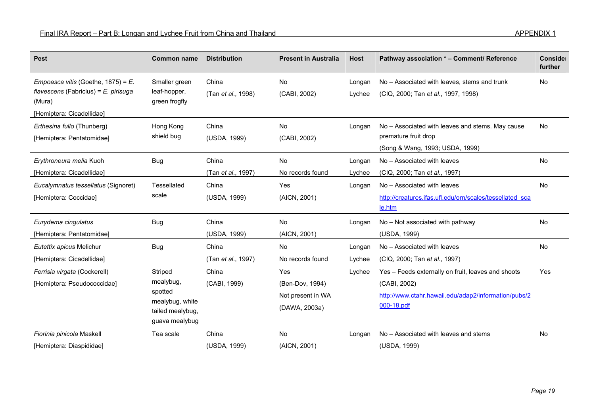| <b>Pest</b>                                                                                                          | <b>Common name</b>                                                                       | <b>Distribution</b>         | <b>Present in Australia</b>                                  | <b>Host</b>      | Pathway association * - Comment/ Reference                                                                                               | Conside<br>further |
|----------------------------------------------------------------------------------------------------------------------|------------------------------------------------------------------------------------------|-----------------------------|--------------------------------------------------------------|------------------|------------------------------------------------------------------------------------------------------------------------------------------|--------------------|
| Empoasca vitis (Goethe, 1875) = E.<br>flavescens (Fabricius) = $E$ . pirisuga<br>(Mura)<br>[Hemiptera: Cicadellidae] | Smaller green<br>leaf-hopper,<br>green frogfly                                           | China<br>(Tan et al., 1998) | No<br>(CABI, 2002)                                           | Longan<br>Lychee | No - Associated with leaves, stems and trunk<br>(CIQ, 2000; Tan et al., 1997, 1998)                                                      | No                 |
| Erthesina fullo (Thunberg)<br>[Hemiptera: Pentatomidae]                                                              | Hong Kong<br>shield bug                                                                  | China<br>(USDA, 1999)       | No<br>(CABI, 2002)                                           | Longan           | No – Associated with leaves and stems. May cause<br>premature fruit drop<br>(Song & Wang, 1993; USDA, 1999)                              | No                 |
| Erythroneura melia Kuoh<br>[Hemiptera: Cicadellidae]                                                                 | <b>Bug</b>                                                                               | China<br>(Tan et al., 1997) | No<br>No records found                                       | Longan<br>Lychee | No - Associated with leaves<br>(CIQ, 2000; Tan et al., 1997)                                                                             | No                 |
| Eucalymnatus tessellatus (Signoret)<br>[Hemiptera: Coccidae]                                                         | Tessellated<br>scale                                                                     | China<br>(USDA, 1999)       | Yes<br>(AICN, 2001)                                          | Longan           | No - Associated with leaves<br>http://creatures.ifas.ufl.edu/orn/scales/tessellated sca<br>le.htm                                        | No                 |
| Eurydema cingulatus<br>[Hemiptera: Pentatomidae]                                                                     | <b>Bug</b>                                                                               | China<br>(USDA, 1999)       | No<br>(AICN, 2001)                                           | Longan           | No - Not associated with pathway<br>(USDA, 1999)                                                                                         | No                 |
| Eutettix apicus Melichur<br>[Hemiptera: Cicadellidae]                                                                | <b>Bug</b>                                                                               | China<br>(Tan et al., 1997) | No<br>No records found                                       | Longan<br>Lychee | No - Associated with leaves<br>(CIQ, 2000; Tan et al., 1997)                                                                             | No                 |
| Ferrisia virgata (Cockerell)<br>[Hemiptera: Pseudococcidae]                                                          | Striped<br>mealybug,<br>spotted<br>mealybug, white<br>tailed mealybug,<br>guava mealybug | China<br>(CABI, 1999)       | Yes<br>(Ben-Dov, 1994)<br>Not present in WA<br>(DAWA, 2003a) | Lychee           | Yes - Feeds externally on fruit, leaves and shoots<br>(CABI, 2002)<br>http://www.ctahr.hawaii.edu/adap2/information/pubs/2<br>000-18.pdf | Yes                |
| Fiorinia pinicola Maskell<br>[Hemiptera: Diaspididae]                                                                | Tea scale                                                                                | China<br>(USDA, 1999)       | <b>No</b><br>(AICN, 2001)                                    | Longan           | No – Associated with leaves and stems<br>(USDA, 1999)                                                                                    | No                 |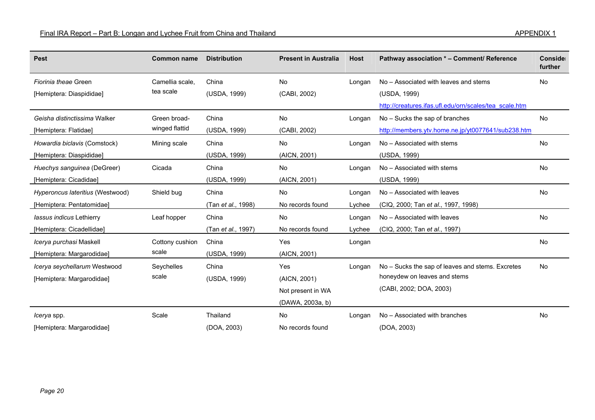| <b>Pest</b>                      | <b>Common name</b> | <b>Distribution</b> | <b>Present in Australia</b> | <b>Host</b> | Pathway association * - Comment/ Reference             | Conside<br>further |
|----------------------------------|--------------------|---------------------|-----------------------------|-------------|--------------------------------------------------------|--------------------|
| Fiorinia theae Green             | Camellia scale,    | China               | No                          | Longan      | No – Associated with leaves and stems                  | No                 |
| [Hemiptera: Diaspididae]         | tea scale          | (USDA, 1999)        | (CABI, 2002)                |             | (USDA, 1999)                                           |                    |
|                                  |                    |                     |                             |             | http://creatures.ifas.ufl.edu/orn/scales/tea_scale.htm |                    |
| Geisha distinctissima Walker     | Green broad-       | China               | <b>No</b>                   | Longan      | No – Sucks the sap of branches                         | <b>No</b>          |
| [Hemiptera: Flatidae]            | winged flattid     | (USDA, 1999)        | (CABI, 2002)                |             | http://members.ytv.home.ne.jp/yt0077641/sub238.htm     |                    |
| Howardia biclavis (Comstock)     | Mining scale       | China               | No                          | Longan      | No - Associated with stems                             | No                 |
| [Hemiptera: Diaspididae]         |                    | (USDA, 1999)        | (AICN, 2001)                |             | (USDA, 1999)                                           |                    |
| Huechys sanguinea (DeGreer)      | Cicada             | China               | No                          | Longan      | No - Associated with stems                             | No                 |
| [Hemiptera: Cicadidae]           |                    | (USDA, 1999)        | (AICN, 2001)                |             | (USDA, 1999)                                           |                    |
| Hyperoncus lateritius (Westwood) | Shield bug         | China               | No                          | Longan      | No - Associated with leaves                            | No                 |
| [Hemiptera: Pentatomidae]        |                    | (Tan et al., 1998)  | No records found            | Lychee      | (CIQ, 2000; Tan et al., 1997, 1998)                    |                    |
| lassus indicus Lethierry         | Leaf hopper        | China               | <b>No</b>                   | Longan      | No - Associated with leaves                            | No                 |
| [Hemiptera: Cicadellidae]        |                    | (Tan et al., 1997)  | No records found            | Lychee      | (CIQ, 2000; Tan et al., 1997)                          |                    |
| Icerya purchasi Maskell          | Cottony cushion    | China               | Yes                         | Longan      |                                                        | No                 |
| [Hemiptera: Margarodidae]        | scale              | (USDA, 1999)        | (AICN, 2001)                |             |                                                        |                    |
| Icerya seychellarum Westwood     | Seychelles         | China               | Yes                         | Longan      | No – Sucks the sap of leaves and stems. Excretes       | <b>No</b>          |
| [Hemiptera: Margarodidae]        | scale              | (USDA, 1999)        | (AICN, 2001)                |             | honeydew on leaves and stems                           |                    |
|                                  |                    |                     | Not present in WA           |             | (CABI, 2002; DOA, 2003)                                |                    |
|                                  |                    |                     | (DAWA, 2003a, b)            |             |                                                        |                    |
| <i>Icerya</i> spp.               | Scale              | Thailand            | No                          | Longan      | No - Associated with branches                          | No                 |
| [Hemiptera: Margarodidae]        |                    | (DOA, 2003)         | No records found            |             | (DOA, 2003)                                            |                    |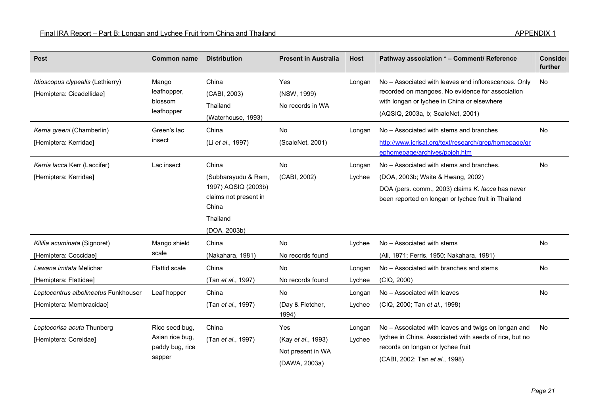| <b>Pest</b>                                                      | <b>Common name</b>                                             | <b>Distribution</b>                                                                                               | <b>Present in Australia</b>                                     | <b>Host</b>      | Pathway association * - Comment/ Reference                                                                                                                                                   | Conside<br>further |
|------------------------------------------------------------------|----------------------------------------------------------------|-------------------------------------------------------------------------------------------------------------------|-----------------------------------------------------------------|------------------|----------------------------------------------------------------------------------------------------------------------------------------------------------------------------------------------|--------------------|
| Idioscopus clypealis (Lethierry)<br>[Hemiptera: Cicadellidae]    | Mango<br>leafhopper,<br>blossom<br>leafhopper                  | China<br>(CABI, 2003)<br>Thailand<br>(Waterhouse, 1993)                                                           | Yes<br>(NSW, 1999)<br>No records in WA                          | Longan           | No - Associated with leaves and inflorescences. Only<br>recorded on mangoes. No evidence for association<br>with longan or lychee in China or elsewhere<br>(AQSIQ, 2003a, b; ScaleNet, 2001) | No                 |
| Kerria greeni (Chamberlin)<br>[Hemiptera: Kerridae]              | Green's lac<br>insect                                          | China<br>(Li et al., 1997)                                                                                        | No<br>(ScaleNet, 2001)                                          | Longan           | No – Associated with stems and branches<br>http://www.icrisat.org/text/research/grep/homepage/gr<br>ephomepage/archives/ppjoh.htm                                                            | No                 |
| Kerria lacca Kerr (Laccifer)<br>[Hemiptera: Kerridae]            | Lac insect                                                     | China<br>(Subbarayudu & Ram,<br>1997) AQSIQ (2003b)<br>claims not present in<br>China<br>Thailand<br>(DOA, 2003b) | No<br>(CABI, 2002)                                              | Longan<br>Lychee | No - Associated with stems and branches.<br>(DOA, 2003b; Waite & Hwang, 2002)<br>DOA (pers. comm., 2003) claims K. lacca has never<br>been reported on longan or lychee fruit in Thailand    | No                 |
| Kilifia acuminata (Signoret)<br>[Hemiptera: Coccidae]            | Mango shield<br>scale                                          | China<br>(Nakahara, 1981)                                                                                         | No<br>No records found                                          | Lychee           | No - Associated with stems<br>(Ali, 1971; Ferris, 1950; Nakahara, 1981)                                                                                                                      | No                 |
| Lawana imitata Melichar<br>[Hemiptera: Flattidae]                | <b>Flattid scale</b>                                           | China<br>(Tan et al., 1997)                                                                                       | No<br>No records found                                          | Longan<br>Lychee | No - Associated with branches and stems<br>(CIQ, 2000)                                                                                                                                       | No                 |
| Leptocentrus albolineatus Funkhouser<br>[Hemiptera: Membracidae] | Leaf hopper                                                    | China<br>(Tan et al., 1997)                                                                                       | <b>No</b><br>(Day & Fletcher,<br>1994)                          | Longan<br>Lychee | No - Associated with leaves<br>(CIQ, 2000; Tan et al., 1998)                                                                                                                                 | No                 |
| Leptocorisa acuta Thunberg<br>[Hemiptera: Coreidae]              | Rice seed bug,<br>Asian rice bug,<br>paddy bug, rice<br>sapper | China<br>(Tan et al., 1997)                                                                                       | Yes<br>(Kay et al., 1993)<br>Not present in WA<br>(DAWA, 2003a) | Longan<br>Lychee | No - Associated with leaves and twigs on longan and<br>lychee in China. Associated with seeds of rice, but no<br>records on longan or lychee fruit<br>(CABI, 2002; Tan et al., 1998)         | <b>No</b>          |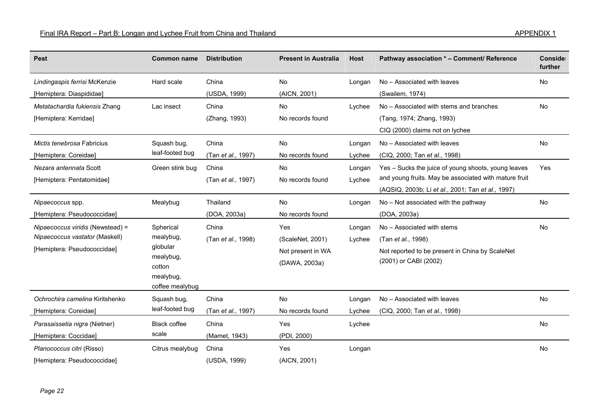| <b>Pest</b>                                                                                       | <b>Common name</b>                                                                        | <b>Distribution</b>         | <b>Present in Australia</b>                                   | <b>Host</b>      | Pathway association * - Comment/ Reference                                                                                                                        | Conside<br>further |
|---------------------------------------------------------------------------------------------------|-------------------------------------------------------------------------------------------|-----------------------------|---------------------------------------------------------------|------------------|-------------------------------------------------------------------------------------------------------------------------------------------------------------------|--------------------|
| Lindingaspis ferrisi McKenzie<br>[Hemiptera: Diaspididae]                                         | Hard scale                                                                                | China<br>(USDA, 1999)       | No<br>(AICN, 2001)                                            | Longan           | No - Associated with leaves<br>(Swailem, 1974)                                                                                                                    | No                 |
| Metatachardia fukiensis Zhang<br>[Hemiptera: Kerridae]                                            | Lac insect                                                                                | China<br>(Zhang, 1993)      | No<br>No records found                                        | Lychee           | No - Associated with stems and branches<br>(Tang, 1974; Zhang, 1993)<br>CIQ (2000) claims not on lychee                                                           | <b>No</b>          |
| Mictis tenebrosa Fabricius<br>[Hemiptera: Coreidae]                                               | Squash bug,<br>leaf-footed bug                                                            | China<br>(Tan et al., 1997) | No<br>No records found                                        | Longan<br>Lychee | No - Associated with leaves<br>(CIQ, 2000; Tan et al., 1998)                                                                                                      | No                 |
| Nezara antennata Scott<br>[Hemiptera: Pentatomidae]                                               | Green stink bug                                                                           | China<br>(Tan et al., 1997) | No<br>No records found                                        | Longan<br>Lychee | Yes – Sucks the juice of young shoots, young leaves<br>and young fruits. May be associated with mature fruit<br>(AQSIQ, 2003b; Li et al., 2001; Tan et al., 1997) | Yes                |
| Nipaecoccus spp.<br>[Hemiptera: Pseudococcidae]                                                   | Mealybug                                                                                  | Thailand<br>(DOA, 2003a)    | No<br>No records found                                        | Longan           | No - Not associated with the pathway<br>(DOA, 2003a)                                                                                                              | No                 |
| Nipaecoccus viridis (Newstead) =<br>Nipaecoccus vastator (Maskell)<br>[Hemiptera: Pseudococcidae] | Spherical<br>mealybug,<br>globular<br>mealybug,<br>cotton<br>mealybug,<br>coffee mealybug | China<br>(Tan et al., 1998) | Yes<br>(ScaleNet, 2001)<br>Not present in WA<br>(DAWA, 2003a) | Longan<br>Lychee | No - Associated with stems<br>(Tan et al., 1998)<br>Not reported to be present in China by ScaleNet<br>(2001) or CABI (2002)                                      | <b>No</b>          |
| Ochrochira camelina Kiritshenko<br>[Hemiptera: Coreidae]                                          | Squash bug,<br>leaf-footed bug                                                            | China<br>(Tan et al., 1997) | No<br>No records found                                        | Longan<br>Lychee | No - Associated with leaves<br>(CIQ, 2000; Tan et al., 1998)                                                                                                      | No                 |
| Parasaissetia nigra (Nietner)<br>[Hemiptera: Coccidae]                                            | <b>Black coffee</b><br>scale                                                              | China<br>(Mamet, 1943)      | Yes<br>(PDI, 2000)                                            | Lychee           |                                                                                                                                                                   | <b>No</b>          |
| Planococcus citri (Risso)<br>[Hemiptera: Pseudococcidae]                                          | Citrus mealybug                                                                           | China<br>(USDA, 1999)       | Yes<br>(AICN, 2001)                                           | Longan           |                                                                                                                                                                   | No                 |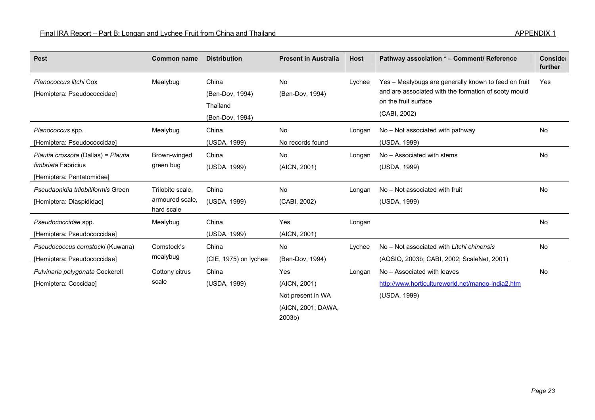| <b>Pest</b>                                                                             | <b>Common name</b>                                | <b>Distribution</b>                                     | <b>Present in Australia</b>                                              | <b>Host</b> | Pathway association * - Comment/ Reference                                                                                                           | Conside<br>further |
|-----------------------------------------------------------------------------------------|---------------------------------------------------|---------------------------------------------------------|--------------------------------------------------------------------------|-------------|------------------------------------------------------------------------------------------------------------------------------------------------------|--------------------|
| Planococcus litchi Cox<br>[Hemiptera: Pseudococcidae]                                   | Mealybug                                          | China<br>(Ben-Dov, 1994)<br>Thailand<br>(Ben-Dov, 1994) | No<br>(Ben-Dov, 1994)                                                    | Lychee      | Yes - Mealybugs are generally known to feed on fruit<br>and are associated with the formation of sooty mould<br>on the fruit surface<br>(CABI, 2002) | Yes                |
| Planococcus spp.<br>[Hemiptera: Pseudococcidae]                                         | Mealybug                                          | China<br>(USDA, 1999)                                   | No<br>No records found                                                   | Longan      | No - Not associated with pathway<br>(USDA, 1999)                                                                                                     | No                 |
| Plautia crossota (Dallas) = Plautia<br>fimbriata Fabricius<br>[Hemiptera: Pentatomidae] | Brown-winged<br>green bug                         | China<br>(USDA, 1999)                                   | <b>No</b><br>(AICN, 2001)                                                | Longan      | No - Associated with stems<br>(USDA, 1999)                                                                                                           | No                 |
| Pseudaonidia trilobitiformis Green<br>[Hemiptera: Diaspididae]                          | Trilobite scale,<br>armoured scale.<br>hard scale | China<br>(USDA, 1999)                                   | No<br>(CABI, 2002)                                                       | Longan      | No - Not associated with fruit<br>(USDA, 1999)                                                                                                       | No                 |
| Pseudococcidae spp.<br>[Hemiptera: Pseudococcidae]                                      | Mealybug                                          | China<br>(USDA, 1999)                                   | Yes<br>(AICN, 2001)                                                      | Longan      |                                                                                                                                                      | No                 |
| Pseudococcus comstocki (Kuwana)<br>[Hemiptera: Pseudococcidae]                          | Comstock's<br>mealybug                            | China<br>(CIE, 1975) on lychee                          | No<br>(Ben-Dov, 1994)                                                    | Lychee      | No - Not associated with Litchi chinensis<br>(AQSIQ, 2003b; CABI, 2002; ScaleNet, 2001)                                                              | No                 |
| Pulvinaria polygonata Cockerell<br>[Hemiptera: Coccidae]                                | Cottony citrus<br>scale                           | China<br>(USDA, 1999)                                   | Yes<br>(AICN, 2001)<br>Not present in WA<br>(AICN, 2001; DAWA,<br>2003b) | Longan      | No - Associated with leaves<br>http://www.horticultureworld.net/mango-india2.htm<br>(USDA, 1999)                                                     | <b>No</b>          |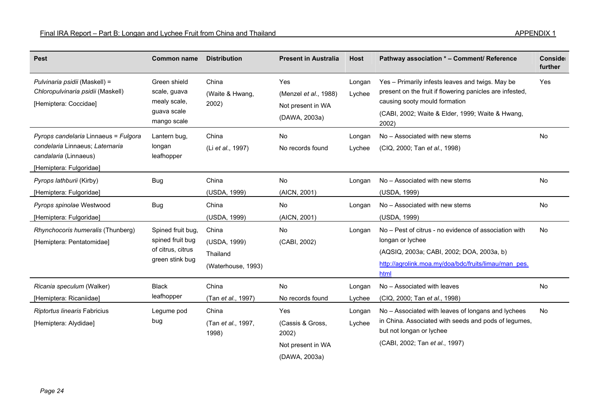| <b>Pest</b>                                                                                                                 | <b>Common name</b>                                                            | <b>Distribution</b>                                     | <b>Present in Australia</b>                                            | <b>Host</b>      | Pathway association * - Comment/ Reference                                                                                                                                                                 | Conside<br>further |
|-----------------------------------------------------------------------------------------------------------------------------|-------------------------------------------------------------------------------|---------------------------------------------------------|------------------------------------------------------------------------|------------------|------------------------------------------------------------------------------------------------------------------------------------------------------------------------------------------------------------|--------------------|
| Pulvinaria psidii (Maskell) =<br>Chloropulvinaria psidii (Maskell)<br>[Hemiptera: Coccidae]                                 | Green shield<br>scale, guava<br>mealy scale,<br>guava scale<br>mango scale    | China<br>(Waite & Hwang,<br>2002)                       | Yes<br>(Menzel et al., 1988)<br>Not present in WA<br>(DAWA, 2003a)     | Longan<br>Lychee | Yes - Primarily infests leaves and twigs. May be<br>present on the fruit if flowering panicles are infested,<br>causing sooty mould formation<br>(CABI, 2002; Waite & Elder, 1999; Waite & Hwang,<br>2002) | Yes                |
| Pyrops candelaria Linnaeus = Fulgora<br>condelaria Linnaeus; Laternaria<br>candalaria (Linnaeus)<br>[Hemiptera: Fulgoridae] | Lantern bug,<br>longan<br>leafhopper                                          | China<br>(Li et al., 1997)                              | <b>No</b><br>No records found                                          | Longan<br>Lychee | No - Associated with new stems<br>(CIQ, 2000; Tan et al., 1998)                                                                                                                                            | No                 |
| Pyrops lathburii (Kirby)<br>[Hemiptera: Fulgoridae]                                                                         | <b>Bug</b>                                                                    | China<br>(USDA, 1999)                                   | No<br>(AICN, 2001)                                                     | Longan           | No - Associated with new stems<br>(USDA, 1999)                                                                                                                                                             | No                 |
| Pyrops spinolae Westwood<br>[Hemiptera: Fulgoridae]                                                                         | Bug                                                                           | China<br>(USDA, 1999)                                   | No<br>(AICN, 2001)                                                     | Longan           | No - Associated with new stems<br>(USDA, 1999)                                                                                                                                                             | <b>No</b>          |
| Rhynchocoris humeralis (Thunberg)<br>[Hemiptera: Pentatomidae]                                                              | Spined fruit bug,<br>spined fruit bug<br>of citrus, citrus<br>green stink bug | China<br>(USDA, 1999)<br>Thailand<br>(Waterhouse, 1993) | No<br>(CABI, 2002)                                                     | Longan           | No - Pest of citrus - no evidence of association with<br>longan or lychee<br>(AQSIQ, 2003a; CABI, 2002; DOA, 2003a, b)<br>http://agrolink.moa.my/doa/bdc/fruits/limau/man_pes.<br>html                     | <b>No</b>          |
| Ricania speculum (Walker)<br>[Hemiptera: Ricaniidae]                                                                        | <b>Black</b><br>leafhopper                                                    | China<br>(Tan et al., 1997)                             | No<br>No records found                                                 | Longan<br>Lychee | No - Associated with leaves<br>(CIQ, 2000; Tan et al., 1998)                                                                                                                                               | No                 |
| Riptortus linearis Fabricius<br>[Hemiptera: Alydidae]                                                                       | Legume pod<br>bug                                                             | China<br>(Tan et al., 1997,<br>1998)                    | Yes<br>(Cassis & Gross,<br>2002)<br>Not present in WA<br>(DAWA, 2003a) | Longan<br>Lychee | No - Associated with leaves of longans and lychees<br>in China. Associated with seeds and pods of legumes,<br>but not longan or lychee<br>(CABI, 2002; Tan et al., 1997)                                   | <b>No</b>          |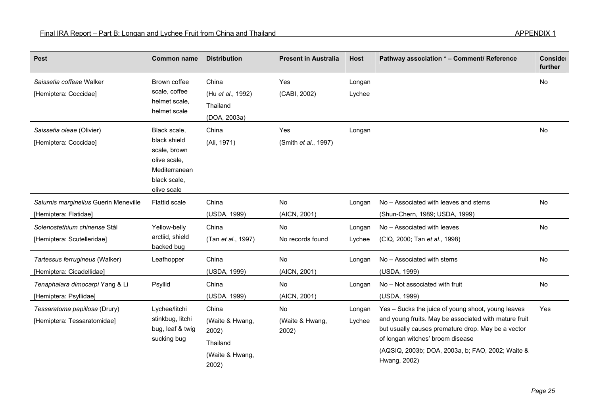| <b>Pest</b>                                                    | <b>Common name</b>                                                                                           | <b>Distribution</b>                                                       | <b>Present in Australia</b>    | <b>Host</b>      | Pathway association * - Comment/ Reference                                                                                                                                                                                                                                | Conside<br>further |
|----------------------------------------------------------------|--------------------------------------------------------------------------------------------------------------|---------------------------------------------------------------------------|--------------------------------|------------------|---------------------------------------------------------------------------------------------------------------------------------------------------------------------------------------------------------------------------------------------------------------------------|--------------------|
| Saissetia coffeae Walker<br>[Hemiptera: Coccidae]              | Brown coffee<br>scale, coffee<br>helmet scale,<br>helmet scale                                               | China<br>(Hu et al., 1992)<br>Thailand<br>(DOA, 2003a)                    | Yes<br>(CABI, 2002)            | Longan<br>Lychee |                                                                                                                                                                                                                                                                           | No                 |
| Saissetia oleae (Olivier)<br>[Hemiptera: Coccidae]             | Black scale,<br>black shield<br>scale, brown<br>olive scale,<br>Mediterranean<br>black scale,<br>olive scale | China<br>(Ali, 1971)                                                      | Yes<br>(Smith et al., 1997)    | Longan           |                                                                                                                                                                                                                                                                           | No                 |
| Salurnis marginellus Guerin Meneville<br>[Hemiptera: Flatidae] | <b>Flattid scale</b>                                                                                         | China<br>(USDA, 1999)                                                     | No<br>(AICN, 2001)             | Longan           | No - Associated with leaves and stems<br>(Shun-Chern, 1989; USDA, 1999)                                                                                                                                                                                                   | No                 |
| Solenostethium chinense Stål<br>[Hemiptera: Scutelleridae]     | Yellow-belly<br>arctiid, shield<br>backed bug                                                                | China<br>(Tan et al., 1997)                                               | No<br>No records found         | Longan<br>Lychee | No - Associated with leaves<br>(CIQ, 2000; Tan et al., 1998)                                                                                                                                                                                                              | No                 |
| Tartessus ferrugineus (Walker)<br>[Hemiptera: Cicadellidae]    | Leafhopper                                                                                                   | China<br>(USDA, 1999)                                                     | No<br>(AICN, 2001)             | Longan           | No - Associated with stems<br>(USDA, 1999)                                                                                                                                                                                                                                | No                 |
| Tenaphalara dimocarpi Yang & Li<br>[Hemiptera: Psyllidae]      | Psyllid                                                                                                      | China<br>(USDA, 1999)                                                     | No<br>(AICN, 2001)             | Longan           | No - Not associated with fruit<br>(USDA, 1999)                                                                                                                                                                                                                            | No                 |
| Tessaratoma papillosa (Drury)<br>[Hemiptera: Tessaratomidae]   | Lychee/litchi<br>stinkbug, litchi<br>bug, leaf & twig<br>sucking bug                                         | China<br>(Waite & Hwang,<br>2002)<br>Thailand<br>(Waite & Hwang,<br>2002) | No<br>(Waite & Hwang,<br>2002) | Longan<br>Lychee | Yes - Sucks the juice of young shoot, young leaves<br>and young fruits. May be associated with mature fruit<br>but usually causes premature drop. May be a vector<br>of longan witches' broom disease<br>(AQSIQ, 2003b; DOA, 2003a, b; FAO, 2002; Waite &<br>Hwang, 2002) | Yes                |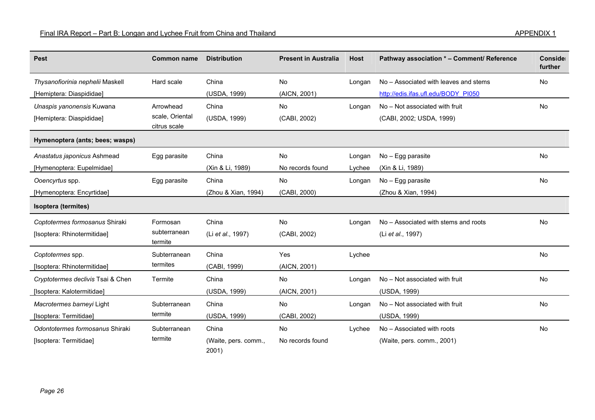| <b>Pest</b>                       | <b>Common name</b>              | <b>Distribution</b>           | <b>Present in Australia</b> | <b>Host</b> | Pathway association * - Comment/ Reference | Conside<br>further |
|-----------------------------------|---------------------------------|-------------------------------|-----------------------------|-------------|--------------------------------------------|--------------------|
| Thysanofiorinia nephelii Maskell  | Hard scale                      | China                         | No                          | Longan      | No - Associated with leaves and stems      | No                 |
| [Hemiptera: Diaspididae]          |                                 | (USDA, 1999)                  | (AICN, 2001)                |             | http://edis.ifas.ufl.edu/BODY PI050        |                    |
| Unaspis yanonensis Kuwana         | Arrowhead                       | China                         | No                          | Longan      | No - Not associated with fruit             | No                 |
| [Hemiptera: Diaspididae]          | scale, Oriental<br>citrus scale | (USDA, 1999)                  | (CABI, 2002)                |             | (CABI, 2002; USDA, 1999)                   |                    |
| Hymenoptera (ants; bees; wasps)   |                                 |                               |                             |             |                                            |                    |
| Anastatus japonicus Ashmead       | Egg parasite                    | China                         | No                          | Longan      | No - Egg parasite                          | No                 |
| [Hymenoptera: Eupelmidae]         |                                 | (Xin & Li, 1989)              | No records found            | Lychee      | (Xin & Li, 1989)                           |                    |
| Ooencyrtus spp.                   | Egg parasite                    | China                         | No                          | Longan      | No - Egg parasite                          | No                 |
| [Hymenoptera: Encyrtidae]         |                                 | (Zhou & Xian, 1994)           | (CABI, 2000)                |             | (Zhou & Xian, 1994)                        |                    |
| Isoptera (termites)               |                                 |                               |                             |             |                                            |                    |
| Coptotermes formosanus Shiraki    | Formosan                        | China                         | No                          | Longan      | No - Associated with stems and roots       | No                 |
| [Isoptera: Rhinotermitidae]       | subterranean<br>termite         | (Li et al., 1997)             | (CABI, 2002)                |             | (Li et al., 1997)                          |                    |
| Coptotermes spp.                  | Subterranean                    | China                         | Yes                         | Lychee      |                                            | No                 |
| [Isoptera: Rhinotermitidae]       | termites                        | (CABI, 1999)                  | (AICN, 2001)                |             |                                            |                    |
| Cryptotermes declivis Tsai & Chen | Termite                         | China                         | No                          | Longan      | No - Not associated with fruit             | No                 |
| [Isoptera: Kalotermitidae]        |                                 | (USDA, 1999)                  | (AICN, 2001)                |             | (USDA, 1999)                               |                    |
| Macrotermes barneyi Light         | Subterranean                    | China                         | No                          | Longan      | No - Not associated with fruit             | No                 |
| [Isoptera: Termitidae]            | termite                         | (USDA, 1999)                  | (CABI, 2002)                |             | (USDA, 1999)                               |                    |
| Odontotermes formosanus Shiraki   | Subterranean                    | China                         | No                          | Lychee      | No - Associated with roots                 | No                 |
| [Isoptera: Termitidae]            | termite                         | (Waite, pers. comm.,<br>2001) | No records found            |             | (Waite, pers. comm., 2001)                 |                    |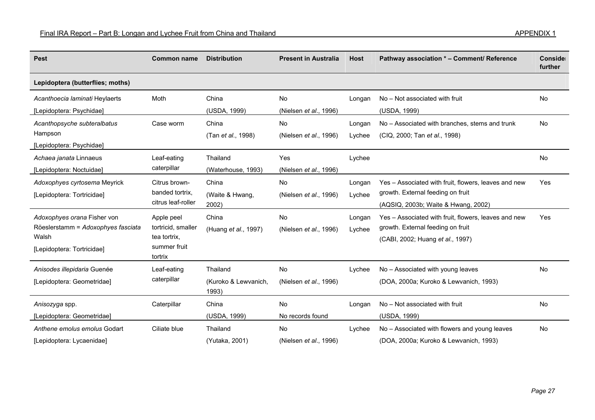| <b>Pest</b>                                                                                              | <b>Common name</b>                                                          | <b>Distribution</b>                       | <b>Present in Australia</b>          | <b>Host</b>      | Pathway association * - Comment/ Reference                                                                                       | Conside<br>further |
|----------------------------------------------------------------------------------------------------------|-----------------------------------------------------------------------------|-------------------------------------------|--------------------------------------|------------------|----------------------------------------------------------------------------------------------------------------------------------|--------------------|
| Lepidoptera (butterflies; moths)                                                                         |                                                                             |                                           |                                      |                  |                                                                                                                                  |                    |
| Acanthoecia laminati Heylaerts<br>[Lepidoptera: Psychidae]                                               | Moth                                                                        | China<br>(USDA, 1999)                     | No<br>(Nielsen <i>et al.</i> , 1996) | Longan           | No - Not associated with fruit<br>(USDA, 1999)                                                                                   | No                 |
| Acanthopsyche subteralbatus<br>Hampson<br>[Lepidoptera: Psychidae]                                       | Case worm                                                                   | China<br>(Tan et al., 1998)               | No<br>(Nielsen et al., 1996)         | Longan<br>Lychee | No - Associated with branches, stems and trunk<br>(CIQ, 2000; Tan et al., 1998)                                                  | <b>No</b>          |
| Achaea janata Linnaeus<br>[Lepidoptera: Noctuidae]                                                       | Leaf-eating<br>caterpillar                                                  | Thailand<br>(Waterhouse, 1993)            | Yes<br>(Nielsen et al., 1996)        | Lychee           |                                                                                                                                  | <b>No</b>          |
| Adoxophyes cyrtosema Meyrick<br>[Lepidoptera: Tortricidae]                                               | Citrus brown-<br>banded tortrix.<br>citrus leaf-roller                      | China<br>(Waite & Hwang,<br>2002)         | No<br>(Nielsen et al., 1996)         | Longan<br>Lychee | Yes - Associated with fruit, flowers, leaves and new<br>growth. External feeding on fruit<br>(AQSIQ, 2003b; Waite & Hwang, 2002) | Yes                |
| Adoxophyes orana Fisher von<br>Röeslerstamm = Adoxophyes fasciata<br>Walsh<br>[Lepidoptera: Tortricidae] | Apple peel<br>tortricid, smaller<br>tea tortrix.<br>summer fruit<br>tortrix | China<br>(Huang et al., 1997)             | No<br>(Nielsen et al., 1996)         | Longan<br>Lychee | Yes - Associated with fruit, flowers, leaves and new<br>growth. External feeding on fruit<br>(CABI, 2002; Huang et al., 1997)    | Yes                |
| Anisodes illepidaria Guenée<br>[Lepidoptera: Geometridae]                                                | Leaf-eating<br>caterpillar                                                  | Thailand<br>(Kuroko & Lewvanich,<br>1993) | No<br>(Nielsen et al., 1996)         | Lychee           | No - Associated with young leaves<br>(DOA, 2000a; Kuroko & Lewvanich, 1993)                                                      | <b>No</b>          |
| Anisozyga spp.<br>[Lepidoptera: Geometridae]                                                             | Caterpillar                                                                 | China<br>(USDA, 1999)                     | <b>No</b><br>No records found        | Longan           | No - Not associated with fruit<br>(USDA, 1999)                                                                                   | No                 |
| Anthene emolus emolus Godart<br>[Lepidoptera: Lycaenidae]                                                | Ciliate blue                                                                | Thailand<br>(Yutaka, 2001)                | <b>No</b><br>(Nielsen et al., 1996)  | Lychee           | No - Associated with flowers and young leaves<br>(DOA, 2000a; Kuroko & Lewvanich, 1993)                                          | No                 |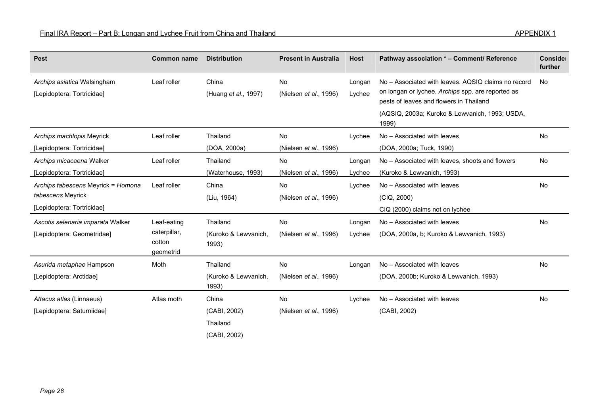| <b>Pest</b>                                                                           | <b>Common name</b>                                 | <b>Distribution</b>                       | <b>Present in Australia</b>         | <b>Host</b>      | Pathway association * - Comment/ Reference                                                                                                                                                                     | Conside<br>further |
|---------------------------------------------------------------------------------------|----------------------------------------------------|-------------------------------------------|-------------------------------------|------------------|----------------------------------------------------------------------------------------------------------------------------------------------------------------------------------------------------------------|--------------------|
| Archips asiatica Walsingham<br>[Lepidoptera: Tortricidae]                             | Leaf roller                                        | China<br>(Huang et al., 1997)             | <b>No</b><br>(Nielsen et al., 1996) | Longan<br>Lychee | No – Associated with leaves. AQSIQ claims no record<br>on longan or lychee. Archips spp. are reported as<br>pests of leaves and flowers in Thailand<br>(AQSIQ, 2003a; Kuroko & Lewvanich, 1993; USDA,<br>1999) | <b>No</b>          |
| Archips machlopis Meyrick<br>[Lepidoptera: Tortricidae]                               | Leaf roller                                        | Thailand<br>(DOA, 2000a)                  | <b>No</b><br>(Nielsen et al., 1996) | Lychee           | No - Associated with leaves<br>(DOA, 2000a; Tuck, 1990)                                                                                                                                                        | No                 |
| Archips micacaena Walker<br>[Lepidoptera: Tortricidae]                                | Leaf roller                                        | Thailand<br>(Waterhouse, 1993)            | No<br>(Nielsen et al., 1996)        | Longan<br>Lychee | No – Associated with leaves, shoots and flowers<br>(Kuroko & Lewvanich, 1993)                                                                                                                                  | No.                |
| Archips tabescens Meyrick = Homona<br>tabescens Meyrick<br>[Lepidoptera: Tortricidae] | Leaf roller                                        | China<br>(Liu, 1964)                      | No<br>(Nielsen et al., 1996)        | Lychee           | No - Associated with leaves<br>(CIQ, 2000)<br>CIQ (2000) claims not on lychee                                                                                                                                  | <b>No</b>          |
| Ascotis selenaria imparata Walker<br>[Lepidoptera: Geometridae]                       | Leaf-eating<br>caterpillar,<br>cotton<br>geometrid | Thailand<br>(Kuroko & Lewvanich,<br>1993) | No<br>(Nielsen et al., 1996)        | Longan<br>Lychee | No - Associated with leaves<br>(DOA, 2000a, b; Kuroko & Lewvanich, 1993)                                                                                                                                       | <b>No</b>          |
| Asurida metaphae Hampson<br>[Lepidoptera: Arctidae]                                   | Moth                                               | Thailand<br>(Kuroko & Lewvanich,<br>1993) | <b>No</b><br>(Nielsen et al., 1996) | Longan           | No - Associated with leaves<br>(DOA, 2000b; Kuroko & Lewvanich, 1993)                                                                                                                                          | <b>No</b>          |
| Attacus atlas (Linnaeus)<br>[Lepidoptera: Saturniidae]                                | Atlas moth                                         | China<br>(CABI, 2002)<br>Thailand         | No<br>(Nielsen et al., 1996)        | Lychee           | No - Associated with leaves<br>(CABI, 2002)                                                                                                                                                                    | No                 |

(CABI, 2002)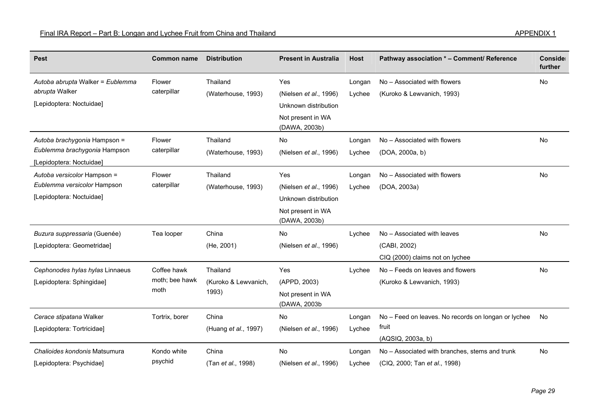| <b>Pest</b>                      | <b>Common name</b> | <b>Distribution</b>  | <b>Present in Australia</b>        | <b>Host</b> | Pathway association * - Comment/ Reference          | Conside<br>further |
|----------------------------------|--------------------|----------------------|------------------------------------|-------------|-----------------------------------------------------|--------------------|
| Autoba abrupta Walker = Eublemma | Flower             | Thailand             | Yes                                | Longan      | No - Associated with flowers                        | No                 |
| abrupta Walker                   | caterpillar        | (Waterhouse, 1993)   | (Nielsen et al., 1996)             | Lychee      | (Kuroko & Lewvanich, 1993)                          |                    |
| [Lepidoptera: Noctuidae]         |                    |                      | Unknown distribution               |             |                                                     |                    |
|                                  |                    |                      | Not present in WA<br>(DAWA, 2003b) |             |                                                     |                    |
| Autoba brachygonia Hampson =     | Flower             | Thailand             | <b>No</b>                          | Longan      | No - Associated with flowers                        | <b>No</b>          |
| Eublemma brachygonia Hampson     | caterpillar        | (Waterhouse, 1993)   | (Nielsen et al., 1996)             | Lychee      | (DOA, 2000a, b)                                     |                    |
| [Lepidoptera: Noctuidae]         |                    |                      |                                    |             |                                                     |                    |
| Autoba versicolor Hampson =      | Flower             | Thailand             | Yes                                | Longan      | No - Associated with flowers                        | No                 |
| Eublemma versicolor Hampson      | caterpillar        | (Waterhouse, 1993)   | (Nielsen et al., 1996)             | Lychee      | (DOA, 2003a)                                        |                    |
| [Lepidoptera: Noctuidae]         |                    |                      | Unknown distribution               |             |                                                     |                    |
|                                  |                    |                      | Not present in WA<br>(DAWA, 2003b) |             |                                                     |                    |
| Buzura suppressaria (Guenée)     | Tea looper         | China                | No                                 | Lychee      | No - Associated with leaves                         | No                 |
| [Lepidoptera: Geometridae]       |                    | (He, 2001)           | (Nielsen et al., 1996)             |             | (CABI, 2002)                                        |                    |
|                                  |                    |                      |                                    |             | CIQ (2000) claims not on lychee                     |                    |
| Cephonodes hylas hylas Linnaeus  | Coffee hawk        | Thailand             | Yes                                | Lychee      | No - Feeds on leaves and flowers                    | No                 |
| [Lepidoptera: Sphingidae]        | moth; bee hawk     | (Kuroko & Lewvanich, | (APPD, 2003)                       |             | (Kuroko & Lewvanich, 1993)                          |                    |
|                                  | moth               | 1993)                | Not present in WA<br>(DAWA, 2003b  |             |                                                     |                    |
| Cerace stipatana Walker          | Tortrix, borer     | China                | No                                 | Longan      | No - Feed on leaves. No records on longan or lychee | No                 |
| [Lepidoptera: Tortricidae]       |                    | (Huang et al., 1997) | (Nielsen et al., 1996)             | Lychee      | fruit                                               |                    |
|                                  |                    |                      |                                    |             | (AQSIQ, 2003a, b)                                   |                    |
| Chalioides kondonis Matsumura    | Kondo white        | China                | <b>No</b>                          | Longan      | No - Associated with branches, stems and trunk      | <b>No</b>          |
| [Lepidoptera: Psychidae]         | psychid            | (Tan et al., 1998)   | (Nielsen et al., 1996)             | Lychee      | (CIQ, 2000; Tan et al., 1998)                       |                    |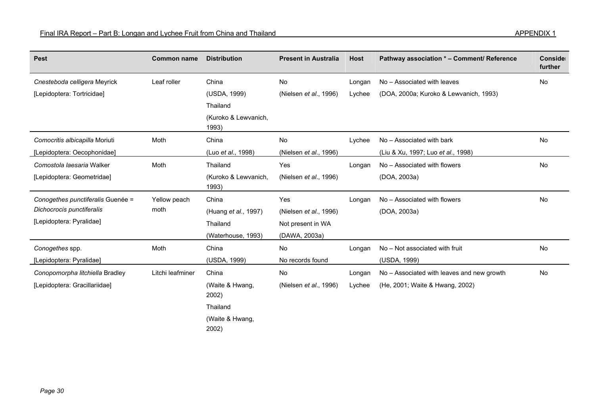| <b>Pest</b>                       | <b>Common name</b> | <b>Distribution</b>           | <b>Present in Australia</b> | <b>Host</b> | Pathway association * - Comment/ Reference | Conside<br>further |
|-----------------------------------|--------------------|-------------------------------|-----------------------------|-------------|--------------------------------------------|--------------------|
| Cnesteboda celligera Meyrick      | Leaf roller        | China                         | No                          | Longan      | No - Associated with leaves                | <b>No</b>          |
| [Lepidoptera: Tortricidae]        |                    | (USDA, 1999)                  | (Nielsen et al., 1996)      | Lychee      | (DOA, 2000a; Kuroko & Lewvanich, 1993)     |                    |
|                                   |                    | Thailand                      |                             |             |                                            |                    |
|                                   |                    | (Kuroko & Lewvanich,<br>1993) |                             |             |                                            |                    |
| Comocritis albicapilla Moriuti    | Moth               | China                         | No                          | Lychee      | No - Associated with bark                  | No                 |
| [Lepidoptera: Oecophonidae]       |                    | (Luo et al., 1998)            | (Nielsen et al., 1996)      |             | (Liu & Xu, 1997; Luo et al., 1998)         |                    |
| Comostola laesaria Walker         | Moth               | Thailand                      | Yes                         | Longan      | No - Associated with flowers               | <b>No</b>          |
| [Lepidoptera: Geometridae]        |                    | (Kuroko & Lewvanich,<br>1993) | (Nielsen et al., 1996)      |             | (DOA, 2003a)                               |                    |
| Conogethes punctiferalis Guenée = | Yellow peach       | China                         | Yes                         | Longan      | No - Associated with flowers               | No                 |
| Dichocrocis punctiferalis         | moth               | (Huang <i>et al.</i> , 1997)  | (Nielsen et al., 1996)      |             | (DOA, 2003a)                               |                    |
| [Lepidoptera: Pyralidae]          |                    | Thailand                      | Not present in WA           |             |                                            |                    |
|                                   |                    | (Waterhouse, 1993)            | (DAWA, 2003a)               |             |                                            |                    |
| Conogethes spp.                   | Moth               | China                         | No                          | Longan      | No - Not associated with fruit             | <b>No</b>          |
| [Lepidoptera: Pyralidae]          |                    | (USDA, 1999)                  | No records found            |             | (USDA, 1999)                               |                    |
| Conopomorpha litchiella Bradley   | Litchi leafminer   | China                         | No                          | Longan      | No - Associated with leaves and new growth | No                 |
| [Lepidoptera: Gracillariidae]     |                    | (Waite & Hwang,<br>2002)      | (Nielsen et al., 1996)      | Lychee      | (He, 2001; Waite & Hwang, 2002)            |                    |
|                                   |                    | Thailand                      |                             |             |                                            |                    |
|                                   |                    | (Waite & Hwang,               |                             |             |                                            |                    |

2002)

*Page 30*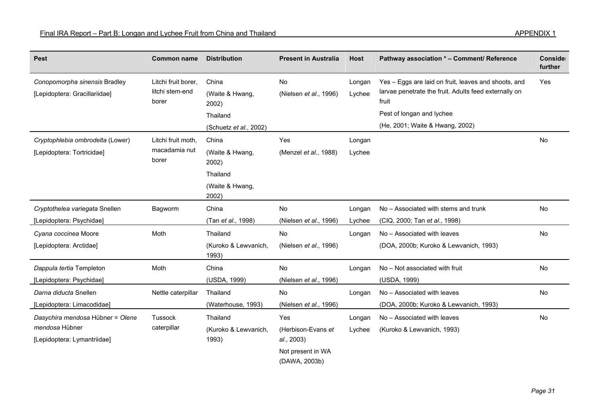| <b>Pest</b>                                                    | <b>Common name</b>                              | <b>Distribution</b>                                                       | <b>Present in Australia</b>  | <b>Host</b>      | Pathway association * - Comment/ Reference                                                                                                                                             | Conside<br>further |
|----------------------------------------------------------------|-------------------------------------------------|---------------------------------------------------------------------------|------------------------------|------------------|----------------------------------------------------------------------------------------------------------------------------------------------------------------------------------------|--------------------|
| Conopomorpha sinensis Bradley<br>[Lepidoptera: Gracillariidae] | Litchi fruit borer,<br>litchi stem-end<br>borer | China<br>(Waite & Hwang,<br>2002)<br>Thailand<br>(Schuetz et al., 2002)   | No<br>(Nielsen et al., 1996) | Longan<br>Lychee | Yes - Eggs are laid on fruit, leaves and shoots, and<br>larvae penetrate the fruit. Adults feed externally on<br>fruit<br>Pest of longan and lychee<br>(He, 2001; Waite & Hwang, 2002) | Yes                |
| Cryptophlebia ombrodelta (Lower)<br>[Lepidoptera: Tortricidae] | Litchi fruit moth,<br>macadamia nut<br>borer    | China<br>(Waite & Hwang,<br>2002)<br>Thailand<br>(Waite & Hwang,<br>2002) | Yes<br>(Menzel et al., 1988) | Longan<br>Lychee |                                                                                                                                                                                        | <b>No</b>          |
| Cryptothelea variegata Snellen                                 | Bagworm                                         | China                                                                     | No                           | Longan           | No - Associated with stems and trunk                                                                                                                                                   | <b>No</b>          |
| [Lepidoptera: Psychidae]                                       |                                                 | (Tan et al., 1998)                                                        | (Nielsen et al., 1996)       | Lychee           | (CIQ, 2000; Tan et al., 1998)                                                                                                                                                          |                    |
| Cyana coccinea Moore                                           | Moth                                            | Thailand                                                                  | No                           | Longan           | No - Associated with leaves                                                                                                                                                            | No                 |
| [Lepidoptera: Arctidae]                                        |                                                 | (Kuroko & Lewvanich,<br>1993)                                             | (Nielsen et al., 1996)       |                  | (DOA, 2000b; Kuroko & Lewvanich, 1993)                                                                                                                                                 |                    |
| Dappula tertia Templeton                                       | Moth                                            | China                                                                     | <b>No</b>                    | Longan           | No - Not associated with fruit                                                                                                                                                         | No                 |
| [Lepidoptera: Psychidae]                                       |                                                 | (USDA, 1999)                                                              | (Nielsen et al., 1996)       |                  | (USDA, 1999)                                                                                                                                                                           |                    |
| Darna diducta Snellen                                          | Nettle caterpillar                              | Thailand                                                                  | No                           | Longan           | No - Associated with leaves                                                                                                                                                            | No                 |
| [Lepidoptera: Limacodidae]                                     |                                                 | (Waterhouse, 1993)                                                        | (Nielsen et al., 1996)       |                  | (DOA, 2000b; Kuroko & Lewvanich, 1993)                                                                                                                                                 |                    |
| Dasychira mendosa Hübner = Olene                               | Tussock                                         | Thailand                                                                  | Yes                          | Longan           | No - Associated with leaves                                                                                                                                                            | <b>No</b>          |
| mendosa Hübner                                                 | caterpillar                                     | (Kuroko & Lewvanich,                                                      | (Herbison-Evans et           | Lychee           | (Kuroko & Lewvanich, 1993)                                                                                                                                                             |                    |
| [Lepidoptera: Lymantriidae]                                    |                                                 | 1993)                                                                     | al., 2003)                   |                  |                                                                                                                                                                                        |                    |
|                                                                |                                                 |                                                                           | Not present in WA            |                  |                                                                                                                                                                                        |                    |

(DAWA, 2003b)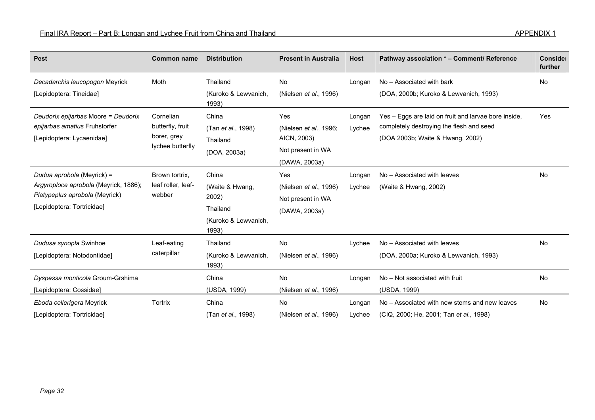| <b>Pest</b>                           | <b>Common name</b> | <b>Distribution</b>           | <b>Present in Australia</b>    | <b>Host</b> | Pathway association * - Comment/ Reference           | Conside<br>further |
|---------------------------------------|--------------------|-------------------------------|--------------------------------|-------------|------------------------------------------------------|--------------------|
| Decadarchis leucopogon Meyrick        | Moth               | Thailand                      | No                             | Longan      | No - Associated with bark                            | No                 |
| [Lepidoptera: Tineidae]               |                    | (Kuroko & Lewvanich,<br>1993) | (Nielsen et al., 1996)         |             | (DOA, 2000b; Kuroko & Lewvanich, 1993)               |                    |
| Deudorix epijarbas Moore = Deudorix   | Cornelian          | China                         | Yes                            | Longan      | Yes - Eggs are laid on fruit and larvae bore inside, | Yes                |
| epijarbas amatius Fruhstorfer         | butterfly, fruit   | (Tan et al., 1998)            | (Nielsen et al., 1996;         | Lychee      | completely destroying the flesh and seed             |                    |
| [Lepidoptera: Lycaenidae]             | borer, grey        | Thailand                      | AICN, 2003)                    |             | (DOA 2003b; Waite & Hwang, 2002)                     |                    |
|                                       | lychee butterfly   | (DOA, 2003a)                  | Not present in WA              |             |                                                      |                    |
|                                       |                    |                               | (DAWA, 2003a)                  |             |                                                      |                    |
| Dudua aprobola (Meyrick) =            | Brown tortrix,     | China                         | Yes                            | Longan      | No - Associated with leaves                          | No                 |
| Argyroploce aprobola (Meyrick, 1886); | leaf roller, leaf- | (Waite & Hwang,<br>2002)      | (Nielsen et al., 1996)         | Lychee      | (Waite & Hwang, 2002)                                |                    |
| Platypeplus aprobola (Meyrick)        | webber             |                               | Not present in WA              |             |                                                      |                    |
| [Lepidoptera: Tortricidae]            |                    | Thailand                      | (DAWA, 2003a)                  |             |                                                      |                    |
|                                       |                    | (Kuroko & Lewvanich,<br>1993) |                                |             |                                                      |                    |
| Dudusa synopla Swinhoe                | Leaf-eating        | Thailand                      | No                             | Lychee      | No - Associated with leaves                          | <b>No</b>          |
| [Lepidoptera: Notodontidae]           | caterpillar        | (Kuroko & Lewvanich,<br>1993) | (Nielsen et al., 1996)         |             | (DOA, 2000a; Kuroko & Lewvanich, 1993)               |                    |
| Dyspessa monticola Groum-Grshima      |                    | China                         | No                             | Longan      | No - Not associated with fruit                       | No                 |
| [Lepidoptera: Cossidae]               |                    | (USDA, 1999)                  | (Nielsen et al., 1996)         |             | (USDA, 1999)                                         |                    |
| Eboda cellerigera Meyrick             | <b>Tortrix</b>     | China                         | No                             | Longan      | No – Associated with new stems and new leaves        | No                 |
| [Lepidoptera: Tortricidae]            |                    | (Tan <i>et al.</i> , 1998)    | (Nielsen <i>et al.</i> , 1996) | Lychee      | (CIQ, 2000; He, 2001; Tan et al., 1998)              |                    |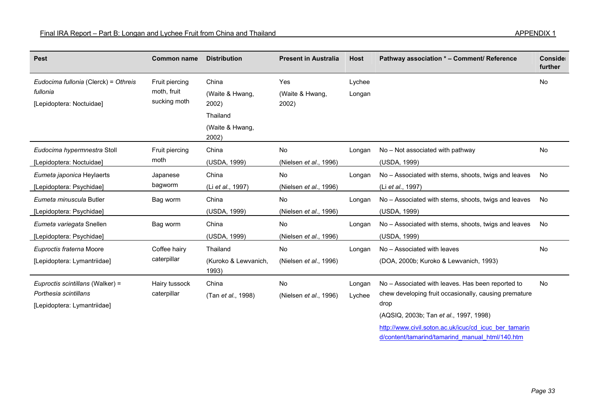| <b>Pest</b>                                                                              | <b>Common name</b>                            | <b>Distribution</b>                       | <b>Present in Australia</b>         | <b>Host</b>      | Pathway association * - Comment/ Reference                                                                                                                                                                            | Conside<br>further |
|------------------------------------------------------------------------------------------|-----------------------------------------------|-------------------------------------------|-------------------------------------|------------------|-----------------------------------------------------------------------------------------------------------------------------------------------------------------------------------------------------------------------|--------------------|
| Eudocima fullonia (Clerck) = Othreis<br>fullonia<br>[Lepidoptera: Noctuidae]             | Fruit piercing<br>moth, fruit<br>sucking moth | China<br>(Waite & Hwang,<br>2002)         | Yes<br>(Waite & Hwang,<br>2002)     | Lychee<br>Longan |                                                                                                                                                                                                                       | No                 |
|                                                                                          |                                               | Thailand<br>(Waite & Hwang,<br>2002)      |                                     |                  |                                                                                                                                                                                                                       |                    |
| Eudocima hypermnestra Stoll<br>[Lepidoptera: Noctuidae]                                  | Fruit piercing<br>moth                        | China<br>(USDA, 1999)                     | <b>No</b><br>(Nielsen et al., 1996) | Longan           | No - Not associated with pathway<br>(USDA, 1999)                                                                                                                                                                      | <b>No</b>          |
| Eumeta japonica Heylaerts<br>[Lepidoptera: Psychidae]                                    | Japanese<br>bagworm                           | China<br>(Li et al., 1997)                | No<br>(Nielsen et al., 1996)        | Longan           | No - Associated with stems, shoots, twigs and leaves<br>(Li et al., 1997)                                                                                                                                             | <b>No</b>          |
| Eumeta minuscula Butler<br>[Lepidoptera: Psychidae]                                      | Bag worm                                      | China<br>(USDA, 1999)                     | <b>No</b><br>(Nielsen et al., 1996) | Longan           | No - Associated with stems, shoots, twigs and leaves<br>(USDA, 1999)                                                                                                                                                  | <b>No</b>          |
| Eumeta variegata Snellen<br>[Lepidoptera: Psychidae]                                     | Bag worm                                      | China<br>(USDA, 1999)                     | No<br>(Nielsen et al., 1996)        | Longan           | No - Associated with stems, shoots, twigs and leaves<br>(USDA, 1999)                                                                                                                                                  | <b>No</b>          |
| Euproctis fraterna Moore<br>[Lepidoptera: Lymantriidae]                                  | Coffee hairy<br>caterpillar                   | Thailand<br>(Kuroko & Lewvanich,<br>1993) | No<br>(Nielsen et al., 1996)        | Longan           | No - Associated with leaves<br>(DOA, 2000b; Kuroko & Lewvanich, 1993)                                                                                                                                                 | No                 |
| Euproctis scintillans (Walker) =<br>Porthesia scintillans<br>[Lepidoptera: Lymantriidae] | Hairy tussock<br>caterpillar                  | China<br>(Tan et al., 1998)               | No<br>(Nielsen et al., 1996)        | Longan<br>Lychee | No - Associated with leaves. Has been reported to<br>chew developing fruit occasionally, causing premature<br>drop<br>(AQSIQ, 2003b; Tan et al., 1997, 1998)<br>http://www.civil.soton.ac.uk/icuc/cd icuc ber tamarin | <b>No</b>          |

d/content/tamarind/tamarind\_manual\_html/140.htm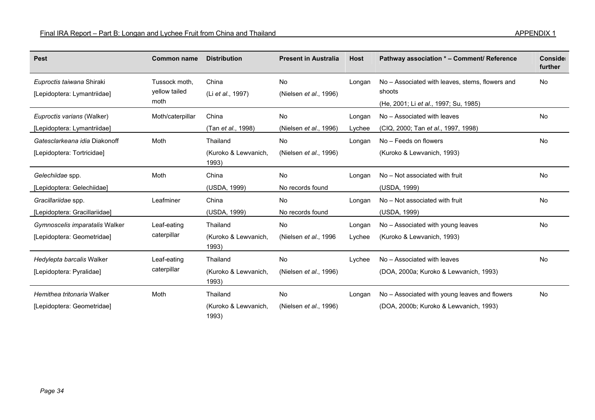| <b>Pest</b>                    | <b>Common name</b>    | <b>Distribution</b>           | <b>Present in Australia</b>    | <b>Host</b> | Pathway association * - Comment/ Reference      | Conside<br>further |
|--------------------------------|-----------------------|-------------------------------|--------------------------------|-------------|-------------------------------------------------|--------------------|
| Euproctis taiwana Shiraki      | Tussock moth,         | China                         | No                             | Longan      | No - Associated with leaves, stems, flowers and | No                 |
| [Lepidoptera: Lymantriidae]    | yellow tailed<br>moth | (Li et al., 1997)             | (Nielsen et al., 1996)         |             | shoots<br>(He, 2001; Li et al., 1997; Su, 1985) |                    |
| Euproctis varians (Walker)     | Moth/caterpillar      | China                         | No                             | Longan      | No – Associated with leaves                     | No                 |
| [Lepidoptera: Lymantriidae]    |                       | (Tan et al., 1998)            | (Nielsen <i>et al.</i> , 1996) | Lychee      | (CIQ, 2000; Tan et al., 1997, 1998)             |                    |
| Gatesclarkeana idia Diakonoff  | Moth                  | Thailand                      | No                             | Longan      | No - Feeds on flowers                           | No                 |
| [Lepidoptera: Tortricidae]     |                       | (Kuroko & Lewvanich,<br>1993) | (Nielsen et al., 1996)         |             | (Kuroko & Lewvanich, 1993)                      |                    |
| Gelechiidae spp.               | Moth                  | China                         | No                             | Longan      | No - Not associated with fruit                  | No                 |
| [Lepidoptera: Gelechiidae]     |                       | (USDA, 1999)                  | No records found               |             | (USDA, 1999)                                    |                    |
| Gracillariidae spp.            | Leafminer             | China                         | No                             | Longan      | No - Not associated with fruit                  | No                 |
| [Lepidoptera: Gracillariidae]  |                       | (USDA, 1999)                  | No records found               |             | (USDA, 1999)                                    |                    |
| Gymnoscelis imparatalis Walker | Leaf-eating           | Thailand                      | No                             | Longan      | No - Associated with young leaves               | No                 |
| [Lepidoptera: Geometridae]     | caterpillar           | (Kuroko & Lewvanich,<br>1993) | (Nielsen <i>et al.</i> , 1996) | Lychee      | (Kuroko & Lewvanich, 1993)                      |                    |
| Hedylepta barcalis Walker      | Leaf-eating           | Thailand                      | No                             | Lychee      | No - Associated with leaves                     | No                 |
| [Lepidoptera: Pyralidae]       | caterpillar           | (Kuroko & Lewvanich,<br>1993) | (Nielsen et al., 1996)         |             | (DOA, 2000a; Kuroko & Lewvanich, 1993)          |                    |
| Hemithea tritonaria Walker     | Moth                  | Thailand                      | No                             | Longan      | No - Associated with young leaves and flowers   | <b>No</b>          |
| [Lepidoptera: Geometridae]     |                       | (Kuroko & Lewvanich,<br>1993) | (Nielsen et al., 1996)         |             | (DOA, 2000b; Kuroko & Lewvanich, 1993)          |                    |

 $\overline{\phantom{a}}$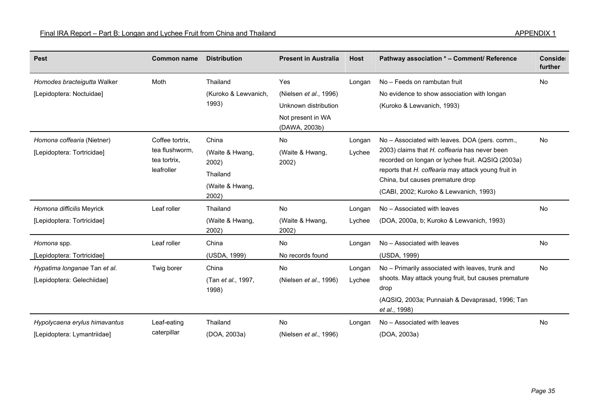| <b>Pest</b>                                                  | <b>Common name</b>                                              | <b>Distribution</b>                                                       | <b>Present in Australia</b>                                                                 | <b>Host</b>      | Pathway association * - Comment/ Reference                                                                                                                                                                                                                                                | Conside<br>further |
|--------------------------------------------------------------|-----------------------------------------------------------------|---------------------------------------------------------------------------|---------------------------------------------------------------------------------------------|------------------|-------------------------------------------------------------------------------------------------------------------------------------------------------------------------------------------------------------------------------------------------------------------------------------------|--------------------|
| Homodes bracteigutta Walker<br>[Lepidoptera: Noctuidae]      | Moth                                                            | Thailand<br>(Kuroko & Lewvanich,<br>1993)                                 | Yes<br>(Nielsen et al., 1996)<br>Unknown distribution<br>Not present in WA<br>(DAWA, 2003b) | Longan           | No - Feeds on rambutan fruit<br>No evidence to show association with longan<br>(Kuroko & Lewvanich, 1993)                                                                                                                                                                                 | <b>No</b>          |
| Homona coffearia (Nietner)<br>[Lepidoptera: Tortricidae]     | Coffee tortrix,<br>tea flushworm,<br>tea tortrix,<br>leafroller | China<br>(Waite & Hwang,<br>2002)<br>Thailand<br>(Waite & Hwang,<br>2002) | No<br>(Waite & Hwang,<br>2002)                                                              | Longan<br>Lychee | No – Associated with leaves. DOA (pers. comm.,<br>2003) claims that H. coffearia has never been<br>recorded on longan or lychee fruit. AQSIQ (2003a)<br>reports that H. coffearia may attack young fruit in<br>China, but causes premature drop<br>(CABI, 2002; Kuroko & Lewvanich, 1993) | No                 |
| Homona difficilis Meyrick<br>[Lepidoptera: Tortricidae]      | Leaf roller                                                     | Thailand<br>(Waite & Hwang,<br>2002)                                      | <b>No</b><br>(Waite & Hwang,<br>2002)                                                       | Longan<br>Lychee | No - Associated with leaves<br>(DOA, 2000a, b; Kuroko & Lewvanich, 1993)                                                                                                                                                                                                                  | <b>No</b>          |
| Homona spp.<br>[Lepidoptera: Tortricidae]                    | Leaf roller                                                     | China<br>(USDA, 1999)                                                     | No<br>No records found                                                                      | Longan           | No - Associated with leaves<br>(USDA, 1999)                                                                                                                                                                                                                                               | No                 |
| Hypatima longanae Tan et al.<br>[Lepidoptera: Gelechiidae]   | Twig borer                                                      | China<br>(Tan et al., 1997,<br>1998)                                      | No<br>(Nielsen et al., 1996)                                                                | Longan<br>Lychee | No - Primarily associated with leaves, trunk and<br>shoots. May attack young fruit, but causes premature<br>drop<br>(AQSIQ, 2003a; Punnaiah & Devaprasad, 1996; Tan<br>et al., 1998)                                                                                                      | No                 |
| Hypolycaena erylus himavantus<br>[Lepidoptera: Lymantriidae] | Leaf-eating<br>caterpillar                                      | Thailand<br>(DOA, 2003a)                                                  | <b>No</b><br>(Nielsen et al., 1996)                                                         | Longan           | No - Associated with leaves<br>(DOA, 2003a)                                                                                                                                                                                                                                               | <b>No</b>          |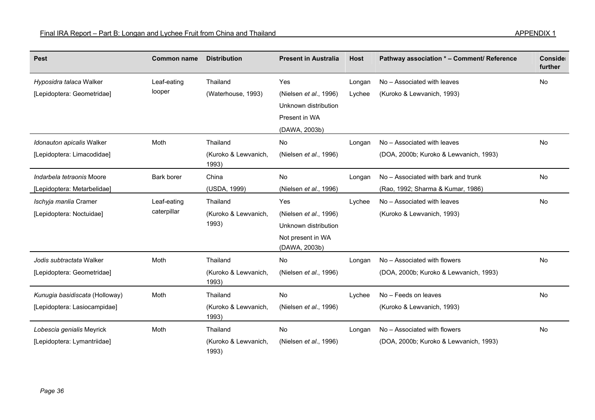| <b>Pest</b>                    | <b>Common name</b> | <b>Distribution</b>           | <b>Present in Australia</b>        | <b>Host</b> | Pathway association * - Comment/ Reference | Conside<br>further |
|--------------------------------|--------------------|-------------------------------|------------------------------------|-------------|--------------------------------------------|--------------------|
| Hyposidra talaca Walker        | Leaf-eating        | Thailand                      | Yes                                | Longan      | No - Associated with leaves                | No                 |
| [Lepidoptera: Geometridae]     | looper             | (Waterhouse, 1993)            | (Nielsen et al., 1996)             | Lychee      | (Kuroko & Lewvanich, 1993)                 |                    |
|                                |                    |                               | Unknown distribution               |             |                                            |                    |
|                                |                    |                               | Present in WA                      |             |                                            |                    |
|                                |                    |                               | (DAWA, 2003b)                      |             |                                            |                    |
| Idonauton apicalis Walker      | Moth               | Thailand                      | No                                 | Longan      | No - Associated with leaves                | No                 |
| [Lepidoptera: Limacodidae]     |                    | (Kuroko & Lewvanich,<br>1993) | (Nielsen et al., 1996)             |             | (DOA, 2000b; Kuroko & Lewvanich, 1993)     |                    |
| Indarbela tetraonis Moore      | Bark borer         | China                         | No                                 | Longan      | No – Associated with bark and trunk        | <b>No</b>          |
| [Lepidoptera: Metarbelidae]    |                    | (USDA, 1999)                  | (Nielsen et al., 1996)             |             | (Rao, 1992; Sharma & Kumar, 1986)          |                    |
| Ischyja manlia Cramer          | Leaf-eating        | Thailand                      | Yes                                | Lychee      | No - Associated with leaves                | <b>No</b>          |
| [Lepidoptera: Noctuidae]       | caterpillar        | (Kuroko & Lewvanich,          | (Nielsen et al., 1996)             |             | (Kuroko & Lewvanich, 1993)                 |                    |
|                                |                    | 1993)                         | Unknown distribution               |             |                                            |                    |
|                                |                    |                               | Not present in WA<br>(DAWA, 2003b) |             |                                            |                    |
| Jodis subtractata Walker       | Moth               | Thailand                      | No                                 | Longan      | No - Associated with flowers               | No                 |
| [Lepidoptera: Geometridae]     |                    | (Kuroko & Lewvanich,<br>1993) | (Nielsen et al., 1996)             |             | (DOA, 2000b; Kuroko & Lewvanich, 1993)     |                    |
| Kunugia basidiscata (Holloway) | Moth               | Thailand                      | No                                 | Lychee      | No - Feeds on leaves                       | <b>No</b>          |
| [Lepidoptera: Lasiocampidae]   |                    | (Kuroko & Lewvanich,<br>1993) | (Nielsen et al., 1996)             |             | (Kuroko & Lewvanich, 1993)                 |                    |
| Lobescia genialis Meyrick      | Moth               | Thailand                      | No                                 | Longan      | No - Associated with flowers               | No                 |
| [Lepidoptera: Lymantriidae]    |                    | (Kuroko & Lewvanich,<br>1993) | (Nielsen et al., 1996)             |             | (DOA, 2000b; Kuroko & Lewvanich, 1993)     |                    |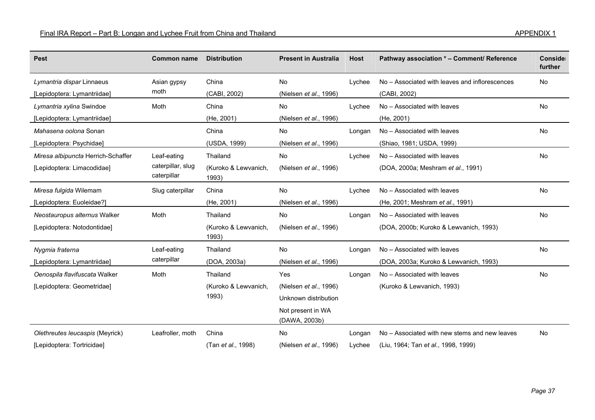| <b>Pest</b>                        | <b>Common name</b>                              | <b>Distribution</b>           | <b>Present in Australia</b>        | <b>Host</b> | Pathway association * - Comment/ Reference     | Conside<br>further |
|------------------------------------|-------------------------------------------------|-------------------------------|------------------------------------|-------------|------------------------------------------------|--------------------|
| Lymantria dispar Linnaeus          | Asian gypsy                                     | China                         | No                                 | Lychee      | No – Associated with leaves and inflorescences | No                 |
| [Lepidoptera: Lymantriidae]        | moth                                            | (CABI, 2002)                  | (Nielsen et al., 1996)             |             | (CABI, 2002)                                   |                    |
| Lymantria xylina Swindoe           | Moth                                            | China                         | <b>No</b>                          | Lychee      | No - Associated with leaves                    | No                 |
| [Lepidoptera: Lymantriidae]        |                                                 | (He, 2001)                    | (Nielsen et al., 1996)             |             | (He, 2001)                                     |                    |
| Mahasena oolona Sonan              |                                                 | China                         | <b>No</b>                          | Longan      | No - Associated with leaves                    | No                 |
| [Lepidoptera: Psychidae]           |                                                 | (USDA, 1999)                  | (Nielsen et al., 1996)             |             | (Shiao, 1981; USDA, 1999)                      |                    |
| Miresa albipuncta Herrich-Schaffer | Leaf-eating<br>caterpillar, slug<br>caterpillar | Thailand                      | No                                 | Lychee      | No - Associated with leaves                    | <b>No</b>          |
| [Lepidoptera: Limacodidae]         |                                                 | (Kuroko & Lewvanich,<br>1993) | (Nielsen et al., 1996)             |             | (DOA, 2000a; Meshram et al., 1991)             |                    |
| Miresa fulgida Wilemam             | Slug caterpillar                                | China                         | No                                 | Lychee      | No - Associated with leaves                    | No                 |
| [Lepidoptera: Euoleidae?]          |                                                 | (He, 2001)                    | (Nielsen et al., 1996)             |             | (He, 2001; Meshram et al., 1991)               |                    |
| Neostauropus alternus Walker       | Moth                                            | Thailand                      | No                                 | Longan      | No - Associated with leaves                    | No                 |
| [Lepidoptera: Notodontidae]        |                                                 | (Kuroko & Lewvanich,<br>1993) | (Nielsen et al., 1996)             |             | (DOA, 2000b; Kuroko & Lewvanich, 1993)         |                    |
| Nygmia fraterna                    | Leaf-eating                                     | Thailand                      | No                                 | Longan      | No - Associated with leaves                    | No                 |
| [Lepidoptera: Lymantriidae]        | caterpillar                                     | (DOA, 2003a)                  | (Nielsen et al., 1996)             |             | (DOA, 2003a; Kuroko & Lewvanich, 1993)         |                    |
| Oenospila flavifuscata Walker      | Moth                                            | Thailand                      | Yes                                | Longan      | No - Associated with leaves                    | No                 |
| [Lepidoptera: Geometridae]         |                                                 | (Kuroko & Lewvanich,          | (Nielsen et al., 1996)             |             | (Kuroko & Lewvanich, 1993)                     |                    |
|                                    |                                                 | 1993)                         | Unknown distribution               |             |                                                |                    |
|                                    |                                                 |                               | Not present in WA<br>(DAWA, 2003b) |             |                                                |                    |
| Olethreutes leucaspis (Meyrick)    | Leafroller, moth                                | China                         | <b>No</b>                          | Longan      | No - Associated with new stems and new leaves  | <b>No</b>          |
| [Lepidoptera: Tortricidae]         |                                                 | (Tan et al., 1998)            | (Nielsen et al., 1996)             | Lychee      | (Liu, 1964; Tan et al., 1998, 1999)            |                    |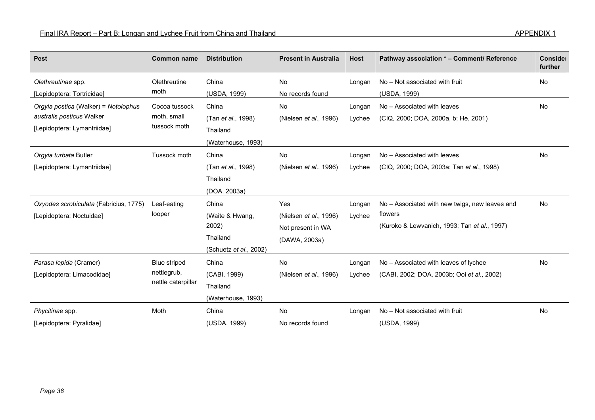| <b>Pest</b>                                                                                      | <b>Common name</b>                                | <b>Distribution</b>                                                     | <b>Present in Australia</b>                                         | <b>Host</b>      | Pathway association * - Comment/ Reference                                                                | Conside<br>further |
|--------------------------------------------------------------------------------------------------|---------------------------------------------------|-------------------------------------------------------------------------|---------------------------------------------------------------------|------------------|-----------------------------------------------------------------------------------------------------------|--------------------|
| Olethreutinae spp.<br>[Lepidoptera: Tortricidae]                                                 | Olethreutine<br>moth                              | China<br>(USDA, 1999)                                                   | No<br>No records found                                              | Longan           | No - Not associated with fruit<br>(USDA, 1999)                                                            | <b>No</b>          |
| Orgyia postica (Walker) = Notolophus<br>australis posticus Walker<br>[Lepidoptera: Lymantriidae] | Cocoa tussock<br>moth, small<br>tussock moth      | China<br>(Tan et al., 1998)<br>Thailand<br>(Waterhouse, 1993)           | No<br>(Nielsen et al., 1996)                                        | Longan<br>Lychee | No - Associated with leaves<br>(CIQ, 2000; DOA, 2000a, b; He, 2001)                                       | <b>No</b>          |
| Orgyia turbata Butler<br>[Lepidoptera: Lymantriidae]                                             | Tussock moth                                      | China<br>(Tan et al., 1998)<br>Thailand<br>(DOA, 2003a)                 | No<br>(Nielsen et al., 1996)                                        | Longan<br>Lychee | No - Associated with leaves<br>(CIQ, 2000; DOA, 2003a; Tan et al., 1998)                                  | <b>No</b>          |
| Oxyodes scrobiculata (Fabricius, 1775)<br>[Lepidoptera: Noctuidae]                               | Leaf-eating<br>looper                             | China<br>(Waite & Hwang,<br>2002)<br>Thailand<br>(Schuetz et al., 2002) | Yes<br>(Nielsen et al., 1996)<br>Not present in WA<br>(DAWA, 2003a) | Longan<br>Lychee | No - Associated with new twigs, new leaves and<br>flowers<br>(Kuroko & Lewvanich, 1993; Tan et al., 1997) | No                 |
| Parasa lepida (Cramer)<br>[Lepidoptera: Limacodidae]                                             | Blue striped<br>nettlegrub,<br>nettle caterpillar | China<br>(CABI, 1999)<br>Thailand<br>(Waterhouse, 1993)                 | No<br>(Nielsen et al., 1996)                                        | Longan<br>Lychee | No - Associated with leaves of lychee<br>(CABI, 2002; DOA, 2003b; Ooi et al., 2002)                       | No                 |
| Phycitinae spp.<br>[Lepidoptera: Pyralidae]                                                      | Moth                                              | China<br>(USDA, 1999)                                                   | <b>No</b><br>No records found                                       | Longan           | No - Not associated with fruit<br>(USDA, 1999)                                                            | No                 |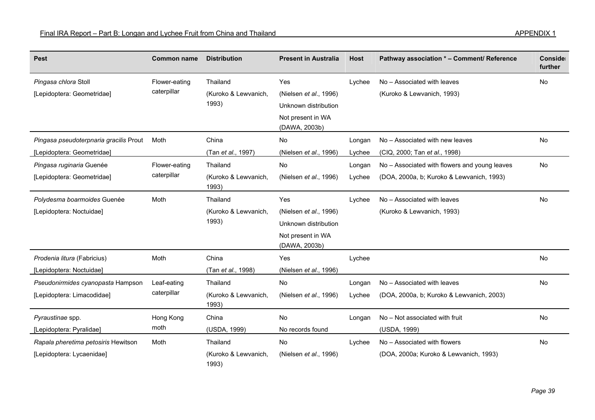| <b>Pest</b>                            | <b>Common name</b> | <b>Distribution</b>           | <b>Present in Australia</b>        | <b>Host</b> | Pathway association * - Comment/ Reference    | Conside<br>further |
|----------------------------------------|--------------------|-------------------------------|------------------------------------|-------------|-----------------------------------------------|--------------------|
| Pingasa chlora Stoll                   | Flower-eating      | Thailand                      | Yes                                | Lychee      | No - Associated with leaves                   | <b>No</b>          |
| [Lepidoptera: Geometridae]             | caterpillar        | (Kuroko & Lewvanich,          | (Nielsen et al., 1996)             |             | (Kuroko & Lewvanich, 1993)                    |                    |
|                                        |                    | 1993)                         | Unknown distribution               |             |                                               |                    |
|                                        |                    |                               | Not present in WA<br>(DAWA, 2003b) |             |                                               |                    |
| Pingasa pseudoterpnaria gracilis Prout | Moth               | China                         | No                                 | Longan      | No - Associated with new leaves               | No                 |
| [Lepidoptera: Geometridae]             |                    | (Tan et al., 1997)            | (Nielsen et al., 1996)             | Lychee      | (CIQ, 2000; Tan et al., 1998)                 |                    |
| Pingasa ruginaria Guenée               | Flower-eating      | Thailand                      | No                                 | Longan      | No - Associated with flowers and young leaves | No                 |
| [Lepidoptera: Geometridae]             | caterpillar        | (Kuroko & Lewvanich,<br>1993) | (Nielsen et al., 1996)             | Lychee      | (DOA, 2000a, b; Kuroko & Lewvanich, 1993)     |                    |
| Polydesma boarmoides Guenée            | Moth               | Thailand                      | Yes                                | Lychee      | No - Associated with leaves                   | <b>No</b>          |
| [Lepidoptera: Noctuidae]               |                    | (Kuroko & Lewvanich,          | (Nielsen et al., 1996)             |             | (Kuroko & Lewvanich, 1993)                    |                    |
|                                        |                    | 1993)                         | Unknown distribution               |             |                                               |                    |
|                                        |                    |                               | Not present in WA<br>(DAWA, 2003b) |             |                                               |                    |
| Prodenia litura (Fabricius)            | Moth               | China                         | Yes                                | Lychee      |                                               | No                 |
| [Lepidoptera: Noctuidae]               |                    | (Tan et al., 1998)            | (Nielsen et al., 1996)             |             |                                               |                    |
| Pseudonirmides cyanopasta Hampson      | Leaf-eating        | Thailand                      | No                                 | Longan      | No - Associated with leaves                   | No                 |
| [Lepidoptera: Limacodidae]             | caterpillar        | (Kuroko & Lewvanich,<br>1993) | (Nielsen et al., 1996)             | Lychee      | (DOA, 2000a, b; Kuroko & Lewvanich, 2003)     |                    |
| Pyraustinae spp.                       | Hong Kong          | China                         | No                                 | Longan      | No - Not associated with fruit                | No                 |
| [Lepidoptera: Pyralidae]               | moth               | (USDA, 1999)                  | No records found                   |             | (USDA, 1999)                                  |                    |
| Rapala pheretima petosiris Hewitson    | Moth               | Thailand                      | <b>No</b>                          | Lychee      | No - Associated with flowers                  | <b>No</b>          |
| [Lepidoptera: Lycaenidae]              |                    | (Kuroko & Lewvanich,<br>1993) | (Nielsen et al., 1996)             |             | (DOA, 2000a; Kuroko & Lewvanich, 1993)        |                    |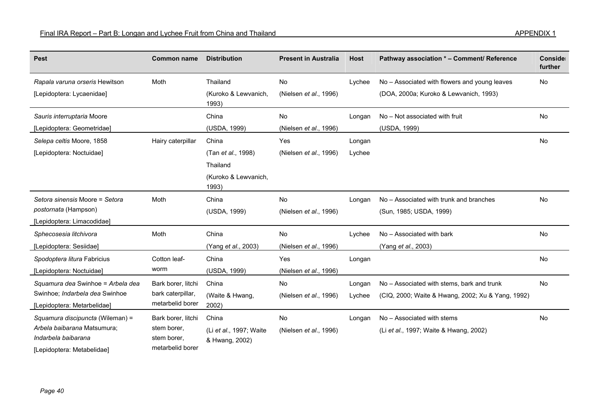| <b>Pest</b>                                                                                                          | <b>Common name</b>                                                   | <b>Distribution</b>                                                      | <b>Present in Australia</b>         | <b>Host</b>      | Pathway association * - Comment/ Reference                                                      | Conside<br>further |
|----------------------------------------------------------------------------------------------------------------------|----------------------------------------------------------------------|--------------------------------------------------------------------------|-------------------------------------|------------------|-------------------------------------------------------------------------------------------------|--------------------|
| Rapala varuna orseris Hewitson<br>[Lepidoptera: Lycaenidae]                                                          | Moth                                                                 | Thailand<br>(Kuroko & Lewvanich,<br>1993)                                | No<br>(Nielsen et al., 1996)        | Lychee           | No - Associated with flowers and young leaves<br>(DOA, 2000a; Kuroko & Lewvanich, 1993)         | No                 |
| Sauris interruptaria Moore<br>[Lepidoptera: Geometridae]                                                             |                                                                      | China<br>(USDA, 1999)                                                    | No<br>(Nielsen et al., 1996)        | Longan           | No - Not associated with fruit<br>(USDA, 1999)                                                  | <b>No</b>          |
| Selepa celtis Moore, 1858<br>[Lepidoptera: Noctuidae]                                                                | Hairy caterpillar                                                    | China<br>(Tan et al., 1998)<br>Thailand<br>(Kuroko & Lewvanich,<br>1993) | Yes<br>(Nielsen et al., 1996)       | Longan<br>Lychee |                                                                                                 | No                 |
| Setora sinensis Moore = Setora<br>postornata (Hampson)<br>[Lepidoptera: Limacodidae]                                 | Moth                                                                 | China<br>(USDA, 1999)                                                    | <b>No</b><br>(Nielsen et al., 1996) | Longan           | No - Associated with trunk and branches<br>(Sun, 1985; USDA, 1999)                              | No                 |
| Sphecosesia litchivora<br>[Lepidoptera: Sesiidae]                                                                    | Moth                                                                 | China<br>(Yang et al., 2003)                                             | <b>No</b><br>(Nielsen et al., 1996) | Lychee           | No - Associated with bark<br>(Yang et al., 2003)                                                | <b>No</b>          |
| Spodoptera litura Fabricius<br>[Lepidoptera: Noctuidae]                                                              | Cotton leaf-<br>worm                                                 | China<br>(USDA, 1999)                                                    | Yes<br>(Nielsen et al., 1996)       | Longan           |                                                                                                 | No                 |
| Squamura dea Swinhoe = Arbela dea<br>Swinhoe; Indarbela dea Swinhoe<br>[Lepidoptera: Metarbelidae]                   | Bark borer, litchi<br>bark caterpillar,<br>metarbelid borer          | China<br>(Waite & Hwang,<br>2002)                                        | No<br>(Nielsen et al., 1996)        | Longan<br>Lychee | No - Associated with stems, bark and trunk<br>(CIQ, 2000; Waite & Hwang, 2002; Xu & Yang, 1992) | <b>No</b>          |
| Squamura discipuncta (Wileman) =<br>Arbela baibarana Matsumura;<br>Indarbela baibarana<br>[Lepidoptera: Metabelidae] | Bark borer, litchi<br>stem borer.<br>stem borer.<br>metarbelid borer | China<br>(Li et al., 1997; Waite<br>& Hwang, 2002)                       | No<br>(Nielsen et al., 1996)        | Longan           | No - Associated with stems<br>(Li et al., 1997; Waite & Hwang, 2002)                            | No                 |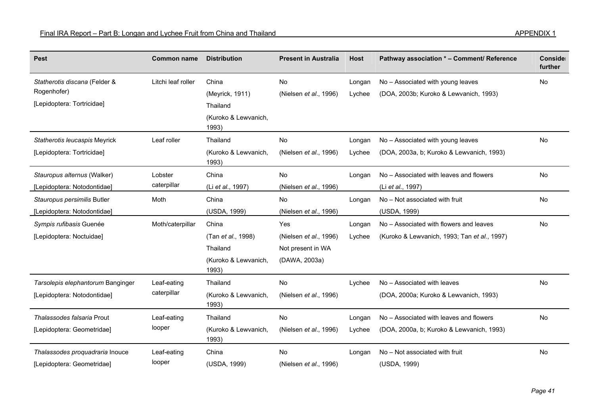| <b>Pest</b>                       | <b>Common name</b> | <b>Distribution</b>           | <b>Present in Australia</b> | <b>Host</b> | Pathway association * - Comment/ Reference   | Conside<br>further |
|-----------------------------------|--------------------|-------------------------------|-----------------------------|-------------|----------------------------------------------|--------------------|
| Statherotis discana (Felder &     | Litchi leaf roller | China                         | <b>No</b>                   | Longan      | No - Associated with young leaves            | No                 |
| Rogenhofer)                       |                    | (Meyrick, 1911)               | (Nielsen et al., 1996)      | Lychee      | (DOA, 2003b; Kuroko & Lewvanich, 1993)       |                    |
| [Lepidoptera: Tortricidae]        |                    | Thailand                      |                             |             |                                              |                    |
|                                   |                    | (Kuroko & Lewvanich,<br>1993) |                             |             |                                              |                    |
| Statherotis leucaspis Meyrick     | Leaf roller        | Thailand                      | <b>No</b>                   | Longan      | No - Associated with young leaves            | <b>No</b>          |
| [Lepidoptera: Tortricidae]        |                    | (Kuroko & Lewvanich,<br>1993) | (Nielsen et al., 1996)      | Lychee      | (DOA, 2003a, b; Kuroko & Lewvanich, 1993)    |                    |
| Stauropus alternus (Walker)       | Lobster            | China                         | No                          | Longan      | No - Associated with leaves and flowers      | No                 |
| [Lepidoptera: Notodontidae]       | caterpillar        | (Li et al., 1997)             | (Nielsen et al., 1996)      |             | (Li et al., 1997)                            |                    |
| Stauropus persimilis Butler       | Moth               | China                         | No                          | Longan      | No - Not associated with fruit               | No                 |
| [Lepidoptera: Notodontidae]       |                    | (USDA, 1999)                  | (Nielsen et al., 1996)      |             | (USDA, 1999)                                 |                    |
| Sympis rufibasis Guenée           | Moth/caterpillar   | China                         | Yes                         | Longan      | No - Associated with flowers and leaves      | No                 |
| [Lepidoptera: Noctuidae]          |                    | (Tan et al., 1998)            | (Nielsen et al., 1996)      | Lychee      | (Kuroko & Lewvanich, 1993; Tan et al., 1997) |                    |
|                                   |                    | Thailand                      | Not present in WA           |             |                                              |                    |
|                                   |                    | (Kuroko & Lewvanich,<br>1993) | (DAWA, 2003a)               |             |                                              |                    |
| Tarsolepis elephantorum Banginger | Leaf-eating        | Thailand                      | <b>No</b>                   | Lychee      | No - Associated with leaves                  | No                 |
| [Lepidoptera: Notodontidae]       | caterpillar        | (Kuroko & Lewvanich,<br>1993) | (Nielsen et al., 1996)      |             | (DOA, 2000a; Kuroko & Lewvanich, 1993)       |                    |
| Thalassodes falsaria Prout        | Leaf-eating        | Thailand                      | <b>No</b>                   | Longan      | No – Associated with leaves and flowers      | No                 |
| [Lepidoptera: Geometridae]        | looper             | (Kuroko & Lewvanich,<br>1993) | (Nielsen et al., 1996)      | Lychee      | (DOA, 2000a, b; Kuroko & Lewvanich, 1993)    |                    |
| Thalassodes proquadraria Inouce   | Leaf-eating        | China                         | No.                         | Longan      | No - Not associated with fruit               | No                 |
| [Lepidoptera: Geometridae]        | looper             | (USDA, 1999)                  | (Nielsen et al., 1996)      |             | (USDA, 1999)                                 |                    |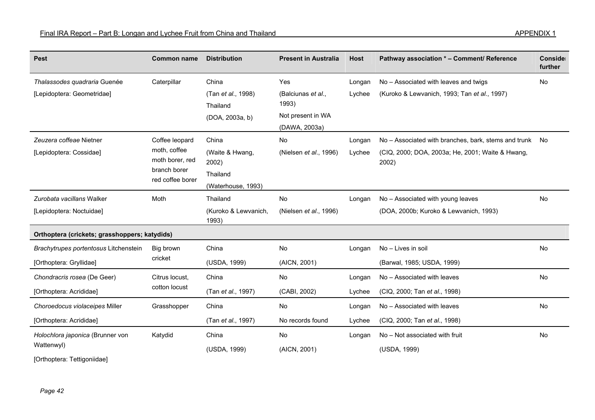| <b>Pest</b>                                                      | <b>Common name</b>                                                                    | <b>Distribution</b>                                                 | <b>Present in Australia</b>                                              | <b>Host</b>      | Pathway association * - Comment/ Reference                                                                        | Conside<br>further |
|------------------------------------------------------------------|---------------------------------------------------------------------------------------|---------------------------------------------------------------------|--------------------------------------------------------------------------|------------------|-------------------------------------------------------------------------------------------------------------------|--------------------|
| Thalassodes quadraria Guenée<br>[Lepidoptera: Geometridae]       | Caterpillar                                                                           | China<br>(Tan et al., 1998)<br>Thailand<br>(DOA, 2003a, b)          | Yes<br>(Balciunas et al.,<br>1993)<br>Not present in WA<br>(DAWA, 2003a) | Longan<br>Lychee | No - Associated with leaves and twigs<br>(Kuroko & Lewvanich, 1993; Tan et al., 1997)                             | No                 |
| Zeuzera coffeae Nietner<br>[Lepidoptera: Cossidae]               | Coffee leopard<br>moth, coffee<br>moth borer, red<br>branch borer<br>red coffee borer | China<br>(Waite & Hwang,<br>2002)<br>Thailand<br>(Waterhouse, 1993) | <b>No</b><br>(Nielsen et al., 1996)                                      | Longan<br>Lychee | No - Associated with branches, bark, stems and trunk<br>(CIQ, 2000; DOA, 2003a; He, 2001; Waite & Hwang,<br>2002) | No                 |
| Zurobata vacillans Walker<br>[Lepidoptera: Noctuidae]            | Moth                                                                                  | Thailand<br>(Kuroko & Lewvanich,<br>1993)                           | No<br>(Nielsen et al., 1996)                                             | Longan           | No - Associated with young leaves<br>(DOA, 2000b; Kuroko & Lewvanich, 1993)                                       | No                 |
| Orthoptera (crickets; grasshoppers; katydids)                    |                                                                                       |                                                                     |                                                                          |                  |                                                                                                                   |                    |
| Brachytrupes portentosus Litchenstein<br>[Orthoptera: Gryllidae] | Big brown<br>cricket                                                                  | China<br>(USDA, 1999)                                               | No<br>(AICN, 2001)                                                       | Longan           | No - Lives in soil<br>(Barwal, 1985; USDA, 1999)                                                                  | <b>No</b>          |
| Chondracris rosea (De Geer)<br>[Orthoptera: Acrididae]           | Citrus locust.<br>cotton locust                                                       | China<br>(Tan et al., 1997)                                         | No<br>(CABI, 2002)                                                       | Longan<br>Lychee | No - Associated with leaves<br>(CIQ, 2000; Tan et al., 1998)                                                      | <b>No</b>          |
| Choroedocus violaceipes Miller<br>[Orthoptera: Acrididae]        | Grasshopper                                                                           | China<br>(Tan et al., 1997)                                         | No<br>No records found                                                   | Longan<br>Lychee | No - Associated with leaves<br>(CIQ, 2000; Tan et al., 1998)                                                      | No                 |
| Holochlora japonica (Brunner von<br>Wattenwyl)                   | Katydid                                                                               | China<br>(USDA, 1999)                                               | No<br>(AICN, 2001)                                                       | Longan           | No - Not associated with fruit<br>(USDA, 1999)                                                                    | No                 |

[Orthoptera: Tettigoniidae]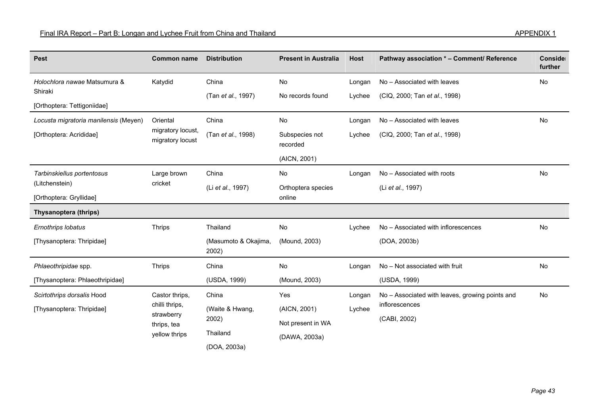| <b>Pest</b>                             | <b>Common name</b>                         | <b>Distribution</b>           | <b>Present in Australia</b> | <b>Host</b> | Pathway association * - Comment/ Reference      | Conside<br>further |
|-----------------------------------------|--------------------------------------------|-------------------------------|-----------------------------|-------------|-------------------------------------------------|--------------------|
| Holochlora nawae Matsumura &<br>Katydid |                                            | China                         | No                          | Longan      | No - Associated with leaves                     | No                 |
| Shiraki                                 |                                            | (Tan et al., 1997)            | No records found            | Lychee      | (CIQ, 2000; Tan et al., 1998)                   |                    |
| [Orthoptera: Tettigoniidae]             |                                            |                               |                             |             |                                                 |                    |
| Locusta migratoria manilensis (Meyen)   | Oriental                                   | China                         | No                          | Longan      | No - Associated with leaves                     | No                 |
| [Orthoptera: Acrididae]                 | migratory locust,<br>migratory locust      | (Tan et al., 1998)            | Subspecies not<br>recorded  | Lychee      | (CIQ, 2000; Tan et al., 1998)                   |                    |
|                                         |                                            |                               | (AICN, 2001)                |             |                                                 |                    |
| Tarbinskiellus portentosus              | Large brown                                | China                         | No                          | Longan      | No - Associated with roots                      | No                 |
| (Litchenstein)                          | cricket                                    | (Li et al., 1997)             | Orthoptera species          |             | (Li et al., 1997)                               |                    |
| [Orthoptera: Gryllidae]                 |                                            |                               | online                      |             |                                                 |                    |
| Thysanoptera (thrips)                   |                                            |                               |                             |             |                                                 |                    |
| Ernothrips lobatus                      | <b>Thrips</b>                              | Thailand                      | No                          | Lychee      | No - Associated with inflorescences             | No                 |
| [Thysanoptera: Thripidae]               |                                            | (Masumoto & Okajima,<br>2002) | (Mound, 2003)               |             | (DOA, 2003b)                                    |                    |
| Phlaeothripidae spp.                    | <b>Thrips</b>                              | China                         | No                          | Longan      | No - Not associated with fruit                  | No                 |
| [Thysanoptera: Phlaeothripidae]         |                                            | (USDA, 1999)                  | (Mound, 2003)               |             | (USDA, 1999)                                    |                    |
| Scirtothrips dorsalis Hood              | Castor thrips,                             | China                         | Yes                         | Longan      | No - Associated with leaves, growing points and | No                 |
| [Thysanoptera: Thripidae]               | chilli thrips,                             | (Waite & Hwang,               | (AICN, 2001)                | Lychee      | inflorescences                                  |                    |
|                                         | strawberry<br>thrips, tea<br>yellow thrips | 2002)                         | Not present in WA           |             | (CABI, 2002)                                    |                    |
|                                         |                                            | Thailand                      | (DAWA, 2003a)               |             |                                                 |                    |
|                                         |                                            | (DOA, 2003a)                  |                             |             |                                                 |                    |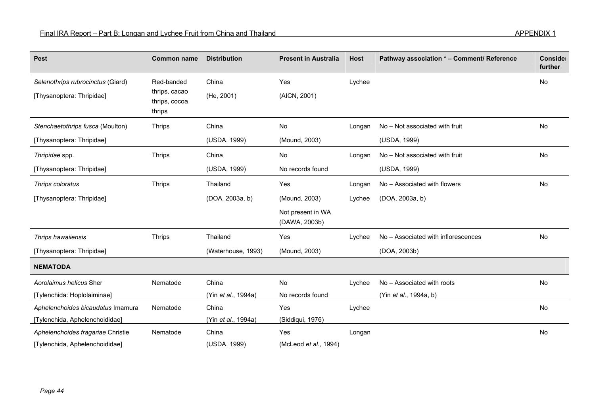| <b>Pest</b>                       | <b>Common name</b>      | <b>Distribution</b> | <b>Present in Australia</b> | <b>Host</b> | Pathway association * - Comment/ Reference | Conside |
|-----------------------------------|-------------------------|---------------------|-----------------------------|-------------|--------------------------------------------|---------|
|                                   |                         |                     |                             |             |                                            | further |
| Selenothrips rubrocinctus (Giard) | Red-banded              | China               | Yes                         | Lychee      |                                            | No      |
| [Thysanoptera: Thripidae]         | thrips, cacao           | (He, 2001)          | (AICN, 2001)                |             |                                            |         |
|                                   | thrips, cocoa<br>thrips |                     |                             |             |                                            |         |
| Stenchaetothrips fusca (Moulton)  | <b>Thrips</b>           | China               | No                          | Longan      | No - Not associated with fruit             | No      |
| [Thysanoptera: Thripidae]         |                         | (USDA, 1999)        | (Mound, 2003)               |             | (USDA, 1999)                               |         |
|                                   |                         |                     |                             |             |                                            |         |
| Thripidae spp.                    | <b>Thrips</b>           | China               | No                          | Longan      | No - Not associated with fruit             | No      |
| [Thysanoptera: Thripidae]         |                         | (USDA, 1999)        | No records found            |             | (USDA, 1999)                               |         |
| Thrips coloratus                  | <b>Thrips</b>           | Thailand            | Yes                         | Longan      | No - Associated with flowers               | No      |
| [Thysanoptera: Thripidae]         |                         | (DOA, 2003a, b)     | (Mound, 2003)               | Lychee      | (DOA, 2003a, b)                            |         |
|                                   |                         |                     | Not present in WA           |             |                                            |         |
|                                   |                         |                     | (DAWA, 2003b)               |             |                                            |         |
| Thrips hawaiiensis                | <b>Thrips</b>           | Thailand            | Yes                         | Lychee      | No - Associated with inflorescences        | No      |
| [Thysanoptera: Thripidae]         |                         | (Waterhouse, 1993)  | (Mound, 2003)               |             | (DOA, 2003b)                               |         |
| <b>NEMATODA</b>                   |                         |                     |                             |             |                                            |         |
| Aorolaimus helicus Sher           | Nematode                | China               | No                          | Lychee      | No - Associated with roots                 | No      |
| [Tylenchida: Hoplolaiminae]       |                         | (Yin et al., 1994a) | No records found            |             | (Yin <i>et al.</i> , 1994a, b)             |         |
| Aphelenchoides bicaudatus Imamura | Nematode                | China               | Yes                         | Lychee      |                                            | No      |
| [Tylenchida, Aphelenchoididae]    |                         | (Yin et al., 1994a) | (Siddiqui, 1976)            |             |                                            |         |
| Aphelenchoides fragariae Christie | Nematode                | China               | Yes                         | Longan      |                                            | No      |
| [Tylenchida, Aphelenchoididae]    |                         | (USDA, 1999)        | (McLeod et al., 1994)       |             |                                            |         |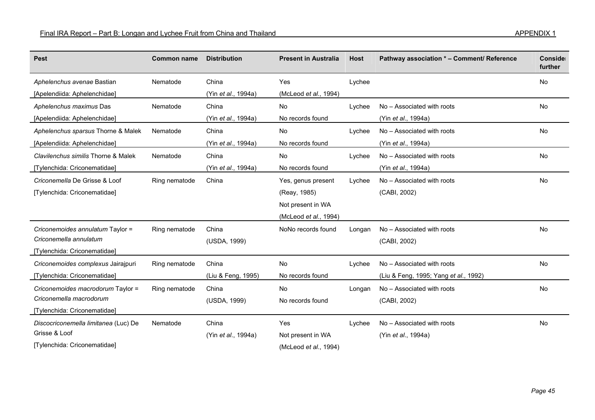| <b>Pest</b>                          | <b>Common name</b> | <b>Distribution</b> | <b>Present in Australia</b> | <b>Host</b> | Pathway association * - Comment/ Reference | Conside<br>further |
|--------------------------------------|--------------------|---------------------|-----------------------------|-------------|--------------------------------------------|--------------------|
| Aphelenchus avenae Bastian           | Nematode           | China               | Yes                         | Lychee      |                                            | <b>No</b>          |
| [Apelendiida: Aphelenchidae]         |                    | (Yin et al., 1994a) | (McLeod et al., 1994)       |             |                                            |                    |
| Aphelenchus maximus Das              | Nematode           | China               | No                          | Lychee      | No - Associated with roots                 | <b>No</b>          |
| [Apelendiida: Aphelenchidae]         |                    | (Yin et al., 1994a) | No records found            |             | (Yin et al., 1994a)                        |                    |
| Aphelenchus sparsus Thorne & Malek   | Nematode           | China               | No                          | Lychee      | No - Associated with roots                 | <b>No</b>          |
| [Apelendiida: Aphelenchidae]         |                    | (Yin et al., 1994a) | No records found            |             | (Yin et al., 1994a)                        |                    |
| Clavilenchus similis Thorne & Malek  | Nematode           | China               | No                          | Lychee      | No - Associated with roots                 | No                 |
| [Tylenchida: Criconematidae]         |                    | (Yin et al., 1994a) | No records found            |             | (Yin et al., 1994a)                        |                    |
| Criconemella De Grisse & Loof        | Ring nematode      | China               | Yes, genus present          | Lychee      | No - Associated with roots                 | No                 |
| [Tylenchida: Criconematidae]         |                    |                     | (Reay, 1985)                |             | (CABI, 2002)                               |                    |
|                                      |                    |                     | Not present in WA           |             |                                            |                    |
|                                      |                    |                     | (McLeod et al., 1994)       |             |                                            |                    |
| Criconemoides annulatum Taylor =     | Ring nematode      | China               | NoNo records found          | Longan      | No - Associated with roots                 | No                 |
| Criconemella annulatum               |                    | (USDA, 1999)        |                             |             | (CABI, 2002)                               |                    |
| [Tylenchida: Criconematidae]         |                    |                     |                             |             |                                            |                    |
| Criconemoides complexus Jairajpuri   | Ring nematode      | China               | No                          | Lychee      | No - Associated with roots                 | No                 |
| [Tylenchida: Criconematidae]         |                    | (Liu & Feng, 1995)  | No records found            |             | (Liu & Feng, 1995; Yang et al., 1992)      |                    |
| Criconemoides macrodorum Taylor =    | Ring nematode      | China               | No                          | Longan      | No - Associated with roots                 | <b>No</b>          |
| Criconemella macrodorum              |                    | (USDA, 1999)        | No records found            |             | (CABI, 2002)                               |                    |
| [Tylenchida: Criconematidae]         |                    |                     |                             |             |                                            |                    |
| Discocriconemella limitanea (Luc) De | Nematode           | China               | Yes                         | Lychee      | No - Associated with roots                 | No                 |
| Grisse & Loof                        |                    | (Yin et al., 1994a) | Not present in WA           |             | (Yin et al., 1994a)                        |                    |
| [Tylenchida: Criconematidae]         |                    |                     | (McLeod et al., 1994)       |             |                                            |                    |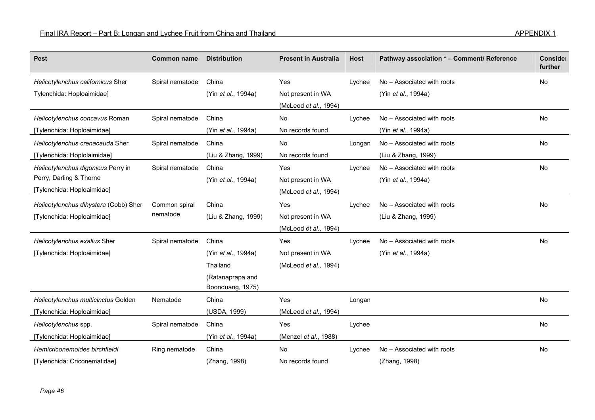| <b>Pest</b>                           | <b>Common name</b> | <b>Distribution</b> | <b>Present in Australia</b> | <b>Host</b> | Pathway association * - Comment/ Reference | Conside<br>further |
|---------------------------------------|--------------------|---------------------|-----------------------------|-------------|--------------------------------------------|--------------------|
| Helicotylenchus californicus Sher     | Spiral nematode    | China               | Yes                         | Lychee      | No - Associated with roots                 | No                 |
| Tylenchida: Hoploaimidae]             |                    | (Yin et al., 1994a) | Not present in WA           |             | (Yin et al., 1994a)                        |                    |
|                                       |                    |                     | (McLeod et al., 1994)       |             |                                            |                    |
| Helicotylenchus concavus Roman        | Spiral nematode    | China               | No                          | Lychee      | No - Associated with roots                 | No                 |
| [Tylenchida: Hoploaimidae]            |                    | (Yin et al., 1994a) | No records found            |             | (Yin et al., 1994a)                        |                    |
| Helicotylenchus crenacauda Sher       | Spiral nematode    | China               | No                          | Longan      | No - Associated with roots                 | No                 |
| [Tylenchida: Hoplolaimidae]           |                    | (Liu & Zhang, 1999) | No records found            |             | (Liu & Zhang, 1999)                        |                    |
| Helicotylenchus digonicus Perry in    | Spiral nematode    | China               | Yes                         | Lychee      | No - Associated with roots                 | No                 |
| Perry, Darling & Thorne               |                    | (Yin et al., 1994a) | Not present in WA           |             | (Yin et al., 1994a)                        |                    |
| [Tylenchida: Hoploaimidae]            |                    |                     | (McLeod et al., 1994)       |             |                                            |                    |
| Helicotylenchus dihystera (Cobb) Sher | Common spiral      | China               | Yes                         | Lychee      | No - Associated with roots                 | <b>No</b>          |
| [Tylenchida: Hoploaimidae]            | nematode           | (Liu & Zhang, 1999) | Not present in WA           |             | (Liu & Zhang, 1999)                        |                    |
|                                       |                    |                     | (McLeod et al., 1994)       |             |                                            |                    |
| Helicotylenchus exallus Sher          | Spiral nematode    | China               | Yes                         | Lychee      | No - Associated with roots                 | No                 |
| [Tylenchida: Hoploaimidae]            |                    | (Yin et al., 1994a) | Not present in WA           |             | (Yin et al., 1994a)                        |                    |
|                                       |                    | Thailand            | (McLeod et al., 1994)       |             |                                            |                    |
|                                       |                    | (Ratanaprapa and    |                             |             |                                            |                    |
|                                       |                    | Boonduang, 1975)    |                             |             |                                            |                    |
| Helicotylenchus multicinctus Golden   | Nematode           | China               | Yes                         | Longan      |                                            | No                 |
| [Tylenchida: Hoploaimidae]            |                    | (USDA, 1999)        | (McLeod et al., 1994)       |             |                                            |                    |
| Helicotylenchus spp.                  | Spiral nematode    | China               | Yes                         | Lychee      |                                            | No                 |
| [Tylenchida: Hoploaimidae]            |                    | (Yin et al., 1994a) | (Menzel et al., 1988)       |             |                                            |                    |
| Hemicriconemoides birchfieldi         | Ring nematode      | China               | No                          | Lychee      | No - Associated with roots                 | No                 |
| [Tylenchida: Criconematidae]          |                    | (Zhang, 1998)       | No records found            |             | (Zhang, 1998)                              |                    |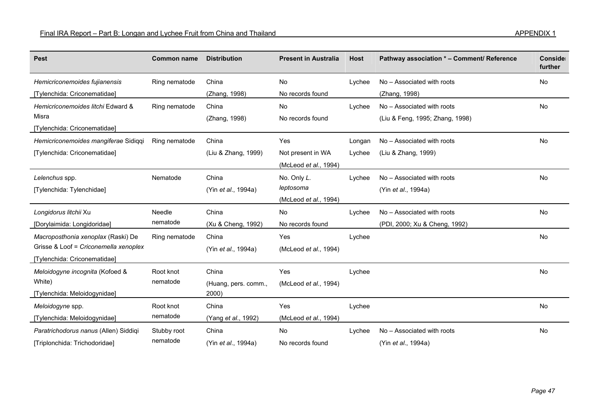| <b>Pest</b>                                                                                                 | <b>Common name</b>      | <b>Distribution</b>                    | <b>Present in Australia</b>                       | <b>Host</b>      | Pathway association * - Comment/ Reference                    | Conside<br>further |
|-------------------------------------------------------------------------------------------------------------|-------------------------|----------------------------------------|---------------------------------------------------|------------------|---------------------------------------------------------------|--------------------|
| Hemicriconemoides fujianensis<br>[Tylenchida: Criconematidae]                                               | Ring nematode           | China<br>(Zhang, 1998)                 | No<br>No records found                            | Lychee           | No - Associated with roots<br>(Zhang, 1998)                   | No                 |
| Hemicriconemoides litchi Edward &<br>Misra<br>[Tylenchida: Criconematidae]                                  | Ring nematode           | China<br>(Zhang, 1998)                 | No<br>No records found                            | Lychee           | No - Associated with roots<br>(Liu & Feng, 1995; Zhang, 1998) | <b>No</b>          |
| Hemicriconemoides mangiferae Sidiqqi<br>[Tylenchida: Criconematidae]                                        | Ring nematode           | China<br>(Liu & Zhang, 1999)           | Yes<br>Not present in WA<br>(McLeod et al., 1994) | Longan<br>Lychee | No - Associated with roots<br>(Liu & Zhang, 1999)             | No                 |
| Lelenchus spp.<br>[Tylenchida: Tylenchidae]                                                                 | Nematode                | China<br>(Yin et al., 1994a)           | No. Only L.<br>leptosoma<br>(McLeod et al., 1994) | Lychee           | No - Associated with roots<br>(Yin et al., 1994a)             | <b>No</b>          |
| Longidorus litchii Xu<br>[Dorylaimida: Longidoridae]                                                        | Needle<br>nematode      | China<br>(Xu & Cheng, 1992)            | No<br>No records found                            | Lychee           | No - Associated with roots<br>(PDI, 2000; Xu & Cheng, 1992)   | <b>No</b>          |
| Macroposthonia xenoplax (Raski) De<br>Grisse & Loof = Criconemella xenoplex<br>[Tylenchida: Criconematidae] | Ring nematode           | China<br>(Yin et al., 1994a)           | Yes<br>(McLeod et al., 1994)                      | Lychee           |                                                               | No                 |
| Meloidogyne incognita (Kofoed &<br>White)<br>[Tylenchida: Meloidogynidae]                                   | Root knot<br>nematode   | China<br>(Huang, pers. comm.,<br>2000) | Yes<br>(McLeod et al., 1994)                      | Lychee           |                                                               | No                 |
| Meloidogyne spp.<br>[Tylenchida: Meloidogynidae]                                                            | Root knot<br>nematode   | China<br>(Yang et al., 1992)           | Yes<br>(McLeod et al., 1994)                      | Lychee           |                                                               | No                 |
| Paratrichodorus nanus (Allen) Siddiqi<br>[Triplonchida: Trichodoridae]                                      | Stubby root<br>nematode | China<br>(Yin et al., 1994a)           | No<br>No records found                            | Lychee           | No - Associated with roots<br>(Yin et al., 1994a)             | No                 |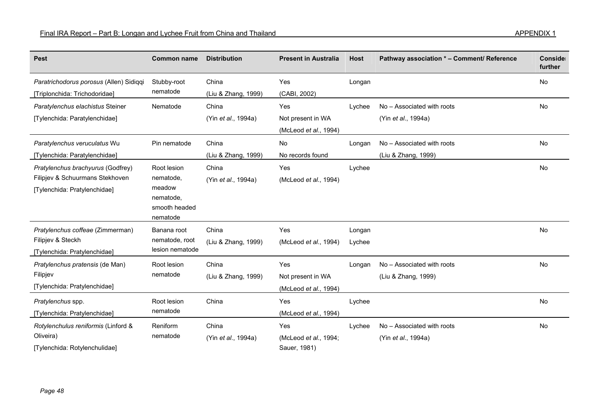| <b>Pest</b>                                                                                          | <b>Common name</b>                                                           | <b>Distribution</b>          | <b>Present in Australia</b>                       | <b>Host</b>      | Pathway association * - Comment/ Reference        | Conside<br>further |
|------------------------------------------------------------------------------------------------------|------------------------------------------------------------------------------|------------------------------|---------------------------------------------------|------------------|---------------------------------------------------|--------------------|
| Paratrichodorus porosus (Allen) Sidiqqi<br>[Triplonchida: Trichodoridae]                             | Stubby-root<br>nematode                                                      | China<br>(Liu & Zhang, 1999) | Yes<br>(CABI, 2002)                               | Longan           |                                                   | No                 |
| Paratylenchus elachistus Steiner<br>[Tylenchida: Paratylenchidae]                                    | Nematode                                                                     | China<br>(Yin et al., 1994a) | Yes<br>Not present in WA<br>(McLeod et al., 1994) | Lychee           | No - Associated with roots<br>(Yin et al., 1994a) | <b>No</b>          |
| Paratylenchus veruculatus Wu<br>[Tylenchida: Paratylenchidae]                                        | Pin nematode                                                                 | China<br>(Liu & Zhang, 1999) | No<br>No records found                            | Longan           | No - Associated with roots<br>(Liu & Zhang, 1999) | <b>No</b>          |
| Pratylenchus brachyurus (Godfrey)<br>Filipjev & Schuurmans Stekhoven<br>[Tylenchida: Pratylenchidae] | Root lesion<br>nematode,<br>meadow<br>nematode,<br>smooth headed<br>nematode | China<br>(Yin et al., 1994a) | Yes<br>(McLeod et al., 1994)                      | Lychee           |                                                   | No                 |
| Pratylenchus coffeae (Zimmerman)<br>Filipjev & Steckh<br>[Tylenchida: Pratylenchidae]                | Banana root<br>nematode, root<br>lesion nematode                             | China<br>(Liu & Zhang, 1999) | Yes<br>(McLeod et al., 1994)                      | Longan<br>Lychee |                                                   | No                 |
| Pratylenchus pratensis (de Man)<br>Filipjev<br>[Tylenchida: Pratylenchidae]                          | Root lesion<br>nematode                                                      | China<br>(Liu & Zhang, 1999) | Yes<br>Not present in WA<br>(McLeod et al., 1994) | Longan           | No - Associated with roots<br>(Liu & Zhang, 1999) | No                 |
| Pratylenchus spp.<br>[Tylenchida: Pratylenchidae]                                                    | Root lesion<br>nematode                                                      | China                        | Yes<br>(McLeod et al., 1994)                      | Lychee           |                                                   | No                 |
| Rotylenchulus reniformis (Linford &<br>Oliveira)<br>[Tylenchida: Rotylenchulidae]                    | Reniform<br>nematode                                                         | China<br>(Yin et al., 1994a) | Yes<br>(McLeod et al., 1994;<br>Sauer, 1981)      | Lychee           | No - Associated with roots<br>(Yin et al., 1994a) | No                 |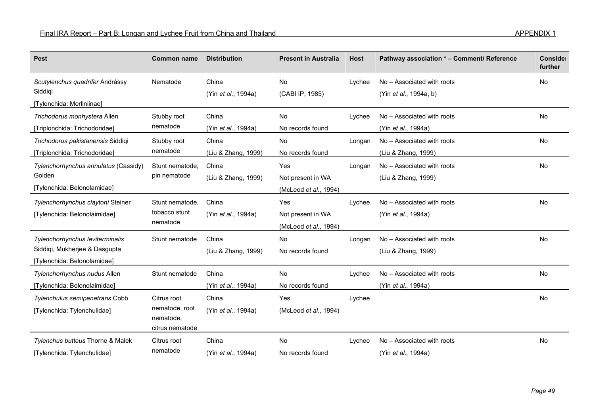| <b>Pest</b>                          | <b>Common name</b>           | <b>Distribution</b>         | <b>Present in Australia</b> | <b>Host</b> | Pathway association * - Comment/ Reference | Conside<br>further |
|--------------------------------------|------------------------------|-----------------------------|-----------------------------|-------------|--------------------------------------------|--------------------|
| Scutylenchus quadrifer Andrássy      | Nematode                     | China                       | <b>No</b>                   | Lychee      | No - Associated with roots                 | <b>No</b>          |
| Siddigi                              |                              | (Yin <i>et al.</i> , 1994a) | (CABI IP, 1985)             |             | (Yin <i>et al.</i> , 1994a, b)             |                    |
| [Tylenchida: Merliniinae]            |                              |                             |                             |             |                                            |                    |
| Trichodorus monhystera Allen         | Stubby root                  | China                       | No                          | Lychee      | No - Associated with roots                 | No                 |
| [Triplonchida: Trichodoridae]        | nematode                     | (Yin et al., 1994a)         | No records found            |             | (Yin <i>et al.</i> , 1994a)                |                    |
| Trichodorus pakistanensis Siddiqi    | Stubby root                  | China                       | <b>No</b>                   | Longan      | No - Associated with roots                 | No                 |
| [Triplonchida: Trichodoridae]        | nematode                     | (Liu & Zhang, 1999)         | No records found            |             | (Liu & Zhang, 1999)                        |                    |
| Tylenchorhynchus annulatus (Cassidy) | Stunt nematode,              | China                       | Yes                         | Longan      | No - Associated with roots                 | No                 |
| Golden                               | pin nematode                 | (Liu & Zhang, 1999)         | Not present in WA           |             | (Liu & Zhang, 1999)                        |                    |
| [Tylenchida: Belonolamidae]          |                              |                             | (McLeod et al., 1994)       |             |                                            |                    |
| Tylenchorhynchus claytoni Steiner    | Stunt nematode,              | China                       | Yes                         | Lychee      | No - Associated with roots                 | No                 |
| [Tylenchida: Belonolaimidae]         | tobacco stunt                | (Yin <i>et al.</i> , 1994a) | Not present in WA           |             | (Yin et al., 1994a)                        |                    |
|                                      | nematode                     |                             | (McLeod et al., 1994)       |             |                                            |                    |
| Tylenchorhynchus leviterminalis      | Stunt nematode               | China                       | No                          | Longan      | No - Associated with roots                 | No                 |
| Siddiqi, Mukherjee & Dasgupta        |                              | (Liu & Zhang, 1999)         | No records found            |             | (Liu & Zhang, 1999)                        |                    |
| [Tylenchida: Belonolamidae]          |                              |                             |                             |             |                                            |                    |
| Tylenchorhynchus nudus Allen         | Stunt nematode               | China                       | No                          | Lychee      | No - Associated with roots                 | No                 |
| [Tylenchida: Belonolaimidae]         |                              | (Yin et al., 1994a)         | No records found            |             | (Yin et al., 1994a)                        |                    |
| Tylenchulus semipenetrans Cobb       | Citrus root                  | China                       | Yes                         | Lychee      |                                            | No                 |
| [Tylenchida: Tylenchulidae]          | nematode, root               | (Yin et al., 1994a)         | (McLeod et al., 1994)       |             |                                            |                    |
|                                      | nematode,<br>citrus nematode |                             |                             |             |                                            |                    |
|                                      |                              | China                       | <b>No</b>                   |             |                                            | No                 |
| Tylenchus butteus Thorne & Malek     | Citrus root<br>nematode      |                             |                             | Lychee      | No - Associated with roots                 |                    |
| [Tylenchida: Tylenchulidae]          |                              | (Yin et al., 1994a)         | No records found            |             | (Yin et al., 1994a)                        |                    |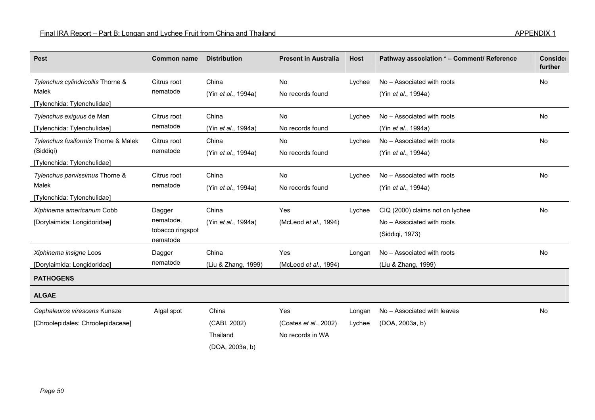| <b>Pest</b>                                                                     | <b>Common name</b>                                  | <b>Distribution</b>                                  | <b>Present in Australia</b>                      | <b>Host</b>      | Pathway association * - Comment/ Reference                                       | Conside<br>further |
|---------------------------------------------------------------------------------|-----------------------------------------------------|------------------------------------------------------|--------------------------------------------------|------------------|----------------------------------------------------------------------------------|--------------------|
| Tylenchus cylindricollis Thorne &<br>Malek<br>[Tylenchida: Tylenchulidae]       | Citrus root<br>nematode                             | China<br>(Yin et al., 1994a)                         | No<br>No records found                           | Lychee           | No - Associated with roots<br>(Yin et al., 1994a)                                | No                 |
| Tylenchus exiguus de Man<br>[Tylenchida: Tylenchulidae]                         | Citrus root<br>nematode                             | China<br>(Yin et al., 1994a)                         | No<br>No records found                           | Lychee           | No - Associated with roots<br>(Yin et al., 1994a)                                | No                 |
| Tylenchus fusiformis Thorne & Malek<br>(Siddiqi)<br>[Tylenchida: Tylenchulidae] | Citrus root<br>nematode                             | China<br>(Yin et al., 1994a)                         | No<br>No records found                           | Lychee           | No - Associated with roots<br>(Yin et al., 1994a)                                | No                 |
| Tylenchus parvissimus Thorne &<br>Malek<br>[Tylenchida: Tylenchulidae]          | Citrus root<br>nematode                             | China<br>(Yin et al., 1994a)                         | No<br>No records found                           | Lychee           | No - Associated with roots<br>(Yin et al., 1994a)                                | <b>No</b>          |
| Xiphinema americanum Cobb<br>[Dorylaimida: Longidoridae]                        | Dagger<br>nematode,<br>tobacco ringspot<br>nematode | China<br>(Yin et al., 1994a)                         | Yes<br>(McLeod et al., 1994)                     | Lychee           | CIQ (2000) claims not on lychee<br>No - Associated with roots<br>(Siddiqi, 1973) | <b>No</b>          |
| Xiphinema insigne Loos<br>[Dorylaimida: Longidoridae]                           | Dagger<br>nematode                                  | China<br>(Liu & Zhang, 1999)                         | Yes<br>(McLeod et al., 1994)                     | Longan           | No - Associated with roots<br>(Liu & Zhang, 1999)                                | No                 |
| <b>PATHOGENS</b>                                                                |                                                     |                                                      |                                                  |                  |                                                                                  |                    |
| <b>ALGAE</b>                                                                    |                                                     |                                                      |                                                  |                  |                                                                                  |                    |
| Cephaleuros virescens Kunsze<br>[Chroolepidales: Chroolepidaceae]               | Algal spot                                          | China<br>(CABI, 2002)<br>Thailand<br>(DOA, 2003a, b) | Yes<br>(Coates et al., 2002)<br>No records in WA | Longan<br>Lychee | No - Associated with leaves<br>(DOA, 2003a, b)                                   | No                 |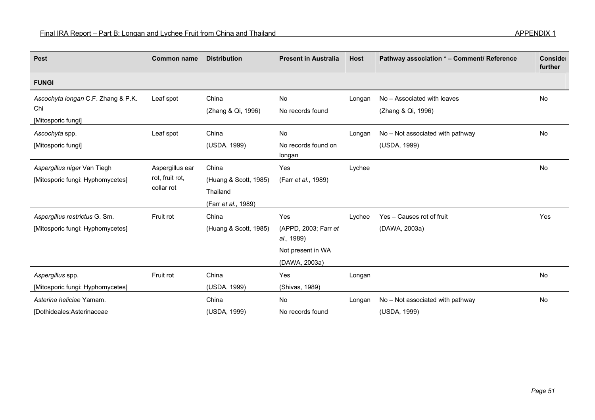| <b>Pest</b>                                                       | <b>Common name</b>                               | <b>Distribution</b>                                               | <b>Present in Australia</b>                                                     | <b>Host</b> | Pathway association * - Comment/ Reference        | Conside<br>further |
|-------------------------------------------------------------------|--------------------------------------------------|-------------------------------------------------------------------|---------------------------------------------------------------------------------|-------------|---------------------------------------------------|--------------------|
| <b>FUNGI</b>                                                      |                                                  |                                                                   |                                                                                 |             |                                                   |                    |
| Ascochyta longan C.F. Zhang & P.K.<br>Chi<br>[Mitosporic fungi]   | Leaf spot                                        | China<br>(Zhang & Qi, 1996)                                       | No<br>No records found                                                          | Longan      | No - Associated with leaves<br>(Zhang & Qi, 1996) | No                 |
| Ascochyta spp.<br>[Mitosporic fungi]                              | Leaf spot                                        | China<br>(USDA, 1999)                                             | No<br>No records found on<br>longan                                             | Longan      | No - Not associated with pathway<br>(USDA, 1999)  | No                 |
| Aspergillus niger Van Tiegh<br>[Mitosporic fungi: Hyphomycetes]   | Aspergillus ear<br>rot, fruit rot,<br>collar rot | China<br>(Huang & Scott, 1985)<br>Thailand<br>(Farr et al., 1989) | Yes<br>(Farr et al., 1989)                                                      | Lychee      |                                                   | No                 |
| Aspergillus restrictus G. Sm.<br>[Mitosporic fungi: Hyphomycetes] | Fruit rot                                        | China<br>(Huang & Scott, 1985)                                    | Yes<br>(APPD, 2003; Farr et<br>al., 1989)<br>Not present in WA<br>(DAWA, 2003a) | Lychee      | Yes - Causes rot of fruit<br>(DAWA, 2003a)        | Yes                |
| Aspergillus spp.<br>[Mitosporic fungi: Hyphomycetes]              | Fruit rot                                        | China<br>(USDA, 1999)                                             | Yes<br>(Shivas, 1989)                                                           | Longan      |                                                   | No                 |
| Asterina heliciae Yamam.<br>[Dothideales:Asterinaceae             |                                                  | China<br>(USDA, 1999)                                             | No<br>No records found                                                          | Longan      | No - Not associated with pathway<br>(USDA, 1999)  | No                 |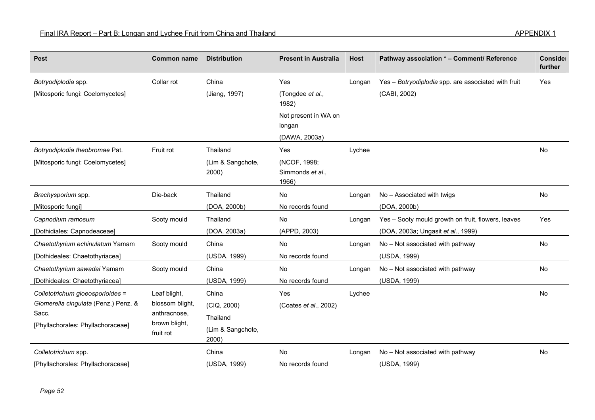| <b>Pest</b>                                             | <b>Common name</b>            | <b>Distribution</b>        | <b>Present in Australia</b>      | <b>Host</b> | Pathway association * - Comment/ Reference                          | Conside<br>further |
|---------------------------------------------------------|-------------------------------|----------------------------|----------------------------------|-------------|---------------------------------------------------------------------|--------------------|
| Botryodiplodia spp.<br>[Mitosporic fungi: Coelomycetes] | Collar rot                    | China<br>(Jiang, 1997)     | Yes<br>(Tongdee et al.,          | Longan      | Yes - Botryodiplodia spp. are associated with fruit<br>(CABI, 2002) | Yes                |
|                                                         |                               |                            | 1982)                            |             |                                                                     |                    |
|                                                         |                               |                            | Not present in WA on<br>longan   |             |                                                                     |                    |
|                                                         |                               |                            | (DAWA, 2003a)                    |             |                                                                     |                    |
| Botryodiplodia theobromae Pat.                          | Fruit rot                     | Thailand                   | Yes                              | Lychee      |                                                                     | No                 |
| [Mitosporic fungi: Coelomycetes]                        |                               | (Lim & Sangchote,<br>2000) | (NCOF, 1998;<br>Simmonds et al., |             |                                                                     |                    |
|                                                         |                               |                            | 1966)                            |             |                                                                     |                    |
| Brachysporium spp.                                      | Die-back                      | Thailand                   | No                               | Longan      | No - Associated with twigs                                          | No                 |
| [Mitosporic fungi]                                      |                               | (DOA, 2000b)               | No records found                 |             | (DOA, 2000b)                                                        |                    |
| Capnodium ramosum                                       | Sooty mould                   | Thailand                   | No                               | Longan      | Yes - Sooty mould growth on fruit, flowers, leaves                  | Yes                |
| [Dothidiales: Capnodeaceae]                             |                               | (DOA, 2003a)               | (APPD, 2003)                     |             | (DOA, 2003a; Ungasit et al., 1999)                                  |                    |
| Chaetothyrium echinulatum Yamam                         | Sooty mould                   | China                      | No                               | Longan      | No - Not associated with pathway                                    | No                 |
| [Dothideales: Chaetothyriacea]                          |                               | (USDA, 1999)               | No records found                 |             | (USDA, 1999)                                                        |                    |
| Chaetothyrium sawadai Yamam                             | Sooty mould                   | China                      | No                               | Longan      | No - Not associated with pathway                                    | No                 |
| [Dothideales: Chaetothyriacea]                          |                               | (USDA, 1999)               | No records found                 |             | (USDA, 1999)                                                        |                    |
| Colletotrichum gloeosporioides =                        | Leaf blight,                  | China                      | Yes                              | Lychee      |                                                                     | <b>No</b>          |
| Glomerella cingulata (Penz.) Penz. &                    | blossom blight,               | (CIQ, 2000)                | (Coates et al., 2002)            |             |                                                                     |                    |
| Sacc.                                                   | anthracnose,<br>brown blight, | Thailand                   |                                  |             |                                                                     |                    |
| [Phyllachorales: Phyllachoraceae]                       | fruit rot                     | (Lim & Sangchote,<br>2000) |                                  |             |                                                                     |                    |
| Colletotrichum spp.                                     |                               | China                      | <b>No</b>                        | Longan      | No - Not associated with pathway                                    | No                 |
| [Phyllachorales: Phyllachoraceae]                       |                               | (USDA, 1999)               | No records found                 |             | (USDA, 1999)                                                        |                    |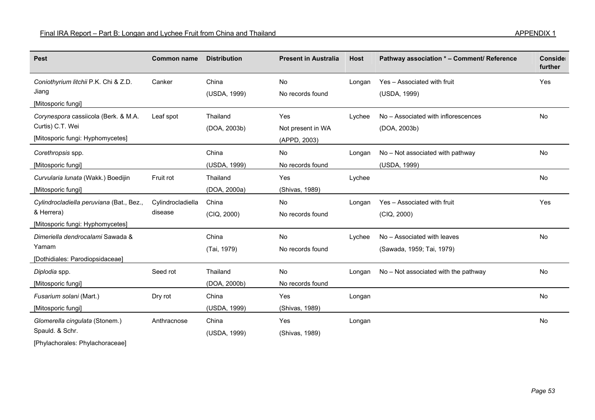| <b>Pest</b>                                                                                  | <b>Common name</b>           | <b>Distribution</b>      | <b>Present in Australia</b>              | <b>Host</b> | Pathway association * - Comment/ Reference               | Conside<br>further |
|----------------------------------------------------------------------------------------------|------------------------------|--------------------------|------------------------------------------|-------------|----------------------------------------------------------|--------------------|
| Coniothyrium litchii P.K. Chi & Z.D.<br>Jiang<br>[Mitosporic fungi]                          | Canker                       | China<br>(USDA, 1999)    | No<br>No records found                   | Longan      | Yes - Associated with fruit<br>(USDA, 1999)              | Yes                |
| Corynespora cassiicola (Berk. & M.A.<br>Curtis) C.T. Wei<br>[Mitosporic fungi: Hyphomycetes] | Leaf spot                    | Thailand<br>(DOA, 2003b) | Yes<br>Not present in WA<br>(APPD, 2003) | Lychee      | No - Associated with inflorescences<br>(DOA, 2003b)      | No                 |
| Corethropsis spp.<br>[Mitosporic fungi]                                                      |                              | China<br>(USDA, 1999)    | No<br>No records found                   | Longan      | No - Not associated with pathway<br>(USDA, 1999)         | <b>No</b>          |
| Curvularia lunata (Wakk.) Boedijin<br>[Mitosporic fungi]                                     | Fruit rot                    | Thailand<br>(DOA, 2000a) | Yes<br>(Shivas, 1989)                    | Lychee      |                                                          | No                 |
| Cylindrocladiella peruviana (Bat., Bez.,<br>& Herrera)<br>[Mitosporic fungi: Hyphomycetes]   | Cylindrocladiella<br>disease | China<br>(CIQ, 2000)     | No<br>No records found                   | Longan      | Yes - Associated with fruit<br>(CIQ, 2000)               | Yes                |
| Dimeriella dendrocalami Sawada &<br>Yamam<br>[Dothidiales: Parodiopsidaceae]                 |                              | China<br>(Tai, 1979)     | <b>No</b><br>No records found            | Lychee      | No - Associated with leaves<br>(Sawada, 1959; Tai, 1979) | No                 |
| Diplodia spp.<br>[Mitosporic fungi]                                                          | Seed rot                     | Thailand<br>(DOA, 2000b) | No<br>No records found                   | Longan      | No - Not associated with the pathway                     | <b>No</b>          |
| Fusarium solani (Mart.)<br>[Mitosporic fungi]                                                | Dry rot                      | China<br>(USDA, 1999)    | Yes<br>(Shivas, 1989)                    | Longan      |                                                          | No                 |
| Glomerella cingulata (Stonem.)<br>Spauld. & Schr.<br>IDhuda shaqalar Ubuda shaqara qad       | Anthracnose                  | China<br>(USDA, 1999)    | Yes<br>(Shivas, 1989)                    | Longan      |                                                          | No                 |

[Phylachorales: Phylachoraceae]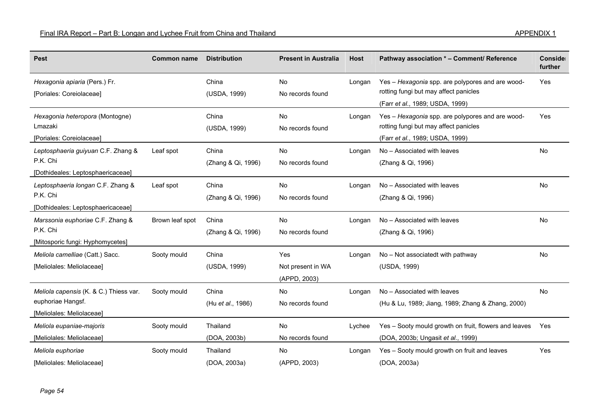| <b>Pest</b>                                                                              | <b>Common name</b> | <b>Distribution</b>         | <b>Present in Australia</b>              | Host   | Pathway association * - Comment/ Reference                                                                                   | Conside<br>further |
|------------------------------------------------------------------------------------------|--------------------|-----------------------------|------------------------------------------|--------|------------------------------------------------------------------------------------------------------------------------------|--------------------|
| Hexagonia apiaria (Pers.) Fr.<br>[Poriales: Coreiolaceae]                                |                    | China<br>(USDA, 1999)       | No<br>No records found                   | Longan | Yes - Hexagonia spp. are polypores and are wood-<br>rotting fungi but may affect panicles<br>(Farr et al., 1989; USDA, 1999) | Yes                |
| Hexagonia heteropora (Montogne)<br>Lmazaki<br>[Poriales: Coreiolaceae]                   |                    | China<br>(USDA, 1999)       | No<br>No records found                   | Longan | Yes - Hexagonia spp. are polypores and are wood-<br>rotting fungi but may affect panicles<br>(Farr et al., 1989; USDA, 1999) | Yes                |
| Leptosphaeria guiyuan C.F. Zhang &<br>P.K. Chi<br>[Dothideales: Leptosphaericaceae]      | Leaf spot          | China<br>(Zhang & Qi, 1996) | No<br>No records found                   | Longan | No - Associated with leaves<br>(Zhang & Qi, 1996)                                                                            | No                 |
| Leptosphaeria longan C.F. Zhang &<br>P.K. Chi<br>[Dothideales: Leptosphaericaceae]       | Leaf spot          | China<br>(Zhang & Qi, 1996) | No<br>No records found                   | Longan | No - Associated with leaves<br>(Zhang & Qi, 1996)                                                                            | No                 |
| Marssonia euphoriae C.F. Zhang &<br>P.K. Chi<br>[Mitosporic fungi: Hyphomycetes]         | Brown leaf spot    | China<br>(Zhang & Qi, 1996) | No<br>No records found                   | Longan | No - Associated with leaves<br>(Zhang & Qi, 1996)                                                                            | No                 |
| Meliola camelliae (Catt.) Sacc.<br>[Meliolales: Meliolaceae]                             | Sooty mould        | China<br>(USDA, 1999)       | Yes<br>Not present in WA<br>(APPD, 2003) | Longan | No - Not associatedt with pathway<br>(USDA, 1999)                                                                            | No                 |
| Meliola capensis (K. & C.) Thiess var.<br>euphoriae Hangsf.<br>[Meliolales: Meliolaceae] | Sooty mould        | China<br>(Hu et al., 1986)  | No<br>No records found                   | Longan | No - Associated with leaves<br>(Hu & Lu, 1989; Jiang, 1989; Zhang & Zhang, 2000)                                             | No                 |
| Meliola eupaniae-majoris<br>[Meliolales: Meliolaceae]                                    | Sooty mould        | Thailand<br>(DOA, 2003b)    | <b>No</b><br>No records found            | Lychee | Yes - Sooty mould growth on fruit, flowers and leaves<br>(DOA, 2003b; Ungasit et al., 1999)                                  | <b>Yes</b>         |
| Meliola euphoriae<br><b>IMeliolales: Meliolaceael</b>                                    | Sooty mould        | Thailand<br>(DOA, 2003a)    | No<br>(APPD, 2003)                       | Longan | Yes - Sooty mould growth on fruit and leaves<br>(DOA, 2003a)                                                                 | Yes                |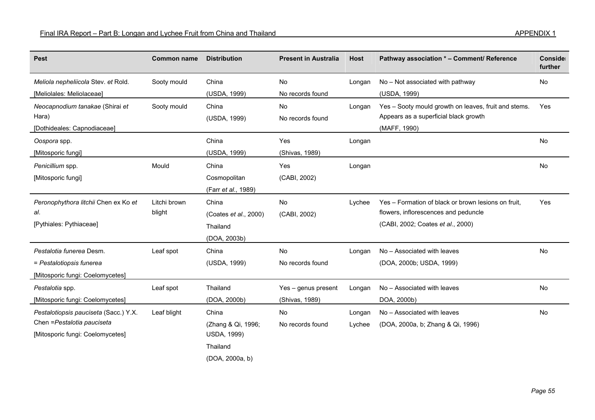| <b>Pest</b>                              | <b>Common name</b> | <b>Distribution</b>   | <b>Present in Australia</b> | <b>Host</b> | Pathway association * - Comment/ Reference                                                    | Conside<br>further |
|------------------------------------------|--------------------|-----------------------|-----------------------------|-------------|-----------------------------------------------------------------------------------------------|--------------------|
| Meliola nepheliicola Stev. et Rold.      | Sooty mould        | China                 | No                          | Longan      | No - Not associated with pathway                                                              | No                 |
| [Meliolales: Meliolaceae]                |                    | (USDA, 1999)          | No records found            |             | (USDA, 1999)                                                                                  |                    |
| Neocapnodium tanakae (Shirai et<br>Hara) | Sooty mould        | China<br>(USDA, 1999) | No<br>No records found      | Longan      | Yes - Sooty mould growth on leaves, fruit and stems.<br>Appears as a superficial black growth | Yes                |
| [Dothideales: Capnodiaceae]              |                    |                       |                             |             | (MAFF, 1990)                                                                                  |                    |
| Oospora spp.                             |                    | China                 | Yes                         | Longan      |                                                                                               | <b>No</b>          |
| [Mitosporic fungi]                       |                    | (USDA, 1999)          | (Shivas, 1989)              |             |                                                                                               |                    |
| Penicillium spp.                         | Mould              | China                 | Yes                         | Longan      |                                                                                               | <b>No</b>          |
| [Mitosporic fungi]                       |                    | Cosmopolitan          | (CABI, 2002)                |             |                                                                                               |                    |
|                                          |                    | (Farr et al., 1989)   |                             |             |                                                                                               |                    |
| Peronophythora litchii Chen ex Ko et     | Litchi brown       | China                 | No                          | Lychee      | Yes - Formation of black or brown lesions on fruit,                                           | Yes                |
| al.                                      | blight             | (Coates et al., 2000) | (CABI, 2002)                |             | flowers, inflorescences and peduncle                                                          |                    |
| [Pythiales: Pythiaceae]                  |                    | Thailand              |                             |             | (CABI, 2002; Coates et al., 2000)                                                             |                    |
|                                          |                    | (DOA, 2003b)          |                             |             |                                                                                               |                    |
| Pestalotia funerea Desm.                 | Leaf spot          | China                 | <b>No</b>                   | Longan      | No - Associated with leaves                                                                   | No                 |
| = Pestalotiopsis funerea                 |                    | (USDA, 1999)          | No records found            |             | (DOA, 2000b; USDA, 1999)                                                                      |                    |
| [Mitosporic fungi: Coelomycetes]         |                    |                       |                             |             |                                                                                               |                    |
| Pestalotia spp.                          | Leaf spot          | Thailand              | Yes - genus present         | Longan      | No - Associated with leaves                                                                   | No                 |
| [Mitosporic fungi: Coelomycetes]         |                    | (DOA, 2000b)          | (Shivas, 1989)              |             | DOA, 2000b)                                                                                   |                    |
| Pestalotiopsis pauciseta (Sacc.) Y.X.    | Leaf blight        | China                 | No                          | Longan      | No - Associated with leaves                                                                   | No                 |
| Chen = Pestalotia pauciseta              |                    | (Zhang & Qi, 1996;    | No records found            | Lychee      | (DOA, 2000a, b; Zhang & Qi, 1996)                                                             |                    |
| [Mitosporic fungi: Coelomycetes]         |                    | <b>USDA, 1999)</b>    |                             |             |                                                                                               |                    |
|                                          |                    | Thailand              |                             |             |                                                                                               |                    |
|                                          |                    | (DOA, 2000a, b)       |                             |             |                                                                                               |                    |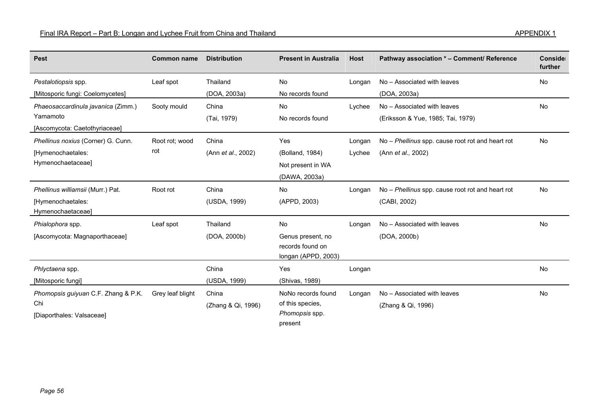| <b>Pest</b>                            | <b>Common name</b> | <b>Distribution</b> | <b>Present in Australia</b>                                  | <b>Host</b> | Pathway association * - Comment/ Reference       | Conside<br>further |
|----------------------------------------|--------------------|---------------------|--------------------------------------------------------------|-------------|--------------------------------------------------|--------------------|
| Pestalotiopsis spp.                    | Leaf spot          | Thailand            | No                                                           | Longan      | No - Associated with leaves                      | <b>No</b>          |
| [Mitosporic fungi: Coelomycetes]       |                    | (DOA, 2003a)        | No records found                                             |             | (DOA, 2003a)                                     |                    |
| Phaeosaccardinula javanica (Zimm.)     | Sooty mould        | China               | No                                                           | Lychee      | No - Associated with leaves                      | <b>No</b>          |
| Yamamoto                               |                    | (Tai, 1979)         | No records found                                             |             | (Eriksson & Yue, 1985; Tai, 1979)                |                    |
| [Ascomycota: Caetothyriaceae]          |                    |                     |                                                              |             |                                                  |                    |
| Phellinus noxius (Corner) G. Cunn.     | Root rot; wood     | China               | Yes                                                          | Longan      | No - Phellinus spp. cause root rot and heart rot | <b>No</b>          |
| [Hymenochaetales:                      | rot                | (Ann et al., 2002)  | (Bolland, 1984)                                              | Lychee      | (Ann et al., 2002)                               |                    |
| Hymenochaetaceae]                      |                    |                     | Not present in WA                                            |             |                                                  |                    |
|                                        |                    |                     | (DAWA, 2003a)                                                |             |                                                  |                    |
| Phellinus williamsii (Murr.) Pat.      | Root rot           | China               | No                                                           | Longan      | No – Phellinus spp. cause root rot and heart rot | No                 |
| [Hymenochaetales:<br>Hymenochaetaceae] |                    | (USDA, 1999)        | (APPD, 2003)                                                 |             | (CABI, 2002)                                     |                    |
| Phialophora spp.                       | Leaf spot          | Thailand            | No                                                           | Longan      | No - Associated with leaves                      | <b>No</b>          |
| [Ascomycota: Magnaporthaceae]          |                    | (DOA, 2000b)        | Genus present, no<br>records found on<br>longan (APPD, 2003) |             | (DOA, 2000b)                                     |                    |
| Phlyctaena spp.                        |                    | China               | Yes                                                          | Longan      |                                                  | <b>No</b>          |
| [Mitosporic fungi]                     |                    | (USDA, 1999)        | (Shivas, 1989)                                               |             |                                                  |                    |
| Phomopsis guiyuan C.F. Zhang & P.K.    | Grey leaf blight   | China               | NoNo records found                                           | Longan      | No - Associated with leaves                      | <b>No</b>          |
| Chi                                    |                    | (Zhang & Qi, 1996)  | of this species,                                             |             | (Zhang & Qi, 1996)                               |                    |
| [Diaporthales: Valsaceae]              |                    |                     | Phomopsis spp.<br>present                                    |             |                                                  |                    |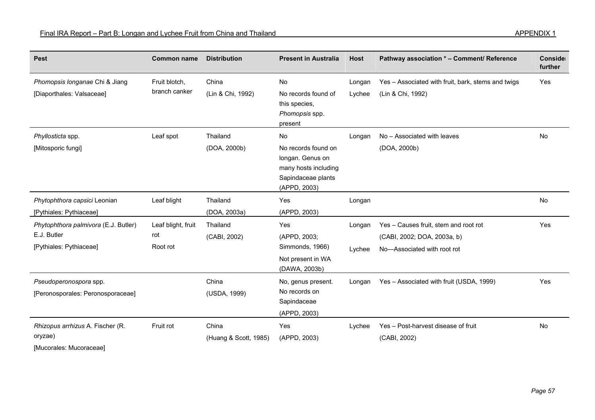| <b>Pest</b>                                                                    | <b>Common name</b>                    | <b>Distribution</b>            | <b>Present in Australia</b>                                                                                 | <b>Host</b>      | Pathway association * - Comment/ Reference                                                          | Conside<br>further |
|--------------------------------------------------------------------------------|---------------------------------------|--------------------------------|-------------------------------------------------------------------------------------------------------------|------------------|-----------------------------------------------------------------------------------------------------|--------------------|
| Phomopsis longanae Chi & Jiang<br>[Diaporthales: Valsaceae]                    | Fruit blotch,<br>branch canker        | China<br>(Lin & Chi, 1992)     | No<br>No records found of<br>this species,<br>Phomopsis spp.<br>present                                     | Longan<br>Lychee | Yes - Associated with fruit, bark, stems and twigs<br>(Lin & Chi, 1992)                             | Yes                |
| Phyllosticta spp.<br>[Mitosporic fungi]                                        | Leaf spot                             | Thailand<br>(DOA, 2000b)       | No<br>No records found on<br>longan. Genus on<br>many hosts including<br>Sapindaceae plants<br>(APPD, 2003) | Longan           | No - Associated with leaves<br>(DOA, 2000b)                                                         | No                 |
| Phytophthora capsici Leonian<br>[Pythiales: Pythiaceae]                        | Leaf blight                           | Thailand<br>(DOA, 2003a)       | Yes<br>(APPD, 2003)                                                                                         | Longan           |                                                                                                     | No                 |
| Phytophthora palmivora (E.J. Butler)<br>E.J. Butler<br>[Pythiales: Pythiaceae] | Leaf blight, fruit<br>rot<br>Root rot | Thailand<br>(CABI, 2002)       | Yes<br>(APPD, 2003;<br>Simmonds, 1966)<br>Not present in WA<br>(DAWA, 2003b)                                | Longan<br>Lychee | Yes - Causes fruit, stem and root rot<br>(CABI, 2002; DOA, 2003a, b)<br>No-Associated with root rot | Yes                |
| Pseudoperonospora spp.<br>[Peronosporales: Peronosporaceae]                    |                                       | China<br>(USDA, 1999)          | No, genus present.<br>No records on<br>Sapindaceae<br>(APPD, 2003)                                          | Longan           | Yes - Associated with fruit (USDA, 1999)                                                            | Yes                |
| Rhizopus arrhizus A. Fischer (R.<br>oryzae)                                    | Fruit rot                             | China<br>(Huang & Scott, 1985) | Yes<br>(APPD, 2003)                                                                                         | Lychee           | Yes - Post-harvest disease of fruit<br>(CABI, 2002)                                                 | <b>No</b>          |

[Mucorales: Mucoraceae]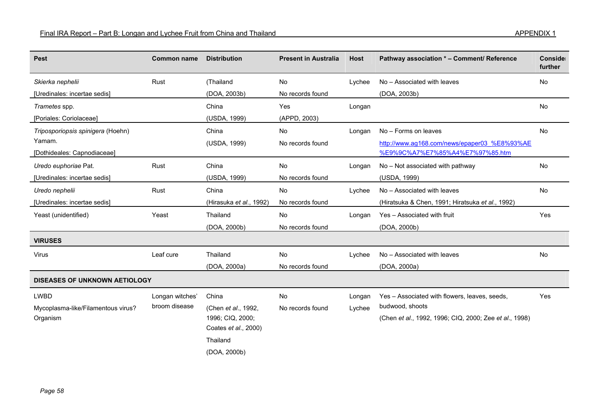| Pest                                 | <b>Common name</b> | <b>Distribution</b>     | <b>Present in Australia</b> | Host   | Pathway association * – Comment/ Reference             | Conside<br>further |
|--------------------------------------|--------------------|-------------------------|-----------------------------|--------|--------------------------------------------------------|--------------------|
| Skierka nephelii                     | Rust               | (Thailand               | <b>No</b>                   | Lychee | No - Associated with leaves                            | <b>No</b>          |
| [Uredinales: incertae sedis]         |                    | (DOA, 2003b)            | No records found            |        | (DOA, 2003b)                                           |                    |
| Trametes spp.                        |                    | China                   | Yes                         | Longan |                                                        | <b>No</b>          |
| [Poriales: Coriolaceae]              |                    | (USDA, 1999)            | (APPD, 2003)                |        |                                                        |                    |
| Triposporiopsis spinigera (Hoehn)    |                    | China                   | No                          | Longan | No - Forms on leaves                                   | No                 |
| Yamam.                               |                    | (USDA, 1999)            | No records found            |        | http://www.ag168.com/news/epaper03 %E8%93%AE           |                    |
| [Dothideales: Capnodiaceae]          |                    |                         |                             |        | %E9%9C%A7%E7%85%A4%E7%97%85.htm                        |                    |
| Uredo euphoriae Pat.                 | Rust               | China                   | No                          | Longan | No - Not associated with pathway                       | No                 |
| [Uredinales: incertae sedis]         |                    | (USDA, 1999)            | No records found            |        | (USDA, 1999)                                           |                    |
| Uredo nephelii                       | Rust               | China                   | No                          | Lychee | No - Associated with leaves                            | No                 |
| [Uredinales: incertae sedis]         |                    | (Hirasuka et al., 1992) | No records found            |        | (Hiratsuka & Chen, 1991; Hiratsuka et al., 1992)       |                    |
| Yeast (unidentified)                 | Yeast              | Thailand                | No                          | Longan | Yes - Associated with fruit                            | Yes                |
|                                      |                    | (DOA, 2000b)            | No records found            |        | (DOA, 2000b)                                           |                    |
| <b>VIRUSES</b>                       |                    |                         |                             |        |                                                        |                    |
| Virus                                | Leaf cure          | Thailand                | No                          | Lychee | No - Associated with leaves                            | <b>No</b>          |
|                                      |                    | (DOA, 2000a)            | No records found            |        | (DOA, 2000a)                                           |                    |
| <b>DISEASES OF UNKNOWN AETIOLOGY</b> |                    |                         |                             |        |                                                        |                    |
| <b>LWBD</b>                          | Longan witches'    | China                   | No                          | Longan | Yes - Associated with flowers, leaves, seeds,          | Yes                |
| Mycoplasma-like/Filamentous virus?   | broom disease      | (Chen et al., 1992,     | No records found            | Lychee | budwood, shoots                                        |                    |
| Organism                             |                    | 1996; CIQ, 2000;        |                             |        | (Chen et al., 1992, 1996; CIQ, 2000; Zee et al., 1998) |                    |
|                                      |                    | Coates et al., 2000)    |                             |        |                                                        |                    |

(DOA, 2000b)

Thailand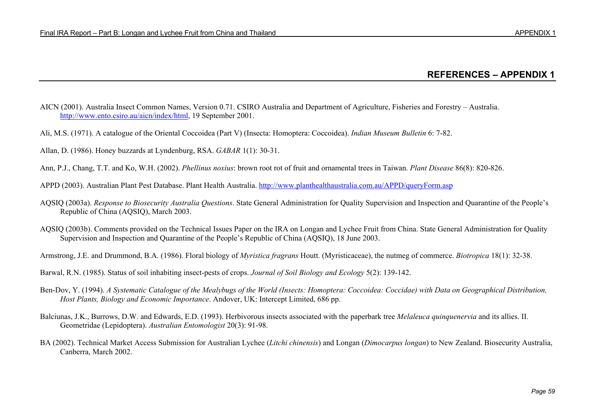## **REFERENCES – APPENDIX 1**

- AICN (2001). Australia Insect Common Names, Version 0.71. CSIRO Australia and Department of Agriculture, Fisheries and Forestry Australia. http://www.ento.csiro.au/aicn/index/html, 19 September 2001.
- Ali, M.S. (1971). A catalogue of the Oriental Coccoidea (Part V) (Insecta: Homoptera: Coccoidea). *Indian Museum Bulletin* 6: 7-82.
- Allan, D. (1986). Honey buzzards at Lyndenburg, RSA. *GABAR* 1(1): 30-31.
- Ann, P.J., Chang, T.T. and Ko, W.H. (2002). *Phellinus noxius*: brown root rot of fruit and ornamental trees in Taiwan. *Plant Disease* 86(8): 820-826.
- APPD (2003). Australian Plant Pest Database. Plant Health Australia. http://www.planthealthaustralia.com.au/APPD/queryForm.asp
- AQSIQ (2003a). *Response to Biosecurity Australia Questions*. State General Administration for Quality Supervision and Inspection and Quarantine of the People's Republic of China (AQSIQ), March 2003.
- AQSIQ (2003b). Comments provided on the Technical Issues Paper on the IRA on Longan and Lychee Fruit from China. State General Administration for Quality Supervision and Inspection and Quarantine of the People's Republic of China (AQSIQ), 18 June 2003.
- Armstrong, J.E. and Drummond, B.A. (1986). Floral biology of *Myristica fragrans* Houtt. (Myristicaceae), the nutmeg of commerce. *Biotropica* 18(1): 32-38.

Barwal, R.N. (1985). Status of soil inhabiting insect-pests of crops. *Journal of Soil Biology and Ecology* 5(2): 139-142.

- Ben-Dov, Y. (1994). *A Systematic Catalogue of the Mealybugs of the World (Insects: Homoptera: Coccoidea: Coccidae) with Data on Geographical Distribution, Host Plants, Biology and Economic Importance*. Andover, UK: Intercept Limited, 686 pp.
- Balciunas, J.K., Burrows, D.W. and Edwards, E.D. (1993). Herbivorous insects associated with the paperbark tree *Melaleuca quinquenervia* and its allies. II. Geometridae (Lepidoptera). *Australian Entomologist* 20(3): 91-98.
- BA (2002). Technical Market Access Submission for Australian Lychee (*Litchi chinensis*) and Longan (*Dimocarpus longan*) to New Zealand. Biosecurity Australia, Canberra, March 2002.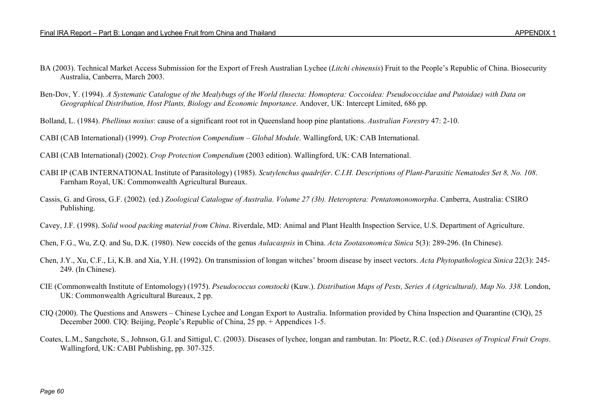- BA (2003). Technical Market Access Submission for the Export of Fresh Australian Lychee (*Litchi chinensis*) Fruit to the People's Republic of China. Biosecurity Australia, Canberra, March 2003.
- Ben-Dov, Y. (1994). *A Systematic Catalogue of the Mealybugs of the World (Insecta: Homoptera: Coccoidea: Pseudococcidae and Putoidae) with Data on Geographical Distribution, Host Plants, Biology and Economic Importance*. Andover, UK: Intercept Limited, 686 pp.
- Bolland, L. (1984). *Phellinus noxius*: cause of a significant root rot in Queensland hoop pine plantations. *Australian Forestry* 47: 2-10.

CABI (CAB International) (1999). *Crop Protection Compendium – Global Module*. Wallingford, UK: CAB International.

CABI (CAB International) (2002). *Crop Protection Compendium* (2003 edition). Wallingford, UK: CAB International.

- CABI IP (CAB INTERNATIONAL Institute of Parasitology) (1985). *Scutylenchus quadrifer*. *C.I.H. Descriptions of Plant-Parasitic Nematodes Set 8, No. 108*. Farnham Royal, UK: Commonwealth Agricultural Bureaux.
- Cassis, G. and Gross, G.F. (2002). (ed.) *Zoological Catalogue of Australia. Volume 27 (3b). Heteroptera: Pentatomonomorpha*. Canberra, Australia: CSIRO Publishing.
- Cavey, J.F. (1998). *Solid wood packing material from China*. Riverdale, MD: Animal and Plant Health Inspection Service, U.S. Department of Agriculture.
- Chen, F.G., Wu, Z.Q. and Su, D.K. (1980). New coccids of the genus *Aulacaspsis* in China. *Acta Zootaxonomica Sinica* 5(3): 289-296. (In Chinese).
- Chen, J.Y., Xu, C.F., Li, K.B. and Xia, Y.H. (1992). On transmission of longan witches' broom disease by insect vectors. *Acta Phytopathologica Sinica* 22(3): 245- 249. (In Chinese).
- CIE (Commonwealth Institute of Entomology) (1975). *Pseudococcus comstocki* (Kuw.). *Distribution Maps of Pests, Series A (Agricultural), Map No. 338.* London, UK: Commonwealth Agricultural Bureaux, 2 pp.
- CIQ (2000). The Questions and Answers Chinese Lychee and Longan Export to Australia. Information provided by China Inspection and Quarantine (CIQ), 25 December 2000. CIQ: Beijing, People's Republic of China, 25 pp. + Appendices 1-5.
- Coates, L.M., Sangchote, S., Johnson, G.I. and Sittigul, C. (2003). Diseases of lychee, longan and rambutan. In: Ploetz, R.C. (ed.) *Diseases of Tropical Fruit Crops*. Wallingford, UK: CABI Publishing, pp. 307-325.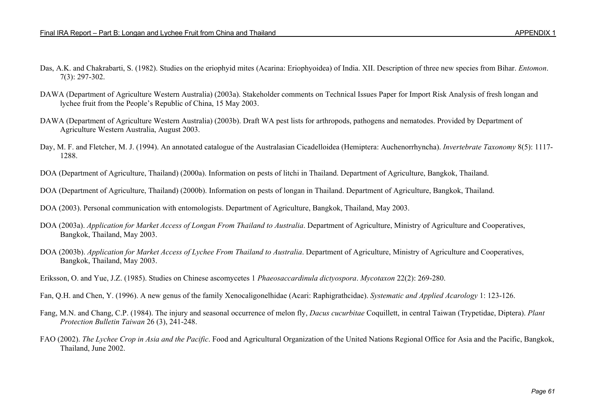- Das, A.K. and Chakrabarti, S. (1982). Studies on the eriophyid mites (Acarina: Eriophyoidea) of India. XII. Description of three new species from Bihar. *Entomon*. 7(3): 297-302.
- DAWA (Department of Agriculture Western Australia) (2003a). Stakeholder comments on Technical Issues Paper for Import Risk Analysis of fresh longan and lychee fruit from the People's Republic of China, 15 May 2003.
- DAWA (Department of Agriculture Western Australia) (2003b). Draft WA pest lists for arthropods, pathogens and nematodes. Provided by Department of Agriculture Western Australia, August 2003.
- Day, M. F. and Fletcher, M. J. (1994). An annotated catalogue of the Australasian Cicadelloidea (Hemiptera: Auchenorrhyncha). *Invertebrate Taxonomy* 8(5): 1117- 1288.
- DOA (Department of Agriculture, Thailand) (2000a). Information on pests of litchi in Thailand. Department of Agriculture, Bangkok, Thailand.
- DOA (Department of Agriculture, Thailand) (2000b). Information on pests of longan in Thailand. Department of Agriculture, Bangkok, Thailand.
- DOA (2003). Personal communication with entomologists. Department of Agriculture, Bangkok, Thailand, May 2003.
- DOA (2003a). *Application for Market Access of Longan From Thailand to Australia*. Department of Agriculture, Ministry of Agriculture and Cooperatives, Bangkok, Thailand, May 2003.
- DOA (2003b). *Application for Market Access of Lychee From Thailand to Australia*. Department of Agriculture, Ministry of Agriculture and Cooperatives, Bangkok, Thailand, May 2003.
- Eriksson, O. and Yue, J.Z. (1985). Studies on Chinese ascomycetes 1 *Phaeosaccardinula dictyospora*. *Mycotaxon* 22(2): 269-280.
- Fan, Q.H. and Chen, Y. (1996). A new genus of the family Xenocaligonelhidae (Acari: Raphigrathcidae). *Systematic and Applied Acarology* 1: 123-126.
- Fang, M.N. and Chang, C.P. (1984). The injury and seasonal occurrence of melon fly, *Dacus cucurbitae* Coquillett, in central Taiwan (Trypetidae, Diptera). *Plant Protection Bulletin Taiwan* 26 (3), 241-248.
- FAO (2002). *The Lychee Crop in Asia and the Pacific*. Food and Agricultural Organization of the United Nations Regional Office for Asia and the Pacific, Bangkok, Thailand, June 2002.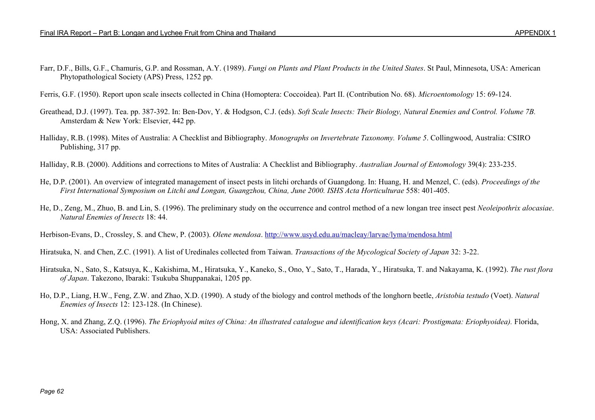Farr, D.F., Bills, G.F., Chamuris, G.P. and Rossman, A.Y. (1989). *Fungi on Plants and Plant Products in the United States*. St Paul, Minnesota, USA: American Phytopathological Society (APS) Press, 1252 pp.

Ferris, G.F. (1950). Report upon scale insects collected in China (Homoptera: Coccoidea). Part II. (Contribution No. 68). *Microentomology* 15: 69-124.

- Greathead, D.J. (1997). Tea. pp. 387-392. In: Ben-Dov, Y. & Hodgson, C.J. (eds). *Soft Scale Insects: Their Biology, Natural Enemies and Control. Volume 7B.* Amsterdam & New York: Elsevier, 442 pp.
- Halliday, R.B. (1998). Mites of Australia: A Checklist and Bibliography. *Monographs on Invertebrate Taxonomy. Volume 5*. Collingwood, Australia: CSIRO Publishing, 317 pp.
- Halliday, R.B. (2000). Additions and corrections to Mites of Australia: A Checklist and Bibliography. *Australian Journal of Entomology* 39(4): 233-235.
- He, D.P. (2001). An overview of integrated management of insect pests in litchi orchards of Guangdong. In: Huang, H. and Menzel, C. (eds). *Proceedings of the First International Symposium on Litchi and Longan, Guangzhou, China, June 2000. ISHS Acta Horticulturae* 558: 401-405.
- He, D., Zeng, M., Zhuo, B. and Lin, S. (1996). The preliminary study on the occurrence and control method of a new longan tree insect pest *Neoleipothrix alocasiae*. *Natural Enemies of Insects* 18: 44.

Herbison-Evans, D., Crossley, S. and Chew, P. (2003). *Olene mendosa*. http://www.usyd.edu.au/macleay/larvae/lyma/mendosa.html

Hiratsuka, N. and Chen, Z.C. (1991). A list of Uredinales collected from Taiwan. *Transactions of the Mycological Society of Japan* 32: 3-22.

- Hiratsuka, N., Sato, S., Katsuya, K., Kakishima, M., Hiratsuka, Y., Kaneko, S., Ono, Y., Sato, T., Harada, Y., Hiratsuka, T. and Nakayama, K. (1992). *The rust flora of Japan*. Takezono, Ibaraki: Tsukuba Shuppanakai, 1205 pp.
- Ho, D.P., Liang, H.W., Feng, Z.W. and Zhao, X.D. (1990). A study of the biology and control methods of the longhorn beetle, *Aristobia testudo* (Voet). *Natural Enemies of Insects* 12: 123-128. (In Chinese).
- Hong, X. and Zhang, Z.Q. (1996). *The Eriophyoid mites of China: An illustrated catalogue and identification keys (Acari: Prostigmata: Eriophyoidea).* Florida, USA: Associated Publishers.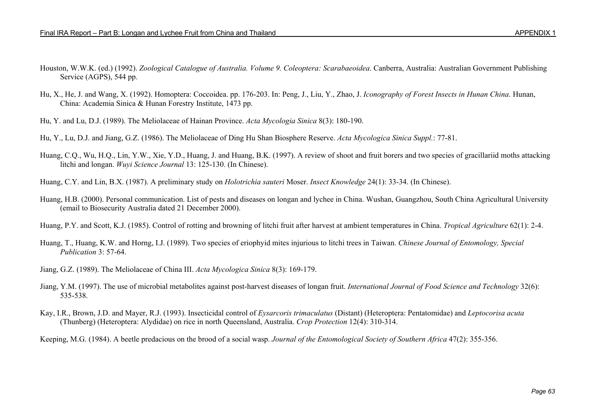- Houston, W.W.K. (ed.) (1992). *Zoological Catalogue of Australia. Volume 9. Coleoptera: Scarabaeoidea*. Canberra, Australia: Australian Government Publishing Service (AGPS), 544 pp.
- Hu, X., He, J. and Wang, X. (1992). Homoptera: Coccoidea. pp. 176-203. In: Peng, J., Liu, Y., Zhao, J. *Iconography of Forest Insects in Hunan China*. Hunan, China: Academia Sinica & Hunan Forestry Institute, 1473 pp.
- Hu, Y. and Lu, D.J. (1989). The Meliolaceae of Hainan Province. *Acta Mycologia Sinica* 8(3): 180-190.
- Hu, Y., Lu, D.J. and Jiang, G.Z. (1986). The Meliolaceae of Ding Hu Shan Biosphere Reserve. *Acta Mycologica Sinica Suppl.*: 77-81.
- Huang, C.Q., Wu, H.Q., Lin, Y.W., Xie, Y.D., Huang, J. and Huang, B.K. (1997). A review of shoot and fruit borers and two species of gracillariid moths attacking litchi and longan. *Wuyi Science Journal* 13: 125-130. (In Chinese).
- Huang, C.Y. and Lin, B.X. (1987). A preliminary study on *Holotrichia sauteri* Moser. *Insect Knowledge* 24(1): 33-34. (In Chinese).
- Huang, H.B. (2000). Personal communication. List of pests and diseases on longan and lychee in China. Wushan, Guangzhou, South China Agricultural University (email to Biosecurity Australia dated 21 December 2000).
- Huang, P.Y. and Scott, K.J. (1985). Control of rotting and browning of litchi fruit after harvest at ambient temperatures in China. *Tropical Agriculture* 62(1): 2-4.
- Huang, T., Huang, K.W. and Horng, I.J. (1989). Two species of eriophyid mites injurious to litchi trees in Taiwan. *Chinese Journal of Entomology, Special Publication* 3: 57-64.
- Jiang, G.Z. (1989). The Meliolaceae of China III. *Acta Mycologica Sinica* 8(3): 169-179.
- Jiang, Y.M. (1997). The use of microbial metabolites against post-harvest diseases of longan fruit. *International Journal of Food Science and Technology* 32(6): 535-538.
- Kay, I.R., Brown, J.D. and Mayer, R.J. (1993). Insecticidal control of *Eysarcoris trimaculatus* (Distant) (Heteroptera: Pentatomidae) and *Leptocorisa acuta* (Thunberg) (Heteroptera: Alydidae) on rice in north Queensland, Australia. *Crop Protection* 12(4): 310-314.
- Keeping, M.G. (1984). A beetle predacious on the brood of a social wasp. *Journal of the Entomological Society of Southern Africa* 47(2): 355-356.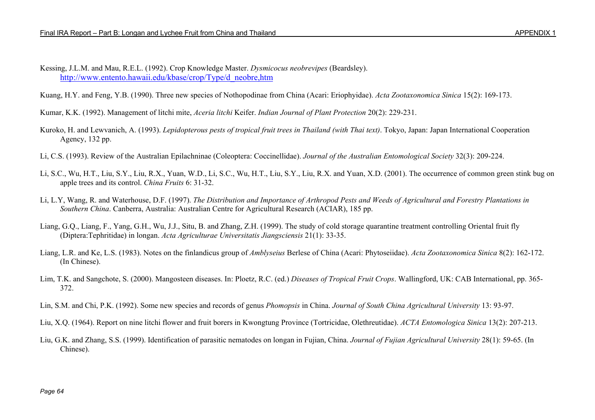Kessing, J.L.M. and Mau, R.E.L. (1992). Crop Knowledge Master. *Dysmicocus neobrevipes* (Beardsley). http://www.entento.hawaii.edu/kbase/crop/Type/d\_neobre,htm

Kuang, H.Y. and Feng, Y.B. (1990). Three new species of Nothopodinae from China (Acari: Eriophyidae). *Acta Zootaxonomica Sinica* 15(2): 169-173.

Kumar, K.K. (1992). Management of litchi mite, *Aceria litchi* Keifer. *Indian Journal of Plant Protection* 20(2): 229-231.

- Kuroko, H. and Lewvanich, A. (1993). *Lepidopterous pests of tropical fruit trees in Thailand (with Thai text)*. Tokyo, Japan: Japan International Cooperation Agency, 132 pp.
- Li, C.S. (1993). Review of the Australian Epilachninae (Coleoptera: Coccinellidae). *Journal of the Australian Entomological Society* 32(3): 209-224.
- Li, S.C., Wu, H.T., Liu, S.Y., Liu, R.X., Yuan, W.D., Li, S.C., Wu, H.T., Liu, S.Y., Liu, R.X. and Yuan, X.D. (2001). The occurrence of common green stink bug on apple trees and its control. *China Fruits* 6: 31-32.
- Li, L.Y, Wang, R. and Waterhouse, D.F. (1997). *The Distribution and Importance of Arthropod Pests and Weeds of Agricultural and Forestry Plantations in Southern China*. Canberra, Australia: Australian Centre for Agricultural Research (ACIAR), 185 pp.
- Liang, G.Q., Liang, F., Yang, G.H., Wu, J.J., Situ, B. and Zhang, Z.H. (1999). The study of cold storage quarantine treatment controlling Oriental fruit fly (Diptera:Tephritidae) in longan. *Acta Agriculturae Universitatis Jiangsciensis* 21(1): 33-35.
- Liang, L.R. and Ke, L.S. (1983). Notes on the finlandicus group of *Amblyseius* Berlese of China (Acari: Phytoseiidae). *Acta Zootaxonomica Sinica* 8(2): 162-172. (In Chinese).
- Lim, T.K. and Sangchote, S. (2000). Mangosteen diseases. In: Ploetz, R.C. (ed.) *Diseases of Tropical Fruit Crops*. Wallingford, UK: CAB International, pp. 365- 372.
- Lin, S.M. and Chi, P.K. (1992). Some new species and records of genus *Phomopsis* in China. *Journal of South China Agricultural University* 13: 93-97.
- Liu, X.Q. (1964). Report on nine litchi flower and fruit borers in Kwongtung Province (Tortricidae, Olethreutidae). *ACTA Entomologica Sinica* 13(2): 207-213.
- Liu, G.K. and Zhang, S.S. (1999). Identification of parasitic nematodes on longan in Fujian, China. *Journal of Fujian Agricultural University* 28(1): 59-65. (In Chinese).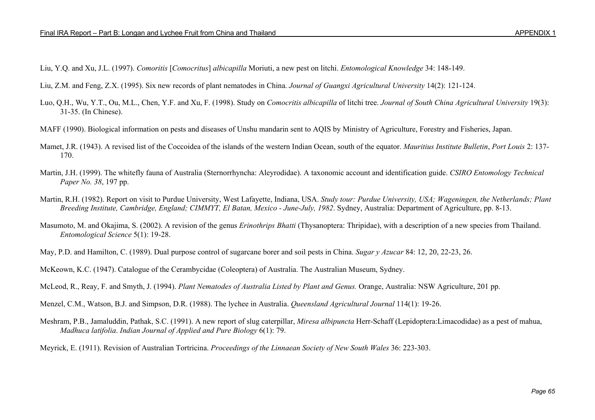- Liu, Y.Q. and Xu, J.L. (1997). *Comoritis* [*Comocritus*] *albicapilla* Moriuti, a new pest on litchi. *Entomological Knowledge* 34: 148-149.
- Liu, Z.M. and Feng, Z.X. (1995). Six new records of plant nematodes in China. *Journal of Guangxi Agricultural University* 14(2): 121-124.
- Luo, Q.H., Wu, Y.T., Ou, M.L., Chen, Y.F. and Xu, F. (1998). Study on *Comocritis albicapilla* of litchi tree. *Journal of South China Agricultural University* 19(3): 31-35. (In Chinese).
- MAFF (1990). Biological information on pests and diseases of Unshu mandarin sent to AQIS by Ministry of Agriculture, Forestry and Fisheries, Japan.
- Mamet, J.R. (1943). A revised list of the Coccoidea of the islands of the western Indian Ocean, south of the equator. *Mauritius Institute Bulletin*, *Port Louis* 2: 137- 170.
- Martin, J.H. (1999). The whitefly fauna of Australia (Sternorrhyncha: Aleyrodidae). A taxonomic account and identification guide. *CSIRO Entomology Technical Paper No. 38*, 197 pp.
- Martin, R.H. (1982). Report on visit to Purdue University, West Lafayette, Indiana, USA. *Study tour: Purdue University, USA; Wageningen, the Netherlands; Plant Breeding Institute, Cambridge, England; CIMMYT, El Batan, Mexico - June-July, 1982*. Sydney, Australia: Department of Agriculture, pp. 8-13.
- Masumoto, M. and Okajima, S. (2002). A revision of the genus *Erinothrips Bhatti* (Thysanoptera: Thripidae), with a description of a new species from Thailand. *Entomological Science* 5(1): 19-28.
- May, P.D. and Hamilton, C. (1989). Dual purpose control of sugarcane borer and soil pests in China. *Sugar y Azucar* 84: 12, 20, 22-23, 26.
- McKeown, K.C. (1947). Catalogue of the Cerambycidae (Coleoptera) of Australia. The Australian Museum, Sydney.

- Menzel, C.M., Watson, B.J. and Simpson, D.R. (1988). The lychee in Australia. *Queensland Agricultural Journal* 114(1): 19-26.
- Meshram, P.B., Jamaluddin, Pathak, S.C. (1991). A new report of slug caterpillar, *Miresa albipuncta* Herr-Schaff (Lepidoptera:Limacodidae) as a pest of mahua, *Madhuca latifolia*. *Indian Journal of Applied and Pure Biology* 6(1): 79.
- Meyrick, E. (1911). Revision of Australian Tortricina. *Proceedings of the Linnaean Society of New South Wales* 36: 223-303.

McLeod, R., Reay, F. and Smyth, J. (1994). *Plant Nematodes of Australia Listed by Plant and Genus.* Orange, Australia: NSW Agriculture, 201 pp.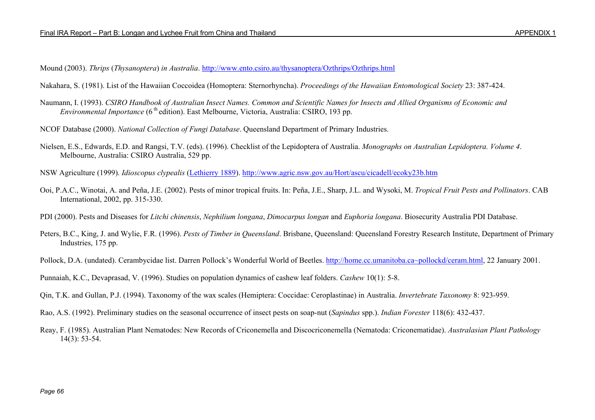Mound (2003). *Thrips* (*Thysanoptera*) *in Australia*. http://www.ento.csiro.au/thysanoptera/Ozthrips/Ozthrips.html

Nakahara, S. (1981). List of the Hawaiian Coccoidea (Homoptera: Sternorhyncha). *Proceedings of the Hawaiian Entomological Society* 23: 387-424.

Naumann, I. (1993). *CSIRO Handbook of Australian Insect Names. Common and Scientific Names for Insects and Allied Organisms of Economic and Environmental Importance* (6<sup>th</sup> edition). East Melbourne, Victoria, Australia: CSIRO, 193 pp.

NCOF Database (2000). *National Collection of Fungi Database*. Queensland Department of Primary Industries.

Nielsen, E.S., Edwards, E.D. and Rangsi, T.V. (eds). (1996). Checklist of the Lepidoptera of Australia. *Monographs on Australian Lepidoptera. Volume 4*. Melbourne, Australia: CSIRO Australia, 529 pp.

NSW Agriculture (1999). *Idioscopus clypealis* (Lethierry 1889). http://www.agric.nsw.gov.au/Hort/ascu/cicadell/ecoky23b.htm

Ooi, P.A.C., Winotai, A. and Peña, J.E. (2002). Pests of minor tropical fruits. In: Peña, J.E., Sharp, J.L. and Wysoki, M. *Tropical Fruit Pests and Pollinators*. CAB International, 2002, pp. 315-330.

PDI (2000). Pests and Diseases for *Litchi chinensis*, *Nephilium longana*, *Dimocarpus longan* and *Euphoria longana*. Biosecurity Australia PDI Database.

Peters, B.C., King, J. and Wylie, F.R. (1996). *Pests of Timber in Queensland*. Brisbane, Queensland: Queensland Forestry Research Institute, Department of Primary Industries, 175 pp.

Pollock, D.A. (undated). Cerambycidae list. Darren Pollock's Wonderful World of Beetles. http://home.cc.umanitoba.ca~pollockd/ceram.html, 22 January 2001.

Punnaiah, K.C., Devaprasad, V. (1996). Studies on population dynamics of cashew leaf folders. *Cashew* 10(1): 5-8.

Qin, T.K. and Gullan, P.J. (1994). Taxonomy of the wax scales (Hemiptera: Coccidae: Ceroplastinae) in Australia. *Invertebrate Taxonomy* 8: 923-959.

Rao, A.S. (1992). Preliminary studies on the seasonal occurrence of insect pests on soap-nut (*Sapindus* spp.). *Indian Forester* 118(6): 432-437.

Reay, F. (1985). Australian Plant Nematodes: New Records of Criconemella and Discocriconemella (Nematoda: Criconematidae). *Australasian Plant Pathology* 14(3): 53-54.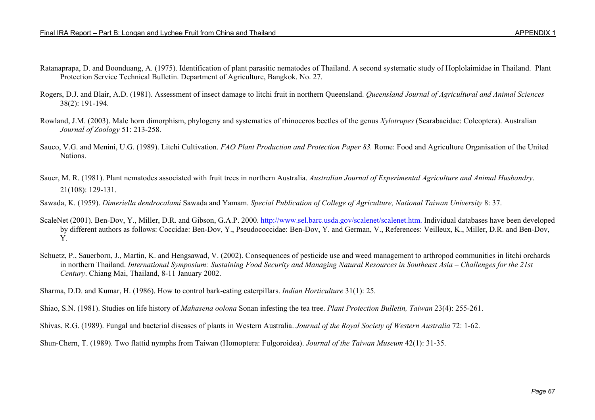- Ratanaprapa, D. and Boonduang, A. (1975). Identification of plant parasitic nematodes of Thailand. A second systematic study of Hoplolaimidae in Thailand. Plant Protection Service Technical Bulletin. Department of Agriculture, Bangkok. No. 27.
- Rogers, D.J. and Blair, A.D. (1981). Assessment of insect damage to litchi fruit in northern Queensland. *Queensland Journal of Agricultural and Animal Sciences* 38(2): 191-194.
- Rowland, J.M. (2003). Male horn dimorphism, phylogeny and systematics of rhinoceros beetles of the genus *Xylotrupes* (Scarabaeidae: Coleoptera). Australian *Journal of Zoology* 51: 213-258.
- Sauco, V.G. and Menini, U.G. (1989). Litchi Cultivation. *FAO Plant Production and Protection Paper 83.* Rome: Food and Agriculture Organisation of the United Nations.
- Sauer, M. R. (1981). Plant nematodes associated with fruit trees in northern Australia. *Australian Journal of Experimental Agriculture and Animal Husbandry*. 21(108): 129-131.
- Sawada, K. (1959). *Dimeriella dendrocalami* Sawada and Yamam. *Special Publication of College of Agriculture, National Taiwan University* 8: 37.
- ScaleNet (2001). Ben-Dov, Y., Miller, D.R. and Gibson, G.A.P. 2000. http://www.sel.barc.usda.gov/scalenet/scalenet.htm. Individual databases have been developed by different authors as follows: Coccidae: Ben-Dov, Y., Pseudococcidae: Ben-Dov, Y. and German, V., References: Veilleux, K., Miller, D.R. and Ben-Dov, Y.
- Schuetz, P., Sauerborn, J., Martin, K. and Hengsawad, V. (2002). Consequences of pesticide use and weed management to arthropod communities in litchi orchards in northern Thailand. *International Symposium: Sustaining Food Security and Managing Natural Resources in Southeast Asia – Challenges for the 21st Century*. Chiang Mai, Thailand, 8-11 January 2002.

Sharma, D.D. and Kumar, H. (1986). How to control bark-eating caterpillars. *Indian Horticulture* 31(1): 25.

Shiao, S.N. (1981). Studies on life history of *Mahasena oolona* Sonan infesting the tea tree. *Plant Protection Bulletin, Taiwan* 23(4): 255-261.

Shivas, R.G. (1989). Fungal and bacterial diseases of plants in Western Australia. *Journal of the Royal Society of Western Australia* 72: 1-62.

Shun-Chern, T. (1989). Two flattid nymphs from Taiwan (Homoptera: Fulgoroidea). *Journal of the Taiwan Museum* 42(1): 31-35.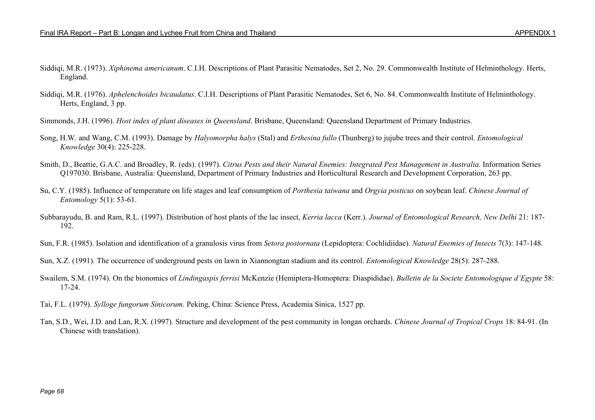- Siddiqi, M.R. (1973). *Xiphinema americanum*. C.I.H. Descriptions of Plant Parasitic Nematodes, Set 2, No. 29. Commonwealth Institute of Helminthology. Herts, England.
- Siddiqi, M.R. (1976). *Aphelenchoides bicaudatus*. C.I.H. Descriptions of Plant Parasitic Nematodes, Set 6, No. 84. Commonwealth Institute of Helminthology. Herts, England, 3 pp.
- Simmonds, J.H. (1996). *Host index of plant diseases in Queensland*. Brisbane, Queensland: Queensland Department of Primary Industries.
- Song, H.W. and Wang, C.M. (1993). Damage by *Halyomorpha halys* (Stal) and *Erthesina fullo* (Thunberg) to jujube trees and their control. *Entomological Knowledge* 30(4): 225-228.
- Smith, D., Beattie, G.A.C. and Broadley, R. (eds). (1997). *Citrus Pests and their Natural Enemies: Integrated Pest Management in Australia*. Information Series Q197030. Brisbane, Australia: Queensland, Department of Primary Industries and Horticultural Research and Development Corporation, 263 pp.
- Su, C.Y. (1985). Influence of temperature on life stages and leaf consumption of *Porthesia taiwana* and *Orgyia posticus* on soybean leaf. *Chinese Journal of Entomology* 5(1): 53-61.
- Subbarayudu, B. and Ram, R.L. (1997). Distribution of host plants of the lac insect, *Kerria lacca* (Kerr.). *Journal of Entomological Research, New Delhi* 21: 187- 192.
- Sun, F.R. (1985). Isolation and identification of a granulosis virus from *Setora postornata* (Lepidoptera: Cochlidiidae). *Natural Enemies of Insects* 7(3): 147-148.
- Sun, X.Z. (1991). The occurrence of underground pests on lawn in Xiannongtan stadium and its control. *Entomological Knowledge* 28(5): 287-288.
- Swailem, S.M. (1974). On the bionomics of *Lindingaspis ferrisi* McKenzie (Hemiptera-Homoptera: Diaspididae). *Bulletin de la Societe Entomologique d'Egypte* 58: 17-24.
- Tai, F.L. (1979). *Sylloge fungorum Sinicorum*. Peking, China: Science Press, Academia Sinica, 1527 pp.
- Tan, S.D., Wei, J.D. and Lan, R.X. (1997). Structure and development of the pest community in longan orchards. *Chinese Journal of Tropical Crops* 18: 84-91. (In Chinese with translation).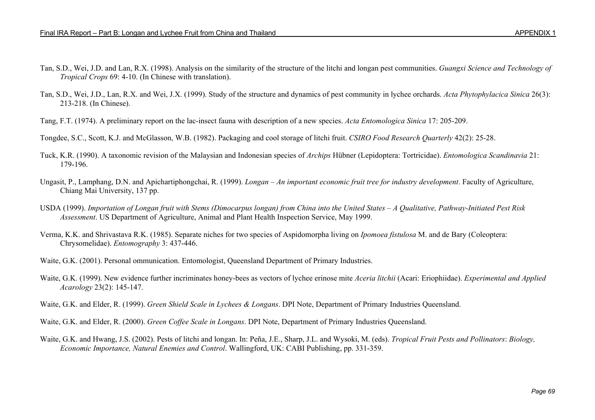- Tan, S.D., Wei, J.D. and Lan, R.X. (1998). Analysis on the similarity of the structure of the litchi and longan pest communities. *Guangxi Science and Technology of Tropical Crops* 69: 4-10. (In Chinese with translation).
- Tan, S.D., Wei, J.D., Lan, R.X. and Wei, J.X. (1999). Study of the structure and dynamics of pest community in lychee orchards. *Acta Phytophylacica Sinica* 26(3): 213-218. (In Chinese).
- Tang, F.T. (1974). A preliminary report on the lac-insect fauna with description of a new species. *Acta Entomologica Sinica* 17: 205-209.

Tongdee, S.C., Scott, K.J. and McGlasson, W.B. (1982). Packaging and cool storage of litchi fruit. *CSIRO Food Research Quarterly* 42(2): 25-28.

- Tuck, K.R. (1990). A taxonomic revision of the Malaysian and Indonesian species of *Archips* Hübner (Lepidoptera: Tortricidae). *Entomologica Scandinavia* 21: 179-196.
- Ungasit, P., Lamphang, D.N. and Apichartiphongchai, R. (1999). *Longan An important economic fruit tree for industry development*. Faculty of Agriculture, Chiang Mai University, 137 pp.
- USDA (1999). *Importation of Longan fruit with Stems (Dimocarpus longan) from China into the United States A Qualitative, Pathway-Initiated Pest Risk Assessment*. US Department of Agriculture, Animal and Plant Health Inspection Service, May 1999.
- Verma, K.K. and Shrivastava R.K. (1985). Separate niches for two species of Aspidomorpha living on *Ipomoea fistulosa* M. and de Bary (Coleoptera: Chrysomelidae). *Entomography* 3: 437-446.
- Waite, G.K. (2001). Personal ommunication. Entomologist, Queensland Department of Primary Industries.
- Waite, G.K. (1999). New evidence further incriminates honey-bees as vectors of lychee erinose mite *Aceria litchii* (Acari: Eriophiidae). *Experimental and Applied Acarology* 23(2): 145-147.

Waite, G.K. and Elder, R. (1999). *Green Shield Scale in Lychees & Longans*. DPI Note, Department of Primary Industries Queensland.

- Waite, G.K. and Elder, R. (2000). *Green Coffee Scale in Longans*. DPI Note, Department of Primary Industries Queensland.
- Waite, G.K. and Hwang, J.S. (2002). Pests of litchi and longan. In: Peña, J.E., Sharp, J.L. and Wysoki, M. (eds). *Tropical Fruit Pests and Pollinators*: *Biology, Economic Importance, Natural Enemies and Control*. Wallingford, UK: CABI Publishing, pp. 331-359.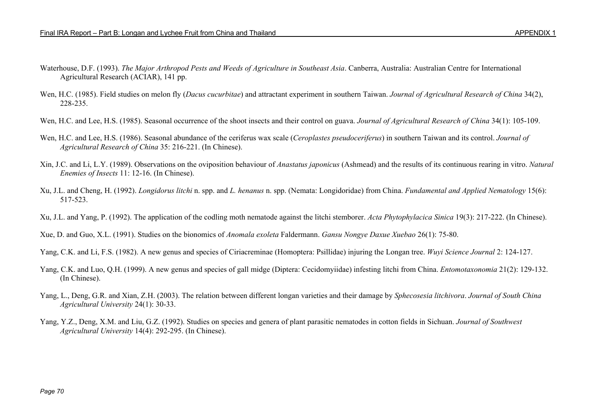- Waterhouse, D.F. (1993). *The Major Arthropod Pests and Weeds of Agriculture in Southeast Asia*. Canberra, Australia: Australian Centre for International Agricultural Research (ACIAR), 141 pp.
- Wen, H.C. (1985). Field studies on melon fly (*Dacus cucurbitae*) and attractant experiment in southern Taiwan. *Journal of Agricultural Research of China* 34(2), 228-235.
- Wen, H.C. and Lee, H.S. (1985). Seasonal occurrence of the shoot insects and their control on guava. *Journal of Agricultural Research of China* 34(1): 105-109.
- Wen, H.C. and Lee, H.S. (1986). Seasonal abundance of the ceriferus wax scale (*Ceroplastes pseudoceriferus*) in southern Taiwan and its control. *Journal of Agricultural Research of China* 35: 216-221. (In Chinese).
- Xin, J.C. and Li, L.Y. (1989). Observations on the oviposition behaviour of *Anastatus japonicus* (Ashmead) and the results of its continuous rearing in vitro. *Natural Enemies of Insects* 11: 12-16. (In Chinese).
- Xu, J.L. and Cheng, H. (1992). *Longidorus litchi* n. spp. and *L. henanus* n. spp. (Nemata: Longidoridae) from China. *Fundamental and Applied Nematology* 15(6): 517-523.
- Xu, J.L. and Yang, P. (1992). The application of the codling moth nematode against the litchi stemborer. *Acta Phytophylacica Sinica* 19(3): 217-222. (In Chinese).

Xue, D. and Guo, X.L. (1991). Studies on the bionomics of *Anomala exoleta* Faldermann. *Gansu Nongye Daxue Xuebao* 26(1): 75-80.

- Yang, C.K. and Li, F.S. (1982). A new genus and species of Ciriacreminae (Homoptera: Psillidae) injuring the Longan tree. *Wuyi Science Journal* 2: 124-127.
- Yang, C.K. and Luo, Q.H. (1999). A new genus and species of gall midge (Diptera: Cecidomyiidae) infesting litchi from China. *Entomotaxonomia* 21(2): 129-132. (In Chinese).
- Yang, L., Deng, G.R. and Xian, Z.H. (2003). The relation between different longan varieties and their damage by *Sphecosesia litchivora*. *Journal of South China Agricultural University* 24(1): 30-33.
- Yang, Y.Z., Deng, X.M. and Liu, G.Z. (1992). Studies on species and genera of plant parasitic nematodes in cotton fields in Sichuan. *Journal of Southwest Agricultural University* 14(4): 292-295. (In Chinese).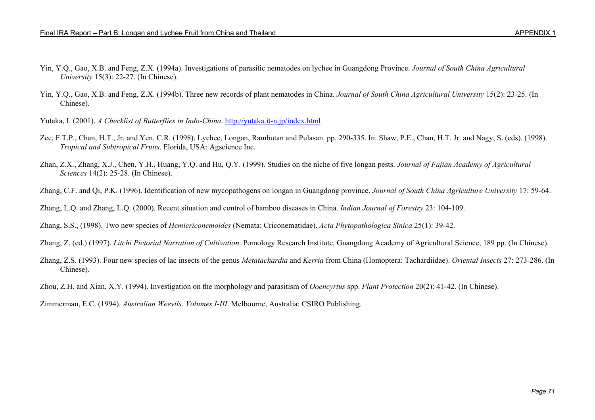- Yin, Y.Q., Gao, X.B. and Feng, Z.X. (1994a). Investigations of parasitic nematodes on lychee in Guangdong Province. *Journal of South China Agricultural University* 15(3): 22-27. (In Chinese).
- Yin, Y.Q., Gao, X.B. and Feng, Z.X. (1994b). Three new records of plant nematodes in China. *Journal of South China Agricultural University* 15(2): 23-25. (In Chinese).
- Yutaka, I. (2001). *A Checklist of Butterflies in Indo-China*. http://yutaka.it-n.jp/index.html
- Zee, F.T.P., Chan, H.T., Jr. and Yen, C.R. (1998). Lychee, Longan, Rambutan and Pulasan. pp. 290-335. In: Shaw, P.E., Chan, H.T. Jr. and Nagy, S. (eds). (1998). *Tropical and Subtropical Fruits*. Florida, USA: Agscience Inc.
- Zhan, Z.X., Zhang, X.J., Chen, Y.H., Huang, Y.Q. and Hu, Q.Y. (1999). Studies on the niche of five longan pests. *Journal of Fujian Academy of Agricultural Sciences* 14(2): 25-28. (In Chinese).
- Zhang, C.F. and Qi, P.K. (1996). Identification of new mycopathogens on longan in Guangdong province. *Journal of South China Agriculture University* 17: 59-64.

Zhang, L.Q. and Zhang, L.Q. (2000). Recent situation and control of bamboo diseases in China. *Indian Journal of Forestry* 23: 104-109.

Zhang, S.S., (1998). Two new species of *Hemicriconemoides* (Nemata: Criconematidae). *Acta Phytopathologica Sinica* 25(1): 39-42.

Zhang, Z. (ed.) (1997). *Litchi Pictorial Narration of Cultivation*. Pomology Research Institute, Guangdong Academy of Agricultural Science, 189 pp. (In Chinese).

Zhang, Z.S. (1993). Four new species of lac insects of the genus *Metatachardia* and *Kerria* from China (Homoptera: Tachardiidae). *Oriental Insects* 27: 273-286. (In Chinese).

Zhou, Z.H. and Xian, X.Y. (1994). Investigation on the morphology and parasitism of *Ooencyrtus* spp. *Plant Protection* 20(2): 41-42. (In Chinese).

Zimmerman, E.C. (1994). *Australian Weevils. Volumes I-III*. Melbourne, Australia: CSIRO Publishing.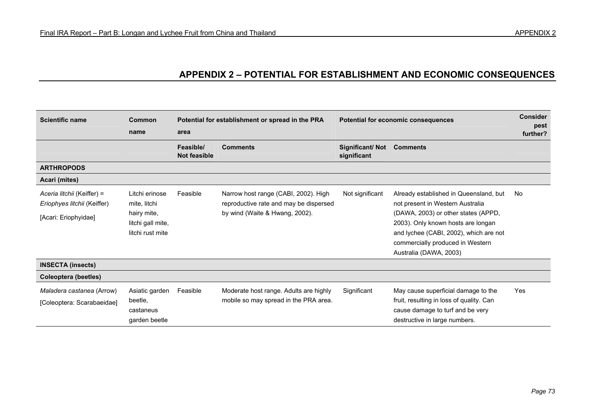# **APPENDIX 2 – POTENTIAL FOR ESTABLISHMENT AND ECONOMIC CONSEQUENCES**

| <b>Scientific name</b>                                    | Common<br>name                                | Potential for establishment or spread in the PRA<br>area |                                                                                                                  | Potential for economic consequences | <b>Consider</b><br>pest<br>further?                                                                               |     |
|-----------------------------------------------------------|-----------------------------------------------|----------------------------------------------------------|------------------------------------------------------------------------------------------------------------------|-------------------------------------|-------------------------------------------------------------------------------------------------------------------|-----|
|                                                           |                                               | Feasible/<br>Not feasible                                | <b>Comments</b>                                                                                                  | Significant/Not<br>significant      | <b>Comments</b>                                                                                                   |     |
| <b>ARTHROPODS</b>                                         |                                               |                                                          |                                                                                                                  |                                     |                                                                                                                   |     |
| Acari (mites)                                             |                                               |                                                          |                                                                                                                  |                                     |                                                                                                                   |     |
| Aceria litchii (Keiffer) =<br>Eriophyes litchii (Keiffer) | Litchi erinose<br>mite, litchi<br>hairy mite, | Feasible                                                 | Narrow host range (CABI, 2002). High<br>reproductive rate and may be dispersed<br>by wind (Waite & Hwang, 2002). | Not significant                     | Already established in Queensland, but<br>not present in Western Australia<br>(DAWA, 2003) or other states (APPD, | No  |
| [Acari: Eriophyidae]                                      | litchi gall mite,                             |                                                          |                                                                                                                  |                                     | 2003). Only known hosts are longan                                                                                |     |
|                                                           | litchi rust mite                              |                                                          |                                                                                                                  |                                     | and lychee (CABI, 2002), which are not<br>commercially produced in Western                                        |     |
|                                                           |                                               |                                                          |                                                                                                                  |                                     | Australia (DAWA, 2003)                                                                                            |     |
| <b>INSECTA (insects)</b>                                  |                                               |                                                          |                                                                                                                  |                                     |                                                                                                                   |     |
| Coleoptera (beetles)                                      |                                               |                                                          |                                                                                                                  |                                     |                                                                                                                   |     |
| <i>Maladera castanea (Arrow)</i>                          | Asiatic garden                                | Feasible                                                 | Moderate host range. Adults are highly                                                                           | Significant                         | May cause superficial damage to the                                                                               | Yes |
| [Coleoptera: Scarabaeidae]                                | beetle,                                       |                                                          | mobile so may spread in the PRA area.                                                                            |                                     | fruit, resulting in loss of quality. Can                                                                          |     |
|                                                           | castaneus<br>garden beetle                    |                                                          |                                                                                                                  |                                     | cause damage to turf and be very<br>destructive in large numbers.                                                 |     |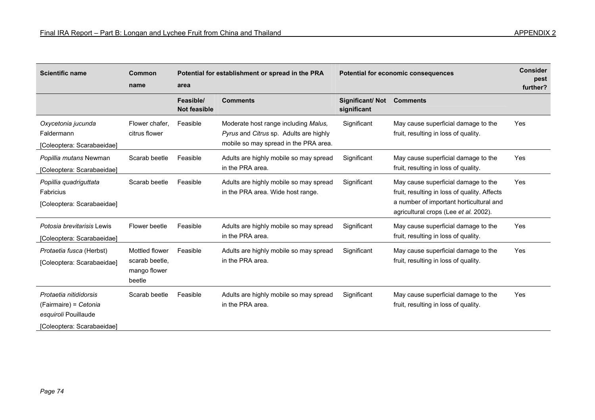| APPENDIX 2 |  |  |  |  |
|------------|--|--|--|--|
|------------|--|--|--|--|

| <b>Scientific name</b>                                                                                | <b>Common</b><br>name                                      | area                             | Potential for establishment or spread in the PRA                                                                        |                                | Potential for economic consequences                                                                                                                                     |     |  |
|-------------------------------------------------------------------------------------------------------|------------------------------------------------------------|----------------------------------|-------------------------------------------------------------------------------------------------------------------------|--------------------------------|-------------------------------------------------------------------------------------------------------------------------------------------------------------------------|-----|--|
|                                                                                                       |                                                            | Feasible/<br><b>Not feasible</b> | <b>Comments</b>                                                                                                         | Significant/Not<br>significant | <b>Comments</b>                                                                                                                                                         |     |  |
| Oxycetonia jucunda<br>Faldermann<br>[Coleoptera: Scarabaeidae]                                        | Flower chafer.<br>citrus flower                            | Feasible                         | Moderate host range including Malus,<br>Pyrus and Citrus sp. Adults are highly<br>mobile so may spread in the PRA area. | Significant                    | May cause superficial damage to the<br>fruit, resulting in loss of quality.                                                                                             | Yes |  |
| Popillia mutans Newman<br>[Coleoptera: Scarabaeidae]                                                  | Scarab beetle                                              | Feasible                         | Adults are highly mobile so may spread<br>in the PRA area.                                                              | Significant                    | May cause superficial damage to the<br>fruit, resulting in loss of quality.                                                                                             | Yes |  |
| Popillia quadriguttata<br>Fabricius<br>[Coleoptera: Scarabaeidae]                                     | Scarab beetle                                              | Feasible                         | Adults are highly mobile so may spread<br>in the PRA area. Wide host range.                                             | Significant                    | May cause superficial damage to the<br>fruit, resulting in loss of quality. Affects<br>a number of important horticultural and<br>agricultural crops (Lee et al. 2002). | Yes |  |
| Potosia brevitarisis Lewis<br>[Coleoptera: Scarabaeidae]                                              | Flower beetle                                              | Feasible                         | Adults are highly mobile so may spread<br>in the PRA area.                                                              | Significant                    | May cause superficial damage to the<br>fruit, resulting in loss of quality.                                                                                             | Yes |  |
| Protaetia fusca (Herbst)<br>[Coleoptera: Scarabaeidae]                                                | Mottled flower<br>scarab beetle,<br>mango flower<br>beetle | Feasible                         | Adults are highly mobile so may spread<br>in the PRA area.                                                              | Significant                    | May cause superficial damage to the<br>fruit, resulting in loss of quality.                                                                                             | Yes |  |
| Protaetia nitididorsis<br>(Fairmaire) = Cetonia<br>esquiroli Pouillaude<br>[Coleoptera: Scarabaeidae] | Scarab beetle                                              | Feasible                         | Adults are highly mobile so may spread<br>in the PRA area.                                                              | Significant                    | May cause superficial damage to the<br>fruit, resulting in loss of quality.                                                                                             | Yes |  |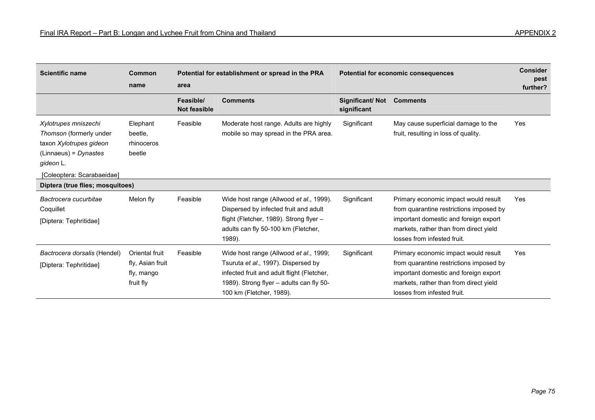| <b>Scientific name</b>                                                                                                                           | Common<br>name                                                | area                             | Potential for establishment or spread in the PRA                                                                                                                                                    |                                | Potential for economic consequences                                                                                                                                                               |     |  |
|--------------------------------------------------------------------------------------------------------------------------------------------------|---------------------------------------------------------------|----------------------------------|-----------------------------------------------------------------------------------------------------------------------------------------------------------------------------------------------------|--------------------------------|---------------------------------------------------------------------------------------------------------------------------------------------------------------------------------------------------|-----|--|
|                                                                                                                                                  |                                                               | Feasible/<br><b>Not feasible</b> | <b>Comments</b>                                                                                                                                                                                     | Significant/Not<br>significant | <b>Comments</b>                                                                                                                                                                                   |     |  |
| Xylotrupes mniszechi<br>Thomson (formerly under<br>taxon Xylotrupes gideon<br>$(Linnaeus) = Dynastes$<br>gideon L.<br>[Coleoptera: Scarabaeidae] | Elephant<br>beetle,<br>rhinoceros<br>beetle                   | Feasible                         | Moderate host range. Adults are highly<br>mobile so may spread in the PRA area.                                                                                                                     | Significant                    | May cause superficial damage to the<br>fruit, resulting in loss of quality.                                                                                                                       | Yes |  |
| Diptera (true flies; mosquitoes)                                                                                                                 |                                                               |                                  |                                                                                                                                                                                                     |                                |                                                                                                                                                                                                   |     |  |
| Bactrocera cucurbitae<br>Coquillet<br>[Diptera: Tephritidae]                                                                                     | Melon fly                                                     | Feasible                         | Wide host range (Allwood et al., 1999).<br>Dispersed by infected fruit and adult<br>flight (Fletcher, 1989). Strong flyer -<br>adults can fly 50-100 km (Fletcher,<br>1989).                        | Significant                    | Primary economic impact would result<br>from quarantine restrictions imposed by<br>important domestic and foreign export<br>markets, rather than from direct yield<br>losses from infested fruit. | Yes |  |
| Bactrocera dorsalis (Hendel)<br>[Diptera: Tephritidae]                                                                                           | Oriental fruit<br>fly, Asian fruit<br>fly, mango<br>fruit fly | Feasible                         | Wide host range (Allwood et al., 1999;<br>Tsuruta et al., 1997). Dispersed by<br>infected fruit and adult flight (Fletcher,<br>1989). Strong flyer - adults can fly 50-<br>100 km (Fletcher, 1989). | Significant                    | Primary economic impact would result<br>from quarantine restrictions imposed by<br>important domestic and foreign export<br>markets, rather than from direct yield<br>losses from infested fruit. | Yes |  |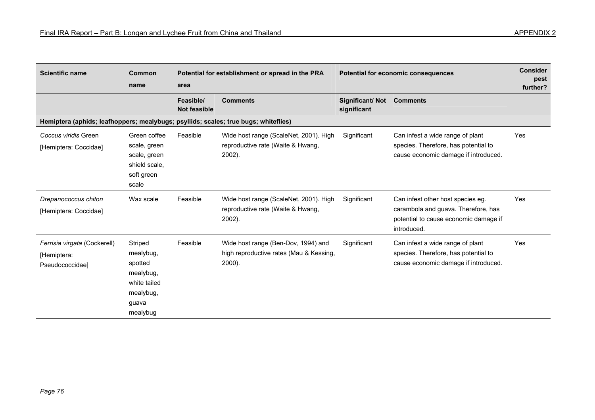| <b>Scientific name</b>                                                              | Common<br>name                                                                                 | area                             | Potential for establishment or spread in the PRA                                         |                                | Potential for economic consequences                                                                                              |     |  |
|-------------------------------------------------------------------------------------|------------------------------------------------------------------------------------------------|----------------------------------|------------------------------------------------------------------------------------------|--------------------------------|----------------------------------------------------------------------------------------------------------------------------------|-----|--|
|                                                                                     |                                                                                                | Feasible/<br><b>Not feasible</b> | <b>Comments</b>                                                                          | Significant/Not<br>significant | <b>Comments</b>                                                                                                                  |     |  |
| Hemiptera (aphids; leafhoppers; mealybugs; psyllids; scales; true bugs; whiteflies) |                                                                                                |                                  |                                                                                          |                                |                                                                                                                                  |     |  |
| Coccus viridis Green<br>[Hemiptera: Coccidae]                                       | Green coffee<br>scale, green<br>scale, green<br>shield scale.<br>soft green<br>scale           | Feasible                         | Wide host range (ScaleNet, 2001). High<br>reproductive rate (Waite & Hwang,<br>$2002$ ). | Significant                    | Can infest a wide range of plant<br>species. Therefore, has potential to<br>cause economic damage if introduced.                 | Yes |  |
| Drepanococcus chiton<br>[Hemiptera: Coccidae]                                       | Wax scale                                                                                      | Feasible                         | Wide host range (ScaleNet, 2001). High<br>reproductive rate (Waite & Hwang,<br>2002).    | Significant                    | Can infest other host species eg.<br>carambola and guava. Therefore, has<br>potential to cause economic damage if<br>introduced. | Yes |  |
| Ferrisia virgata (Cockerell)<br>[Hemiptera:<br>Pseudococcidae]                      | Striped<br>mealybug,<br>spotted<br>mealybug,<br>white tailed<br>mealybug,<br>guava<br>mealybug | Feasible                         | Wide host range (Ben-Dov, 1994) and<br>high reproductive rates (Mau & Kessing,<br>2000). | Significant                    | Can infest a wide range of plant<br>species. Therefore, has potential to<br>cause economic damage if introduced.                 | Yes |  |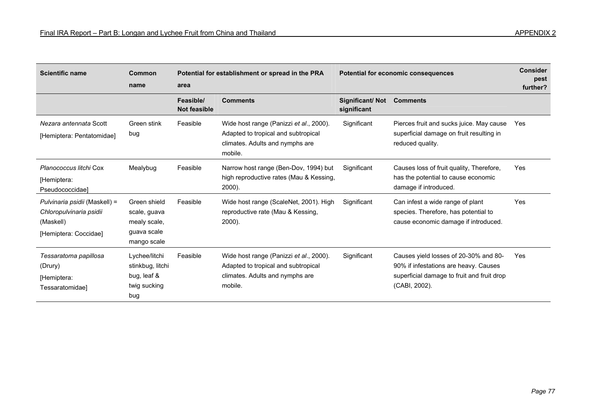| <b>Scientific name</b>                                                                         | Common<br>name                                                             | area                             | Potential for establishment or spread in the PRA                                                                             |                                | Potential for economic consequences                                                                                                           |     |
|------------------------------------------------------------------------------------------------|----------------------------------------------------------------------------|----------------------------------|------------------------------------------------------------------------------------------------------------------------------|--------------------------------|-----------------------------------------------------------------------------------------------------------------------------------------------|-----|
|                                                                                                |                                                                            | Feasible/<br><b>Not feasible</b> | <b>Comments</b>                                                                                                              | Significant/Not<br>significant | <b>Comments</b>                                                                                                                               |     |
| Nezara antennata Scott<br>[Hemiptera: Pentatomidae]                                            | Green stink<br>bug                                                         | Feasible                         | Wide host range (Panizzi et al., 2000).<br>Adapted to tropical and subtropical<br>climates. Adults and nymphs are<br>mobile. | Significant                    | Pierces fruit and sucks juice. May cause<br>superficial damage on fruit resulting in<br>reduced quality.                                      | Yes |
| Planococcus litchi Cox<br>[Hemiptera:<br>Pseudococcidae]                                       | Mealybug                                                                   | Feasible                         | Narrow host range (Ben-Dov, 1994) but<br>high reproductive rates (Mau & Kessing,<br>$2000$ ).                                | Significant                    | Causes loss of fruit quality, Therefore,<br>has the potential to cause economic<br>damage if introduced.                                      | Yes |
| Pulvinaria psidii (Maskell) =<br>Chloropulvinaria psidii<br>(Maskell)<br>[Hemiptera: Coccidae] | Green shield<br>scale, guava<br>mealy scale,<br>guava scale<br>mango scale | Feasible                         | Wide host range (ScaleNet, 2001). High<br>reproductive rate (Mau & Kessing,<br>2000).                                        | Significant                    | Can infest a wide range of plant<br>species. Therefore, has potential to<br>cause economic damage if introduced.                              | Yes |
| Tessaratoma papillosa<br>(Drury)<br>[Hemiptera:<br>Tessaratomidae]                             | Lychee/litchi<br>stinkbug, litchi<br>bug, leaf &<br>twig sucking<br>bug    | Feasible                         | Wide host range (Panizzi et al., 2000).<br>Adapted to tropical and subtropical<br>climates. Adults and nymphs are<br>mobile. | Significant                    | Causes yield losses of 20-30% and 80-<br>90% if infestations are heavy. Causes<br>superficial damage to fruit and fruit drop<br>(CABI, 2002). | Yes |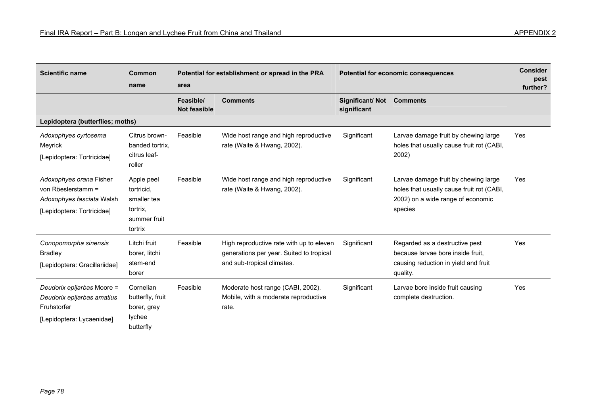| <b>Scientific name</b>                                                                                   | Common<br>name                                                                 | area                             | Potential for establishment or spread in the PRA                                                                   |                                | Potential for economic consequences                                                                                               |     |
|----------------------------------------------------------------------------------------------------------|--------------------------------------------------------------------------------|----------------------------------|--------------------------------------------------------------------------------------------------------------------|--------------------------------|-----------------------------------------------------------------------------------------------------------------------------------|-----|
|                                                                                                          |                                                                                | Feasible/<br><b>Not feasible</b> | <b>Comments</b>                                                                                                    | Significant/Not<br>significant | <b>Comments</b>                                                                                                                   |     |
| Lepidoptera (butterflies; moths)                                                                         |                                                                                |                                  |                                                                                                                    |                                |                                                                                                                                   |     |
| Adoxophyes cyrtosema<br>Meyrick<br>[Lepidoptera: Tortricidae]                                            | Citrus brown-<br>banded tortrix.<br>citrus leaf-<br>roller                     | Feasible                         | Wide host range and high reproductive<br>rate (Waite & Hwang, 2002).                                               | Significant                    | Larvae damage fruit by chewing large<br>holes that usually cause fruit rot (CABI,<br>2002)                                        | Yes |
| Adoxophyes orana Fisher<br>von Röeslerstamm =<br>Adoxophyes fasciata Walsh<br>[Lepidoptera: Tortricidae] | Apple peel<br>tortricid.<br>smaller tea<br>tortrix,<br>summer fruit<br>tortrix | Feasible                         | Wide host range and high reproductive<br>rate (Waite & Hwang, 2002).                                               | Significant                    | Larvae damage fruit by chewing large<br>holes that usually cause fruit rot (CABI,<br>2002) on a wide range of economic<br>species | Yes |
| Conopomorpha sinensis<br><b>Bradley</b><br>[Lepidoptera: Gracillariidae]                                 | Litchi fruit<br>borer, litchi<br>stem-end<br>borer                             | Feasible                         | High reproductive rate with up to eleven<br>generations per year. Suited to tropical<br>and sub-tropical climates. | Significant                    | Regarded as a destructive pest<br>because larvae bore inside fruit.<br>causing reduction in yield and fruit<br>quality.           | Yes |
| Deudorix epijarbas Moore =<br>Deudorix epijarbas amatius<br>Fruhstorfer<br>[Lepidoptera: Lycaenidae]     | Cornelian<br>butterfly, fruit<br>borer, grey<br>lychee<br>butterfly            | Feasible                         | Moderate host range (CABI, 2002).<br>Mobile, with a moderate reproductive<br>rate.                                 | Significant                    | Larvae bore inside fruit causing<br>complete destruction.                                                                         | Yes |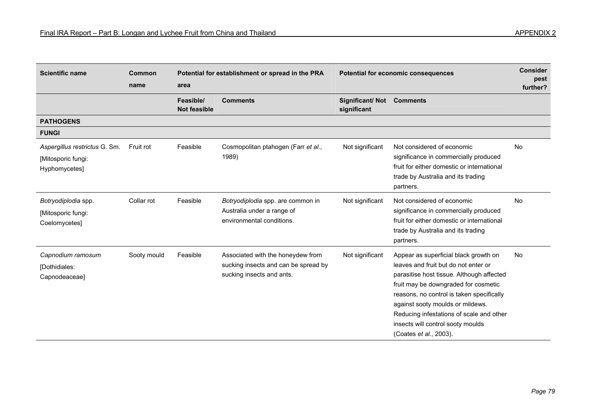| <b>Scientific name</b>                                               | Common<br>name | Potential for establishment or spread in the PRA<br>area |                                                                                                        | Potential for economic consequences |                                                                                                                                                                                                                                                                                                                                                                | <b>Consider</b><br>pest<br>further? |
|----------------------------------------------------------------------|----------------|----------------------------------------------------------|--------------------------------------------------------------------------------------------------------|-------------------------------------|----------------------------------------------------------------------------------------------------------------------------------------------------------------------------------------------------------------------------------------------------------------------------------------------------------------------------------------------------------------|-------------------------------------|
|                                                                      |                | Feasible/<br><b>Not feasible</b>                         | <b>Comments</b>                                                                                        | Significant/Not<br>significant      | <b>Comments</b>                                                                                                                                                                                                                                                                                                                                                |                                     |
| <b>PATHOGENS</b>                                                     |                |                                                          |                                                                                                        |                                     |                                                                                                                                                                                                                                                                                                                                                                |                                     |
| <b>FUNGI</b>                                                         |                |                                                          |                                                                                                        |                                     |                                                                                                                                                                                                                                                                                                                                                                |                                     |
| Aspergillus restrictus G. Sm.<br>[Mitosporic fungi:<br>Hyphomycetes] | Fruit rot      | Feasible                                                 | Cosmopolitan ptahogen (Farr et al.,<br>1989)                                                           | Not significant                     | Not considered of economic<br>significance in commercially produced<br>fruit for either domestic or international<br>trade by Australia and its trading<br>partners.                                                                                                                                                                                           | <b>No</b>                           |
| Botryodiplodia spp.<br>[Mitosporic fungi:<br>Coelomycetes]           | Collar rot     | Feasible                                                 | Botryodiplodia spp. are common in<br>Australia under a range of<br>environmental conditions.           | Not significant                     | Not considered of economic<br>significance in commercially produced<br>fruit for either domestic or international<br>trade by Australia and its trading<br>partners.                                                                                                                                                                                           | <b>No</b>                           |
| Capnodium ramosum<br>[Dothidiales:<br>Capnodeaceae]                  | Sooty mould    | Feasible                                                 | Associated with the honeydew from<br>sucking insects and can be spread by<br>sucking insects and ants. | Not significant                     | Appear as superficial black growth on<br>leaves and fruit but do not enter or<br>parasitise host tissue. Although affected<br>fruit may be downgraded for cosmetic<br>reasons, no control is taken specifically<br>against sooty moulds or mildews.<br>Reducing infestations of scale and other<br>insects will control sooty moulds<br>(Coates et al., 2003). | No                                  |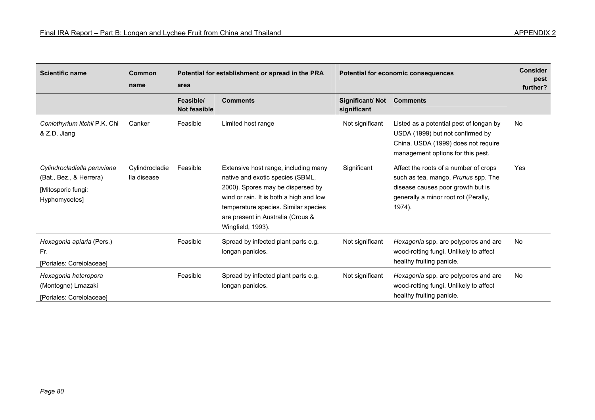| <b>Scientific name</b>                                                                        | Common<br>name                | area                             | Potential for establishment or spread in the PRA                                                                                                                                                                                                           |                                | Potential for economic consequences                                                                                                                                 |           |  |
|-----------------------------------------------------------------------------------------------|-------------------------------|----------------------------------|------------------------------------------------------------------------------------------------------------------------------------------------------------------------------------------------------------------------------------------------------------|--------------------------------|---------------------------------------------------------------------------------------------------------------------------------------------------------------------|-----------|--|
|                                                                                               |                               | Feasible/<br><b>Not feasible</b> | <b>Comments</b>                                                                                                                                                                                                                                            | Significant/Not<br>significant | <b>Comments</b>                                                                                                                                                     |           |  |
| Coniothyrium litchii P.K. Chi<br>& Z.D. Jiang                                                 | Canker                        | Feasible                         | Limited host range                                                                                                                                                                                                                                         | Not significant                | Listed as a potential pest of longan by<br>USDA (1999) but not confirmed by<br>China. USDA (1999) does not require<br>management options for this pest.             | No        |  |
| Cylindrocladiella peruviana<br>(Bat., Bez., & Herrera)<br>[Mitosporic fungi:<br>Hyphomycetes] | Cylindrocladie<br>lla disease | Feasible                         | Extensive host range, including many<br>native and exotic species (SBML,<br>2000). Spores may be dispersed by<br>wind or rain. It is both a high and low<br>temperature species. Similar species<br>are present in Australia (Crous &<br>Wingfield, 1993). | Significant                    | Affect the roots of a number of crops<br>such as tea, mango, Prunus spp. The<br>disease causes poor growth but is<br>generally a minor root rot (Perally,<br>1974). | Yes       |  |
| Hexagonia apiaria (Pers.)<br>Fr.<br>[Poriales: Coreiolaceae]                                  |                               | Feasible                         | Spread by infected plant parts e.g.<br>longan panicles.                                                                                                                                                                                                    | Not significant                | Hexagonia spp. are polypores and are<br>wood-rotting fungi. Unlikely to affect<br>healthy fruiting panicle.                                                         | <b>No</b> |  |
| Hexagonia heteropora<br>(Montogne) Lmazaki<br>[Poriales: Coreiolaceae]                        |                               | Feasible                         | Spread by infected plant parts e.g.<br>longan panicles.                                                                                                                                                                                                    | Not significant                | Hexagonia spp. are polypores and are<br>wood-rotting fungi. Unlikely to affect<br>healthy fruiting panicle.                                                         | No        |  |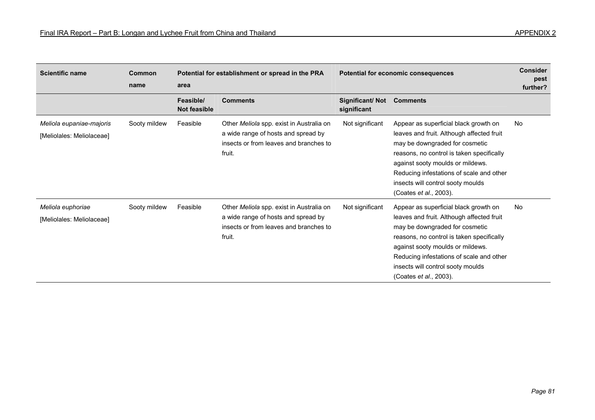| <b>Scientific name</b>                                | <b>Common</b><br>name | Potential for establishment or spread in the PRA<br><b>Potential for economic consequences</b><br>area |                                                                                                                                     |                                | <b>Consider</b><br>pest<br>further?                                                                                                                                                                                                                                                                                      |           |
|-------------------------------------------------------|-----------------------|--------------------------------------------------------------------------------------------------------|-------------------------------------------------------------------------------------------------------------------------------------|--------------------------------|--------------------------------------------------------------------------------------------------------------------------------------------------------------------------------------------------------------------------------------------------------------------------------------------------------------------------|-----------|
|                                                       |                       | Feasible/<br><b>Not feasible</b>                                                                       | <b>Comments</b>                                                                                                                     | Significant/Not<br>significant | <b>Comments</b>                                                                                                                                                                                                                                                                                                          |           |
| Meliola eupaniae-majoris<br>[Meliolales: Meliolaceae] | Sooty mildew          | Feasible                                                                                               | Other Meliola spp. exist in Australia on<br>a wide range of hosts and spread by<br>insects or from leaves and branches to<br>fruit. | Not significant                | Appear as superficial black growth on<br>leaves and fruit. Although affected fruit<br>may be downgraded for cosmetic<br>reasons, no control is taken specifically<br>against sooty moulds or mildews.<br>Reducing infestations of scale and other<br>insects will control sooty moulds<br>(Coates <i>et al.</i> , 2003). | <b>No</b> |
| Meliola euphoriae<br>[Meliolales: Meliolaceae]        | Sooty mildew          | Feasible                                                                                               | Other Meliola spp. exist in Australia on<br>a wide range of hosts and spread by<br>insects or from leaves and branches to<br>fruit. | Not significant                | Appear as superficial black growth on<br>leaves and fruit. Although affected fruit<br>may be downgraded for cosmetic<br>reasons, no control is taken specifically<br>against sooty moulds or mildews.<br>Reducing infestations of scale and other<br>insects will control sooty moulds<br>(Coates et al., 2003).         | <b>No</b> |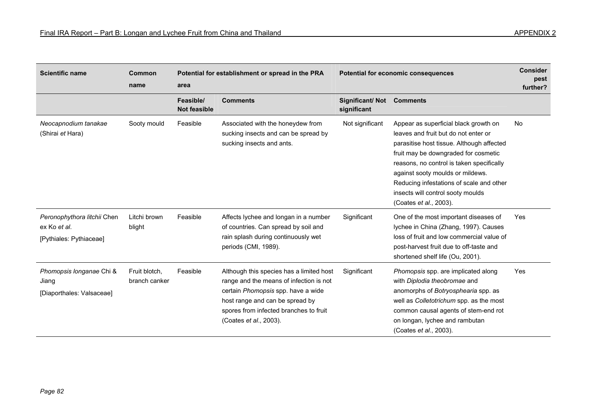| <b>Scientific name</b>                                                 | Common<br>name                 | Potential for establishment or spread in the PRA<br>area |                                                                                                                                                                                                                                  | <b>Potential for economic consequences</b> | <b>Consider</b><br>pest<br>further?                                                                                                                                                                                                                                                                                                                            |           |
|------------------------------------------------------------------------|--------------------------------|----------------------------------------------------------|----------------------------------------------------------------------------------------------------------------------------------------------------------------------------------------------------------------------------------|--------------------------------------------|----------------------------------------------------------------------------------------------------------------------------------------------------------------------------------------------------------------------------------------------------------------------------------------------------------------------------------------------------------------|-----------|
|                                                                        |                                | Feasible/<br><b>Not feasible</b>                         | <b>Comments</b>                                                                                                                                                                                                                  | Significant/Not<br>significant             | <b>Comments</b>                                                                                                                                                                                                                                                                                                                                                |           |
| Neocapnodium tanakae<br>(Shirai et Hara)                               | Sooty mould                    | Feasible                                                 | Associated with the honeydew from<br>sucking insects and can be spread by<br>sucking insects and ants.                                                                                                                           | Not significant                            | Appear as superficial black growth on<br>leaves and fruit but do not enter or<br>parasitise host tissue. Although affected<br>fruit may be downgraded for cosmetic<br>reasons, no control is taken specifically<br>against sooty moulds or mildews.<br>Reducing infestations of scale and other<br>insects will control sooty moulds<br>(Coates et al., 2003). | <b>No</b> |
| Peronophythora litchii Chen<br>ex Ko et al.<br>[Pythiales: Pythiaceae] | Litchi brown<br>blight         | Feasible                                                 | Affects lychee and longan in a number<br>of countries. Can spread by soil and<br>rain splash during continuously wet<br>periods (CMI, 1989).                                                                                     | Significant                                | One of the most important diseases of<br>lychee in China (Zhang, 1997). Causes<br>loss of fruit and low commercial value of<br>post-harvest fruit due to off-taste and<br>shortened shelf life (Ou, 2001).                                                                                                                                                     | Yes       |
| Phomopsis longanae Chi &<br>Jiang<br>[Diaporthales: Valsaceae]         | Fruit blotch,<br>branch canker | Feasible                                                 | Although this species has a limited host<br>range and the means of infection is not<br>certain Phomopsis spp. have a wide<br>host range and can be spread by<br>spores from infected branches to fruit<br>(Coates et al., 2003). | Significant                                | Phomopsis spp. are implicated along<br>with Diplodia theobromae and<br>anomorphs of Botryosphearia spp. as<br>well as Colletotrichum spp. as the most<br>common causal agents of stem-end rot<br>on longan, lychee and rambutan<br>(Coates et al., 2003).                                                                                                      | Yes       |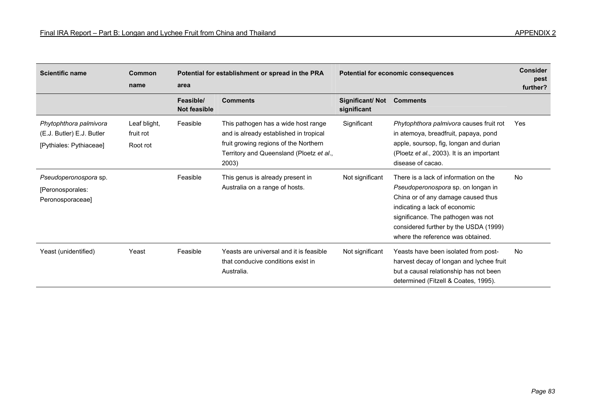| <b>Scientific name</b>                                                         | <b>Common</b><br>name                 | Potential for establishment or spread in the PRA<br>area |                                                                                                                                                                             | Potential for economic consequences | <b>Consider</b><br>pest<br>further?                                                                                                                                                                                                                                    |            |
|--------------------------------------------------------------------------------|---------------------------------------|----------------------------------------------------------|-----------------------------------------------------------------------------------------------------------------------------------------------------------------------------|-------------------------------------|------------------------------------------------------------------------------------------------------------------------------------------------------------------------------------------------------------------------------------------------------------------------|------------|
|                                                                                |                                       | Feasible/<br><b>Not feasible</b>                         | <b>Comments</b>                                                                                                                                                             | Significant/Not<br>significant      | <b>Comments</b>                                                                                                                                                                                                                                                        |            |
| Phytophthora palmivora<br>(E.J. Butler) E.J. Butler<br>[Pythiales: Pythiaceae] | Leaf blight,<br>fruit rot<br>Root rot | Feasible                                                 | This pathogen has a wide host range<br>and is already established in tropical<br>fruit growing regions of the Northern<br>Territory and Queensland (Ploetz et al.,<br>2003) | Significant                         | Phytophthora palmivora causes fruit rot<br>in atemoya, breadfruit, papaya, pond<br>apple, soursop, fig, longan and durian<br>(Ploetz et al., 2003). It is an important<br>disease of cacao.                                                                            | <b>Yes</b> |
| Pseudoperonospora sp.<br>[Peronosporales:<br>Peronosporaceae]                  |                                       | Feasible                                                 | This genus is already present in<br>Australia on a range of hosts.                                                                                                          | Not significant                     | There is a lack of information on the<br>Pseudoperonospora sp. on longan in<br>China or of any damage caused thus<br>indicating a lack of economic<br>significance. The pathogen was not<br>considered further by the USDA (1999)<br>where the reference was obtained. | <b>No</b>  |
| Yeast (unidentified)                                                           | Yeast                                 | Feasible                                                 | Yeasts are universal and it is feasible<br>that conducive conditions exist in<br>Australia.                                                                                 | Not significant                     | Yeasts have been isolated from post-<br>harvest decay of longan and lychee fruit<br>but a causal relationship has not been<br>determined (Fitzell & Coates, 1995).                                                                                                     | <b>No</b>  |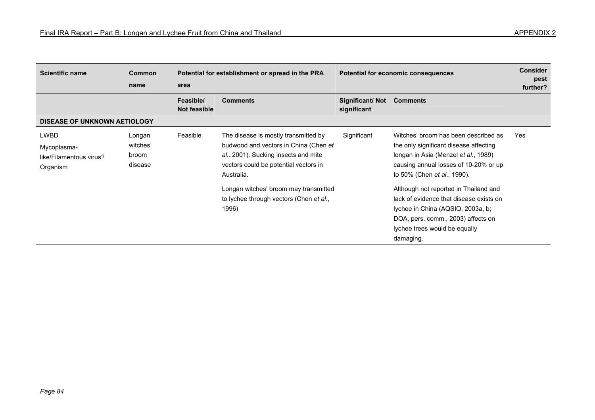| APPENDIX 2 |  |  |
|------------|--|--|
|------------|--|--|

| <b>Scientific name</b>                                     | <b>Common</b><br>name                  | Potential for establishment or spread in the PRA<br>area |                                                                                                                                                                              | Potential for economic consequences |                                                                                                                                                                                                           | <b>Consider</b><br>pest<br>further? |  |  |  |
|------------------------------------------------------------|----------------------------------------|----------------------------------------------------------|------------------------------------------------------------------------------------------------------------------------------------------------------------------------------|-------------------------------------|-----------------------------------------------------------------------------------------------------------------------------------------------------------------------------------------------------------|-------------------------------------|--|--|--|
|                                                            |                                        | Feasible/<br><b>Not feasible</b>                         | <b>Comments</b>                                                                                                                                                              | Significant/Not<br>significant      | <b>Comments</b>                                                                                                                                                                                           |                                     |  |  |  |
| <b>DISEASE OF UNKNOWN AETIOLOGY</b>                        |                                        |                                                          |                                                                                                                                                                              |                                     |                                                                                                                                                                                                           |                                     |  |  |  |
| LWBD<br>Mycoplasma-<br>like/Filamentous virus?<br>Organism | Longan<br>witches'<br>broom<br>disease | Feasible                                                 | The disease is mostly transmitted by<br>budwood and vectors in China (Chen et<br>al., 2001). Sucking insects and mite<br>vectors could be potential vectors in<br>Australia. | Significant                         | Witches' broom has been described as<br>the only significant disease affecting<br>longan in Asia (Menzel et al., 1989)<br>causing annual losses of 10-20% or up<br>to 50% (Chen et al., 1990).            | Yes                                 |  |  |  |
|                                                            |                                        |                                                          | Longan witches' broom may transmitted<br>to lychee through vectors (Chen et al.,<br>1996)                                                                                    |                                     | Although not reported in Thailand and<br>lack of evidence that disease exists on<br>lychee in China (AQSIQ, 2003a, b;<br>DOA, pers. comm., 2003) affects on<br>lychee trees would be equally<br>damaging. |                                     |  |  |  |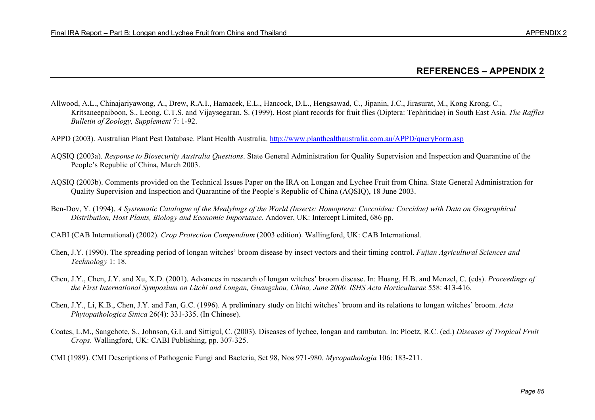## **REFERENCES – APPENDIX 2**

- Allwood, A.L., Chinajariyawong, A., Drew, R.A.I., Hamacek, E.L., Hancock, D.L., Hengsawad, C., Jipanin, J.C., Jirasurat, M., Kong Krong, C., Kritsaneepaiboon, S., Leong, C.T.S. and Vijaysegaran, S. (1999). Host plant records for fruit flies (Diptera: Tephritidae) in South East Asia. *The Raffles Bulletin of Zoology, Supplement* 7: 1-92.
- APPD (2003). Australian Plant Pest Database. Plant Health Australia. http://www.planthealthaustralia.com.au/APPD/queryForm.asp
- AQSIQ (2003a). *Response to Biosecurity Australia Questions*. State General Administration for Quality Supervision and Inspection and Quarantine of the People's Republic of China, March 2003.
- AQSIQ (2003b). Comments provided on the Technical Issues Paper on the IRA on Longan and Lychee Fruit from China. State General Administration for Quality Supervision and Inspection and Quarantine of the People's Republic of China (AQSIQ), 18 June 2003.
- Ben-Dov, Y. (1994). *A Systematic Catalogue of the Mealybugs of the World (Insects: Homoptera: Coccoidea: Coccidae) with Data on Geographical Distribution, Host Plants, Biology and Economic Importance*. Andover, UK: Intercept Limited, 686 pp.
- CABI (CAB International) (2002). *Crop Protection Compendium* (2003 edition). Wallingford, UK: CAB International.
- Chen, J.Y. (1990). The spreading period of longan witches' broom disease by insect vectors and their timing control. *Fujian Agricultural Sciences and Technology* 1: 18.
- Chen, J.Y., Chen, J.Y. and Xu, X.D. (2001). Advances in research of longan witches' broom disease. In: Huang, H.B. and Menzel, C. (eds). *Proceedings of the First International Symposium on Litchi and Longan, Guangzhou, China, June 2000. ISHS Acta Horticulturae* 558: 413-416.
- Chen, J.Y., Li, K.B., Chen, J.Y. and Fan, G.C. (1996). A preliminary study on litchi witches' broom and its relations to longan witches' broom. *Acta Phytopathologica Sinica* 26(4): 331-335. (In Chinese).
- Coates, L.M., Sangchote, S., Johnson, G.I. and Sittigul, C. (2003). Diseases of lychee, longan and rambutan. In: Ploetz, R.C. (ed.) *Diseases of Tropical Fruit Crops*. Wallingford, UK: CABI Publishing, pp. 307-325.
- CMI (1989). CMI Descriptions of Pathogenic Fungi and Bacteria, Set 98, Nos 971-980. *Mycopathologia* 106: 183-211.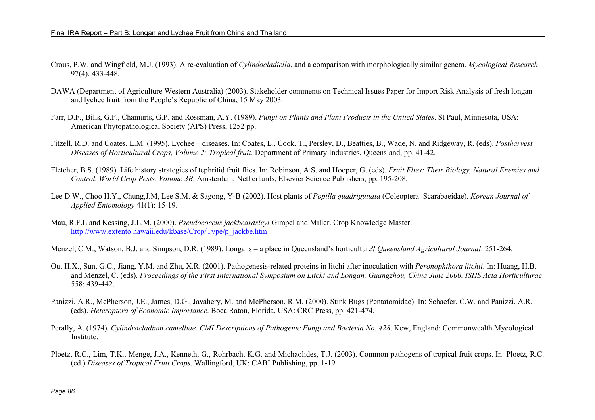- Crous, P.W. and Wingfield, M.J. (1993). A re-evaluation of *Cylindocladiella*, and a comparison with morphologically similar genera. *Mycological Research* 97(4): 433-448.
- DAWA (Department of Agriculture Western Australia) (2003). Stakeholder comments on Technical Issues Paper for Import Risk Analysis of fresh longan and lychee fruit from the People's Republic of China, 15 May 2003.
- Farr, D.F., Bills, G.F., Chamuris, G.P. and Rossman, A.Y. (1989). *Fungi on Plants and Plant Products in the United States*. St Paul, Minnesota, USA: American Phytopathological Society (APS) Press, 1252 pp.
- Fitzell, R.D. and Coates, L.M. (1995). Lychee diseases. In: Coates, L., Cook, T., Persley, D., Beatties, B., Wade, N. and Ridgeway, R. (eds). *Postharvest Diseases of Horticultural Crops, Volume 2: Tropical fruit*. Department of Primary Industries, Queensland, pp. 41-42.
- Fletcher, B.S. (1989). Life history strategies of tephritid fruit flies. In: Robinson, A.S. and Hooper, G. (eds). *Fruit Flies: Their Biology, Natural Enemies and Control. World Crop Pests. Volume 3B*. Amsterdam, Netherlands, Elsevier Science Publishers, pp. 195-208.
- Lee D.W., Choo H.Y., Chung,J.M, Lee S.M. & Sagong, Y-B (2002). Host plants of *Popilla quadriguttata* (Coleoptera: Scarabaeidae). *Korean Journal of Applied Entomology* 41(1): 15-19.
- Mau, R.F.L and Kessing, J.L.M. (2000). *Pseudococcus jackbeardsleyi* Gimpel and Miller. Crop Knowledge Master. http://www.extento.hawaii.edu/kbase/Crop/Type/p\_jackbe.htm

Menzel, C.M., Watson, B.J. and Simpson, D.R. (1989). Longans – a place in Queensland's horticulture? *Queensland Agricultural Journal*: 251-264.

- Ou, H.X., Sun, G.C., Jiang, Y.M. and Zhu, X.R. (2001). Pathogenesis-related proteins in litchi after inoculation with *Peronophthora litchii*. In: Huang, H.B. and Menzel, C. (eds). *Proceedings of the First International Symposium on Litchi and Longan, Guangzhou, China June 2000. ISHS Acta Horticulturae* 558: 439-442.
- Panizzi, A.R., McPherson, J.E., James, D.G., Javahery, M. and McPherson, R.M. (2000). Stink Bugs (Pentatomidae). In: Schaefer, C.W. and Panizzi, A.R. (eds). *Heteroptera of Economic Importance*. Boca Raton, Florida, USA: CRC Press, pp. 421-474.
- Perally, A. (1974). *Cylindrocladium camelliae. CMI Descriptions of Pathogenic Fungi and Bacteria No. 428*. Kew, England: Commonwealth Mycological Institute.
- Ploetz, R.C., Lim, T.K., Menge, J.A., Kenneth, G., Rohrbach, K.G. and Michaolides, T.J. (2003). Common pathogens of tropical fruit crops. In: Ploetz, R.C. (ed.) *Diseases of Tropical Fruit Crops*. Wallingford, UK: CABI Publishing, pp. 1-19.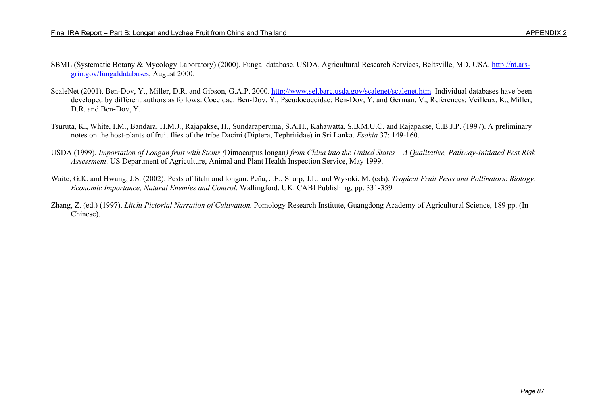- SBML (Systematic Botany & Mycology Laboratory) (2000). Fungal database. USDA, Agricultural Research Services, Beltsville, MD, USA. http://nt.arsgrin.gov/fungaldatabases, August 2000.
- ScaleNet (2001). Ben-Dov, Y., Miller, D.R. and Gibson, G.A.P. 2000. http://www.sel.barc.usda.gov/scalenet/scalenet.htm. Individual databases have been developed by different authors as follows: Coccidae: Ben-Dov, Y., Pseudococcidae: Ben-Dov, Y. and German, V., References: Veilleux, K., Miller, D.R. and Ben-Dov, Y.
- Tsuruta, K., White, I.M., Bandara, H.M.J., Rajapakse, H., Sundaraperuma, S.A.H., Kahawatta, S.B.M.U.C. and Rajapakse, G.B.J.P. (1997). A preliminary notes on the host-plants of fruit flies of the tribe Dacini (Diptera, Tephritidae) in Sri Lanka. *Esakia* 37: 149-160.
- USDA (1999). *Importation of Longan fruit with Stems (*Dimocarpus longan*) from China into the United States A Qualitative, Pathway-Initiated Pest Risk Assessment*. US Department of Agriculture, Animal and Plant Health Inspection Service, May 1999.
- Waite, G.K. and Hwang, J.S. (2002). Pests of litchi and longan. Peña, J.E., Sharp, J.L. and Wysoki, M. (eds). *Tropical Fruit Pests and Pollinators*: *Biology, Economic Importance, Natural Enemies and Control*. Wallingford, UK: CABI Publishing, pp. 331-359.
- Zhang, Z. (ed.) (1997). *Litchi Pictorial Narration of Cultivation*. Pomology Research Institute, Guangdong Academy of Agricultural Science, 189 pp. (In Chinese).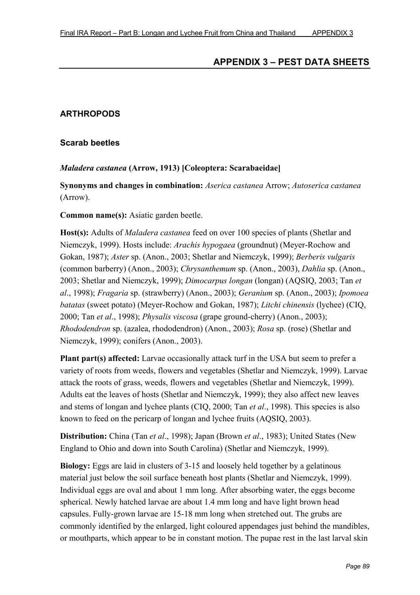# **APPENDIX 3 – PEST DATA SHEETS**

## **ARTHROPODS**

#### **Scarab beetles**

#### *Maladera castanea* **(Arrow, 1913) [Coleoptera: Scarabaeidae]**

**Synonyms and changes in combination:** *Aserica castanea* Arrow; *Autoserica castanea* (Arrow).

#### **Common name(s):** Asiatic garden beetle.

**Host(s):** Adults of *Maladera castanea* feed on over 100 species of plants (Shetlar and Niemczyk, 1999). Hosts include: *Arachis hypogaea* (groundnut) (Meyer-Rochow and Gokan, 1987); *Aster* sp. (Anon., 2003; Shetlar and Niemczyk, 1999); *Berberis vulgaris* (common barberry) (Anon., 2003); *Chrysanthemum* sp. (Anon., 2003), *Dahlia* sp. (Anon., 2003; Shetlar and Niemczyk, 1999); *Dimocarpus longan* (longan) (AQSIQ, 2003; Tan *et al*., 1998); *Fragaria* sp. (strawberry) (Anon., 2003); *Geranium* sp. (Anon., 2003); *Ipomoea batatas* (sweet potato) (Meyer-Rochow and Gokan, 1987); *Litchi chinensis* (lychee) (CIQ, 2000; Tan *et al*., 1998); *Physalis viscosa* (grape ground-cherry) (Anon., 2003); *Rhododendron* sp. (azalea, rhododendron) (Anon., 2003); *Rosa* sp. (rose) (Shetlar and Niemczyk, 1999); conifers (Anon., 2003).

Plant part(s) affected: Larvae occasionally attack turf in the USA but seem to prefer a variety of roots from weeds, flowers and vegetables (Shetlar and Niemczyk, 1999). Larvae attack the roots of grass, weeds, flowers and vegetables (Shetlar and Niemczyk, 1999). Adults eat the leaves of hosts (Shetlar and Niemczyk, 1999); they also affect new leaves and stems of longan and lychee plants (CIQ, 2000; Tan *et al*., 1998). This species is also known to feed on the pericarp of longan and lychee fruits (AQSIQ, 2003).

**Distribution:** China (Tan *et al*., 1998); Japan (Brown *et al*., 1983); United States (New England to Ohio and down into South Carolina) (Shetlar and Niemczyk, 1999).

**Biology:** Eggs are laid in clusters of 3-15 and loosely held together by a gelatinous material just below the soil surface beneath host plants (Shetlar and Niemczyk, 1999). Individual eggs are oval and about 1 mm long. After absorbing water, the eggs become spherical. Newly hatched larvae are about 1.4 mm long and have light brown head capsules. Fully-grown larvae are 15-18 mm long when stretched out. The grubs are commonly identified by the enlarged, light coloured appendages just behind the mandibles, or mouthparts, which appear to be in constant motion. The pupae rest in the last larval skin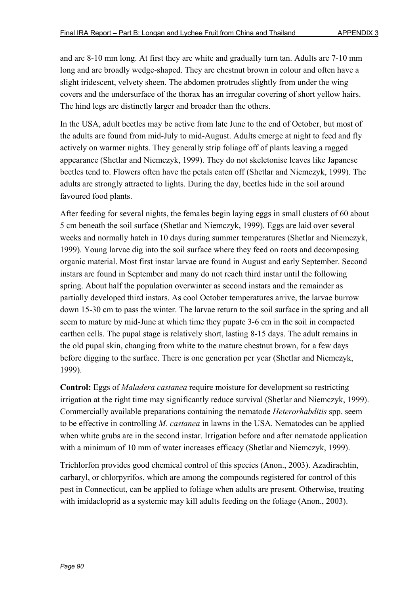and are 8-10 mm long. At first they are white and gradually turn tan. Adults are 7-10 mm long and are broadly wedge-shaped. They are chestnut brown in colour and often have a slight iridescent, velvety sheen. The abdomen protrudes slightly from under the wing covers and the undersurface of the thorax has an irregular covering of short yellow hairs. The hind legs are distinctly larger and broader than the others.

In the USA, adult beetles may be active from late June to the end of October, but most of the adults are found from mid-July to mid-August. Adults emerge at night to feed and fly actively on warmer nights. They generally strip foliage off of plants leaving a ragged appearance (Shetlar and Niemczyk, 1999). They do not skeletonise leaves like Japanese beetles tend to. Flowers often have the petals eaten off (Shetlar and Niemczyk, 1999). The adults are strongly attracted to lights. During the day, beetles hide in the soil around favoured food plants.

After feeding for several nights, the females begin laying eggs in small clusters of 60 about 5 cm beneath the soil surface (Shetlar and Niemczyk, 1999). Eggs are laid over several weeks and normally hatch in 10 days during summer temperatures (Shetlar and Niemczyk, 1999). Young larvae dig into the soil surface where they feed on roots and decomposing organic material. Most first instar larvae are found in August and early September. Second instars are found in September and many do not reach third instar until the following spring. About half the population overwinter as second instars and the remainder as partially developed third instars. As cool October temperatures arrive, the larvae burrow down 15-30 cm to pass the winter. The larvae return to the soil surface in the spring and all seem to mature by mid-June at which time they pupate 3-6 cm in the soil in compacted earthen cells. The pupal stage is relatively short, lasting 8-15 days. The adult remains in the old pupal skin, changing from white to the mature chestnut brown, for a few days before digging to the surface. There is one generation per year (Shetlar and Niemczyk, 1999).

**Control:** Eggs of *Maladera castanea* require moisture for development so restricting irrigation at the right time may significantly reduce survival (Shetlar and Niemczyk, 1999). Commercially available preparations containing the nematode *Heterorhabditis* spp. seem to be effective in controlling *M. castanea* in lawns in the USA. Nematodes can be applied when white grubs are in the second instar. Irrigation before and after nematode application with a minimum of 10 mm of water increases efficacy (Shetlar and Niemczyk, 1999).

Trichlorfon provides good chemical control of this species (Anon., 2003). Azadirachtin, carbaryl, or chlorpyrifos, which are among the compounds registered for control of this pest in Connecticut, can be applied to foliage when adults are present. Otherwise, treating with imidacloprid as a systemic may kill adults feeding on the foliage (Anon., 2003).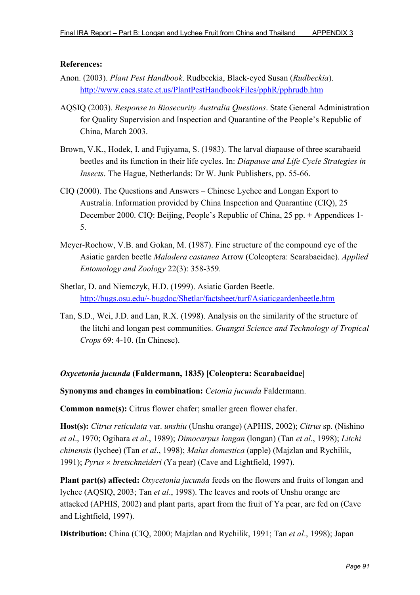#### **References:**

- Anon. (2003). *Plant Pest Handbook*. Rudbeckia, Black-eyed Susan (*Rudbeckia*). http://www.caes.state.ct.us/PlantPestHandbookFiles/pphR/pphrudb.htm
- AQSIQ (2003). *Response to Biosecurity Australia Questions*. State General Administration for Quality Supervision and Inspection and Quarantine of the People's Republic of China, March 2003.
- Brown, V.K., Hodek, I. and Fujiyama, S. (1983). The larval diapause of three scarabaeid beetles and its function in their life cycles. In: *Diapause and Life Cycle Strategies in Insects*. The Hague, Netherlands: Dr W. Junk Publishers, pp. 55-66.
- CIQ (2000). The Questions and Answers Chinese Lychee and Longan Export to Australia. Information provided by China Inspection and Quarantine (CIQ), 25 December 2000. CIQ: Beijing, People's Republic of China, 25 pp. + Appendices 1- 5.
- Meyer-Rochow, V.B. and Gokan, M. (1987). Fine structure of the compound eye of the Asiatic garden beetle *Maladera castanea* Arrow (Coleoptera: Scarabaeidae). *Applied Entomology and Zoology* 22(3): 358-359.
- Shetlar, D. and Niemczyk, H.D. (1999). Asiatic Garden Beetle. http://bugs.osu.edu/~bugdoc/Shetlar/factsheet/turf/Asiaticgardenbeetle.htm
- Tan, S.D., Wei, J.D. and Lan, R.X. (1998). Analysis on the similarity of the structure of the litchi and longan pest communities. *Guangxi Science and Technology of Tropical Crops* 69: 4-10. (In Chinese).

### *Oxycetonia jucunda* **(Faldermann, 1835) [Coleoptera: Scarabaeidae]**

**Synonyms and changes in combination:** *Cetonia jucunda* Faldermann.

**Common name(s):** Citrus flower chafer; smaller green flower chafer.

**Host(s):** *Citrus reticulata* var. *unshiu* (Unshu orange) (APHIS, 2002); *Citrus* sp. (Nishino *et al*., 1970; Ogihara *et al*., 1989); *Dimocarpus longan* (longan) (Tan *et al*., 1998); *Litchi chinensis* (lychee) (Tan *et al*., 1998); *Malus domestica* (apple) (Majzlan and Rychilik, 1991); *Pyrus* × *bretschneideri* (Ya pear) (Cave and Lightfield, 1997).

**Plant part(s) affected:** *Oxycetonia jucunda* feeds on the flowers and fruits of longan and lychee (AQSIQ, 2003; Tan *et al*., 1998). The leaves and roots of Unshu orange are attacked (APHIS, 2002) and plant parts, apart from the fruit of Ya pear, are fed on (Cave and Lightfield, 1997).

**Distribution:** China (CIQ, 2000; Majzlan and Rychilik, 1991; Tan *et al*., 1998); Japan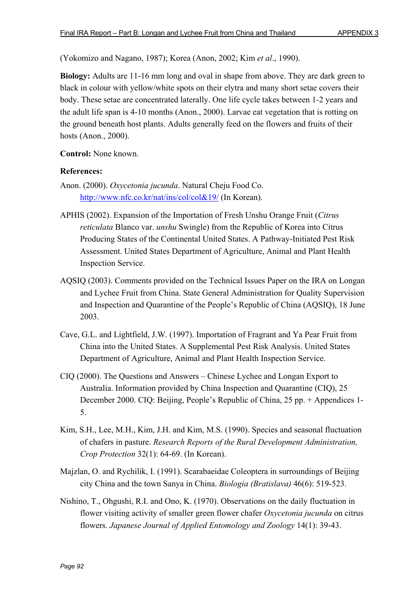(Yokomizo and Nagano, 1987); Korea (Anon, 2002; Kim *et al*., 1990).

**Biology:** Adults are 11-16 mm long and oval in shape from above. They are dark green to black in colour with yellow/white spots on their elytra and many short setae covers their body. These setae are concentrated laterally. One life cycle takes between 1-2 years and the adult life span is 4-10 months (Anon., 2000). Larvae eat vegetation that is rotting on the ground beneath host plants. Adults generally feed on the flowers and fruits of their hosts (Anon., 2000).

**Control:** None known.

- Anon. (2000). *Oxycetonia jucunda*. Natural Cheju Food Co. http://www.nfc.co.kr/nat/ins/col/col&19/ (In Korean).
- APHIS (2002). Expansion of the Importation of Fresh Unshu Orange Fruit (*Citrus reticulata* Blanco var. *unshu* Swingle) from the Republic of Korea into Citrus Producing States of the Continental United States. A Pathway-Initiated Pest Risk Assessment. United States Department of Agriculture, Animal and Plant Health Inspection Service.
- AQSIQ (2003). Comments provided on the Technical Issues Paper on the IRA on Longan and Lychee Fruit from China. State General Administration for Quality Supervision and Inspection and Quarantine of the People's Republic of China (AQSIQ), 18 June 2003.
- Cave, G.L. and Lightfield, J.W. (1997). Importation of Fragrant and Ya Pear Fruit from China into the United States. A Supplemental Pest Risk Analysis. United States Department of Agriculture, Animal and Plant Health Inspection Service.
- CIQ (2000). The Questions and Answers Chinese Lychee and Longan Export to Australia. Information provided by China Inspection and Quarantine (CIQ), 25 December 2000. CIQ: Beijing, People's Republic of China, 25 pp. + Appendices 1- 5.
- Kim, S.H., Lee, M.H., Kim, J.H. and Kim, M.S. (1990). Species and seasonal fluctuation of chafers in pasture. *Research Reports of the Rural Development Administration, Crop Protection* 32(1): 64-69. (In Korean).
- Majzlan, O. and Rychilik, I. (1991). Scarabaeidae Coleoptera in surroundings of Beijing city China and the town Sanya in China. *Biologia (Bratislava)* 46(6): 519-523.
- Nishino, T., Ohgushi, R.I. and Ono, K. (1970). Observations on the daily fluctuation in flower visiting activity of smaller green flower chafer *Oxycetonia jucunda* on citrus flowers. *Japanese Journal of Applied Entomology and Zoology* 14(1): 39-43.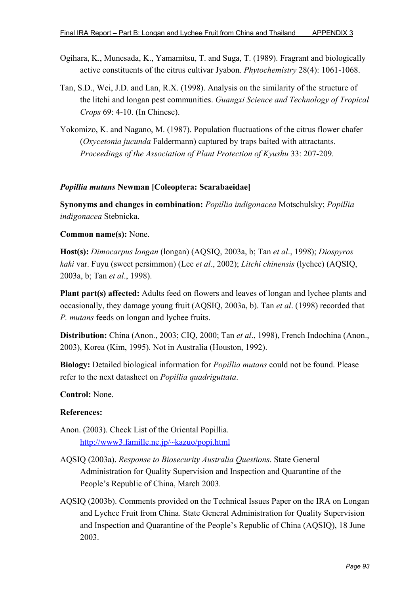- Ogihara, K., Munesada, K., Yamamitsu, T. and Suga, T. (1989). Fragrant and biologically active constituents of the citrus cultivar Jyabon. *Phytochemistry* 28(4): 1061-1068.
- Tan, S.D., Wei, J.D. and Lan, R.X. (1998). Analysis on the similarity of the structure of the litchi and longan pest communities. *Guangxi Science and Technology of Tropical Crops* 69: 4-10. (In Chinese).
- Yokomizo, K. and Nagano, M. (1987). Population fluctuations of the citrus flower chafer (*Oxycetonia jucunda* Faldermann) captured by traps baited with attractants. *Proceedings of the Association of Plant Protection of Kyushu* 33: 207-209.

### *Popillia mutans* **Newman [Coleoptera: Scarabaeidae]**

**Synonyms and changes in combination:** *Popillia indigonacea* Motschulsky; *Popillia indigonacea* Stebnicka.

**Common name(s):** None.

**Host(s):** *Dimocarpus longan* (longan) (AQSIQ, 2003a, b; Tan *et al*., 1998); *Diospyros kaki* var. Fuyu (sweet persimmon) (Lee *et al*., 2002); *Litchi chinensis* (lychee) (AQSIQ, 2003a, b; Tan *et al*., 1998).

**Plant part(s) affected:** Adults feed on flowers and leaves of longan and lychee plants and occasionally, they damage young fruit (AQSIQ, 2003a, b). Tan *et al*. (1998) recorded that *P. mutans* feeds on longan and lychee fruits.

**Distribution:** China (Anon., 2003; CIQ, 2000; Tan *et al*., 1998), French Indochina (Anon., 2003), Korea (Kim, 1995). Not in Australia (Houston, 1992).

**Biology:** Detailed biological information for *Popillia mutans* could not be found. Please refer to the next datasheet on *Popillia quadriguttata*.

### **Control:** None.

- Anon. (2003). Check List of the Oriental Popillia. http://www3.famille.ne.jp/~kazuo/popi.html
- AQSIQ (2003a). *Response to Biosecurity Australia Questions*. State General Administration for Quality Supervision and Inspection and Quarantine of the People's Republic of China, March 2003.
- AQSIQ (2003b). Comments provided on the Technical Issues Paper on the IRA on Longan and Lychee Fruit from China. State General Administration for Quality Supervision and Inspection and Quarantine of the People's Republic of China (AQSIQ), 18 June 2003.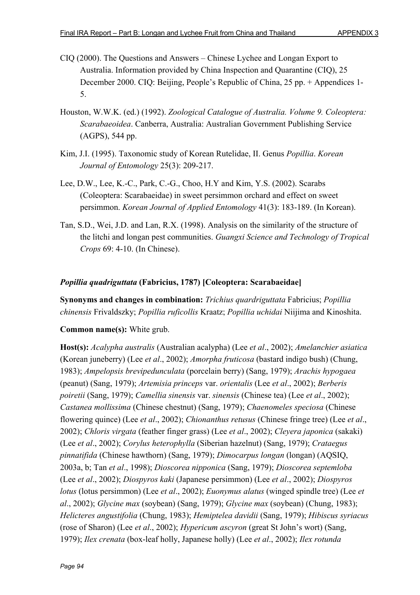- CIQ (2000). The Questions and Answers Chinese Lychee and Longan Export to Australia. Information provided by China Inspection and Quarantine (CIQ), 25 December 2000. CIQ: Beijing, People's Republic of China, 25 pp. + Appendices 1- 5.
- Houston, W.W.K. (ed.) (1992). *Zoological Catalogue of Australia. Volume 9. Coleoptera: Scarabaeoidea*. Canberra, Australia: Australian Government Publishing Service (AGPS), 544 pp.
- Kim, J.I. (1995). Taxonomic study of Korean Rutelidae, II. Genus *Popillia*. *Korean Journal of Entomology* 25(3): 209-217.
- Lee, D.W., Lee, K.-C., Park, C.-G., Choo, H.Y and Kim, Y.S. (2002). Scarabs (Coleoptera: Scarabaeidae) in sweet persimmon orchard and effect on sweet persimmon. *Korean Journal of Applied Entomology* 41(3): 183-189. (In Korean).
- Tan, S.D., Wei, J.D. and Lan, R.X. (1998). Analysis on the similarity of the structure of the litchi and longan pest communities. *Guangxi Science and Technology of Tropical Crops* 69: 4-10. (In Chinese).

### *Popillia quadriguttata* **(Fabricius, 1787) [Coleoptera: Scarabaeidae]**

**Synonyms and changes in combination:** *Trichius quardriguttata* Fabricius; *Popillia chinensis* Frivaldszky; *Popillia ruficollis* Kraatz; *Popillia uchidai* Niijima and Kinoshita.

### **Common name(s):** White grub.

**Host(s):** *Acalypha australis* (Australian acalypha) (Lee *et al*., 2002); *Amelanchier asiatica* (Korean juneberry) (Lee *et al*., 2002); *Amorpha fruticosa* (bastard indigo bush) (Chung, 1983); *Ampelopsis brevipedunculata* (porcelain berry) (Sang, 1979); *Arachis hypogaea* (peanut) (Sang, 1979); *Artemisia princeps* var. *orientalis* (Lee *et al*., 2002); *Berberis poiretii* (Sang, 1979); *Camellia sinensis* var. *sinensis* (Chinese tea) (Lee *et al*., 2002); *Castanea mollissima* (Chinese chestnut) (Sang, 1979); *Chaenomeles speciosa* (Chinese flowering quince) (Lee *et al*., 2002); *Chionanthus retusus* (Chinese fringe tree) (Lee *et al*., 2002); *Chloris virgata* (feather finger grass) (Lee *et al*., 2002); *Cleyera japonica* (sakaki) (Lee *et al*., 2002); *Corylus heterophylla* (Siberian hazelnut) (Sang, 1979); *Crataegus pinnatifida* (Chinese hawthorn) (Sang, 1979); *Dimocarpus longan* (longan) (AQSIQ, 2003a, b; Tan *et al*., 1998); *Dioscorea nipponica* (Sang, 1979); *Dioscorea septemloba* (Lee *et al*., 2002); *Diospyros kaki* (Japanese persimmon) (Lee *et al*., 2002); *Diospyros lotus* (lotus persimmon) (Lee *et al*., 2002); *Euonymus alatus* (winged spindle tree) (Lee *et al*., 2002); *Glycine max* (soybean) (Sang, 1979); *Glycine max* (soybean) (Chung, 1983); *Helicteres angustifolia* (Chung, 1983); *Hemiptelea davidii* (Sang, 1979); *Hibiscus syriacus* (rose of Sharon) (Lee *et al*., 2002); *Hypericum ascyron* (great St John's wort) (Sang, 1979); *Ilex crenata* (box-leaf holly, Japanese holly) (Lee *et al*., 2002); *Ilex rotunda*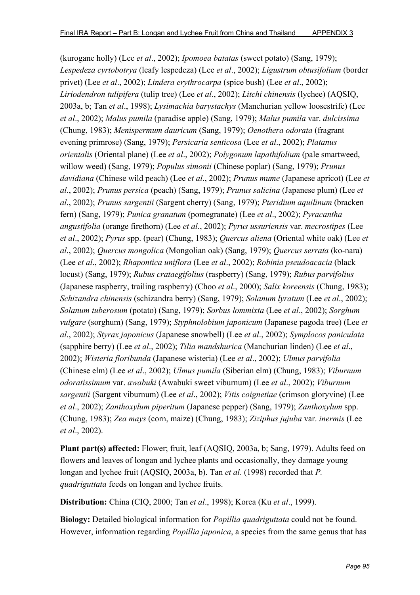(kurogane holly) (Lee *et al*., 2002); *Ipomoea batatas* (sweet potato) (Sang, 1979); *Lespedeza cyrtobotrya* (leafy lespedeza) (Lee *et al*., 2002); *Ligustrum obtusifolium* (border privet) (Lee *et al*., 2002); *Lindera erythrocarpa* (spice bush) (Lee *et al*., 2002); *Liriodendron tulipifera* (tulip tree) (Lee *et al*., 2002); *Litchi chinensis* (lychee) (AQSIQ, 2003a, b; Tan *et al*., 1998); *Lysimachia barystachys* (Manchurian yellow loosestrife) (Lee *et al*., 2002); *Malus pumila* (paradise apple) (Sang, 1979); *Malus pumila* var. *dulcissima* (Chung, 1983); *Menispermum dauricum* (Sang, 1979); *Oenothera odorata* (fragrant evening primrose) (Sang, 1979); *Persicaria senticosa* (Lee *et al*., 2002); *Platanus orientalis* (Oriental plane) (Lee *et al*., 2002); *Polygonum lapathifolium* (pale smartweed, willow weed) (Sang, 1979); *Populus simonii* (Chinese poplar) (Sang, 1979); *Prunus davidiana* (Chinese wild peach) (Lee *et al*., 2002); *Prunus mume* (Japanese apricot) (Lee *et al*., 2002); *Prunus persica* (peach) (Sang, 1979); *Prunus salicina* (Japanese plum) (Lee *et al*., 2002); *Prunus sargentii* (Sargent cherry) (Sang, 1979); *Pteridium aquilinum* (bracken fern) (Sang, 1979); *Punica granatum* (pomegranate) (Lee *et al*., 2002); *Pyracantha angustifolia* (orange firethorn) (Lee *et al*., 2002); *Pyrus ussuriensis* var. *mecrostipes* (Lee *et al*., 2002); *Pyrus* spp. (pear) (Chung, 1983); *Quercus aliena* (Oriental white oak) (Lee *et al*., 2002); *Quercus mongolica* (Mongolian oak) (Sang, 1979); *Quercus serrata* (ko-nara) (Lee *et al*., 2002); *Rhapontica uniflora* (Lee *et al*., 2002); *Robinia pseudoacacia* (black locust) (Sang, 1979); *Rubus crataegifolius* (raspberry) (Sang, 1979); *Rubus parvifolius* (Japanese raspberry, trailing raspberry) (Choo *et al*., 2000); *Salix koreensis* (Chung, 1983); *Schizandra chinensis* (schizandra berry) (Sang, 1979); *Solanum lyratum* (Lee *et al*., 2002); *Solanum tuberosum* (potato) (Sang, 1979); *Sorbus lommixta* (Lee *et al*., 2002); *Sorghum vulgare* (sorghum) (Sang, 1979); *Styphnolobium japonicum* (Japanese pagoda tree) (Lee *et al*., 2002); *Styrax japonicus* (Japanese snowbell) (Lee *et al*., 2002); *Symplocos paniculata* (sapphire berry) (Lee *et al*., 2002); *Tilia mandshurica* (Manchurian linden) (Lee *et al*., 2002); *Wisteria floribunda* (Japanese wisteria) (Lee *et al*., 2002); *Ulmus parvifolia* (Chinese elm) (Lee *et al*., 2002); *Ulmus pumila* (Siberian elm) (Chung, 1983); *Viburnum odoratissimum* var. *awabuki* (Awabuki sweet viburnum) (Lee *et al*., 2002); *Viburnum sargentii* (Sargent viburnum) (Lee *et al*., 2002); *Vitis coignetiae* (crimson gloryvine) (Lee *et al*., 2002); *Zanthoxylum piperitum* (Japanese pepper) (Sang, 1979); *Zanthoxylum* spp. (Chung, 1983); *Zea mays* (corn, maize) (Chung, 1983); *Ziziphus jujuba* var. *inermis* (Lee *et al*., 2002).

**Plant part(s) affected:** Flower; fruit, leaf (AQSIQ, 2003a, b; Sang, 1979). Adults feed on flowers and leaves of longan and lychee plants and occasionally, they damage young longan and lychee fruit (AQSIQ, 2003a, b). Tan *et al*. (1998) recorded that *P. quadriguttata* feeds on longan and lychee fruits.

**Distribution:** China (CIQ, 2000; Tan *et al*., 1998); Korea (Ku *et al*., 1999).

**Biology:** Detailed biological information for *Popillia quadriguttata* could not be found. However, information regarding *Popillia japonica*, a species from the same genus that has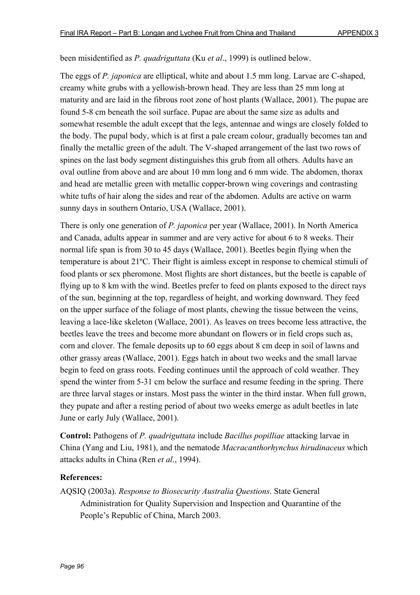### been misidentified as *P. quadriguttata* (Ku *et al*., 1999) is outlined below.

The eggs of *P. japonica* are elliptical, white and about 1.5 mm long. Larvae are C-shaped, creamy white grubs with a yellowish-brown head. They are less than 25 mm long at maturity and are laid in the fibrous root zone of host plants (Wallace, 2001). The pupae are found 5-8 cm beneath the soil surface. Pupae are about the same size as adults and somewhat resemble the adult except that the legs, antennae and wings are closely folded to the body. The pupal body, which is at first a pale cream colour, gradually becomes tan and finally the metallic green of the adult. The V-shaped arrangement of the last two rows of spines on the last body segment distinguishes this grub from all others. Adults have an oval outline from above and are about 10 mm long and 6 mm wide. The abdomen, thorax and head are metallic green with metallic copper-brown wing coverings and contrasting white tufts of hair along the sides and rear of the abdomen. Adults are active on warm sunny days in southern Ontario, USA (Wallace, 2001).

There is only one generation of *P. japonica* per year (Wallace, 2001). In North America and Canada, adults appear in summer and are very active for about 6 to 8 weeks. Their normal life span is from 30 to 45 days (Wallace, 2001). Beetles begin flying when the temperature is about 21ºC. Their flight is aimless except in response to chemical stimuli of food plants or sex pheromone. Most flights are short distances, but the beetle is capable of flying up to 8 km with the wind. Beetles prefer to feed on plants exposed to the direct rays of the sun, beginning at the top, regardless of height, and working downward. They feed on the upper surface of the foliage of most plants, chewing the tissue between the veins, leaving a lace-like skeleton (Wallace, 2001). As leaves on trees become less attractive, the beetles leave the trees and become more abundant on flowers or in field crops such as, corn and clover. The female deposits up to 60 eggs about 8 cm deep in soil of lawns and other grassy areas (Wallace, 2001). Eggs hatch in about two weeks and the small larvae begin to feed on grass roots. Feeding continues until the approach of cold weather. They spend the winter from 5-31 cm below the surface and resume feeding in the spring. There are three larval stages or instars. Most pass the winter in the third instar. When full grown, they pupate and after a resting period of about two weeks emerge as adult beetles in late June or early July (Wallace, 2001).

**Control:** Pathogens of *P. quadriguttata* include *Bacillus popilliae* attacking larvae in China (Yang and Liu, 1981), and the nematode *Macracanthorhynchus hirudinaceus* which attacks adults in China (Ren *et al*., 1994).

# **References:**

AQSIQ (2003a). *Response to Biosecurity Australia Questions*. State General Administration for Quality Supervision and Inspection and Quarantine of the People's Republic of China, March 2003.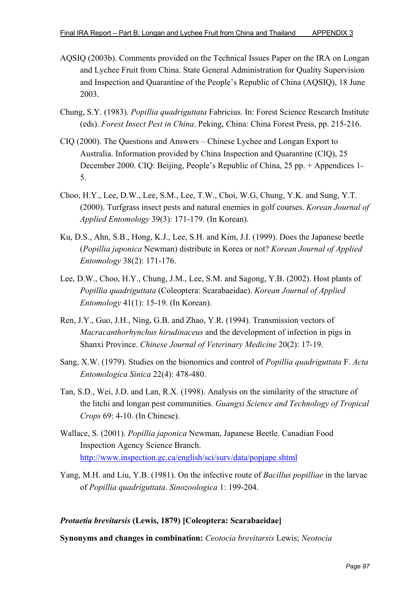- AQSIQ (2003b). Comments provided on the Technical Issues Paper on the IRA on Longan and Lychee Fruit from China. State General Administration for Quality Supervision and Inspection and Quarantine of the People's Republic of China (AQSIQ), 18 June 2003.
- Chung, S.Y. (1983). *Popillia quadriguttata* Fabricius. In: Forest Science Research Institute (eds). *Forest Insect Pest in China*. Peking, China: China Forest Press, pp. 215-216.
- CIQ (2000). The Questions and Answers Chinese Lychee and Longan Export to Australia. Information provided by China Inspection and Quarantine (CIQ), 25 December 2000. CIQ: Beijing, People's Republic of China, 25 pp. + Appendices 1- 5.
- Choo, H.Y., Lee, D.W., Lee, S.M., Lee, T.W., Choi, W.G, Chung, Y.K. and Sung, Y.T. (2000). Turfgrass insect pests and natural enemies in golf courses. *Korean Journal of Applied Entomology* 39(3): 171-179. (In Korean).
- Ku, D.S., Ahn, S.B., Hong, K.J., Lee, S.H. and Kim, J.I. (1999). Does the Japanese beetle (*Popillia japonica* Newman) distribute in Korea or not? *Korean Journal of Applied Entomology* 38(2): 171-176.
- Lee, D.W., Choo, H.Y., Chung, J.M., Lee, S.M. and Sagong, Y.B. (2002). Host plants of *Popillia quadriguttata* (Coleoptera: Scarabaeidae). *Korean Journal of Applied Entomology* 41(1): 15-19. (In Korean).
- Ren, J.Y., Guo, J.H., Ning, G.B. and Zhao, Y.R. (1994). Transmission vectors of *Macracanthorhynchus hirudinaceus* and the development of infection in pigs in Shanxi Province. *Chinese Journal of Veterinary Medicine* 20(2): 17-19.
- Sang, X.W. (1979). Studies on the bionomics and control of *Popillia quadriguttata* F. *Acta Entomologica Sinica* 22(4): 478-480.
- Tan, S.D., Wei, J.D. and Lan, R.X. (1998). Analysis on the similarity of the structure of the litchi and longan pest communities. *Guangxi Science and Technology of Tropical Crops* 69: 4-10. (In Chinese).
- Wallace, S. (2001). *Popillia japonica* Newman, Japanese Beetle. Canadian Food Inspection Agency Science Branch. http://www.inspection.gc.ca/english/sci/surv/data/popjape.shtml
- Yang, M.H. and Liu, Y.B. (1981). On the infective route of *Bacillus popilliae* in the larvae of *Popillia quadriguttata*. *Sinozoologica* 1: 199-204.

### *Protaetia brevitarsis* **(Lewis, 1879) [Coleoptera: Scarabaeidae]**

**Synonyms and changes in combination:** *Ceotocia brevitarsis* Lewis; *Neotocia*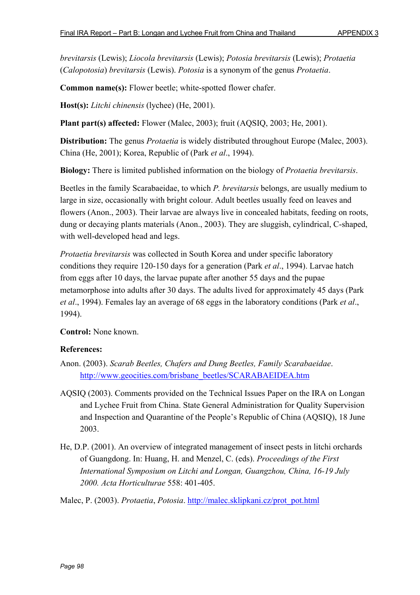*brevitarsis* (Lewis); *Liocola brevitarsis* (Lewis); *Potosia brevitarsis* (Lewis); *Protaetia* (*Calopotosia*) *brevitarsis* (Lewis). *Potosia* is a synonym of the genus *Protaetia*.

**Common name(s):** Flower beetle; white-spotted flower chafer.

**Host(s):** *Litchi chinensis* (lychee) (He, 2001).

**Plant part(s) affected:** Flower (Malec, 2003); fruit (AQSIQ, 2003; He, 2001).

**Distribution:** The genus *Protaetia* is widely distributed throughout Europe (Malec, 2003). China (He, 2001); Korea, Republic of (Park *et al*., 1994).

**Biology:** There is limited published information on the biology of *Protaetia brevitarsis*.

Beetles in the family Scarabaeidae, to which *P. brevitarsis* belongs, are usually medium to large in size, occasionally with bright colour. Adult beetles usually feed on leaves and flowers (Anon., 2003). Their larvae are always live in concealed habitats, feeding on roots, dung or decaying plants materials (Anon., 2003). They are sluggish, cylindrical, C-shaped, with well-developed head and legs.

*Protaetia brevitarsis* was collected in South Korea and under specific laboratory conditions they require 120-150 days for a generation (Park *et al*., 1994). Larvae hatch from eggs after 10 days, the larvae pupate after another 55 days and the pupae metamorphose into adults after 30 days. The adults lived for approximately 45 days (Park *et al*., 1994). Females lay an average of 68 eggs in the laboratory conditions (Park *et al*., 1994).

**Control:** None known.

- Anon. (2003). *Scarab Beetles, Chafers and Dung Beetles, Family Scarabaeidae*. http://www.geocities.com/brisbane\_beetles/SCARABAEIDEA.htm
- AQSIQ (2003). Comments provided on the Technical Issues Paper on the IRA on Longan and Lychee Fruit from China. State General Administration for Quality Supervision and Inspection and Quarantine of the People's Republic of China (AQSIQ), 18 June 2003.
- He, D.P. (2001). An overview of integrated management of insect pests in litchi orchards of Guangdong. In: Huang, H. and Menzel, C. (eds). *Proceedings of the First International Symposium on Litchi and Longan, Guangzhou, China, 16-19 July 2000. Acta Horticulturae* 558: 401-405.
- Malec, P. (2003). *Protaetia*, *Potosia*. http://malec.sklipkani.cz/prot\_pot.html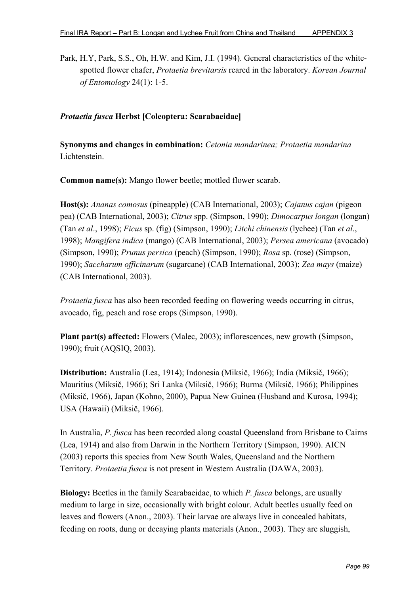Park, H.Y, Park, S.S., Oh, H.W. and Kim, J.I. (1994). General characteristics of the whitespotted flower chafer, *Protaetia brevitarsis* reared in the laboratory. *Korean Journal of Entomology* 24(1): 1-5.

## *Protaetia fusca* **Herbst [Coleoptera: Scarabaeidae]**

**Synonyms and changes in combination:** *Cetonia mandarinea; Protaetia mandarina* Lichtenstein.

**Common name(s):** Mango flower beetle; mottled flower scarab.

**Host(s):** *Ananas comosus* (pineapple) (CAB International, 2003); *Cajanus cajan* (pigeon pea) (CAB International, 2003); *Citrus* spp. (Simpson, 1990); *Dimocarpus longan* (longan) (Tan *et al*., 1998); *Ficus* sp. (fig) (Simpson, 1990); *Litchi chinensis* (lychee) (Tan *et al*., 1998); *Mangifera indica* (mango) (CAB International, 2003); *Persea americana* (avocado) (Simpson, 1990); *Prunus persica* (peach) (Simpson, 1990); *Rosa* sp. (rose) (Simpson, 1990); *Saccharum officinarum* (sugarcane) (CAB International, 2003); *Zea mays* (maize) (CAB International, 2003).

*Protaetia fusca* has also been recorded feeding on flowering weeds occurring in citrus, avocado, fig, peach and rose crops (Simpson, 1990).

**Plant part(s) affected:** Flowers (Malec, 2003); inflorescences, new growth (Simpson, 1990); fruit (AQSIQ, 2003).

**Distribution:** Australia (Lea, 1914); Indonesia (Miksič, 1966); India (Miksič, 1966); Mauritius (Miksič, 1966); Sri Lanka (Miksič, 1966); Burma (Miksič, 1966); Philippines (Miksič, 1966), Japan (Kohno, 2000), Papua New Guinea (Husband and Kurosa, 1994); USA (Hawaii) (Miksič, 1966).

In Australia, *P. fusca* has been recorded along coastal Queensland from Brisbane to Cairns (Lea, 1914) and also from Darwin in the Northern Territory (Simpson, 1990). AICN (2003) reports this species from New South Wales, Queensland and the Northern Territory. *Protaetia fusca* is not present in Western Australia (DAWA, 2003).

**Biology:** Beetles in the family Scarabaeidae, to which *P. fusca* belongs, are usually medium to large in size, occasionally with bright colour. Adult beetles usually feed on leaves and flowers (Anon., 2003). Their larvae are always live in concealed habitats, feeding on roots, dung or decaying plants materials (Anon., 2003). They are sluggish,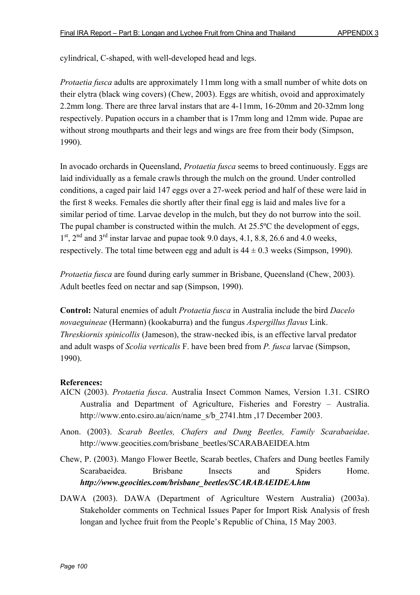cylindrical, C-shaped, with well-developed head and legs.

*Protaetia fusca* adults are approximately 11mm long with a small number of white dots on their elytra (black wing covers) (Chew, 2003). Eggs are whitish, ovoid and approximately 2.2mm long. There are three larval instars that are 4-11mm, 16-20mm and 20-32mm long respectively. Pupation occurs in a chamber that is 17mm long and 12mm wide. Pupae are without strong mouthparts and their legs and wings are free from their body (Simpson, 1990).

In avocado orchards in Queensland, *Protaetia fusca* seems to breed continuously. Eggs are laid individually as a female crawls through the mulch on the ground. Under controlled conditions, a caged pair laid 147 eggs over a 27-week period and half of these were laid in the first 8 weeks. Females die shortly after their final egg is laid and males live for a similar period of time. Larvae develop in the mulch, but they do not burrow into the soil. The pupal chamber is constructed within the mulch. At 25.5ºC the development of eggs,  $1<sup>st</sup>$ ,  $2<sup>nd</sup>$  and  $3<sup>rd</sup>$  instar larvae and pupae took 9.0 days, 4.1, 8.8, 26.6 and 4.0 weeks, respectively. The total time between egg and adult is  $44 \pm 0.3$  weeks (Simpson, 1990).

*Protaetia fusca* are found during early summer in Brisbane, Queensland (Chew, 2003). Adult beetles feed on nectar and sap (Simpson, 1990).

**Control:** Natural enemies of adult *Protaetia fusca* in Australia include the bird *Dacelo novaeguineae* (Hermann) (kookaburra) and the fungus *Aspergillus flavus* Link. *Threskiornis spinicollis* (Jameson), the straw-necked ibis, is an effective larval predator and adult wasps of *Scolia verticalis* F. have been bred from *P. fusca* larvae (Simpson, 1990).

- AICN (2003). *Protaetia fusca*. Australia Insect Common Names, Version 1.31. CSIRO Australia and Department of Agriculture, Fisheries and Forestry – Australia. http://www.ento.csiro.au/aicn/name\_s/b\_2741.htm ,17 December 2003.
- Anon. (2003). *Scarab Beetles, Chafers and Dung Beetles, Family Scarabaeidae*. http://www.geocities.com/brisbane\_beetles/SCARABAEIDEA.htm
- Chew, P. (2003). Mango Flower Beetle, Scarab beetles, Chafers and Dung beetles Family Scarabaeidea. Brisbane Insects and Spiders Home. *http://www.geocities.com/brisbane\_beetles/SCARABAEIDEA.htm*
- DAWA (2003). DAWA (Department of Agriculture Western Australia) (2003a). Stakeholder comments on Technical Issues Paper for Import Risk Analysis of fresh longan and lychee fruit from the People's Republic of China, 15 May 2003.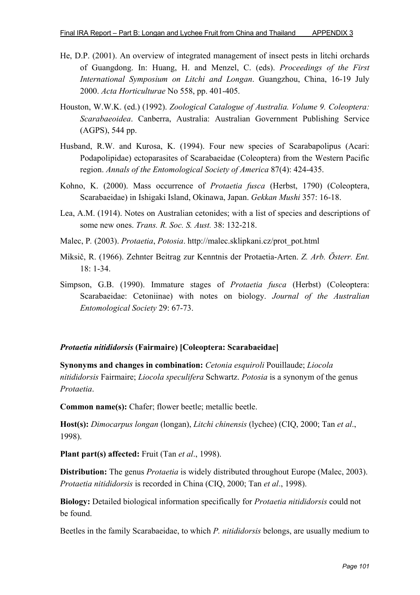- He, D.P. (2001). An overview of integrated management of insect pests in litchi orchards of Guangdong. In: Huang, H. and Menzel, C. (eds). *Proceedings of the First International Symposium on Litchi and Longan*. Guangzhou, China, 16-19 July 2000. *Acta Horticulturae* No 558, pp. 401-405.
- Houston, W.W.K. (ed.) (1992). *Zoological Catalogue of Australia. Volume 9. Coleoptera: Scarabaeoidea*. Canberra, Australia: Australian Government Publishing Service (AGPS), 544 pp.
- Husband, R.W. and Kurosa, K. (1994). Four new species of Scarabapolipus (Acari: Podapolipidae) ectoparasites of Scarabaeidae (Coleoptera) from the Western Pacific region. *Annals of the Entomological Society of America* 87(4): 424-435.
- Kohno, K. (2000). Mass occurrence of *Protaetia fusca* (Herbst, 1790) (Coleoptera, Scarabaeidae) in Ishigaki Island, Okinawa, Japan. *Gekkan Mushi* 357: 16-18.
- Lea, A.M. (1914). Notes on Australian cetonides; with a list of species and descriptions of some new ones. *Trans. R. Soc. S. Aust.* 38: 132-218.
- Malec, P*.* (2003). *Protaetia*, *Potosia*. http://malec.sklipkani.cz/prot\_pot.html
- Miksič, R. (1966). Zehnter Beitrag zur Kenntnis der Protaetia-Arten. *Z. Arb. Österr. Ent.* 18: 1-34.
- Simpson, G.B. (1990). Immature stages of *Protaetia fusca* (Herbst) (Coleoptera: Scarabaeidae: Cetoniinae) with notes on biology. *Journal of the Australian Entomological Society* 29: 67-73.

### *Protaetia nitididorsis* **(Fairmaire) [Coleoptera: Scarabaeidae]**

**Synonyms and changes in combination:** *Cetonia esquiroli* Pouillaude; *Liocola nitididorsis* Fairmaire; *Liocola speculifera* Schwartz. *Potosia* is a synonym of the genus *Protaetia*.

**Common name(s):** Chafer; flower beetle; metallic beetle.

**Host(s):** *Dimocarpus longan* (longan), *Litchi chinensis* (lychee) (CIQ, 2000; Tan *et al*., 1998).

**Plant part(s) affected:** Fruit (Tan *et al*., 1998).

**Distribution:** The genus *Protaetia* is widely distributed throughout Europe (Malec, 2003). *Protaetia nitididorsis* is recorded in China (CIQ, 2000; Tan *et al*., 1998).

**Biology:** Detailed biological information specifically for *Protaetia nitididorsis* could not be found.

Beetles in the family Scarabaeidae, to which *P. nitididorsis* belongs, are usually medium to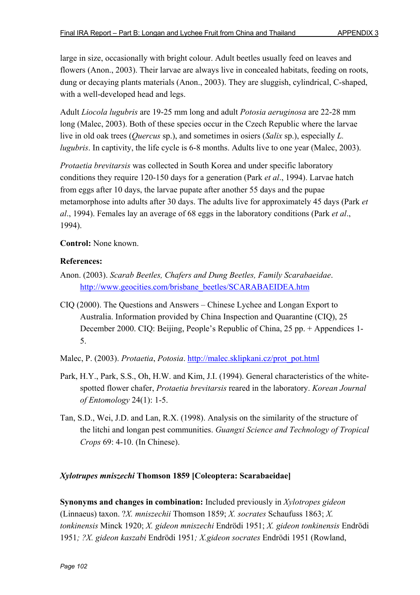large in size, occasionally with bright colour. Adult beetles usually feed on leaves and flowers (Anon., 2003). Their larvae are always live in concealed habitats, feeding on roots, dung or decaying plants materials (Anon., 2003). They are sluggish, cylindrical, C-shaped, with a well-developed head and legs.

Adult *Liocola lugubris* are 19-25 mm long and adult *Potosia aeruginosa* are 22-28 mm long (Malec, 2003). Both of these species occur in the Czech Republic where the larvae live in old oak trees (*Quercus* sp.), and sometimes in osiers (*Salix* sp.), especially *L. lugubris*. In captivity, the life cycle is 6-8 months. Adults live to one year (Malec, 2003).

*Protaetia brevitarsis* was collected in South Korea and under specific laboratory conditions they require 120-150 days for a generation (Park *et al*., 1994). Larvae hatch from eggs after 10 days, the larvae pupate after another 55 days and the pupae metamorphose into adults after 30 days. The adults live for approximately 45 days (Park *et al*., 1994). Females lay an average of 68 eggs in the laboratory conditions (Park *et al*., 1994).

**Control:** None known.

### **References:**

- Anon. (2003). *Scarab Beetles, Chafers and Dung Beetles, Family Scarabaeidae*. http://www.geocities.com/brisbane\_beetles/SCARABAEIDEA.htm
- CIQ (2000). The Questions and Answers Chinese Lychee and Longan Export to Australia. Information provided by China Inspection and Quarantine (CIQ), 25 December 2000. CIQ: Beijing, People's Republic of China, 25 pp. + Appendices 1- 5.
- Malec, P. (2003). *Protaetia*, *Potosia*. http://malec.sklipkani.cz/prot\_pot.html
- Park, H.Y., Park, S.S., Oh, H.W. and Kim, J.I. (1994). General characteristics of the whitespotted flower chafer, *Protaetia brevitarsis* reared in the laboratory. *Korean Journal of Entomology* 24(1): 1-5.
- Tan, S.D., Wei, J.D. and Lan, R.X. (1998). Analysis on the similarity of the structure of the litchi and longan pest communities. *Guangxi Science and Technology of Tropical Crops* 69: 4-10. (In Chinese).

### *Xylotrupes mniszechi* **Thomson 1859 [Coleoptera: Scarabaeidae]**

**Synonyms and changes in combination:** Included previously in *Xylotropes gideon* (Linnaeus) taxon. ?*X. mniszechii* Thomson 1859; *X. socrates* Schaufuss 1863; *X. tonkinensis* Minck 1920; *X. gideon mniszechi* Endrödi 1951; *X. gideon tonkinensis* Endrödi 1951*; ?X. gideon kaszabi* Endrödi 1951*; X.gideon socrates* Endrödi 1951 (Rowland,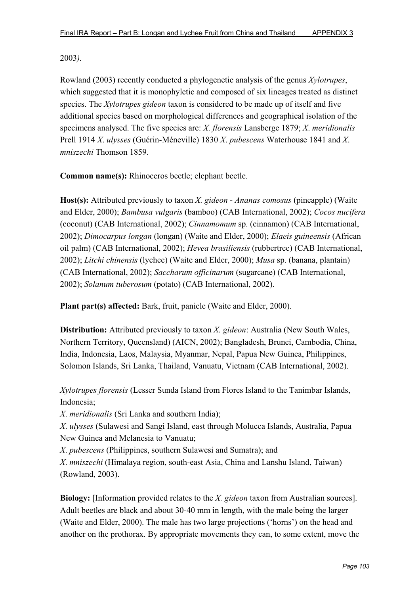### 2003*).*

Rowland (2003) recently conducted a phylogenetic analysis of the genus *Xylotrupes*, which suggested that it is monophyletic and composed of six lineages treated as distinct species. The *Xylotrupes gideon* taxon is considered to be made up of itself and five additional species based on morphological differences and geographical isolation of the specimens analysed. The five species are: *X. florensis* Lansberge 1879; *X*. *meridionalis* Prell 1914 *X*. *ulysses* (Guérin-Méneville) 1830 *X*. *pubescens* Waterhouse 1841 and *X*. *mniszechi* Thomson 1859.

**Common name(s):** Rhinoceros beetle; elephant beetle.

**Host(s):** Attributed previously to taxon *X. gideon* - *Ananas comosus* (pineapple) (Waite and Elder, 2000); *Bambusa vulgaris* (bamboo) (CAB International, 2002); *Cocos nucifera* (coconut) (CAB International, 2002); *Cinnamomum* sp. (cinnamon) (CAB International, 2002); *Dimocarpus longan* (longan) (Waite and Elder, 2000); *Elaeis guineensis* (African oil palm) (CAB International, 2002); *Hevea brasiliensis* (rubbertree) (CAB International, 2002); *Litchi chinensis* (lychee) (Waite and Elder, 2000); *Musa* sp. (banana, plantain) (CAB International, 2002); *Saccharum officinarum* (sugarcane) (CAB International, 2002); *Solanum tuberosum* (potato) (CAB International, 2002).

**Plant part(s) affected:** Bark, fruit, panicle (Waite and Elder, 2000).

**Distribution:** Attributed previously to taxon *X. gideon*: Australia (New South Wales, Northern Territory, Queensland) (AICN, 2002); Bangladesh, Brunei, Cambodia, China, India, Indonesia, Laos, Malaysia, Myanmar, Nepal, Papua New Guinea, Philippines, Solomon Islands, Sri Lanka, Thailand, Vanuatu, Vietnam (CAB International, 2002).

*Xylotrupes florensis* (Lesser Sunda Island from Flores Island to the Tanimbar Islands, Indonesia;

*X*. *meridionalis* (Sri Lanka and southern India);

*X*. *ulysses* (Sulawesi and Sangi Island, east through Molucca Islands, Australia, Papua New Guinea and Melanesia to Vanuatu;

*X*. *pubescens* (Philippines, southern Sulawesi and Sumatra); and

*X*. *mniszechi* (Himalaya region, south-east Asia, China and Lanshu Island, Taiwan) (Rowland, 2003).

**Biology:** [Information provided relates to the *X. gideon* taxon from Australian sources]. Adult beetles are black and about 30-40 mm in length, with the male being the larger (Waite and Elder, 2000). The male has two large projections ('horns') on the head and another on the prothorax. By appropriate movements they can, to some extent, move the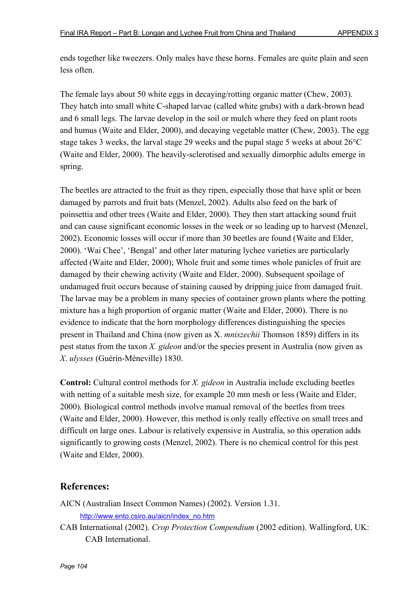ends together like tweezers. Only males have these horns. Females are quite plain and seen less often.

The female lays about 50 white eggs in decaying/rotting organic matter (Chew, 2003). They hatch into small white C-shaped larvae (called white grubs) with a dark-brown head and 6 small legs. The larvae develop in the soil or mulch where they feed on plant roots and humus (Waite and Elder, 2000), and decaying vegetable matter (Chew, 2003). The egg stage takes 3 weeks, the larval stage 29 weeks and the pupal stage 5 weeks at about 26°C (Waite and Elder, 2000). The heavily-sclerotised and sexually dimorphic adults emerge in spring.

The beetles are attracted to the fruit as they ripen, especially those that have split or been damaged by parrots and fruit bats (Menzel, 2002). Adults also feed on the bark of poinsettia and other trees (Waite and Elder, 2000). They then start attacking sound fruit and can cause significant economic losses in the week or so leading up to harvest (Menzel, 2002). Economic losses will occur if more than 30 beetles are found (Waite and Elder, 2000). 'Wai Chee', 'Bengal' and other later maturing lychee varieties are particularly affected (Waite and Elder, 2000); Whole fruit and some times whole panicles of fruit are damaged by their chewing activity (Waite and Elder, 2000). Subsequent spoilage of undamaged fruit occurs because of staining caused by dripping juice from damaged fruit. The larvae may be a problem in many species of container grown plants where the potting mixture has a high proportion of organic matter (Waite and Elder, 2000). There is no evidence to indicate that the horn morphology differences distinguishing the species present in Thailand and China (now given as X. *mniszechii* Thomson 1859) differs in its pest status from the taxon *X. gideon* and/or the species present in Australia (now given as *X*. *ulysses* (Guérin-Méneville) 1830.

**Control:** Cultural control methods for *X. gideon* in Australia include excluding beetles with netting of a suitable mesh size, for example 20 mm mesh or less (Waite and Elder, 2000). Biological control methods involve manual removal of the beetles from trees (Waite and Elder, 2000). However, this method is only really effective on small trees and difficult on large ones. Labour is relatively expensive in Australia, so this operation adds significantly to growing costs (Menzel, 2002). There is no chemical control for this pest (Waite and Elder, 2000).

# **References:**

AICN (Australian Insect Common Names) (2002). Version 1.31.

http://www.ento.csiro.au/aicn/index\_no.htm

CAB International (2002). *Crop Protection Compendium* (2002 edition). Wallingford, UK: CAB International.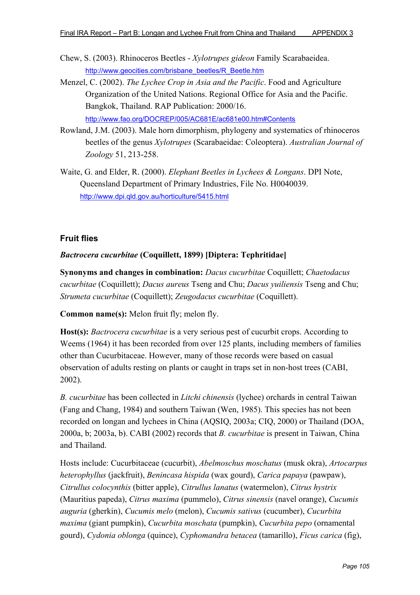- Chew, S. (2003). Rhinoceros Beetles *Xylotrupes gideon* Family Scarabaeidea. http://www.geocities.com/brisbane\_beetles/R\_Beetle.htm
- Menzel, C. (2002). *The Lychee Crop in Asia and the Pacific*. Food and Agriculture Organization of the United Nations. Regional Office for Asia and the Pacific. Bangkok, Thailand. RAP Publication: 2000/16. http://www.fao.org/DOCREP/005/AC681E/ac681e00.htm#Contents
- Rowland, J.M. (2003). Male horn dimorphism, phylogeny and systematics of rhinoceros beetles of the genus *Xylotrupes* (Scarabaeidae: Coleoptera). *Australian Journal of Zoology* 51, 213-258.
- Waite, G. and Elder, R. (2000). *Elephant Beetles in Lychees & Longans*. DPI Note, Queensland Department of Primary Industries, File No. H0040039. http://www.dpi.qld.gov.au/horticulture/5415.html

# **Fruit flies**

### *Bactrocera cucurbitae* **(Coquillett, 1899) [Diptera: Tephritidae]**

**Synonyms and changes in combination:** *Dacus cucurbitae* Coquillett; *Chaetodacus cucurbitae* (Coquillett); *Dacus aureus* Tseng and Chu; *Dacus yuiliensis* Tseng and Chu; *Strumeta cucurbitae* (Coquillett); *Zeugodacus cucurbitae* (Coquillett).

**Common name(s):** Melon fruit fly; melon fly.

**Host(s):** *Bactrocera cucurbitae* is a very serious pest of cucurbit crops. According to Weems (1964) it has been recorded from over 125 plants, including members of families other than Cucurbitaceae. However, many of those records were based on casual observation of adults resting on plants or caught in traps set in non-host trees (CABI, 2002).

*B. cucurbitae* has been collected in *Litchi chinensis* (lychee) orchards in central Taiwan (Fang and Chang, 1984) and southern Taiwan (Wen, 1985). This species has not been recorded on longan and lychees in China (AQSIQ, 2003a; CIQ, 2000) or Thailand (DOA, 2000a, b; 2003a, b). CABI (2002) records that *B. cucurbitae* is present in Taiwan, China and Thailand.

Hosts include: Cucurbitaceae (cucurbit), *Abelmoschus moschatus* (musk okra), *Artocarpus heterophyllus* (jackfruit), *Benincasa hispida* (wax gourd), *Carica papaya* (pawpaw), *Citrullus colocynthis* (bitter apple), *Citrullus lanatus* (watermelon), *Citrus hystrix* (Mauritius papeda), *Citrus maxima* (pummelo), *Citrus sinensis* (navel orange), *Cucumis auguria* (gherkin), *Cucumis melo* (melon), *Cucumis sativus* (cucumber), *Cucurbita maxima* (giant pumpkin), *Cucurbita moschata* (pumpkin), *Cucurbita pepo* (ornamental gourd), *Cydonia oblonga* (quince), *Cyphomandra betacea* (tamarillo), *Ficus carica* (fig),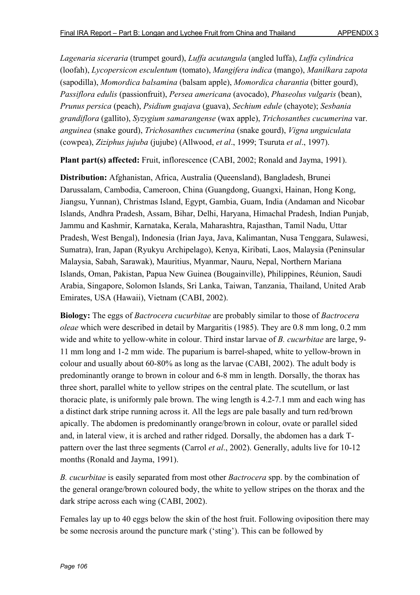*Lagenaria siceraria* (trumpet gourd), *Luffa acutangula* (angled luffa), *Luffa cylindrica* (loofah), *Lycopersicon esculentum* (tomato), *Mangifera indica* (mango), *Manilkara zapota* (sapodilla), *Momordica balsamina* (balsam apple), *Momordica charantia* (bitter gourd), *Passiflora edulis* (passionfruit), *Persea americana* (avocado), *Phaseolus vulgaris* (bean), *Prunus persica* (peach), *Psidium guajava* (guava), *Sechium edule* (chayote); *Sesbania grandiflora* (gallito), *Syzygium samarangense* (wax apple), *Trichosanthes cucumerina* var. *anguinea* (snake gourd), *Trichosanthes cucumerina* (snake gourd), *Vigna unguiculata* (cowpea), *Ziziphus jujuba* (jujube) (Allwood, *et al*., 1999; Tsuruta *et al*., 1997).

**Plant part(s) affected:** Fruit, inflorescence (CABI, 2002; Ronald and Jayma, 1991).

**Distribution:** Afghanistan, Africa, Australia (Queensland), Bangladesh, Brunei Darussalam, Cambodia, Cameroon, China (Guangdong, Guangxi, Hainan, Hong Kong, Jiangsu, Yunnan), Christmas Island, Egypt, Gambia, Guam, India (Andaman and Nicobar Islands, Andhra Pradesh, Assam, Bihar, Delhi, Haryana, Himachal Pradesh, Indian Punjab, Jammu and Kashmir, Karnataka, Kerala, Maharashtra, Rajasthan, Tamil Nadu, Uttar Pradesh, West Bengal), Indonesia (Irian Jaya, Java, Kalimantan, Nusa Tenggara, Sulawesi, Sumatra), Iran, Japan (Ryukyu Archipelago), Kenya, Kiribati, Laos, Malaysia (Peninsular Malaysia, Sabah, Sarawak), Mauritius, Myanmar, Nauru, Nepal, Northern Mariana Islands, Oman, Pakistan, Papua New Guinea (Bougainville), Philippines, Réunion, Saudi Arabia, Singapore, Solomon Islands, Sri Lanka, Taiwan, Tanzania, Thailand, United Arab Emirates, USA (Hawaii), Vietnam (CABI, 2002).

**Biology:** The eggs of *Bactrocera cucurbitae* are probably similar to those of *Bactrocera oleae* which were described in detail by Margaritis (1985). They are 0.8 mm long, 0.2 mm wide and white to yellow-white in colour. Third instar larvae of *B. cucurbitae* are large, 9- 11 mm long and 1-2 mm wide. The puparium is barrel-shaped, white to yellow-brown in colour and usually about 60-80% as long as the larvae (CABI, 2002). The adult body is predominantly orange to brown in colour and 6-8 mm in length. Dorsally, the thorax has three short, parallel white to yellow stripes on the central plate. The scutellum, or last thoracic plate, is uniformly pale brown. The wing length is 4.2-7.1 mm and each wing has a distinct dark stripe running across it. All the legs are pale basally and turn red/brown apically. The abdomen is predominantly orange/brown in colour, ovate or parallel sided and, in lateral view, it is arched and rather ridged. Dorsally, the abdomen has a dark Tpattern over the last three segments (Carrol *et al*., 2002). Generally, adults live for 10-12 months (Ronald and Jayma, 1991).

*B. cucurbitae* is easily separated from most other *Bactrocera* spp. by the combination of the general orange/brown coloured body, the white to yellow stripes on the thorax and the dark stripe across each wing (CABI, 2002).

Females lay up to 40 eggs below the skin of the host fruit. Following oviposition there may be some necrosis around the puncture mark ('sting'). This can be followed by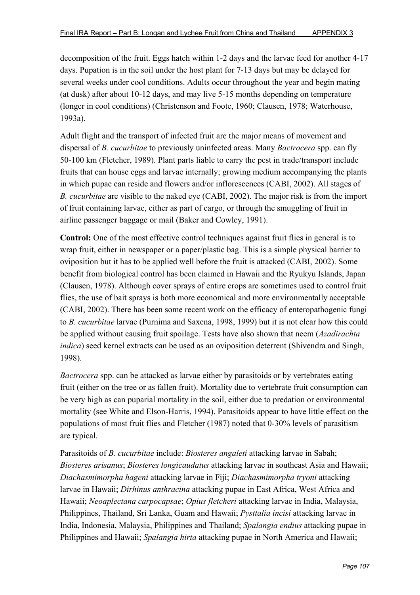decomposition of the fruit. Eggs hatch within 1-2 days and the larvae feed for another 4-17 days. Pupation is in the soil under the host plant for 7-13 days but may be delayed for several weeks under cool conditions. Adults occur throughout the year and begin mating (at dusk) after about 10-12 days, and may live 5-15 months depending on temperature (longer in cool conditions) (Christenson and Foote, 1960; Clausen, 1978; Waterhouse, 1993a).

Adult flight and the transport of infected fruit are the major means of movement and dispersal of *B. cucurbitae* to previously uninfected areas. Many *Bactrocera* spp. can fly 50-100 km (Fletcher, 1989). Plant parts liable to carry the pest in trade/transport include fruits that can house eggs and larvae internally; growing medium accompanying the plants in which pupae can reside and flowers and/or inflorescences (CABI, 2002). All stages of *B. cucurbitae* are visible to the naked eye (CABI, 2002). The major risk is from the import of fruit containing larvae, either as part of cargo, or through the smuggling of fruit in airline passenger baggage or mail (Baker and Cowley, 1991).

**Control:** One of the most effective control techniques against fruit flies in general is to wrap fruit, either in newspaper or a paper/plastic bag. This is a simple physical barrier to oviposition but it has to be applied well before the fruit is attacked (CABI, 2002). Some benefit from biological control has been claimed in Hawaii and the Ryukyu Islands, Japan (Clausen, 1978). Although cover sprays of entire crops are sometimes used to control fruit flies, the use of bait sprays is both more economical and more environmentally acceptable (CABI, 2002). There has been some recent work on the efficacy of enteropathogenic fungi to *B. cucurbitae* larvae (Purnima and Saxena, 1998, 1999) but it is not clear how this could be applied without causing fruit spoilage. Tests have also shown that neem (*Azadirachta indica*) seed kernel extracts can be used as an oviposition deterrent (Shivendra and Singh, 1998).

*Bactrocera* spp. can be attacked as larvae either by parasitoids or by vertebrates eating fruit (either on the tree or as fallen fruit). Mortality due to vertebrate fruit consumption can be very high as can puparial mortality in the soil, either due to predation or environmental mortality (see White and Elson-Harris, 1994). Parasitoids appear to have little effect on the populations of most fruit flies and Fletcher (1987) noted that 0-30% levels of parasitism are typical.

Parasitoids of *B. cucurbitae* include: *Biosteres angaleti* attacking larvae in Sabah; *Biosteres arisanus*; *Biosteres longicaudatus* attacking larvae in southeast Asia and Hawaii; *Diachasmimorpha hageni* attacking larvae in Fiji; *Diachasmimorpha tryoni* attacking larvae in Hawaii; *Dirhinus anthracina* attacking pupae in East Africa, West Africa and Hawaii; *Neoaplectana carpocapsae*; *Opius fletcheri* attacking larvae in India, Malaysia, Philippines, Thailand, Sri Lanka, Guam and Hawaii; *Pysttalia incisi* attacking larvae in India, Indonesia, Malaysia, Philippines and Thailand; *Spalangia endius* attacking pupae in Philippines and Hawaii; *Spalangia hirta* attacking pupae in North America and Hawaii;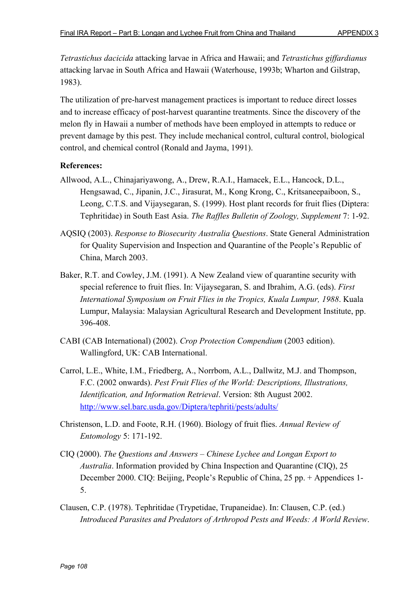*Tetrastichus dacicida* attacking larvae in Africa and Hawaii; and *Tetrastichus giffardianus* attacking larvae in South Africa and Hawaii (Waterhouse, 1993b; Wharton and Gilstrap, 1983).

The utilization of pre-harvest management practices is important to reduce direct losses and to increase efficacy of post-harvest quarantine treatments. Since the discovery of the melon fly in Hawaii a number of methods have been employed in attempts to reduce or prevent damage by this pest. They include mechanical control, cultural control, biological control, and chemical control (Ronald and Jayma, 1991).

- Allwood, A.L., Chinajariyawong, A., Drew, R.A.I., Hamacek, E.L., Hancock, D.L., Hengsawad, C., Jipanin, J.C., Jirasurat, M., Kong Krong, C., Kritsaneepaiboon, S., Leong, C.T.S. and Vijaysegaran, S. (1999). Host plant records for fruit flies (Diptera: Tephritidae) in South East Asia. *The Raffles Bulletin of Zoology, Supplement* 7: 1-92.
- AQSIQ (2003). *Response to Biosecurity Australia Questions*. State General Administration for Quality Supervision and Inspection and Quarantine of the People's Republic of China, March 2003.
- Baker, R.T. and Cowley, J.M. (1991). A New Zealand view of quarantine security with special reference to fruit flies. In: Vijaysegaran, S. and Ibrahim, A.G. (eds). *First International Symposium on Fruit Flies in the Tropics, Kuala Lumpur, 1988*. Kuala Lumpur, Malaysia: Malaysian Agricultural Research and Development Institute, pp. 396-408.
- CABI (CAB International) (2002). *Crop Protection Compendium* (2003 edition). Wallingford, UK: CAB International.
- Carrol, L.E., White, I.M., Friedberg, A., Norrbom, A.L., Dallwitz, M.J. and Thompson, F.C. (2002 onwards). *Pest Fruit Flies of the World: Descriptions, Illustrations, Identification, and Information Retrieval*. Version: 8th August 2002. http://www.sel.barc.usda.gov/Diptera/tephriti/pests/adults/
- Christenson, L.D. and Foote, R.H. (1960). Biology of fruit flies. *Annual Review of Entomology* 5: 171-192.
- CIQ (2000). *The Questions and Answers Chinese Lychee and Longan Export to Australia*. Information provided by China Inspection and Quarantine (CIQ), 25 December 2000. CIQ: Beijing, People's Republic of China, 25 pp. + Appendices 1- 5.
- Clausen, C.P. (1978). Tephritidae (Trypetidae, Trupaneidae). In: Clausen, C.P. (ed.) *Introduced Parasites and Predators of Arthropod Pests and Weeds: A World Review*.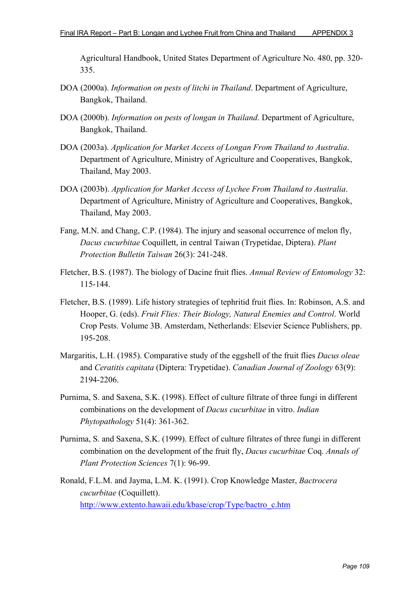Agricultural Handbook, United States Department of Agriculture No. 480, pp. 320- 335.

- DOA (2000a). *Information on pests of litchi in Thailand*. Department of Agriculture, Bangkok, Thailand.
- DOA (2000b). *Information on pests of longan in Thailand*. Department of Agriculture, Bangkok, Thailand.
- DOA (2003a). *Application for Market Access of Longan From Thailand to Australia*. Department of Agriculture, Ministry of Agriculture and Cooperatives, Bangkok, Thailand, May 2003.
- DOA (2003b). *Application for Market Access of Lychee From Thailand to Australia*. Department of Agriculture, Ministry of Agriculture and Cooperatives, Bangkok, Thailand, May 2003.
- Fang, M.N. and Chang, C.P. (1984). The injury and seasonal occurrence of melon fly, *Dacus cucurbitae* Coquillett, in central Taiwan (Trypetidae, Diptera). *Plant Protection Bulletin Taiwan* 26(3): 241-248.
- Fletcher, B.S. (1987). The biology of Dacine fruit flies. *Annual Review of Entomology* 32: 115-144.
- Fletcher, B.S. (1989). Life history strategies of tephritid fruit flies. In: Robinson, A.S. and Hooper, G. (eds). *Fruit Flies: Their Biology, Natural Enemies and Control*. World Crop Pests. Volume 3B. Amsterdam, Netherlands: Elsevier Science Publishers, pp. 195-208.
- Margaritis, L.H. (1985). Comparative study of the eggshell of the fruit flies *Dacus oleae* and *Ceratitis capitata* (Diptera: Trypetidae). *Canadian Journal of Zoology* 63(9): 2194-2206.
- Purnima, S. and Saxena, S.K. (1998). Effect of culture filtrate of three fungi in different combinations on the development of *Dacus cucurbitae* in vitro. *Indian Phytopathology* 51(4): 361-362.
- Purnima, S. and Saxena, S.K. (1999). Effect of culture filtrates of three fungi in different combination on the development of the fruit fly, *Dacus cucurbitae* Coq. *Annals of Plant Protection Sciences* 7(1): 96-99.
- Ronald, F.L.M. and Jayma, L.M. K. (1991). Crop Knowledge Master, *Bactrocera cucurbitae* (Coquillett). http://www.extento.hawaii.edu/kbase/crop/Type/bactro\_c.htm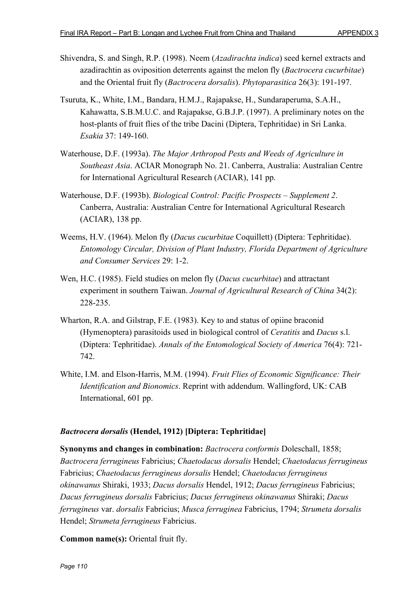- Shivendra, S. and Singh, R.P. (1998). Neem (*Azadirachta indica*) seed kernel extracts and azadirachtin as oviposition deterrents against the melon fly (*Bactrocera cucurbitae*) and the Oriental fruit fly (*Bactrocera dorsalis*). *Phytoparasitica* 26(3): 191-197.
- Tsuruta, K., White, I.M., Bandara, H.M.J., Rajapakse, H., Sundaraperuma, S.A.H., Kahawatta, S.B.M.U.C. and Rajapakse, G.B.J.P. (1997). A preliminary notes on the host-plants of fruit flies of the tribe Dacini (Diptera, Tephritidae) in Sri Lanka. *Esakia* 37: 149-160.
- Waterhouse, D.F. (1993a). *The Major Arthropod Pests and Weeds of Agriculture in Southeast Asia*. ACIAR Monograph No. 21. Canberra, Australia: Australian Centre for International Agricultural Research (ACIAR), 141 pp.
- Waterhouse, D.F. (1993b). *Biological Control: Pacific Prospects Supplement 2*. Canberra, Australia: Australian Centre for International Agricultural Research (ACIAR), 138 pp.
- Weems, H.V. (1964). Melon fly (*Dacus cucurbitae* Coquillett) (Diptera: Tephritidae). *Entomology Circular, Division of Plant Industry, Florida Department of Agriculture and Consumer Services* 29: 1-2.
- Wen, H.C. (1985). Field studies on melon fly (*Dacus cucurbitae*) and attractant experiment in southern Taiwan. *Journal of Agricultural Research of China* 34(2): 228-235.
- Wharton, R.A. and Gilstrap, F.E. (1983). Key to and status of opiine braconid (Hymenoptera) parasitoids used in biological control of *Ceratitis* and *Dacus* s.l. (Diptera: Tephritidae). *Annals of the Entomological Society of America* 76(4): 721- 742.
- White, I.M. and Elson-Harris, M.M. (1994). *Fruit Flies of Economic Significance: Their Identification and Bionomics*. Reprint with addendum. Wallingford, UK: CAB International, 601 pp.

### *Bactrocera dorsalis* **(Hendel, 1912) [Diptera: Tephritidae]**

**Synonyms and changes in combination:** *Bactrocera conformis* Doleschall, 1858; *Bactrocera ferrugineus* Fabricius; *Chaetodacus dorsalis* Hendel; *Chaetodacus ferrugineus* Fabricius; *Chaetodacus ferrugineus dorsalis* Hendel; *Chaetodacus ferrugineus okinawanus* Shiraki, 1933; *Dacus dorsalis* Hendel, 1912; *Dacus ferrugineus* Fabricius; *Dacus ferrugineus dorsalis* Fabricius; *Dacus ferrugineus okinawanus* Shiraki; *Dacus ferrugineus* var. *dorsalis* Fabricius; *Musca ferruginea* Fabricius, 1794; *Strumeta dorsalis* Hendel; *Strumeta ferrugineus* Fabricius.

**Common name(s):** Oriental fruit fly.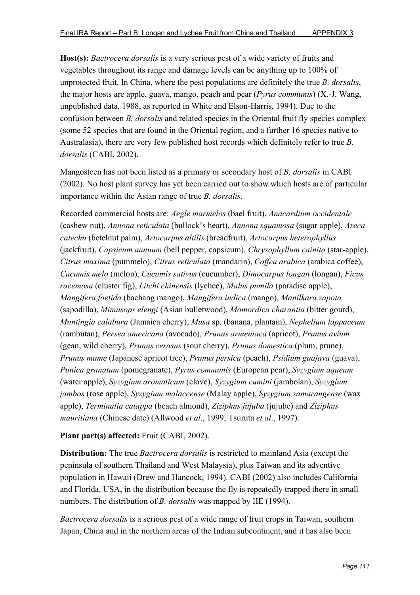**Host(s):** *Bactrocera dorsalis* is a very serious pest of a wide variety of fruits and vegetables throughout its range and damage levels can be anything up to 100% of unprotected fruit. In China, where the pest populations are definitely the true *B. dorsalis*, the major hosts are apple, guava, mango, peach and pear (*Pyrus communis*) (X.-J. Wang, unpublished data, 1988, as reported in White and Elson-Harris, 1994). Due to the confusion between *B. dorsalis* and related species in the Oriental fruit fly species complex (some 52 species that are found in the Oriental region, and a further 16 species native to Australasia), there are very few published host records which definitely refer to true *B. dorsalis* (CABI, 2002).

Mangosteen has not been listed as a primary or secondary host of *B. dorsalis* in CABI (2002). No host plant survey has yet been carried out to show which hosts are of particular importance within the Asian range of true *B. dorsalis*.

Recorded commercial hosts are: *Aegle marmelos* (bael fruit), *Anacardium occidentale* (cashew nut), *Annona reticulata* (bullock's heart), *Annona squamosa* (sugar apple), *Areca catechu* (betelnut palm), *Artocarpus altilis* (breadfruit), *Artocarpus heterophyllus* (jackfruit), *Capsicum annuum* (bell pepper, capsicum), *Chrysophyllum cainito* (star-apple), *Citrus maxima* (pummelo), *Citrus reticulata* (mandarin), *Coffea arabica* (arabica coffee), *Cucumis melo* (melon), *Cucumis sativus* (cucumber), *Dimocarpus longan* (longan), *Ficus racemosa* (cluster fig), *Litchi chinensis* (lychee), *Malus pumila* (paradise apple), *Mangifera foetida* (bachang mango), *Mangifera indica* (mango), *Manilkara zapota* (sapodilla), *Mimusops elengi* (Asian bulletwood), *Momordica charantia* (bitter gourd), *Muntingia calabura* (Jamaica cherry), *Musa* sp. (banana, plantain), *Nephelium lappaceum* (rambutan), *Persea americana* (avocado), *Prunus armeniaca* (apricot), *Prunus avium* (gean, wild cherry), *Prunus cerasus* (sour cherry), *Prunus domestica* (plum, prune), *Prunus mume* (Japanese apricot tree), *Prunus persica* (peach), *Psidium guajava* (guava), *Punica granatum* (pomegranate), *Pyrus communis* (European pear), *Syzygium aqueum* (water apple), *Syzygium aromaticum* (clove), *Syzygium cumini* (jambolan), *Syzygium jambos* (rose apple), *Syzygium malaccense* (Malay apple), *Syzygium samarangense* (wax apple), *Terminalia catappa* (beach almond), *Ziziphus jujuba* (jujube) and *Ziziphus mauritiana* (Chinese date) (Allwood *et al*., 1999; Tsuruta *et al*., 1997).

### **Plant part(s) affected:** Fruit (CABI, 2002).

**Distribution:** The true *Bactrocera dorsalis* is restricted to mainland Asia (except the peninsula of southern Thailand and West Malaysia), plus Taiwan and its adventive population in Hawaii (Drew and Hancock, 1994). CABI (2002) also includes California and Florida, USA, in the distribution because the fly is repeatedly trapped there in small numbers. The distribution of *B. dorsalis* was mapped by IIE (1994).

*Bactrocera dorsalis* is a serious pest of a wide range of fruit crops in Taiwan, southern Japan, China and in the northern areas of the Indian subcontinent, and it has also been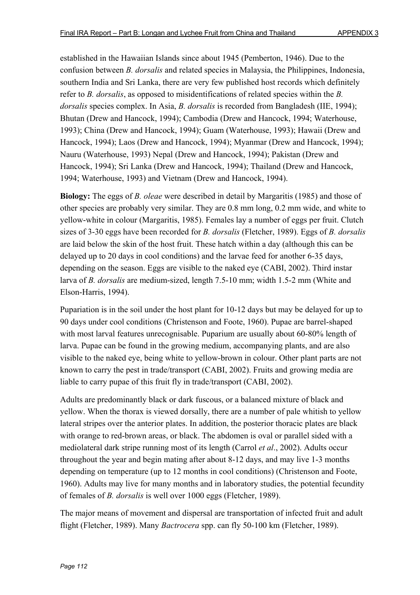established in the Hawaiian Islands since about 1945 (Pemberton, 1946). Due to the confusion between *B. dorsalis* and related species in Malaysia, the Philippines, Indonesia, southern India and Sri Lanka, there are very few published host records which definitely refer to *B. dorsalis*, as opposed to misidentifications of related species within the *B. dorsalis* species complex. In Asia, *B. dorsalis* is recorded from Bangladesh (IIE, 1994); Bhutan (Drew and Hancock, 1994); Cambodia (Drew and Hancock, 1994; Waterhouse, 1993); China (Drew and Hancock, 1994); Guam (Waterhouse, 1993); Hawaii (Drew and Hancock, 1994); Laos (Drew and Hancock, 1994); Myanmar (Drew and Hancock, 1994); Nauru (Waterhouse, 1993) Nepal (Drew and Hancock, 1994); Pakistan (Drew and Hancock, 1994); Sri Lanka (Drew and Hancock, 1994); Thailand (Drew and Hancock, 1994; Waterhouse, 1993) and Vietnam (Drew and Hancock, 1994).

**Biology:** The eggs of *B. oleae* were described in detail by Margaritis (1985) and those of other species are probably very similar. They are 0.8 mm long, 0.2 mm wide, and white to yellow-white in colour (Margaritis, 1985). Females lay a number of eggs per fruit. Clutch sizes of 3-30 eggs have been recorded for *B. dorsalis* (Fletcher, 1989). Eggs of *B. dorsalis* are laid below the skin of the host fruit. These hatch within a day (although this can be delayed up to 20 days in cool conditions) and the larvae feed for another 6-35 days, depending on the season. Eggs are visible to the naked eye (CABI, 2002). Third instar larva of *B. dorsalis* are medium-sized, length 7.5-10 mm; width 1.5-2 mm (White and Elson-Harris, 1994).

Pupariation is in the soil under the host plant for 10-12 days but may be delayed for up to 90 days under cool conditions (Christenson and Foote, 1960). Pupae are barrel-shaped with most larval features unrecognisable. Puparium are usually about 60-80% length of larva. Pupae can be found in the growing medium, accompanying plants, and are also visible to the naked eye, being white to yellow-brown in colour. Other plant parts are not known to carry the pest in trade/transport (CABI, 2002). Fruits and growing media are liable to carry pupae of this fruit fly in trade/transport (CABI, 2002).

Adults are predominantly black or dark fuscous, or a balanced mixture of black and yellow. When the thorax is viewed dorsally, there are a number of pale whitish to yellow lateral stripes over the anterior plates. In addition, the posterior thoracic plates are black with orange to red-brown areas, or black. The abdomen is oval or parallel sided with a mediolateral dark stripe running most of its length (Carrol *et al*., 2002). Adults occur throughout the year and begin mating after about 8-12 days, and may live 1-3 months depending on temperature (up to 12 months in cool conditions) (Christenson and Foote, 1960). Adults may live for many months and in laboratory studies, the potential fecundity of females of *B. dorsalis* is well over 1000 eggs (Fletcher, 1989).

The major means of movement and dispersal are transportation of infected fruit and adult flight (Fletcher, 1989). Many *Bactrocera* spp. can fly 50-100 km (Fletcher, 1989).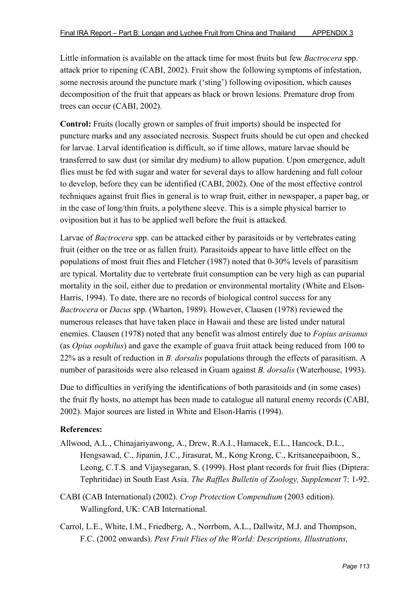Little information is available on the attack time for most fruits but few *Bactrocera* spp. attack prior to ripening (CABI, 2002). Fruit show the following symptoms of infestation, some necrosis around the puncture mark ('sting') following oviposition, which causes decomposition of the fruit that appears as black or brown lesions. Premature drop from trees can occur (CABI, 2002).

**Control:** Fruits (locally grown or samples of fruit imports) should be inspected for puncture marks and any associated necrosis. Suspect fruits should be cut open and checked for larvae. Larval identification is difficult, so if time allows, mature larvae should be transferred to saw dust (or similar dry medium) to allow pupation. Upon emergence, adult flies must be fed with sugar and water for several days to allow hardening and full colour to develop, before they can be identified (CABI, 2002). One of the most effective control techniques against fruit flies in general is to wrap fruit, either in newspaper, a paper bag, or in the case of long/thin fruits, a polythene sleeve. This is a simple physical barrier to oviposition but it has to be applied well before the fruit is attacked.

Larvae of *Bactrocera* spp. can be attacked either by parasitoids or by vertebrates eating fruit (either on the tree or as fallen fruit). Parasitoids appear to have little effect on the populations of most fruit flies and Fletcher (1987) noted that 0-30% levels of parasitism are typical. Mortality due to vertebrate fruit consumption can be very high as can puparial mortality in the soil, either due to predation or environmental mortality (White and Elson-Harris, 1994). To date, there are no records of biological control success for any *Bactrocera* or *Dacus* spp. (Wharton, 1989). However, Clausen (1978) reviewed the numerous releases that have taken place in Hawaii and these are listed under natural enemies. Clausen (1978) noted that any benefit was almost entirely due to *Fopius arisanus* (as *Opius oophilus*) and gave the example of guava fruit attack being reduced from 100 to 22% as a result of reduction in *B. dorsalis* populations through the effects of parasitism. A number of parasitoids were also released in Guam against *B. dorsalis* (Waterhouse, 1993).

Due to difficulties in verifying the identifications of both parasitoids and (in some cases) the fruit fly hosts, no attempt has been made to catalogue all natural enemy records (CABI, 2002). Major sources are listed in White and Elson-Harris (1994).

- Allwood, A.L., Chinajariyawong, A., Drew, R.A.I., Hamacek, E.L., Hancock, D.L., Hengsawad, C., Jipanin, J.C., Jirasurat, M., Kong Krong, C., Kritsaneepaiboon, S., Leong, C.T.S. and Vijaysegaran, S. (1999). Host plant records for fruit flies (Diptera: Tephritidae) in South East Asia. *The Raffles Bulletin of Zoology, Supplement* 7: 1-92.
- CABI (CAB International) (2002). *Crop Protection Compendium* (2003 edition). Wallingford, UK: CAB International.
- Carrol, L.E., White, I.M., Friedberg, A., Norrbom, A.L., Dallwitz, M.J. and Thompson, F.C. (2002 onwards). *Pest Fruit Flies of the World: Descriptions, Illustrations,*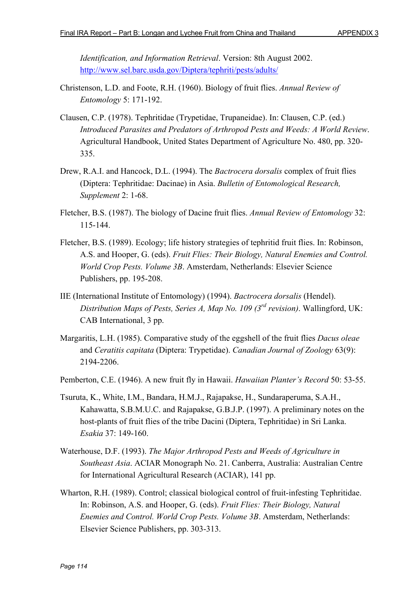*Identification, and Information Retrieval*. Version: 8th August 2002. http://www.sel.barc.usda.gov/Diptera/tephriti/pests/adults/

- Christenson, L.D. and Foote, R.H. (1960). Biology of fruit flies. *Annual Review of Entomology* 5: 171-192.
- Clausen, C.P. (1978). Tephritidae (Trypetidae, Trupaneidae). In: Clausen, C.P. (ed.) *Introduced Parasites and Predators of Arthropod Pests and Weeds: A World Review*. Agricultural Handbook, United States Department of Agriculture No. 480, pp. 320- 335.
- Drew, R.A.I. and Hancock, D.L. (1994). The *Bactrocera dorsalis* complex of fruit flies (Diptera: Tephritidae: Dacinae) in Asia. *Bulletin of Entomological Research, Supplement* 2: 1-68.
- Fletcher, B.S. (1987). The biology of Dacine fruit flies. *Annual Review of Entomology* 32: 115-144.
- Fletcher, B.S. (1989). Ecology; life history strategies of tephritid fruit flies. In: Robinson, A.S. and Hooper, G. (eds). *Fruit Flies: Their Biology, Natural Enemies and Control. World Crop Pests. Volume 3B*. Amsterdam, Netherlands: Elsevier Science Publishers, pp. 195-208.
- IIE (International Institute of Entomology) (1994). *Bactrocera dorsalis* (Hendel). *Distribution Maps of Pests, Series A, Map No. 109 (3rd revision)*. Wallingford, UK: CAB International, 3 pp.
- Margaritis, L.H. (1985). Comparative study of the eggshell of the fruit flies *Dacus oleae* and *Ceratitis capitata* (Diptera: Trypetidae). *Canadian Journal of Zoology* 63(9): 2194-2206.
- Pemberton, C.E. (1946). A new fruit fly in Hawaii. *Hawaiian Planter's Record* 50: 53-55.
- Tsuruta, K., White, I.M., Bandara, H.M.J., Rajapakse, H., Sundaraperuma, S.A.H., Kahawatta, S.B.M.U.C. and Rajapakse, G.B.J.P. (1997). A preliminary notes on the host-plants of fruit flies of the tribe Dacini (Diptera, Tephritidae) in Sri Lanka. *Esakia* 37: 149-160.
- Waterhouse, D.F. (1993). *The Major Arthropod Pests and Weeds of Agriculture in Southeast Asia*. ACIAR Monograph No. 21. Canberra, Australia: Australian Centre for International Agricultural Research (ACIAR), 141 pp.
- Wharton, R.H. (1989). Control; classical biological control of fruit-infesting Tephritidae. In: Robinson, A.S. and Hooper, G. (eds). *Fruit Flies: Their Biology, Natural Enemies and Control. World Crop Pests. Volume 3B*. Amsterdam, Netherlands: Elsevier Science Publishers, pp. 303-313.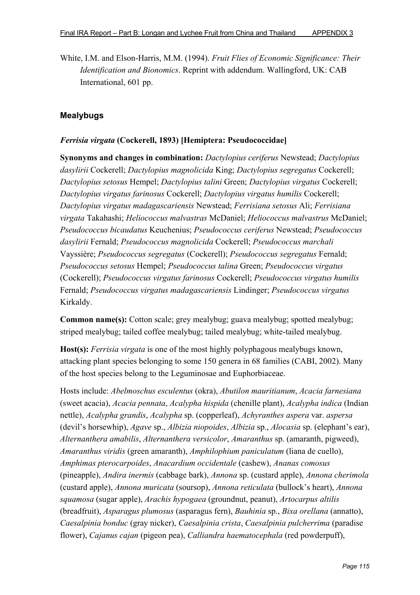White, I.M. and Elson-Harris, M.M. (1994). *Fruit Flies of Economic Significance: Their Identification and Bionomics*. Reprint with addendum. Wallingford, UK: CAB International, 601 pp.

# **Mealybugs**

## *Ferrisia virgata* **(Cockerell, 1893) [Hemiptera: Pseudococcidae]**

**Synonyms and changes in combination:** *Dactylopius ceriferus* Newstead; *Dactylopius dasylirii* Cockerell; *Dactylopius magnolicida* King; *Dactylopius segregatus* Cockerell; *Dactylopius setosus* Hempel; *Dactylopius talini* Green; *Dactylopius virgatus* Cockerell; *Dactylopius virgatus farinosus* Cockerell; *Dactylopius virgatus humilis* Cockerell; *Dactylopius virgatus madagascariensis* Newstead; *Ferrisiana setosus* Ali; *Ferrisiana virgata* Takahashi; *Heliococcus malvastras* McDaniel; *Heliococcus malvastrus* McDaniel; *Pseudococcus bicaudatus* Keuchenius; *Pseudococcus ceriferus* Newstead; *Pseudococcus dasylirii* Fernald; *Pseudococcus magnolicida* Cockerell; *Pseudococcus marchali* Vayssière; *Pseudococcus segregatus* (Cockerell); *Pseudococcus segregatus* Fernald; *Pseudococcus setosus* Hempel; *Pseudococcus talina* Green; *Pseudococcus virgatus* (Cockerell); *Pseudococcus virgatus farinosus* Cockerell; *Pseudococcus virgatus humilis* Fernald; *Pseudococcus virgatus madagascariensis* Lindinger; *Pseudococcus virgatus* Kirkaldy.

**Common name(s):** Cotton scale; grey mealybug; guava mealybug; spotted mealybug; striped mealybug; tailed coffee mealybug; tailed mealybug; white-tailed mealybug.

**Host(s):** *Ferrisia virgata* is one of the most highly polyphagous mealybugs known, attacking plant species belonging to some 150 genera in 68 families (CABI, 2002). Many of the host species belong to the Leguminosae and Euphorbiaceae.

Hosts include: *Abelmoschus esculentus* (okra), *Abutilon mauritianum*, *Acacia farnesiana* (sweet acacia), *Acacia pennata*, *Acalypha hispida* (chenille plant), *Acalypha indica* (Indian nettle), *Acalypha grandis*, *Acalypha* sp. (copperleaf), *Achyranthes aspera* var. *aspersa* (devil's horsewhip), *Agave* sp., *Albizia niopoides*, *Albizia* sp., *Alocasia* sp. (elephant's ear), *Alternanthera amabilis*, *Alternanthera versicolor*, *Amaranthus* sp. (amaranth, pigweed), *Amaranthus viridis* (green amaranth), *Amphilophium paniculatum* (liana de cuello), *Amphimas pterocarpoides*, *Anacardium occidentale* (cashew), *Ananas comosus* (pineapple), *Andira inermis* (cabbage bark), *Annona* sp. (custard apple), *Annona cherimola* (custard apple), *Annona muricata* (soursop), *Annona reticulata* (bullock's heart), *Annona squamosa* (sugar apple), *Arachis hypogaea* (groundnut, peanut), *Artocarpus altilis* (breadfruit), *Asparagus plumosus* (asparagus fern), *Bauhinia* sp., *Bixa orellana* (annatto), *Caesalpinia bonduc* (gray nicker), *Caesalpinia crista*, *Caesalpinia pulcherrima* (paradise flower), *Cajanus cajan* (pigeon pea), *Calliandra haematocephala* (red powderpuff),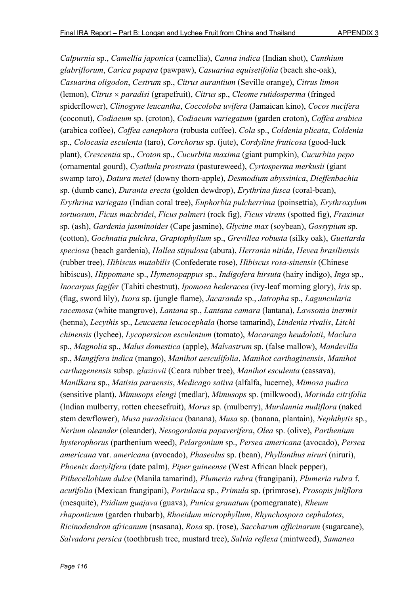*Calpurnia* sp., *Camellia japonica* (camellia), *Canna indica* (Indian shot), *Canthium glabriflorum*, *Carica papaya* (pawpaw), *Casuarina equisetifolia* (beach she-oak), *Casuarina oligodon*, *Cestrum* sp., *Citrus aurantium* (Seville orange), *Citrus limon* (lemon), *Citrus* × *paradisi* (grapefruit), *Citrus* sp., *Cleome rutidosperma* (fringed spiderflower), *Clinogyne leucantha*, *Coccoloba uvifera* (Jamaican kino), *Cocos nucifera* (coconut), *Codiaeum* sp. (croton), *Codiaeum variegatum* (garden croton), *Coffea arabica* (arabica coffee), *Coffea canephora* (robusta coffee), *Cola* sp., *Coldenia plicata*, *Coldenia* sp., *Colocasia esculenta* (taro), *Corchorus* sp. (jute), *Cordyline fruticosa* (good-luck plant), *Crescentia* sp., *Croton* sp., *Cucurbita maxima* (giant pumpkin), *Cucurbita pepo* (ornamental gourd), *Cyathula prostrata* (pastureweed), *Cyrtosperma merkusii* (giant swamp taro), *Datura metel* (downy thorn-apple), *Desmodium abyssinica*, *Dieffenbachia* sp. (dumb cane), *Duranta erecta* (golden dewdrop), *Erythrina fusca* (coral-bean), *Erythrina variegata* (Indian coral tree), *Euphorbia pulcherrima* (poinsettia), *Erythroxylum tortuosum*, *Ficus macbridei*, *Ficus palmeri* (rock fig), *Ficus virens* (spotted fig), *Fraxinus* sp. (ash), *Gardenia jasminoides* (Cape jasmine), *Glycine max* (soybean), *Gossypium* sp. (cotton), *Gochnatia pulchra*, *Graptophyllum* sp., *Grevillea robusta* (silky oak), *Guettarda speciosa* (beach gardenia), *Hallea stipulosa* (abura), *Herrania nitida*, *Hevea brasiliensis* (rubber tree), *Hibiscus mutabilis* (Confederate rose), *Hibiscus rosa-sinensis* (Chinese hibiscus), *Hippomane* sp., *Hymenopappus* sp., *Indigofera hirsuta* (hairy indigo), *Inga* sp., *Inocarpus fagifer* (Tahiti chestnut), *Ipomoea hederacea* (ivy-leaf morning glory), *Iris* sp. (flag, sword lily), *Ixora* sp. (jungle flame), *Jacaranda* sp., *Jatropha* sp., *Laguncularia racemosa* (white mangrove), *Lantana* sp., *Lantana camara* (lantana), *Lawsonia inermis* (henna), *Lecythis* sp., *Leucaena leucocephala* (horse tamarind), *Lindenia rivalis*, *Litchi chinensis* (lychee), *Lycopersicon esculentum* (tomato), *Macaranga heudolotii*, *Maclura* sp., *Magnolia* sp., *Malus domestica* (apple), *Malvastrum* sp. (false mallow), *Mandevilla* sp., *Mangifera indica* (mango), *Manihot aesculifolia*, *Manihot carthaginensis*, *Manihot carthagenensis* subsp. *glaziovii* (Ceara rubber tree), *Manihot esculenta* (cassava), *Manilkara* sp., *Matisia paraensis*, *Medicago sativa* (alfalfa, lucerne), *Mimosa pudica* (sensitive plant), *Mimusops elengi* (medlar), *Mimusops* sp. (milkwood), *Morinda citrifolia* (Indian mulberry, rotten cheesefruit), *Morus* sp. (mulberry), *Murdannia nudiflora* (naked stem dewflower), *Musa paradisiaca* (banana), *Musa* sp. (banana, plantain), *Nephthytis* sp., *Nerium oleander* (oleander), *Nesogordonia papaverifera*, *Olea* sp. (olive), *Parthenium hysterophorus* (parthenium weed), *Pelargonium* sp., *Persea americana* (avocado), *Persea americana* var. *americana* (avocado), *Phaseolus* sp. (bean), *Phyllanthus niruri* (niruri), *Phoenix dactylifera* (date palm), *Piper guineense* (West African black pepper), *Pithecellobium dulce* (Manila tamarind), *Plumeria rubra* (frangipani), *Plumeria rubra* f. *acutifolia* (Mexican frangipani), *Portulaca* sp., *Primula* sp. (primrose), *Prosopis juliflora* (mesquite), *Psidium guajava* (guava), *Punica granatum* (pomegranate), *Rheum rhaponticum* (garden rhubarb), *Rhoeidum microphyllum*, *Rhynchospora cephalotes*, *Ricinodendron africanum* (nsasana), *Rosa* sp. (rose), *Saccharum officinarum* (sugarcane), *Salvadora persica* (toothbrush tree, mustard tree), *Salvia reflexa* (mintweed), *Samanea*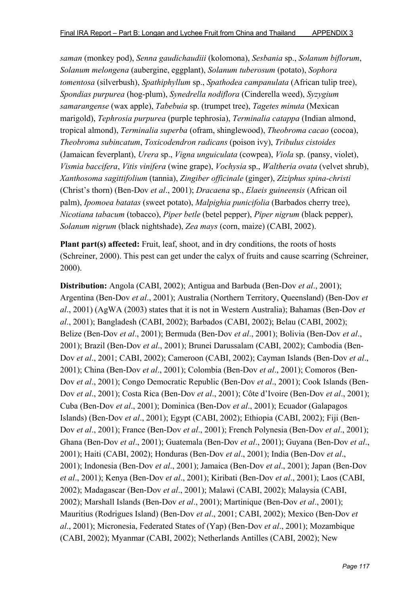*saman* (monkey pod), *Senna gaudichaudiii* (kolomona), *Sesbania* sp., *Solanum biflorum*, *Solanum melongena* (aubergine, eggplant), *Solanum tuberosum* (potato), *Sophora tomentosa* (silverbush), *Spathiphyllum* sp., *Spathodea campanulata* (African tulip tree), *Spondias purpurea* (hog-plum), *Synedrella nodiflora* (Cinderella weed), *Syzygium samarangense* (wax apple), *Tabebuia* sp. (trumpet tree), *Tagetes minuta* (Mexican marigold), *Tephrosia purpurea* (purple tephrosia), *Terminalia catappa* (Indian almond, tropical almond), *Terminalia superba* (ofram, shinglewood), *Theobroma cacao* (cocoa), *Theobroma subincatum*, *Toxicodendron radicans* (poison ivy), *Tribulus cistoides* (Jamaican feverplant), *Urera* sp., *Vigna unguiculata* (cowpea), *Viola* sp. (pansy, violet), *Vismia baccifera*, *Vitis vinifera* (wine grape), *Vochysia* sp., *Waltheria ovata* (velvet shrub), *Xanthosoma sagittifolium* (tannia), *Zingiber officinale* (ginger), *Ziziphus spina-christi* (Christ's thorn) (Ben-Dov *et al*., 2001); *Dracaena* sp., *Elaeis guineensis* (African oil palm), *Ipomoea batatas* (sweet potato), *Malpighia punicifolia* (Barbados cherry tree), *Nicotiana tabacum* (tobacco), *Piper betle* (betel pepper), *Piper nigrum* (black pepper), *Solanum nigrum* (black nightshade), *Zea mays* (corn, maize) (CABI, 2002).

**Plant part(s) affected:** Fruit, leaf, shoot, and in dry conditions, the roots of hosts (Schreiner, 2000). This pest can get under the calyx of fruits and cause scarring (Schreiner, 2000).

**Distribution:** Angola (CABI, 2002); Antigua and Barbuda (Ben-Dov *et al*., 2001); Argentina (Ben-Dov *et al*., 2001); Australia (Northern Territory, Queensland) (Ben-Dov *et al*., 2001) (AgWA (2003) states that it is not in Western Australia); Bahamas (Ben-Dov *et al*., 2001); Bangladesh (CABI, 2002); Barbados (CABI, 2002); Belau (CABI, 2002); Belize (Ben-Dov *et al*., 2001); Bermuda (Ben-Dov *et al*., 2001); Bolivia (Ben-Dov *et al*., 2001); Brazil (Ben-Dov *et al*., 2001); Brunei Darussalam (CABI, 2002); Cambodia (Ben-Dov *et al*., 2001; CABI, 2002); Cameroon (CABI, 2002); Cayman Islands (Ben-Dov *et al*., 2001); China (Ben-Dov *et al*., 2001); Colombia (Ben-Dov *et al*., 2001); Comoros (Ben-Dov *et al*., 2001); Congo Democratic Republic (Ben-Dov *et al*., 2001); Cook Islands (Ben-Dov *et al*., 2001); Costa Rica (Ben-Dov *et al*., 2001); Côte d'Ivoire (Ben-Dov *et al*., 2001); Cuba (Ben-Dov *et al*., 2001); Dominica (Ben-Dov *et al*., 2001); Ecuador (Galapagos Islands) (Ben-Dov *et al*., 2001); Egypt (CABI, 2002); Ethiopia (CABI, 2002); Fiji (Ben-Dov *et al*., 2001); France (Ben-Dov *et al*., 2001); French Polynesia (Ben-Dov *et al*., 2001); Ghana (Ben-Dov *et al*., 2001); Guatemala (Ben-Dov *et al*., 2001); Guyana (Ben-Dov *et al*., 2001); Haiti (CABI, 2002); Honduras (Ben-Dov *et al*., 2001); India (Ben-Dov *et al*., 2001); Indonesia (Ben-Dov *et al*., 2001); Jamaica (Ben-Dov *et al*., 2001); Japan (Ben-Dov *et al*., 2001); Kenya (Ben-Dov *et al*., 2001); Kiribati (Ben-Dov *et al*., 2001); Laos (CABI, 2002); Madagascar (Ben-Dov *et al*., 2001); Malawi (CABI, 2002); Malaysia (CABI, 2002); Marshall Islands (Ben-Dov *et al*., 2001); Martinique (Ben-Dov *et al*., 2001); Mauritius (Rodrigues Island) (Ben-Dov *et al*., 2001; CABI, 2002); Mexico (Ben-Dov *et al*., 2001); Micronesia, Federated States of (Yap) (Ben-Dov *et al*., 2001); Mozambique (CABI, 2002); Myanmar (CABI, 2002); Netherlands Antilles (CABI, 2002); New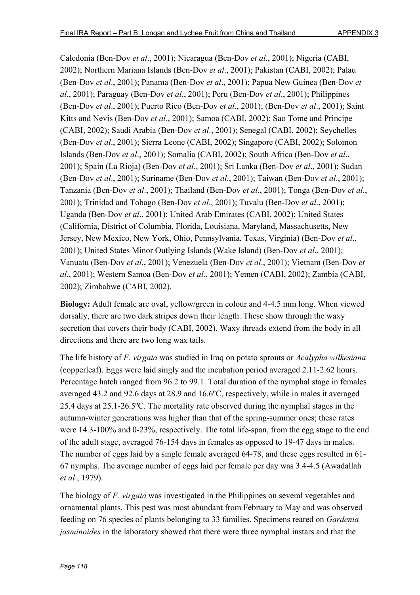Caledonia (Ben-Dov *et al*., 2001); Nicaragua (Ben-Dov *et al*., 2001); Nigeria (CABI, 2002); Northern Mariana Islands (Ben-Dov *et al*., 2001); Pakistan (CABI, 2002); Palau (Ben-Dov *et al*., 2001); Panama (Ben-Dov *et al*., 2001); Papua New Guinea (Ben-Dov *et al*., 2001); Paraguay (Ben-Dov *et al*., 2001); Peru (Ben-Dov *et al*., 2001); Philippines (Ben-Dov *et al*., 2001); Puerto Rico (Ben-Dov *et al*., 2001); (Ben-Dov *et al*., 2001); Saint Kitts and Nevis (Ben-Dov *et al*., 2001); Samoa (CABI, 2002); Sao Tome and Principe (CABI, 2002); Saudi Arabia (Ben-Dov *et al*., 2001); Senegal (CABI, 2002); Seychelles (Ben-Dov *et al*., 2001); Sierra Leone (CABI, 2002); Singapore (CABI, 2002); Solomon Islands (Ben-Dov *et al*., 2001); Somalia (CABI, 2002); South Africa (Ben-Dov *et al*., 2001); Spain (La Rioja) (Ben-Dov *et al*., 2001); Sri Lanka (Ben-Dov *et al*., 2001); Sudan (Ben-Dov *et al*., 2001); Suriname (Ben-Dov *et al*., 2001); Taiwan (Ben-Dov *et al*., 2001); Tanzania (Ben-Dov *et al*., 2001); Thailand (Ben-Dov *et al*., 2001); Tonga (Ben-Dov *et al*., 2001); Trinidad and Tobago (Ben-Dov *et al*., 2001); Tuvalu (Ben-Dov *et al*., 2001); Uganda (Ben-Dov *et al*., 2001); United Arab Emirates (CABI, 2002); United States (California, District of Columbia, Florida, Louisiana, Maryland, Massachusetts, New Jersey, New Mexico, New York, Ohio, Pennsylvania, Texas, Virginia) (Ben-Dov *et al*., 2001); United States Minor Outlying Islands (Wake Island) (Ben-Dov *et al*., 2001); Vanuatu (Ben-Dov *et al*., 2001); Venezuela (Ben-Dov *et al*., 2001); Vietnam (Ben-Dov *et al*., 2001); Western Samoa (Ben-Dov *et al*., 2001); Yemen (CABI, 2002); Zambia (CABI, 2002); Zimbabwe (CABI, 2002).

**Biology:** Adult female are oval, yellow/green in colour and 4-4.5 mm long. When viewed dorsally, there are two dark stripes down their length. These show through the waxy secretion that covers their body (CABI, 2002). Waxy threads extend from the body in all directions and there are two long wax tails.

The life history of *F. virgata* was studied in Iraq on potato sprouts or *Acalypha wilkesiana* (copperleaf). Eggs were laid singly and the incubation period averaged 2.11-2.62 hours. Percentage hatch ranged from 96.2 to 99.1. Total duration of the nymphal stage in females averaged 43.2 and 92.6 days at 28.9 and 16.6ºC, respectively, while in males it averaged 25.4 days at 25.1-26.5ºC. The mortality rate observed during the nymphal stages in the autumn-winter generations was higher than that of the spring-summer ones; these rates were 14.3-100% and 0-23%, respectively. The total life-span, from the egg stage to the end of the adult stage, averaged 76-154 days in females as opposed to 19-47 days in males. The number of eggs laid by a single female averaged 64-78, and these eggs resulted in 61- 67 nymphs. The average number of eggs laid per female per day was 3.4-4.5 (Awadallah *et al*., 1979).

The biology of *F. virgata* was investigated in the Philippines on several vegetables and ornamental plants. This pest was most abundant from February to May and was observed feeding on 76 species of plants belonging to 33 families. Specimens reared on *Gardenia jasminoides* in the laboratory showed that there were three nymphal instars and that the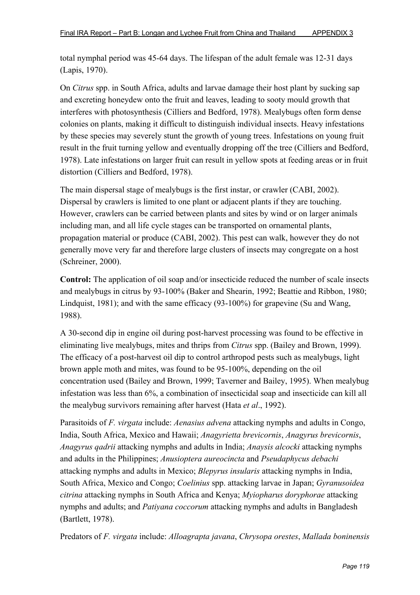total nymphal period was 45-64 days. The lifespan of the adult female was 12-31 days (Lapis, 1970).

On *Citrus* spp. in South Africa, adults and larvae damage their host plant by sucking sap and excreting honeydew onto the fruit and leaves, leading to sooty mould growth that interferes with photosynthesis (Cilliers and Bedford, 1978). Mealybugs often form dense colonies on plants, making it difficult to distinguish individual insects. Heavy infestations by these species may severely stunt the growth of young trees. Infestations on young fruit result in the fruit turning yellow and eventually dropping off the tree (Cilliers and Bedford, 1978). Late infestations on larger fruit can result in yellow spots at feeding areas or in fruit distortion (Cilliers and Bedford, 1978).

The main dispersal stage of mealybugs is the first instar, or crawler (CABI, 2002). Dispersal by crawlers is limited to one plant or adjacent plants if they are touching. However, crawlers can be carried between plants and sites by wind or on larger animals including man, and all life cycle stages can be transported on ornamental plants, propagation material or produce (CABI, 2002). This pest can walk, however they do not generally move very far and therefore large clusters of insects may congregate on a host (Schreiner, 2000).

**Control:** The application of oil soap and/or insecticide reduced the number of scale insects and mealybugs in citrus by 93-100% (Baker and Shearin, 1992; Beattie and Ribbon, 1980; Lindquist, 1981); and with the same efficacy (93-100%) for grapevine (Su and Wang, 1988).

A 30-second dip in engine oil during post-harvest processing was found to be effective in eliminating live mealybugs, mites and thrips from *Citrus* spp. (Bailey and Brown, 1999). The efficacy of a post-harvest oil dip to control arthropod pests such as mealybugs, light brown apple moth and mites, was found to be 95-100%, depending on the oil concentration used (Bailey and Brown, 1999; Taverner and Bailey, 1995). When mealybug infestation was less than 6%, a combination of insecticidal soap and insecticide can kill all the mealybug survivors remaining after harvest (Hata *et al*., 1992).

Parasitoids of *F. virgata* include: *Aenasius advena* attacking nymphs and adults in Congo, India, South Africa, Mexico and Hawaii; *Anagyrietta brevicornis*, *Anagyrus brevicornis*, *Anagyrus qadrii* attacking nymphs and adults in India; *Anaysis alcocki* attacking nymphs and adults in the Philippines; *Anusioptera aureocincta* and *Pseudaphycus debachi* attacking nymphs and adults in Mexico; *Blepyrus insularis* attacking nymphs in India, South Africa, Mexico and Congo; *Coelinius* spp. attacking larvae in Japan; *Gyranusoidea citrina* attacking nymphs in South Africa and Kenya; *Myiopharus doryphorae* attacking nymphs and adults; and *Patiyana coccorum* attacking nymphs and adults in Bangladesh (Bartlett, 1978).

Predators of *F. virgata* include: *Alloagrapta javana*, *Chrysopa orestes*, *Mallada boninensis*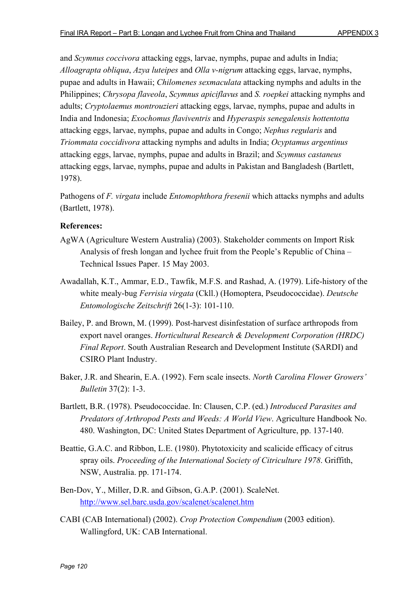and *Scymnus coccivora* attacking eggs, larvae, nymphs, pupae and adults in India; *Alloagrapta obliqua*, *Azya luteipes* and *Olla v-nigrum* attacking eggs, larvae, nymphs, pupae and adults in Hawaii; *Chilomenes sexmaculata* attacking nymphs and adults in the Philippines; *Chrysopa flaveola*, *Scymnus apiciflavus* and *S. roepkei* attacking nymphs and adults; *Cryptolaemus montrouzieri* attacking eggs, larvae, nymphs, pupae and adults in India and Indonesia; *Exochomus flaviventris* and *Hyperaspis senegalensis hottentotta* attacking eggs, larvae, nymphs, pupae and adults in Congo; *Nephus regularis* and *Triommata coccidivora* attacking nymphs and adults in India; *Ocyptamus argentinus* attacking eggs, larvae, nymphs, pupae and adults in Brazil; and *Scymnus castaneus* attacking eggs, larvae, nymphs, pupae and adults in Pakistan and Bangladesh (Bartlett, 1978).

Pathogens of *F. virgata* include *Entomophthora fresenii* which attacks nymphs and adults (Bartlett, 1978).

- AgWA (Agriculture Western Australia) (2003). Stakeholder comments on Import Risk Analysis of fresh longan and lychee fruit from the People's Republic of China – Technical Issues Paper. 15 May 2003.
- Awadallah, K.T., Ammar, E.D., Tawfik, M.F.S. and Rashad, A. (1979). Life-history of the white mealy-bug *Ferrisia virgata* (Ckll.) (Homoptera, Pseudococcidae). *Deutsche Entomologische Zeitschrift* 26(1-3): 101-110.
- Bailey, P. and Brown, M. (1999). Post-harvest disinfestation of surface arthropods from export navel oranges. *Horticultural Research & Development Corporation (HRDC) Final Report*. South Australian Research and Development Institute (SARDI) and CSIRO Plant Industry.
- Baker, J.R. and Shearin, E.A. (1992). Fern scale insects. *North Carolina Flower Growers' Bulletin* 37(2): 1-3.
- Bartlett, B.R. (1978). Pseudococcidae. In: Clausen, C.P. (ed.) *Introduced Parasites and Predators of Arthropod Pests and Weeds: A World View*. Agriculture Handbook No. 480. Washington, DC: United States Department of Agriculture, pp. 137-140.
- Beattie, G.A.C. and Ribbon, L.E. (1980). Phytotoxicity and scalicide efficacy of citrus spray oils. *Proceeding of the International Society of Citriculture 1978*. Griffith, NSW, Australia. pp. 171-174.
- Ben-Dov, Y., Miller, D.R. and Gibson, G.A.P. (2001). ScaleNet. http://www.sel.barc.usda.gov/scalenet/scalenet.htm
- CABI (CAB International) (2002). *Crop Protection Compendium* (2003 edition). Wallingford, UK: CAB International.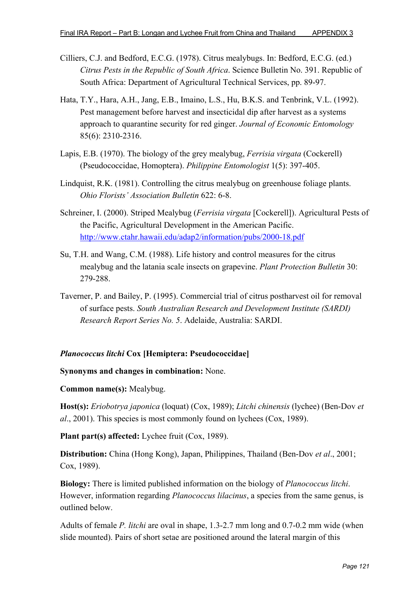- Cilliers, C.J. and Bedford, E.C.G. (1978). Citrus mealybugs. In: Bedford, E.C.G. (ed.) *Citrus Pests in the Republic of South Africa*. Science Bulletin No. 391. Republic of South Africa: Department of Agricultural Technical Services, pp. 89-97.
- Hata, T.Y., Hara, A.H., Jang, E.B., Imaino, L.S., Hu, B.K.S. and Tenbrink, V.L. (1992). Pest management before harvest and insecticidal dip after harvest as a systems approach to quarantine security for red ginger. *Journal of Economic Entomology* 85(6): 2310-2316.
- Lapis, E.B. (1970). The biology of the grey mealybug, *Ferrisia virgata* (Cockerell) (Pseudococcidae, Homoptera). *Philippine Entomologist* 1(5): 397-405.
- Lindquist, R.K. (1981). Controlling the citrus mealybug on greenhouse foliage plants. *Ohio Florists' Association Bulletin* 622: 6-8.
- Schreiner, I. (2000). Striped Mealybug (*Ferrisia virgata* [Cockerell]). Agricultural Pests of the Pacific, Agricultural Development in the American Pacific. http://www.ctahr.hawaii.edu/adap2/information/pubs/2000-18.pdf
- Su, T.H. and Wang, C.M. (1988). Life history and control measures for the citrus mealybug and the latania scale insects on grapevine. *Plant Protection Bulletin* 30: 279-288.
- Taverner, P. and Bailey, P. (1995). Commercial trial of citrus postharvest oil for removal of surface pests. *South Australian Research and Development Institute (SARDI) Research Report Series No. 5*. Adelaide, Australia: SARDI.

#### *Planococcus litchi* **Cox [Hemiptera: Pseudococcidae]**

#### **Synonyms and changes in combination:** None.

#### **Common name(s):** Mealybug.

**Host(s):** *Eriobotrya japonica* (loquat) (Cox, 1989); *Litchi chinensis* (lychee) (Ben-Dov *et al*., 2001). This species is most commonly found on lychees (Cox, 1989).

**Plant part(s) affected:** Lychee fruit (Cox, 1989).

**Distribution:** China (Hong Kong), Japan, Philippines, Thailand (Ben-Dov *et al*., 2001; Cox, 1989).

**Biology:** There is limited published information on the biology of *Planococcus litchi*. However, information regarding *Planococcus lilacinus*, a species from the same genus, is outlined below.

Adults of female *P. litchi* are oval in shape, 1.3-2.7 mm long and 0.7-0.2 mm wide (when slide mounted). Pairs of short setae are positioned around the lateral margin of this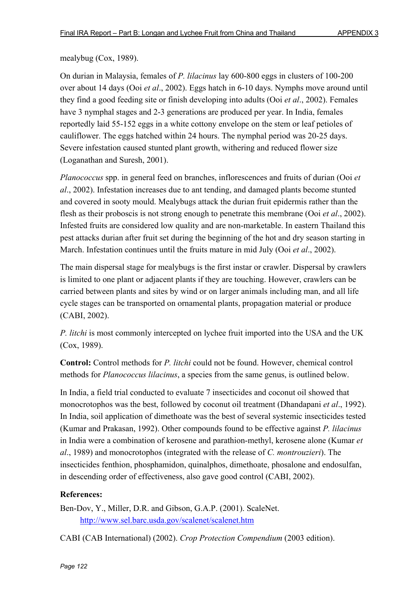### mealybug (Cox, 1989).

On durian in Malaysia, females of *P. lilacinus* lay 600-800 eggs in clusters of 100-200 over about 14 days (Ooi *et al*., 2002). Eggs hatch in 6-10 days. Nymphs move around until they find a good feeding site or finish developing into adults (Ooi *et al*., 2002). Females have 3 nymphal stages and 2-3 generations are produced per year. In India, females reportedly laid 55-152 eggs in a white cottony envelope on the stem or leaf petioles of cauliflower. The eggs hatched within 24 hours. The nymphal period was 20-25 days. Severe infestation caused stunted plant growth, withering and reduced flower size (Loganathan and Suresh, 2001).

*Planococcus* spp. in general feed on branches, inflorescences and fruits of durian (Ooi *et al*., 2002). Infestation increases due to ant tending, and damaged plants become stunted and covered in sooty mould. Mealybugs attack the durian fruit epidermis rather than the flesh as their proboscis is not strong enough to penetrate this membrane (Ooi *et al*., 2002). Infested fruits are considered low quality and are non-marketable. In eastern Thailand this pest attacks durian after fruit set during the beginning of the hot and dry season starting in March. Infestation continues until the fruits mature in mid July (Ooi *et al*., 2002).

The main dispersal stage for mealybugs is the first instar or crawler. Dispersal by crawlers is limited to one plant or adjacent plants if they are touching. However, crawlers can be carried between plants and sites by wind or on larger animals including man, and all life cycle stages can be transported on ornamental plants, propagation material or produce (CABI, 2002).

*P. litchi* is most commonly intercepted on lychee fruit imported into the USA and the UK (Cox, 1989).

**Control:** Control methods for *P. litchi* could not be found. However, chemical control methods for *Planococcus lilacinus*, a species from the same genus, is outlined below.

In India, a field trial conducted to evaluate 7 insecticides and coconut oil showed that monocrotophos was the best, followed by coconut oil treatment (Dhandapani *et al*., 1992). In India, soil application of dimethoate was the best of several systemic insecticides tested (Kumar and Prakasan, 1992). Other compounds found to be effective against *P. lilacinus* in India were a combination of kerosene and parathion-methyl, kerosene alone (Kumar *et al*., 1989) and monocrotophos (integrated with the release of *C. montrouzieri*). The insecticides fenthion, phosphamidon, quinalphos, dimethoate, phosalone and endosulfan, in descending order of effectiveness, also gave good control (CABI, 2002).

### **References:**

Ben-Dov, Y., Miller, D.R. and Gibson, G.A.P. (2001). ScaleNet. http://www.sel.barc.usda.gov/scalenet/scalenet.htm

CABI (CAB International) (2002). *Crop Protection Compendium* (2003 edition).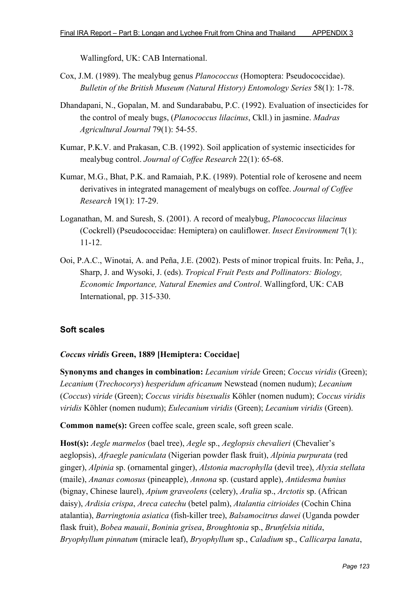Wallingford, UK: CAB International.

- Cox, J.M. (1989). The mealybug genus *Planococcus* (Homoptera: Pseudococcidae). *Bulletin of the British Museum (Natural History) Entomology Series* 58(1): 1-78.
- Dhandapani, N., Gopalan, M. and Sundarababu, P.C. (1992). Evaluation of insecticides for the control of mealy bugs, (*Planococcus lilacinus*, Ckll.) in jasmine. *Madras Agricultural Journal* 79(1): 54-55.
- Kumar, P.K.V. and Prakasan, C.B. (1992). Soil application of systemic insecticides for mealybug control. *Journal of Coffee Research* 22(1): 65-68.
- Kumar, M.G., Bhat, P.K. and Ramaiah, P.K. (1989). Potential role of kerosene and neem derivatives in integrated management of mealybugs on coffee. *Journal of Coffee Research* 19(1): 17-29.
- Loganathan, M. and Suresh, S. (2001). A record of mealybug, *Planococcus lilacinus* (Cockrell) (Pseudococcidae: Hemiptera) on cauliflower. *Insect Environment* 7(1): 11-12.
- Ooi, P.A.C., Winotai, A. and Peña, J.E. (2002). Pests of minor tropical fruits. In: Peña, J., Sharp, J. and Wysoki, J. (eds). *Tropical Fruit Pests and Pollinators: Biology, Economic Importance, Natural Enemies and Control*. Wallingford, UK: CAB International, pp. 315-330.

# **Soft scales**

### *Coccus viridis* **Green, 1889 [Hemiptera: Coccidae]**

**Synonyms and changes in combination:** *Lecanium viride* Green; *Coccus viridis* (Green); *Lecanium* (*Trechocorys*) *hesperidum africanum* Newstead (nomen nudum); *Lecanium* (*Coccus*) *viride* (Green); *Coccus viridis bisexualis* Köhler (nomen nudum); *Coccus viridis viridis* Köhler (nomen nudum); *Eulecanium viridis* (Green); *Lecanium viridis* (Green).

**Common name(s):** Green coffee scale, green scale, soft green scale.

**Host(s):** *Aegle marmelos* (bael tree), *Aegle* sp., *Aeglopsis chevalieri* (Chevalier's aeglopsis), *Afraegle paniculata* (Nigerian powder flask fruit), *Alpinia purpurata* (red ginger), *Alpinia* sp. (ornamental ginger), *Alstonia macrophylla* (devil tree), *Alyxia stellata* (maile), *Ananas comosus* (pineapple), *Annona* sp. (custard apple), *Antidesma bunius* (bignay, Chinese laurel), *Apium graveolens* (celery), *Aralia* sp., *Arctotis* sp. (African daisy), *Ardisia crispa*, *Areca catechu* (betel palm), *Atalantia citrioides* (Cochin China atalantia), *Barringtonia asiatica* (fish-killer tree), *Balsamocitrus dawei* (Uganda powder flask fruit), *Bobea mauaii*, *Boninia grisea*, *Broughtonia* sp., *Brunfelsia nitida*, *Bryophyllum pinnatum* (miracle leaf), *Bryophyllum* sp., *Caladium* sp., *Callicarpa lanata*,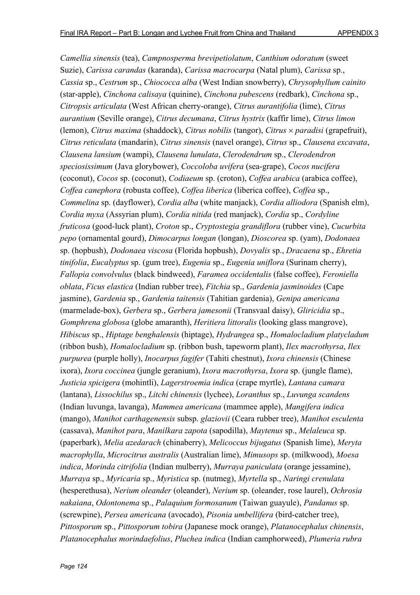*Camellia sinensis* (tea), *Campnosperma brevipetiolatum*, *Canthium odoratum* (sweet Suzie), *Carissa carandas* (karanda), *Carissa macrocarpa* (Natal plum), *Carissa* sp., *Cassia* sp., *Cestrum* sp., *Chiococca alba* (West Indian snowberry), *Chrysophyllum cainito* (star-apple), *Cinchona calisaya* (quinine), *Cinchona pubescens* (redbark), *Cinchona* sp., *Citropsis articulata* (West African cherry-orange), *Citrus aurantifolia* (lime), *Citrus aurantium* (Seville orange), *Citrus decumana*, *Citrus hystrix* (kaffir lime), *Citrus limon* (lemon), *Citrus maxima* (shaddock), *Citrus nobilis* (tangor), *Citrus* × *paradisi* (grapefruit), *Citrus reticulata* (mandarin), *Citrus sinensis* (navel orange), *Citrus* sp., *Clausena excavata*, *Clausena lansium* (wampi), *Clausena lunulata*, *Clerodendrum* sp., *Clerodendron speciosissimum* (Java glorybower), *Coccoloba uvifera* (sea-grape), *Cocos nucifera* (coconut), *Cocos* sp. (coconut), *Codiaeum* sp. (croton), *Coffea arabica* (arabica coffee), *Coffea canephora* (robusta coffee), *Coffea liberica* (liberica coffee), *Coffea* sp., *Commelina* sp. (dayflower), *Cordia alba* (white manjack), *Cordia alliodora* (Spanish elm), *Cordia myxa* (Assyrian plum), *Cordia nitida* (red manjack), *Cordia* sp., *Cordyline fruticosa* (good-luck plant), *Croton* sp., *Cryptostegia grandiflora* (rubber vine), *Cucurbita pepo* (ornamental gourd), *Dimocarpus longan* (longan), *Dioscorea* sp. (yam), *Dodonaea* sp. (hopbush), *Dodonaea viscosa* (Florida hopbush), *Dovyalis* sp., *Dracaena* sp., *Ehretia tinifolia*, *Eucalyptus* sp. (gum tree), *Eugenia* sp., *Eugenia uniflora* (Surinam cherry), *Fallopia convolvulus* (black bindweed), *Faramea occidentalis* (false coffee), *Feroniella oblata*, *Ficus elastica* (Indian rubber tree), *Fitchia* sp., *Gardenia jasminoides* (Cape jasmine), *Gardenia* sp., *Gardenia taitensis* (Tahitian gardenia), *Genipa americana* (marmelade-box), *Gerbera* sp., *Gerbera jamesonii* (Transvaal daisy), *Gliricidia* sp., *Gomphrena globosa* (globe amaranth), *Heritiera littoralis* (looking glass mangrove), *Hibiscus* sp., *Hiptage benghalensis* (hiptage), *Hydrangea* sp., *Homalocladium platycladum* (ribbon bush), *Homalocladium* sp. (ribbon bush, tapeworm plant), *Ilex macrothyrsa*, *Ilex purpurea* (purple holly), *Inocarpus fagifer* (Tahiti chestnut), *Ixora chinensis* (Chinese ixora), *Ixora coccinea* (jungle geranium), *Ixora macrothyrsa*, *Ixora* sp. (jungle flame), *Justicia spicigera* (mohintli), *Lagerstroemia indica* (crape myrtle), *Lantana camara* (lantana), *Lissochilus* sp., *Litchi chinensis* (lychee), *Loranthus* sp., *Luvunga scandens* (Indian luvunga, lavanga), *Mammea americana* (mammee apple), *Mangifera indica* (mango), *Manihot carthagenensis* subsp. *glaziovii* (Ceara rubber tree), *Manihot esculenta* (cassava), *Manihot para*, *Manilkara zapota* (sapodilla), *Maytenus* sp., *Melaleuca* sp. (paperbark), *Melia azedarach* (chinaberry), *Melicoccus bijugatus* (Spanish lime), *Meryta macrophylla*, *Microcitrus australis* (Australian lime), *Mimusops* sp. (milkwood), *Moesa indica*, *Morinda citrifolia* (Indian mulberry), *Murraya paniculata* (orange jessamine), *Murraya* sp., *Myricaria* sp., *Myristica* sp. (nutmeg), *Myrtella* sp., *Naringi crenulata* (hesperethusa), *Nerium oleander* (oleander), *Nerium* sp. (oleander, rose laurel), *Ochrosia nakaiana*, *Odontonema* sp., *Palaquium formosanum* (Taiwan guayule), *Pandanus* sp. (screwpine), *Persea americana* (avocado), *Pisonia umbellifera* (bird-catcher tree), *Pittosporum* sp., *Pittosporum tobira* (Japanese mock orange), *Platanocephalus chinensis*, *Platanocephalus morindaefolius*, *Pluchea indica* (Indian camphorweed), *Plumeria rubra*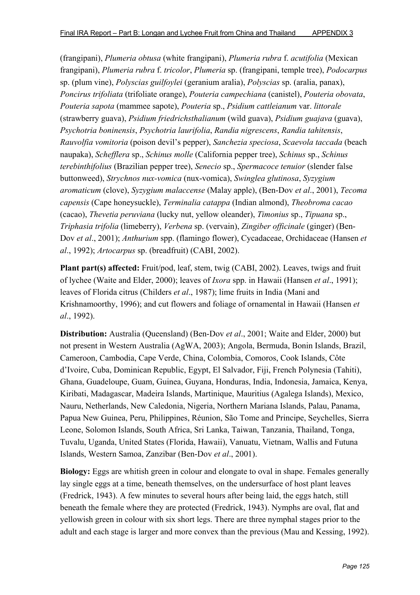(frangipani), *Plumeria obtusa* (white frangipani), *Plumeria rubra* f. *acutifolia* (Mexican frangipani), *Plumeria rubra* f. *tricolor*, *Plumeria* sp. (frangipani, temple tree), *Podocarpus* sp. (plum vine), *Polyscias guilfoylei* (geranium aralia), *Polyscias* sp. (aralia, panax), *Poncirus trifoliata* (trifoliate orange), *Pouteria campechiana* (canistel), *Pouteria obovata*, *Pouteria sapota* (mammee sapote), *Pouteria* sp., *Psidium cattleianum* var. *littorale* (strawberry guava), *Psidium friedrichsthalianum* (wild guava), *Psidium guajava* (guava), *Psychotria boninensis*, *Psychotria laurifolia*, *Randia nigrescens*, *Randia tahitensis*, *Rauvolfia vomitoria* (poison devil's pepper), *Sanchezia speciosa*, *Scaevola taccada* (beach naupaka), *Schefflera* sp., *Schinus molle* (California pepper tree), *Schinus* sp., *Schinus terebinthifolius* (Brazilian pepper tree), *Senecio* sp., *Spermacoce tenuior* (slender false buttonweed), *Strychnos nux-vomica* (nux-vomica), *Swinglea glutinosa*, *Syzygium aromaticum* (clove), *Syzygium malaccense* (Malay apple), (Ben-Dov *et al*., 2001), *Tecoma capensis* (Cape honeysuckle), *Terminalia catappa* (Indian almond), *Theobroma cacao* (cacao), *Thevetia peruviana* (lucky nut, yellow oleander), *Timonius* sp., *Tipuana* sp., *Triphasia trifolia* (limeberry), *Verbena* sp. (vervain), *Zingiber officinale* (ginger) (Ben-Dov *et al*., 2001); *Anthurium* spp. (flamingo flower), Cycadaceae, Orchidaceae (Hansen *et al*., 1992); *Artocarpus* sp. (breadfruit) (CABI, 2002).

**Plant part(s) affected:** Fruit/pod, leaf, stem, twig (CABI, 2002). Leaves, twigs and fruit of lychee (Waite and Elder, 2000); leaves of *Ixora* spp. in Hawaii (Hansen *et al*., 1991); leaves of Florida citrus (Childers *et al*., 1987); lime fruits in India (Mani and Krishnamoorthy, 1996); and cut flowers and foliage of ornamental in Hawaii (Hansen *et al*., 1992).

**Distribution:** Australia (Queensland) (Ben-Dov *et al*., 2001; Waite and Elder, 2000) but not present in Western Australia (AgWA, 2003); Angola, Bermuda, Bonin Islands, Brazil, Cameroon, Cambodia, Cape Verde, China, Colombia, Comoros, Cook Islands, Côte d'Ivoire, Cuba, Dominican Republic, Egypt, El Salvador, Fiji, French Polynesia (Tahiti), Ghana, Guadeloupe, Guam, Guinea, Guyana, Honduras, India, Indonesia, Jamaica, Kenya, Kiribati, Madagascar, Madeira Islands, Martinique, Mauritius (Agalega Islands), Mexico, Nauru, Netherlands, New Caledonia, Nigeria, Northern Mariana Islands, Palau, Panama, Papua New Guinea, Peru, Philippines, Réunion, São Tome and Principe, Seychelles, Sierra Leone, Solomon Islands, South Africa, Sri Lanka, Taiwan, Tanzania, Thailand, Tonga, Tuvalu, Uganda, United States (Florida, Hawaii), Vanuatu, Vietnam, Wallis and Futuna Islands, Western Samoa, Zanzibar (Ben-Dov *et al*., 2001).

**Biology:** Eggs are whitish green in colour and elongate to oval in shape. Females generally lay single eggs at a time, beneath themselves, on the undersurface of host plant leaves (Fredrick, 1943). A few minutes to several hours after being laid, the eggs hatch, still beneath the female where they are protected (Fredrick, 1943). Nymphs are oval, flat and yellowish green in colour with six short legs. There are three nymphal stages prior to the adult and each stage is larger and more convex than the previous (Mau and Kessing, 1992).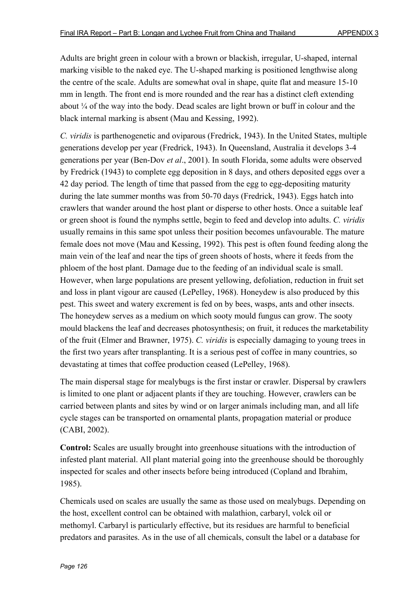Adults are bright green in colour with a brown or blackish, irregular, U-shaped, internal marking visible to the naked eye. The U-shaped marking is positioned lengthwise along the centre of the scale. Adults are somewhat oval in shape, quite flat and measure 15-10 mm in length. The front end is more rounded and the rear has a distinct cleft extending about ¼ of the way into the body. Dead scales are light brown or buff in colour and the black internal marking is absent (Mau and Kessing, 1992).

*C. viridis* is parthenogenetic and oviparous (Fredrick, 1943). In the United States, multiple generations develop per year (Fredrick, 1943). In Queensland, Australia it develops 3-4 generations per year (Ben-Dov *et al*., 2001). In south Florida, some adults were observed by Fredrick (1943) to complete egg deposition in 8 days, and others deposited eggs over a 42 day period. The length of time that passed from the egg to egg-depositing maturity during the late summer months was from 50-70 days (Fredrick, 1943). Eggs hatch into crawlers that wander around the host plant or disperse to other hosts. Once a suitable leaf or green shoot is found the nymphs settle, begin to feed and develop into adults. *C. viridis* usually remains in this same spot unless their position becomes unfavourable. The mature female does not move (Mau and Kessing, 1992). This pest is often found feeding along the main vein of the leaf and near the tips of green shoots of hosts, where it feeds from the phloem of the host plant. Damage due to the feeding of an individual scale is small. However, when large populations are present yellowing, defoliation, reduction in fruit set and loss in plant vigour are caused (LePelley, 1968). Honeydew is also produced by this pest. This sweet and watery excrement is fed on by bees, wasps, ants and other insects. The honeydew serves as a medium on which sooty mould fungus can grow. The sooty mould blackens the leaf and decreases photosynthesis; on fruit, it reduces the marketability of the fruit (Elmer and Brawner, 1975). *C. viridis* is especially damaging to young trees in the first two years after transplanting. It is a serious pest of coffee in many countries, so devastating at times that coffee production ceased (LePelley, 1968).

The main dispersal stage for mealybugs is the first instar or crawler. Dispersal by crawlers is limited to one plant or adjacent plants if they are touching. However, crawlers can be carried between plants and sites by wind or on larger animals including man, and all life cycle stages can be transported on ornamental plants, propagation material or produce (CABI, 2002).

**Control:** Scales are usually brought into greenhouse situations with the introduction of infested plant material. All plant material going into the greenhouse should be thoroughly inspected for scales and other insects before being introduced (Copland and Ibrahim, 1985).

Chemicals used on scales are usually the same as those used on mealybugs. Depending on the host, excellent control can be obtained with malathion, carbaryl, volck oil or methomyl. Carbaryl is particularly effective, but its residues are harmful to beneficial predators and parasites. As in the use of all chemicals, consult the label or a database for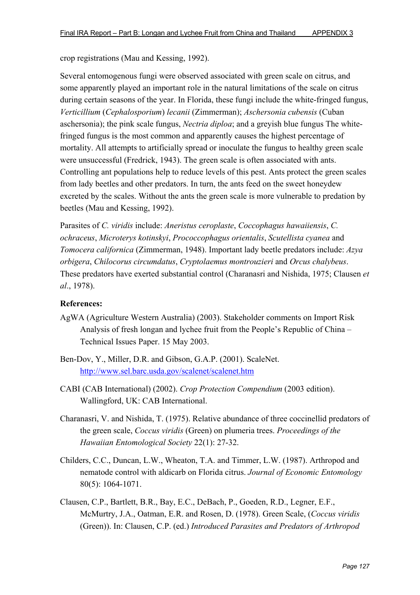crop registrations (Mau and Kessing, 1992).

Several entomogenous fungi were observed associated with green scale on citrus, and some apparently played an important role in the natural limitations of the scale on citrus during certain seasons of the year. In Florida, these fungi include the white-fringed fungus, *Verticillium* (*Cephalosporium*) *lecanii* (Zimmerman); *Aschersonia cubensis* (Cuban aschersonia); the pink scale fungus, *Nectria diploa*; and a greyish blue fungus The whitefringed fungus is the most common and apparently causes the highest percentage of mortality. All attempts to artificially spread or inoculate the fungus to healthy green scale were unsuccessful (Fredrick, 1943). The green scale is often associated with ants. Controlling ant populations help to reduce levels of this pest. Ants protect the green scales from lady beetles and other predators. In turn, the ants feed on the sweet honeydew excreted by the scales. Without the ants the green scale is more vulnerable to predation by beetles (Mau and Kessing, 1992).

Parasites of *C. viridis* include: *Aneristus ceroplaste*, *Coccophagus hawaiiensis*, *C. ochraceus*, *Microterys kotinskyi*, *Prococcophagus orientalis*, *Scutellista cyanea* and *Tomocera californica* (Zimmerman, 1948). Important lady beetle predators include: *Azya orbigera*, *Chilocorus circumdatus*, *Cryptolaemus montrouzieri* and *Orcus chalybeus*. These predators have exerted substantial control (Charanasri and Nishida, 1975; Clausen *et al*., 1978).

- AgWA (Agriculture Western Australia) (2003). Stakeholder comments on Import Risk Analysis of fresh longan and lychee fruit from the People's Republic of China – Technical Issues Paper. 15 May 2003.
- Ben-Dov, Y., Miller, D.R. and Gibson, G.A.P. (2001). ScaleNet. http://www.sel.barc.usda.gov/scalenet/scalenet.htm
- CABI (CAB International) (2002). *Crop Protection Compendium* (2003 edition). Wallingford, UK: CAB International.
- Charanasri, V. and Nishida, T. (1975). Relative abundance of three coccinellid predators of the green scale, *Coccus viridis* (Green) on plumeria trees. *Proceedings of the Hawaiian Entomological Society* 22(1): 27-32.
- Childers, C.C., Duncan, L.W., Wheaton, T.A. and Timmer, L.W. (1987). Arthropod and nematode control with aldicarb on Florida citrus. *Journal of Economic Entomology* 80(5): 1064-1071.
- Clausen, C.P., Bartlett, B.R., Bay, E.C., DeBach, P., Goeden, R.D., Legner, E.F., McMurtry, J.A., Oatman, E.R. and Rosen, D. (1978). Green Scale, (*Coccus viridis* (Green)). In: Clausen, C.P. (ed.) *Introduced Parasites and Predators of Arthropod*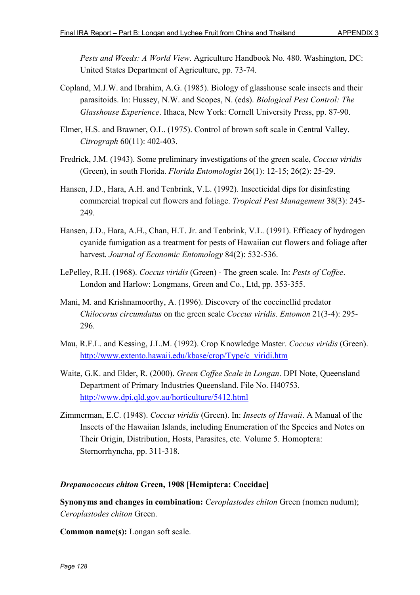*Pests and Weeds: A World View*. Agriculture Handbook No. 480. Washington, DC: United States Department of Agriculture, pp. 73-74.

- Copland, M.J.W. and Ibrahim, A.G. (1985). Biology of glasshouse scale insects and their parasitoids. In: Hussey, N.W. and Scopes, N. (eds). *Biological Pest Control: The Glasshouse Experience*. Ithaca, New York: Cornell University Press, pp. 87-90.
- Elmer, H.S. and Brawner, O.L. (1975). Control of brown soft scale in Central Valley. *Citrograph* 60(11): 402-403.
- Fredrick, J.M. (1943). Some preliminary investigations of the green scale, *Coccus viridis* (Green), in south Florida. *Florida Entomologist* 26(1): 12-15; 26(2): 25-29.
- Hansen, J.D., Hara, A.H. and Tenbrink, V.L. (1992). Insecticidal dips for disinfesting commercial tropical cut flowers and foliage. *Tropical Pest Management* 38(3): 245- 249.
- Hansen, J.D., Hara, A.H., Chan, H.T. Jr. and Tenbrink, V.L. (1991). Efficacy of hydrogen cyanide fumigation as a treatment for pests of Hawaiian cut flowers and foliage after harvest. *Journal of Economic Entomology* 84(2): 532-536.
- LePelley, R.H. (1968). *Coccus viridis* (Green) The green scale. In: *Pests of Coffee*. London and Harlow: Longmans, Green and Co., Ltd, pp. 353-355.
- Mani, M. and Krishnamoorthy, A. (1996). Discovery of the coccinellid predator *Chilocorus circumdatus* on the green scale *Coccus viridis*. *Entomon* 21(3-4): 295- 296.
- Mau, R.F.L. and Kessing, J.L.M. (1992). Crop Knowledge Master. *Coccus viridis* (Green). http://www.extento.hawaii.edu/kbase/crop/Type/c\_viridi.htm
- Waite, G.K. and Elder, R. (2000). *Green Coffee Scale in Longan*. DPI Note, Queensland Department of Primary Industries Queensland. File No. H40753. http://www.dpi.qld.gov.au/horticulture/5412.html
- Zimmerman, E.C. (1948). *Coccus viridis* (Green). In: *Insects of Hawaii*. A Manual of the Insects of the Hawaiian Islands, including Enumeration of the Species and Notes on Their Origin, Distribution, Hosts, Parasites, etc. Volume 5. Homoptera: Sternorrhyncha, pp. 311-318.

### *Drepanococcus chiton* **Green, 1908 [Hemiptera: Coccidae]**

**Synonyms and changes in combination:** *Ceroplastodes chiton* Green (nomen nudum); *Ceroplastodes chiton* Green.

**Common name(s):** Longan soft scale.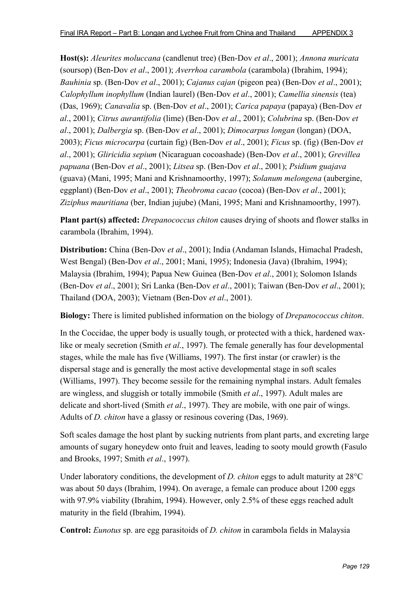**Host(s):** *Aleurites moluccana* (candlenut tree) (Ben-Dov *et al*., 2001); *Annona muricata* (soursop) (Ben-Dov *et al*., 2001); *Averrhoa carambola* (carambola) (Ibrahim, 1994); *Bauhinia* sp. (Ben-Dov *et al*., 2001); *Cajanus cajan* (pigeon pea) (Ben-Dov *et al*., 2001); *Calophyllum inophyllum* (Indian laurel) (Ben-Dov *et al*., 2001); *Camellia sinensis* (tea) (Das, 1969); *Canavalia* sp. (Ben-Dov *et al*., 2001); *Carica papaya* (papaya) (Ben-Dov *et al*., 2001); *Citrus aurantifolia* (lime) (Ben-Dov *et al*., 2001); *Colubrina* sp. (Ben-Dov *et al*., 2001); *Dalbergia* sp. (Ben-Dov *et al*., 2001); *Dimocarpus longan* (longan) (DOA, 2003); *Ficus microcarpa* (curtain fig) (Ben-Dov *et al*., 2001); *Ficus* sp. (fig) (Ben-Dov *et al*., 2001); *Gliricidia sepium* (Nicaraguan cocoashade) (Ben-Dov *et al*., 2001); *Grevillea papuana* (Ben-Dov *et al*., 2001); *Litsea* sp. (Ben-Dov *et al*., 2001); *Psidium guajava* (guava) (Mani, 1995; Mani and Krishnamoorthy, 1997); *Solanum melongena* (aubergine, eggplant) (Ben-Dov *et al*., 2001); *Theobroma cacao* (cocoa) (Ben-Dov *et al*., 2001); *Ziziphus mauritiana* (ber, Indian jujube) (Mani, 1995; Mani and Krishnamoorthy, 1997).

**Plant part(s) affected:** *Drepanococcus chiton* causes drying of shoots and flower stalks in carambola (Ibrahim, 1994).

**Distribution:** China (Ben-Dov *et al*., 2001); India (Andaman Islands, Himachal Pradesh, West Bengal) (Ben-Dov *et al*., 2001; Mani, 1995); Indonesia (Java) (Ibrahim, 1994); Malaysia (Ibrahim, 1994); Papua New Guinea (Ben-Dov *et al*., 2001); Solomon Islands (Ben-Dov *et al*., 2001); Sri Lanka (Ben-Dov *et al*., 2001); Taiwan (Ben-Dov *et al*., 2001); Thailand (DOA, 2003); Vietnam (Ben-Dov *et al*., 2001).

**Biology:** There is limited published information on the biology of *Drepanococcus chiton*.

In the Coccidae, the upper body is usually tough, or protected with a thick, hardened waxlike or mealy secretion (Smith *et al*., 1997). The female generally has four developmental stages, while the male has five (Williams, 1997). The first instar (or crawler) is the dispersal stage and is generally the most active developmental stage in soft scales (Williams, 1997). They become sessile for the remaining nymphal instars. Adult females are wingless, and sluggish or totally immobile (Smith *et al*., 1997). Adult males are delicate and short-lived (Smith *et al*., 1997). They are mobile, with one pair of wings. Adults of *D. chiton* have a glassy or resinous covering (Das, 1969).

Soft scales damage the host plant by sucking nutrients from plant parts, and excreting large amounts of sugary honeydew onto fruit and leaves, leading to sooty mould growth (Fasulo and Brooks, 1997; Smith *et al*., 1997).

Under laboratory conditions, the development of *D. chiton* eggs to adult maturity at 28°C was about 50 days (Ibrahim, 1994). On average, a female can produce about 1200 eggs with 97.9% viability (Ibrahim, 1994). However, only 2.5% of these eggs reached adult maturity in the field (Ibrahim, 1994).

**Control:** *Eunotus* sp. are egg parasitoids of *D. chiton* in carambola fields in Malaysia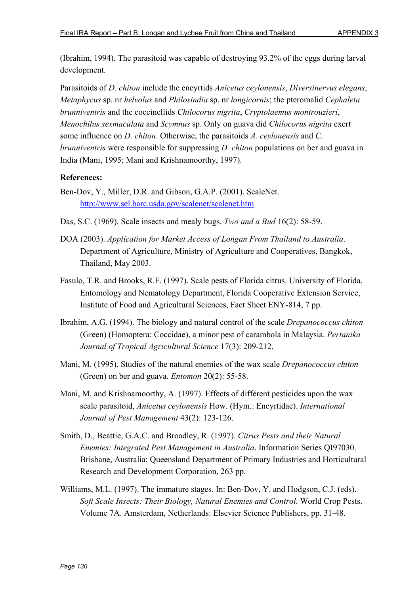(Ibrahim, 1994). The parasitoid was capable of destroying 93.2% of the eggs during larval development.

Parasitoids of *D. chiton* include the encyrtids *Anicetus ceylonensis*, *Diversinervus elegans*, *Metaphycus* sp. nr *helvolus* and *Philosindia* sp. nr *longicornis*; the pteromalid *Cephaleta brunniventris* and the coccinellids *Chilocorus nigrita*, *Cryptolaemus montrouzieri*, *Menochilus sexmaculata* and *Scymnus* sp. Only on guava did *Chilocorus nigrita* exert some influence on *D. chiton*. Otherwise, the parasitoids *A. ceylonensis* and *C. brunniventris* were responsible for suppressing *D. chiton* populations on ber and guava in India (Mani, 1995; Mani and Krishnamoorthy, 1997).

- Ben-Dov, Y., Miller, D.R. and Gibson, G.A.P. (2001). ScaleNet. http://www.sel.barc.usda.gov/scalenet/scalenet.htm
- Das, S.C. (1969). Scale insects and mealy bugs. *Two and a Bud* 16(2): 58-59.
- DOA (2003). *Application for Market Access of Longan From Thailand to Australia*. Department of Agriculture, Ministry of Agriculture and Cooperatives, Bangkok, Thailand, May 2003.
- Fasulo, T.R. and Brooks, R.F. (1997). Scale pests of Florida citrus. University of Florida, Entomology and Nematology Department, Florida Cooperative Extension Service, Institute of Food and Agricultural Sciences, Fact Sheet ENY-814, 7 pp.
- Ibrahim, A.G. (1994). The biology and natural control of the scale *Drepanococcus chiton* (Green) (Homoptera: Coccidae), a minor pest of carambola in Malaysia. *Pertanika Journal of Tropical Agricultural Science* 17(3): 209-212.
- Mani, M. (1995). Studies of the natural enemies of the wax scale *Drepanococcus chiton* (Green) on ber and guava. *Entomon* 20(2): 55-58.
- Mani, M. and Krishnamoorthy, A. (1997). Effects of different pesticides upon the wax scale parasitoid, *Anicetus ceylonensis* How. (Hym.: Encyrtidae). *International Journal of Pest Management* 43(2): 123-126.
- Smith, D., Beattie, G.A.C. and Broadley, R. (1997). *Citrus Pests and their Natural Enemies: Integrated Pest Management in Australia*. Information Series QI97030. Brisbane, Australia: Queensland Department of Primary Industries and Horticultural Research and Development Corporation, 263 pp.
- Williams, M.L. (1997). The immature stages. In: Ben-Dov, Y. and Hodgson, C.J. (eds). *Soft Scale Insects: Their Biology, Natural Enemies and Control*. World Crop Pests. Volume 7A. Amsterdam, Netherlands: Elsevier Science Publishers, pp. 31-48.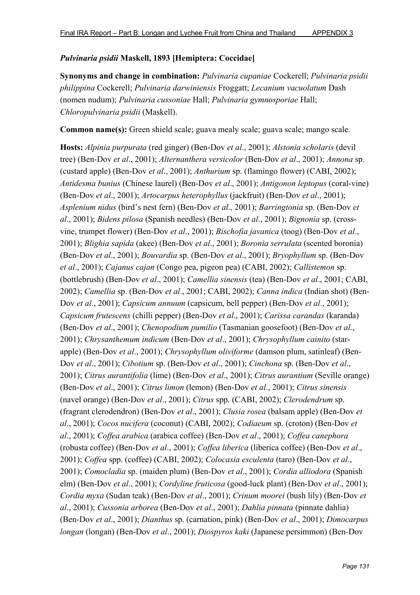# *Pulvinaria psidii* **Maskell, 1893 [Hemiptera: Coccidae]**

**Synonyms and change in combination:** *Pulvinaria cupaniae* Cockerell; *Pulvinaria psidii philippina* Cockerell; *Pulvinaria darwiniensis* Froggatt; *Lecanium vacuolatum* Dash (nomen nudum); *Pulvinaria cussoniae* Hall; *Pulvinaria gymnosporiae* Hall; *Chloropulvinaria psidii* (Maskell).

**Common name(s):** Green shield scale; guava mealy scale; guava scale; mango scale.

**Hosts:** *Alpinia purpurata* (red ginger) (Ben-Dov *et al*., 2001); *Alstonia scholaris* (devil tree) (Ben-Dov *et al*., 2001); *Alternanthera versicolor* (Ben-Dov *et al*., 2001); *Annona* sp. (custard apple) (Ben-Dov *et al*., 2001); *Anthurium* sp. (flamingo flower) (CABI, 2002); *Antidesma bunius* (Chinese laurel) (Ben-Dov *et al*., 2001); *Antigonon leptopus* (coral-vine) (Ben-Dov *et al*., 2001); *Artocarpus heterophyllus* (jackfruit) (Ben-Dov *et al*., 2001); *Asplenium nidus* (bird's nest fern) (Ben-Dov *et al*., 2001); *Barringtonia* sp. (Ben-Dov *et al*., 2001); *Bidens pilosa* (Spanish needles) (Ben-Dov *et al*., 2001); *Bignonia* sp. (crossvine, trumpet flower) (Ben-Dov *et al*., 2001); *Bischofia javanica* (toog) (Ben-Dov *et al*., 2001); *Blighia sapida* (akee) (Ben-Dov *et al*., 2001); *Boronia serrulata* (scented boronia) (Ben-Dov *et al*., 2001); *Bouvardia* sp. (Ben-Dov *et al*., 2001); *Bryophyllum* sp. (Ben-Dov *et al*., 2001); *Cajanus cajan* (Congo pea, pigeon pea) (CABI, 2002); *Callistemon* sp. (bottlebrush) (Ben-Dov *et al*., 2001); *Camellia sinensis* (tea) (Ben-Dov *et al*., 2001; CABI, 2002); *Camellia* sp. (Ben-Dov *et al*., 2001; CABI, 2002); *Canna indica* (Indian shot) (Ben-Dov *et al*., 2001); *Capsicum annuum* (capsicum, bell pepper) (Ben-Dov *et al*., 2001); *Capsicum frutescens* (chilli pepper) (Ben-Dov *et al*., 2001); *Carissa carandas* (karanda) (Ben-Dov *et al*., 2001); *Chenopodium pumilio* (Tasmanian goosefoot) (Ben-Dov *et al*., 2001); *Chrysanthemum indicum* (Ben-Dov *et al*., 2001); *Chrysophyllum cainito* (starapple) (Ben-Dov *et al*., 2001); *Chrysophyllum oliviforme* (damson plum, satinleaf) (Ben-Dov *et al*., 2001); *Cibotium* sp. (Ben-Dov *et al*., 2001); *Cinchona* sp. (Ben-Dov *et al*., 2001); *Citrus aurantifolia* (lime) (Ben-Dov *et al*., 2001); *Citrus aurantium* (Seville orange) (Ben-Dov *et al*., 2001); *Citrus limon* (lemon) (Ben-Dov *et al*., 2001); *Citrus sinensis* (navel orange) (Ben-Dov *et al*., 2001); *Citrus* spp. (CABI, 2002); *Clerodendrum* sp. (fragrant clerodendron) (Ben-Dov *et al*., 2001); *Clusia rosea* (balsam apple) (Ben-Dov *et al*., 2001); *Cocos nucifera* (coconut) (CABI, 2002); *Codiaeum* sp. (croton) (Ben-Dov *et al*., 2001); *Coffea arabica* (arabica coffee) (Ben-Dov *et al*., 2001); *Coffea canephora* (robusta coffee) (Ben-Dov *et al*., 2001); *Coffea liberica* (liberica coffee) (Ben-Dov *et al*., 2001); *Coffea* spp. (coffee) (CABI, 2002); *Colocasia esculenta* (taro) (Ben-Dov *et al*., 2001); *Comocladia* sp. (maiden plum) (Ben-Dov *et al*., 2001); *Cordia alliodora* (Spanish elm) (Ben-Dov *et al*., 2001); *Cordyline fruticosa* (good-luck plant) (Ben-Dov *et al*., 2001); *Cordia myxa* (Sudan teak) (Ben-Dov *et al*., 2001); *Crinum moorei* (bush lily) (Ben-Dov *et al*., 2001); *Cussonia arborea* (Ben-Dov *et al*., 2001); *Dahlia pinnata* (pinnate dahlia) (Ben-Dov *et al*., 2001); *Dianthus* sp. (carnation, pink) (Ben-Dov *et al*., 2001); *Dimocarpus longan* (longan) (Ben-Dov *et al*., 2001); *Diospyros kaki* (Japanese persimmon) (Ben-Dov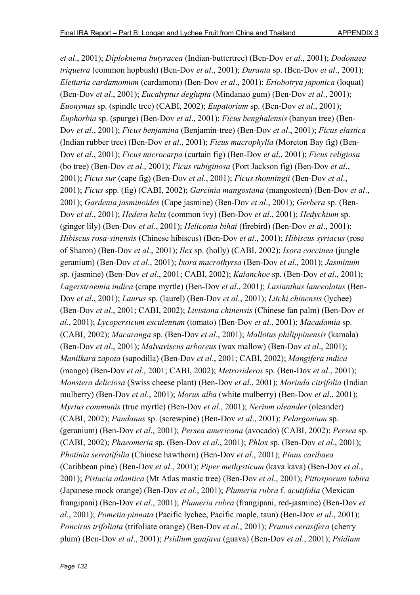*et al*., 2001); *Diploknema butyracea* (Indian-buttertree) (Ben-Dov *et al*., 2001); *Dodonaea triquetra* (common hopbush) (Ben-Dov *et al*., 2001); *Duranta* sp. (Ben-Dov *et al*., 2001); *Elettaria cardamomum* (cardamom) (Ben-Dov *et al*., 2001); *Eriobotrya japonica* (loquat) (Ben-Dov *et al*., 2001); *Eucalyptus deglupta* (Mindanao gum) (Ben-Dov *et al*., 2001); *Euonymus* sp. (spindle tree) (CABI, 2002); *Eupatorium* sp. (Ben-Dov *et al*., 2001); *Euphorbia* sp. (spurge) (Ben-Dov *et al*., 2001); *Ficus benghalensis* (banyan tree) (Ben-Dov *et al*., 2001); *Ficus benjamina* (Benjamin-tree) (Ben-Dov *et al*., 2001); *Ficus elastica* (Indian rubber tree) (Ben-Dov *et al*., 2001); *Ficus macrophylla* (Moreton Bay fig) (Ben-Dov *et al*., 2001); *Ficus microcarpa* (curtain fig) (Ben-Dov *et al*., 2001); *Ficus religiosa* (bo tree) (Ben-Dov *et al*., 2001); *Ficus rubiginosa* (Port Jackson fig) (Ben-Dov *et al*., 2001); *Ficus sur* (cape fig) (Ben-Dov *et al*., 2001); *Ficus thonningii* (Ben-Dov *et al*., 2001); *Ficus* spp. (fig) (CABI, 2002); *Garcinia mangostana* (mangosteen) (Ben-Dov *et al*., 2001); *Gardenia jasminoides* (Cape jasmine) (Ben-Dov *et al*., 2001); *Gerbera* sp. (Ben-Dov *et al*., 2001); *Hedera helix* (common ivy) (Ben-Dov *et al*., 2001); *Hedychium* sp. (ginger lily) (Ben-Dov *et al*., 2001); *Heliconia bihai* (firebird) (Ben-Dov *et al*., 2001); *Hibiscus rosa-sinensis* (Chinese hibiscus) (Ben-Dov *et al*., 2001); *Hibiscus syriacus* (rose of Sharon) (Ben-Dov *et al*., 2001); *Ilex* sp. (holly) (CABI, 2002); *Ixora coccinea* (jungle geranium) (Ben-Dov *et al*., 2001); *Ixora macrothyrsa* (Ben-Dov *et al*., 2001); *Jasminum* sp. (jasmine) (Ben-Dov *et al*., 2001; CABI, 2002); *Kalanchoe* sp. (Ben-Dov *et al*., 2001); *Lagerstroemia indica* (crape myrtle) (Ben-Dov *et al*., 2001); *Lasianthus lanceolatus* (Ben-Dov *et al*., 2001); *Laurus* sp. (laurel) (Ben-Dov *et al*., 2001); *Litchi chinensis* (lychee) (Ben-Dov *et al*., 2001; CABI, 2002); *Livistona chinensis* (Chinese fan palm) (Ben-Dov *et al*., 2001); *Lycopersicum esculentum* (tomato) (Ben-Dov *et al*., 2001); *Macadamia* sp. (CABI, 2002); *Macaranga* sp. (Ben-Dov *et al*., 2001); *Mallotus philippinensis* (kamala) (Ben-Dov *et al*., 2001); *Malvaviscus arboreus* (wax mallow) (Ben-Dov *et al*., 2001); *Manilkara zapota* (sapodilla) (Ben-Dov *et al*., 2001; CABI, 2002); *Mangifera indica* (mango) (Ben-Dov *et al*., 2001; CABI, 2002); *Metrosideros* sp. (Ben-Dov *et al*., 2001); *Monstera deliciosa* (Swiss cheese plant) (Ben-Dov *et al*., 2001); *Morinda citrifolia* (Indian mulberry) (Ben-Dov *et al*., 2001); *Morus alba* (white mulberry) (Ben-Dov *et al*., 2001); *Myrtus communis* (true myrtle) (Ben-Dov *et al*., 2001); *Nerium oleander* (oleander) (CABI, 2002); *Pandanus* sp. (screwpine) (Ben-Dov *et al*., 2001); *Pelargonium* sp. (geranium) (Ben-Dov *et al*., 2001); *Persea americana* (avocado) (CABI, 2002); *Persea* sp. (CABI, 2002); *Phaeomeria* sp. (Ben-Dov *et al*., 2001); *Phlox* sp. (Ben-Dov *et al*., 2001); *Photinia serratifolia* (Chinese hawthorn) (Ben-Dov *et al*., 2001); *Pinus caribaea* (Caribbean pine) (Ben-Dov *et al*., 2001); *Piper methysticum* (kava kava) (Ben-Dov *et al*., 2001); *Pistacia atlantica* (Mt Atlas mastic tree) (Ben-Dov *et al*., 2001); *Pittosporum tobira* (Japanese mock orange) (Ben-Dov *et al*., 2001); *Plumeria rubra* f. *acutifolia* (Mexican frangipani) (Ben-Dov *et al*., 2001); *Plumeria rubra* (frangipani, red-jasmine) (Ben-Dov *et al*., 2001); *Pometia pinnata* (Pacific lychee, Pacific maple, taun) (Ben-Dov *et al*., 2001); *Poncirus trifoliata* (trifoliate orange) (Ben-Dov *et al*., 2001); *Prunus cerasifera* (cherry plum) (Ben-Dov *et al*., 2001); *Psidium guajava* (guava) (Ben-Dov *et al*., 2001); *Psidium*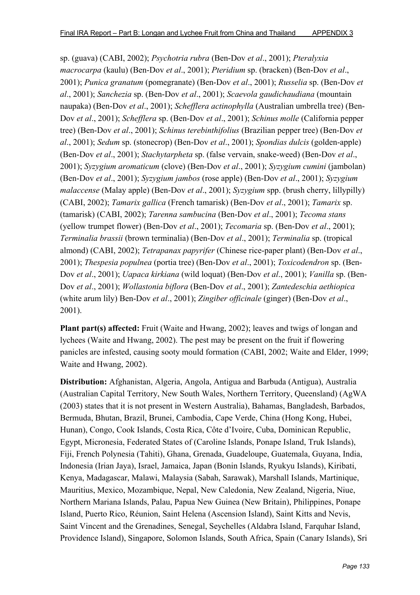sp. (guava) (CABI, 2002); *Psychotria rubra* (Ben-Dov *et al*., 2001); *Pteralyxia macrocarpa* (kaulu) (Ben-Dov *et al*., 2001); *Pteridium* sp. (bracken) (Ben-Dov *et al*., 2001); *Punica granatum* (pomegranate) (Ben-Dov *et al*., 2001); *Russelia* sp. (Ben-Dov *et al*., 2001); *Sanchezia* sp. (Ben-Dov *et al*., 2001); *Scaevola gaudichaudiana* (mountain naupaka) (Ben-Dov *et al*., 2001); *Schefflera actinophylla* (Australian umbrella tree) (Ben-Dov *et al*., 2001); *Schefflera* sp. (Ben-Dov *et al*., 2001); *Schinus molle* (California pepper tree) (Ben-Dov *et al*., 2001); *Schinus terebinthifolius* (Brazilian pepper tree) (Ben-Dov *et al*., 2001); *Sedum* sp. (stonecrop) (Ben-Dov *et al*., 2001); *Spondias dulcis* (golden-apple) (Ben-Dov *et al*., 2001); *Stachytarpheta* sp. (false vervain, snake-weed) (Ben-Dov *et al*., 2001); *Syzygium aromaticum* (clove) (Ben-Dov *et al*., 2001); *Syzygium cumini* (jambolan) (Ben-Dov *et al*., 2001); *Syzygium jambos* (rose apple) (Ben-Dov *et al*., 2001); *Syzygium malaccense* (Malay apple) (Ben-Dov *et al*., 2001); *Syzygium* spp. (brush cherry, lillypilly) (CABI, 2002); *Tamarix gallica* (French tamarisk) (Ben-Dov *et al*., 2001); *Tamarix* sp. (tamarisk) (CABI, 2002); *Tarenna sambucina* (Ben-Dov *et al*., 2001); *Tecoma stans* (yellow trumpet flower) (Ben-Dov *et al*., 2001); *Tecomaria* sp. (Ben-Dov *et al*., 2001); *Terminalia brassii* (brown terminalia) (Ben-Dov *et al*., 2001); *Terminalia* sp. (tropical almond) (CABI, 2002); *Tetrapanax papyrifer* (Chinese rice-paper plant) (Ben-Dov *et al*., 2001); *Thespesia populnea* (portia tree) (Ben-Dov *et al*., 2001); *Toxicodendron* sp. (Ben-Dov *et al*., 2001); *Uapaca kirkiana* (wild loquat) (Ben-Dov *et al*., 2001); *Vanilla* sp. (Ben-Dov *et al*., 2001); *Wollastonia biflora* (Ben-Dov *et al*., 2001); *Zantedeschia aethiopica* (white arum lily) Ben-Dov *et al*., 2001); *Zingiber officinale* (ginger) (Ben-Dov *et al*., 2001).

**Plant part(s) affected:** Fruit (Waite and Hwang, 2002); leaves and twigs of longan and lychees (Waite and Hwang, 2002). The pest may be present on the fruit if flowering panicles are infested, causing sooty mould formation (CABI, 2002; Waite and Elder, 1999; Waite and Hwang, 2002).

**Distribution:** Afghanistan, Algeria, Angola, Antigua and Barbuda (Antigua), Australia (Australian Capital Territory, New South Wales, Northern Territory, Queensland) (AgWA (2003) states that it is not present in Western Australia), Bahamas, Bangladesh, Barbados, Bermuda, Bhutan, Brazil, Brunei, Cambodia, Cape Verde, China (Hong Kong, Hubei, Hunan), Congo, Cook Islands, Costa Rica, Côte d'Ivoire, Cuba, Dominican Republic, Egypt, Micronesia, Federated States of (Caroline Islands, Ponape Island, Truk Islands), Fiji, French Polynesia (Tahiti), Ghana, Grenada, Guadeloupe, Guatemala, Guyana, India, Indonesia (Irian Jaya), Israel, Jamaica, Japan (Bonin Islands, Ryukyu Islands), Kiribati, Kenya, Madagascar, Malawi, Malaysia (Sabah, Sarawak), Marshall Islands, Martinique, Mauritius, Mexico, Mozambique, Nepal, New Caledonia, New Zealand, Nigeria, Niue, Northern Mariana Islands, Palau, Papua New Guinea (New Britain), Philippines, Ponape Island, Puerto Rico, Réunion, Saint Helena (Ascension Island), Saint Kitts and Nevis, Saint Vincent and the Grenadines, Senegal, Seychelles (Aldabra Island, Farquhar Island, Providence Island), Singapore, Solomon Islands, South Africa, Spain (Canary Islands), Sri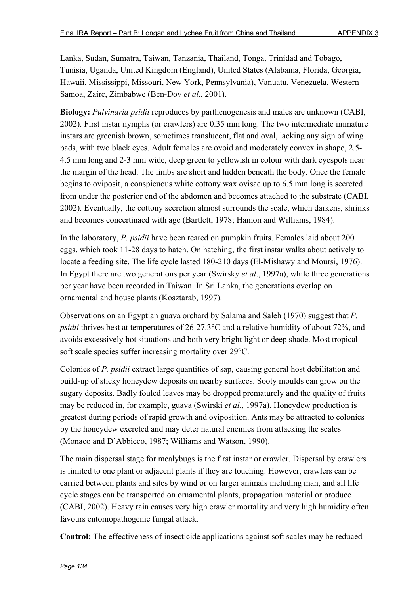Lanka, Sudan, Sumatra, Taiwan, Tanzania, Thailand, Tonga, Trinidad and Tobago, Tunisia, Uganda, United Kingdom (England), United States (Alabama, Florida, Georgia, Hawaii, Mississippi, Missouri, New York, Pennsylvania), Vanuatu, Venezuela, Western Samoa, Zaire, Zimbabwe (Ben-Dov *et al*., 2001).

**Biology:** *Pulvinaria psidii* reproduces by parthenogenesis and males are unknown (CABI, 2002). First instar nymphs (or crawlers) are 0.35 mm long. The two intermediate immature instars are greenish brown, sometimes translucent, flat and oval, lacking any sign of wing pads, with two black eyes. Adult females are ovoid and moderately convex in shape, 2.5- 4.5 mm long and 2-3 mm wide, deep green to yellowish in colour with dark eyespots near the margin of the head. The limbs are short and hidden beneath the body. Once the female begins to oviposit, a conspicuous white cottony wax ovisac up to 6.5 mm long is secreted from under the posterior end of the abdomen and becomes attached to the substrate (CABI, 2002). Eventually, the cottony secretion almost surrounds the scale, which darkens, shrinks and becomes concertinaed with age (Bartlett, 1978; Hamon and Williams, 1984).

In the laboratory, *P. psidii* have been reared on pumpkin fruits. Females laid about 200 eggs, which took 11-28 days to hatch. On hatching, the first instar walks about actively to locate a feeding site. The life cycle lasted 180-210 days (El-Mishawy and Moursi, 1976). In Egypt there are two generations per year (Swirsky *et al*., 1997a), while three generations per year have been recorded in Taiwan. In Sri Lanka, the generations overlap on ornamental and house plants (Kosztarab, 1997).

Observations on an Egyptian guava orchard by Salama and Saleh (1970) suggest that *P. psidii* thrives best at temperatures of 26-27.3°C and a relative humidity of about 72%, and avoids excessively hot situations and both very bright light or deep shade. Most tropical soft scale species suffer increasing mortality over 29°C.

Colonies of *P. psidii* extract large quantities of sap, causing general host debilitation and build-up of sticky honeydew deposits on nearby surfaces. Sooty moulds can grow on the sugary deposits. Badly fouled leaves may be dropped prematurely and the quality of fruits may be reduced in, for example, guava (Swirski *et al*., 1997a). Honeydew production is greatest during periods of rapid growth and oviposition. Ants may be attracted to colonies by the honeydew excreted and may deter natural enemies from attacking the scales (Monaco and D'Abbicco, 1987; Williams and Watson, 1990).

The main dispersal stage for mealybugs is the first instar or crawler. Dispersal by crawlers is limited to one plant or adjacent plants if they are touching. However, crawlers can be carried between plants and sites by wind or on larger animals including man, and all life cycle stages can be transported on ornamental plants, propagation material or produce (CABI, 2002). Heavy rain causes very high crawler mortality and very high humidity often favours entomopathogenic fungal attack.

**Control:** The effectiveness of insecticide applications against soft scales may be reduced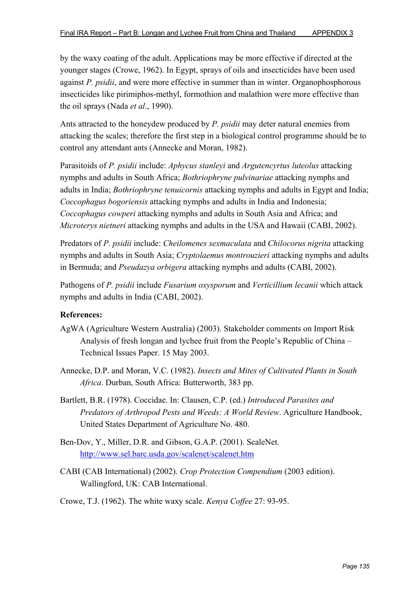by the waxy coating of the adult. Applications may be more effective if directed at the younger stages (Crowe, 1962). In Egypt, sprays of oils and insecticides have been used against *P. psidii*, and were more effective in summer than in winter. Organophosphorous insecticides like pirimiphos-methyl, formothion and malathion were more effective than the oil sprays (Nada *et al*., 1990).

Ants attracted to the honeydew produced by *P. psidii* may deter natural enemies from attacking the scales; therefore the first step in a biological control programme should be to control any attendant ants (Annecke and Moran, 1982).

Parasitoids of *P. psidii* include: *Aphycus stanleyi* and *Argutencyrtus luteolus* attacking nymphs and adults in South Africa; *Bothriophryne pulvinariae* attacking nymphs and adults in India; *Bothriophryne tenuicornis* attacking nymphs and adults in Egypt and India; *Coccophagus bogoriensis* attacking nymphs and adults in India and Indonesia; *Coccophagus cowperi* attacking nymphs and adults in South Asia and Africa; and *Microterys nietneri* attacking nymphs and adults in the USA and Hawaii (CABI, 2002).

Predators of *P. psidii* include: *Cheilomenes sexmaculata* and *Chilocorus nigrita* attacking nymphs and adults in South Asia; *Cryptolaemus montrouzieri* attacking nymphs and adults in Bermuda; and *Pseudazya orbigera* attacking nymphs and adults (CABI, 2002).

Pathogens of *P. psidii* include *Fusarium oxysporum* and *Verticillium lecanii* which attack nymphs and adults in India (CABI, 2002).

- AgWA (Agriculture Western Australia) (2003). Stakeholder comments on Import Risk Analysis of fresh longan and lychee fruit from the People's Republic of China – Technical Issues Paper. 15 May 2003.
- Annecke, D.P. and Moran, V.C. (1982). *Insects and Mites of Cultivated Plants in South Africa*. Durban, South Africa: Butterworth, 383 pp.
- Bartlett, B.R. (1978). Coccidae. In: Clausen, C.P. (ed.) *Introduced Parasites and Predators of Arthropod Pests and Weeds: A World Review*. Agriculture Handbook, United States Department of Agriculture No. 480.
- Ben-Dov, Y., Miller, D.R. and Gibson, G.A.P. (2001). ScaleNet. http://www.sel.barc.usda.gov/scalenet/scalenet.htm
- CABI (CAB International) (2002). *Crop Protection Compendium* (2003 edition). Wallingford, UK: CAB International.
- Crowe, T.J. (1962). The white waxy scale. *Kenya Coffee* 27: 93-95.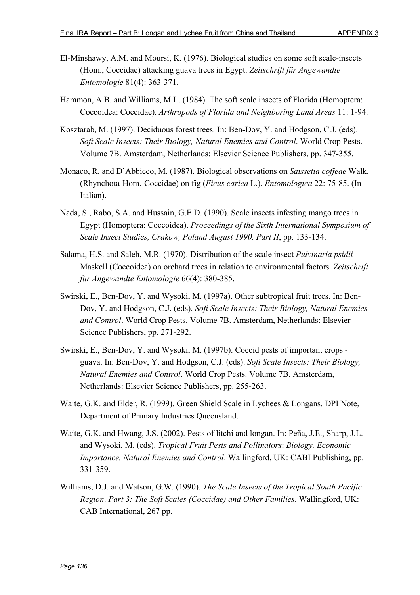- El-Minshawy, A.M. and Moursi, K. (1976). Biological studies on some soft scale-insects (Hom., Coccidae) attacking guava trees in Egypt. *Zeitschrift für Angewandte Entomologie* 81(4): 363-371.
- Hammon, A.B. and Williams, M.L. (1984). The soft scale insects of Florida (Homoptera: Coccoidea: Coccidae). *Arthropods of Florida and Neighboring Land Areas* 11: 1-94.
- Kosztarab, M. (1997). Deciduous forest trees. In: Ben-Dov, Y. and Hodgson, C.J. (eds). *Soft Scale Insects: Their Biology, Natural Enemies and Control*. World Crop Pests. Volume 7B. Amsterdam, Netherlands: Elsevier Science Publishers, pp. 347-355.
- Monaco, R. and D'Abbicco, M. (1987). Biological observations on *Saissetia coffeae* Walk. (Rhynchota-Hom.-Coccidae) on fig (*Ficus carica* L.). *Entomologica* 22: 75-85. (In Italian).
- Nada, S., Rabo, S.A. and Hussain, G.E.D. (1990). Scale insects infesting mango trees in Egypt (Homoptera: Coccoidea). *Proceedings of the Sixth International Symposium of Scale Insect Studies, Crakow, Poland August 1990, Part II*, pp. 133-134.
- Salama, H.S. and Saleh, M.R. (1970). Distribution of the scale insect *Pulvinaria psidii* Maskell (Coccoidea) on orchard trees in relation to environmental factors. *Zeitschrift für Angewandte Entomologie* 66(4): 380-385.
- Swirski, E., Ben-Dov, Y. and Wysoki, M. (1997a). Other subtropical fruit trees. In: Ben-Dov, Y. and Hodgson, C.J. (eds). *Soft Scale Insects: Their Biology, Natural Enemies and Control*. World Crop Pests. Volume 7B. Amsterdam, Netherlands: Elsevier Science Publishers, pp. 271-292.
- Swirski, E., Ben-Dov, Y. and Wysoki, M. (1997b). Coccid pests of important crops guava. In: Ben-Dov, Y. and Hodgson, C.J. (eds). *Soft Scale Insects: Their Biology, Natural Enemies and Control*. World Crop Pests. Volume 7B. Amsterdam, Netherlands: Elsevier Science Publishers, pp. 255-263.
- Waite, G.K. and Elder, R. (1999). Green Shield Scale in Lychees & Longans. DPI Note, Department of Primary Industries Queensland.
- Waite, G.K. and Hwang, J.S. (2002). Pests of litchi and longan. In: Peña, J.E., Sharp, J.L. and Wysoki, M. (eds). *Tropical Fruit Pests and Pollinators*: *Biology, Economic Importance, Natural Enemies and Control*. Wallingford, UK: CABI Publishing, pp. 331-359.
- Williams, D.J. and Watson, G.W. (1990). *The Scale Insects of the Tropical South Pacific Region*. *Part 3: The Soft Scales (Coccidae) and Other Families*. Wallingford, UK: CAB International, 267 pp.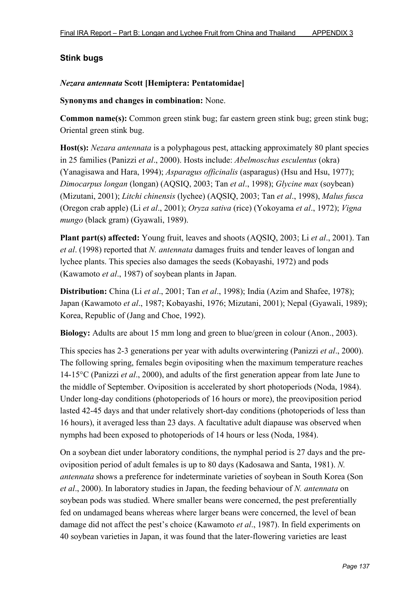# **Stink bugs**

# *Nezara antennata* **Scott [Hemiptera: Pentatomidae]**

**Synonyms and changes in combination:** None.

**Common name(s):** Common green stink bug; far eastern green stink bug; green stink bug; Oriental green stink bug.

**Host(s):** *Nezara antennata* is a polyphagous pest, attacking approximately 80 plant species in 25 families (Panizzi *et al*., 2000). Hosts include: *Abelmoschus esculentus* (okra) (Yanagisawa and Hara, 1994); *Asparagus officinalis* (asparagus) (Hsu and Hsu, 1977); *Dimocarpus longan* (longan) (AQSIQ, 2003; Tan *et al*., 1998); *Glycine max* (soybean) (Mizutani, 2001); *Litchi chinensis* (lychee) (AQSIQ, 2003; Tan *et al*., 1998), *Malus fusca* (Oregon crab apple) (Li *et al*., 2001); *Oryza sativa* (rice) (Yokoyama *et al*., 1972); *Vigna mungo* (black gram) (Gyawali, 1989).

**Plant part(s) affected:** Young fruit, leaves and shoots (AQSIQ, 2003; Li *et al*., 2001). Tan *et al*. (1998) reported that *N. antennata* damages fruits and tender leaves of longan and lychee plants. This species also damages the seeds (Kobayashi, 1972) and pods (Kawamoto *et al*., 1987) of soybean plants in Japan.

**Distribution:** China (Li *et al*., 2001; Tan *et al*., 1998); India (Azim and Shafee, 1978); Japan (Kawamoto *et al*., 1987; Kobayashi, 1976; Mizutani, 2001); Nepal (Gyawali, 1989); Korea, Republic of (Jang and Choe, 1992).

**Biology:** Adults are about 15 mm long and green to blue/green in colour (Anon., 2003).

This species has 2-3 generations per year with adults overwintering (Panizzi *et al*., 2000). The following spring, females begin ovipositing when the maximum temperature reaches 14-15°C (Panizzi *et al*., 2000), and adults of the first generation appear from late June to the middle of September. Oviposition is accelerated by short photoperiods (Noda, 1984). Under long-day conditions (photoperiods of 16 hours or more), the preoviposition period lasted 42-45 days and that under relatively short-day conditions (photoperiods of less than 16 hours), it averaged less than 23 days. A facultative adult diapause was observed when nymphs had been exposed to photoperiods of 14 hours or less (Noda, 1984).

On a soybean diet under laboratory conditions, the nymphal period is 27 days and the preoviposition period of adult females is up to 80 days (Kadosawa and Santa, 1981). *N. antennata* shows a preference for indeterminate varieties of soybean in South Korea (Son *et al*., 2000). In laboratory studies in Japan, the feeding behaviour of *N. antennata* on soybean pods was studied. Where smaller beans were concerned, the pest preferentially fed on undamaged beans whereas where larger beans were concerned, the level of bean damage did not affect the pest's choice (Kawamoto *et al*., 1987). In field experiments on 40 soybean varieties in Japan, it was found that the later-flowering varieties are least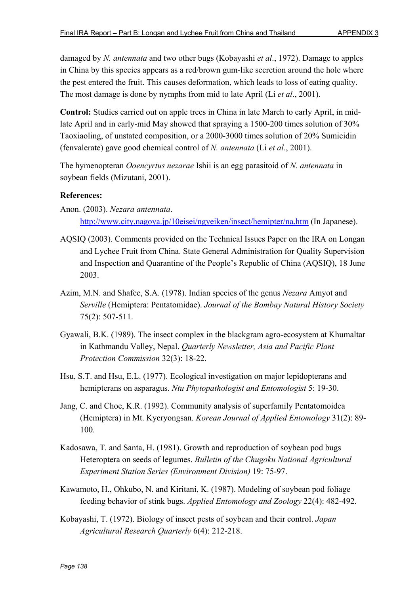damaged by *N. antennata* and two other bugs (Kobayashi *et al*., 1972). Damage to apples in China by this species appears as a red/brown gum-like secretion around the hole where the pest entered the fruit. This causes deformation, which leads to loss of eating quality. The most damage is done by nymphs from mid to late April (Li *et al*., 2001).

**Control:** Studies carried out on apple trees in China in late March to early April, in midlate April and in early-mid May showed that spraying a 1500-200 times solution of 30% Taoxiaoling, of unstated composition, or a 2000-3000 times solution of 20% Sumicidin (fenvalerate) gave good chemical control of *N. antennata* (Li *et al*., 2001).

The hymenopteran *Ooencyrtus nezarae* Ishii is an egg parasitoid of *N. antennata* in soybean fields (Mizutani, 2001).

# **References:**

Anon. (2003). *Nezara antennata*. http://www.city.nagoya.jp/10eisei/ngyeiken/insect/hemipter/na.htm (In Japanese).

- AQSIQ (2003). Comments provided on the Technical Issues Paper on the IRA on Longan and Lychee Fruit from China. State General Administration for Quality Supervision and Inspection and Quarantine of the People's Republic of China (AQSIQ), 18 June 2003.
- Azim, M.N. and Shafee, S.A. (1978). Indian species of the genus *Nezara* Amyot and *Serville* (Hemiptera: Pentatomidae). *Journal of the Bombay Natural History Society* 75(2): 507-511.
- Gyawali, B.K. (1989). The insect complex in the blackgram agro-ecosystem at Khumaltar in Kathmandu Valley, Nepal. *Quarterly Newsletter, Asia and Pacific Plant Protection Commission* 32(3): 18-22.
- Hsu, S.T. and Hsu, E.L. (1977). Ecological investigation on major lepidopterans and hemipterans on asparagus. *Ntu Phytopathologist and Entomologist* 5: 19-30.
- Jang, C. and Choe, K.R. (1992). Community analysis of superfamily Pentatomoidea (Hemiptera) in Mt. Kyeryongsan. *Korean Journal of Applied Entomology* 31(2): 89- 100.
- Kadosawa, T. and Santa, H. (1981). Growth and reproduction of soybean pod bugs Heteroptera on seeds of legumes. *Bulletin of the Chugoku National Agricultural Experiment Station Series (Environment Division)* 19: 75-97.
- Kawamoto, H., Ohkubo, N. and Kiritani, K. (1987). Modeling of soybean pod foliage feeding behavior of stink bugs. *Applied Entomology and Zoology* 22(4): 482-492.
- Kobayashi, T. (1972). Biology of insect pests of soybean and their control. *Japan Agricultural Research Quarterly* 6(4): 212-218.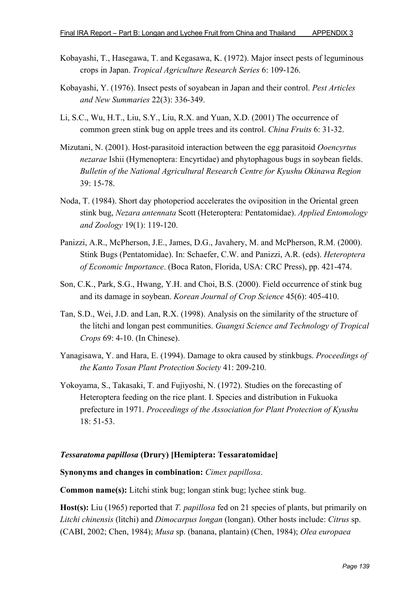- Kobayashi, T., Hasegawa, T. and Kegasawa, K. (1972). Major insect pests of leguminous crops in Japan. *Tropical Agriculture Research Series* 6: 109-126.
- Kobayashi, Y. (1976). Insect pests of soyabean in Japan and their control. *Pest Articles and New Summaries* 22(3): 336-349.
- Li, S.C., Wu, H.T., Liu, S.Y., Liu, R.X. and Yuan, X.D. (2001) The occurrence of common green stink bug on apple trees and its control. *China Fruits* 6: 31-32.
- Mizutani, N. (2001). Host-parasitoid interaction between the egg parasitoid *Ooencyrtus nezarae* Ishii (Hymenoptera: Encyrtidae) and phytophagous bugs in soybean fields. *Bulletin of the National Agricultural Research Centre for Kyushu Okinawa Region* 39: 15-78.
- Noda, T. (1984). Short day photoperiod accelerates the oviposition in the Oriental green stink bug, *Nezara antennata* Scott (Heteroptera: Pentatomidae). *Applied Entomology and Zoology* 19(1): 119-120.
- Panizzi, A.R., McPherson, J.E., James, D.G., Javahery, M. and McPherson, R.M. (2000). Stink Bugs (Pentatomidae). In: Schaefer, C.W. and Panizzi, A.R. (eds). *Heteroptera of Economic Importance*. (Boca Raton, Florida, USA: CRC Press), pp. 421-474.
- Son, C.K., Park, S.G., Hwang, Y.H. and Choi, B.S. (2000). Field occurrence of stink bug and its damage in soybean. *Korean Journal of Crop Science* 45(6): 405-410.
- Tan, S.D., Wei, J.D. and Lan, R.X. (1998). Analysis on the similarity of the structure of the litchi and longan pest communities. *Guangxi Science and Technology of Tropical Crops* 69: 4-10. (In Chinese).
- Yanagisawa, Y. and Hara, E. (1994). Damage to okra caused by stinkbugs. *Proceedings of the Kanto Tosan Plant Protection Society* 41: 209-210.
- Yokoyama, S., Takasaki, T. and Fujiyoshi, N. (1972). Studies on the forecasting of Heteroptera feeding on the rice plant. I. Species and distribution in Fukuoka prefecture in 1971. *Proceedings of the Association for Plant Protection of Kyushu* 18: 51-53.

### *Tessaratoma papillosa* **(Drury) [Hemiptera: Tessaratomidae]**

#### **Synonyms and changes in combination:** *Cimex papillosa*.

**Common name(s):** Litchi stink bug; longan stink bug; lychee stink bug.

**Host(s):** Liu (1965) reported that *T. papillosa* fed on 21 species of plants, but primarily on *Litchi chinensis* (litchi) and *Dimocarpus longan* (longan). Other hosts include: *Citrus* sp. (CABI, 2002; Chen, 1984); *Musa* sp. (banana, plantain) (Chen, 1984); *Olea europaea*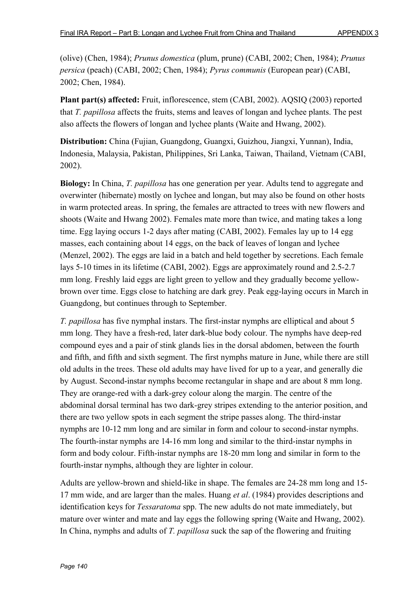(olive) (Chen, 1984); *Prunus domestica* (plum, prune) (CABI, 2002; Chen, 1984); *Prunus persica* (peach) (CABI, 2002; Chen, 1984); *Pyrus communis* (European pear) (CABI, 2002; Chen, 1984).

**Plant part(s) affected:** Fruit, inflorescence, stem (CABI, 2002). AQSIQ (2003) reported that *T. papillosa* affects the fruits, stems and leaves of longan and lychee plants. The pest also affects the flowers of longan and lychee plants (Waite and Hwang, 2002).

**Distribution:** China (Fujian, Guangdong, Guangxi, Guizhou, Jiangxi, Yunnan), India, Indonesia, Malaysia, Pakistan, Philippines, Sri Lanka, Taiwan, Thailand, Vietnam (CABI, 2002).

**Biology:** In China, *T. papillosa* has one generation per year. Adults tend to aggregate and overwinter (hibernate) mostly on lychee and longan, but may also be found on other hosts in warm protected areas. In spring, the females are attracted to trees with new flowers and shoots (Waite and Hwang 2002). Females mate more than twice, and mating takes a long time. Egg laying occurs 1-2 days after mating (CABI, 2002). Females lay up to 14 egg masses, each containing about 14 eggs, on the back of leaves of longan and lychee (Menzel, 2002). The eggs are laid in a batch and held together by secretions. Each female lays 5-10 times in its lifetime (CABI, 2002). Eggs are approximately round and 2.5-2.7 mm long. Freshly laid eggs are light green to yellow and they gradually become yellowbrown over time. Eggs close to hatching are dark grey. Peak egg-laying occurs in March in Guangdong, but continues through to September.

*T. papillosa* has five nymphal instars. The first-instar nymphs are elliptical and about 5 mm long. They have a fresh-red, later dark-blue body colour. The nymphs have deep-red compound eyes and a pair of stink glands lies in the dorsal abdomen, between the fourth and fifth, and fifth and sixth segment. The first nymphs mature in June, while there are still old adults in the trees. These old adults may have lived for up to a year, and generally die by August. Second-instar nymphs become rectangular in shape and are about 8 mm long. They are orange-red with a dark-grey colour along the margin. The centre of the abdominal dorsal terminal has two dark-grey stripes extending to the anterior position, and there are two yellow spots in each segment the stripe passes along. The third-instar nymphs are 10-12 mm long and are similar in form and colour to second-instar nymphs. The fourth-instar nymphs are 14-16 mm long and similar to the third-instar nymphs in form and body colour. Fifth-instar nymphs are 18-20 mm long and similar in form to the fourth-instar nymphs, although they are lighter in colour.

Adults are yellow-brown and shield-like in shape. The females are 24-28 mm long and 15- 17 mm wide, and are larger than the males. Huang *et al*. (1984) provides descriptions and identification keys for *Tessaratoma* spp. The new adults do not mate immediately, but mature over winter and mate and lay eggs the following spring (Waite and Hwang, 2002). In China, nymphs and adults of *T. papillosa* suck the sap of the flowering and fruiting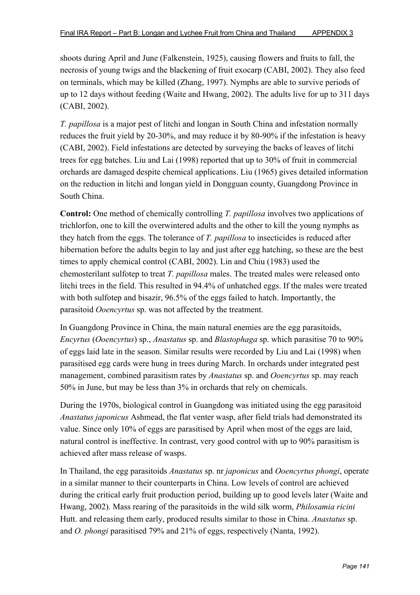shoots during April and June (Falkenstein, 1925), causing flowers and fruits to fall, the necrosis of young twigs and the blackening of fruit exocarp (CABI, 2002). They also feed on terminals, which may be killed (Zhang, 1997). Nymphs are able to survive periods of up to 12 days without feeding (Waite and Hwang, 2002). The adults live for up to 311 days (CABI, 2002).

*T. papillosa* is a major pest of litchi and longan in South China and infestation normally reduces the fruit yield by 20-30%, and may reduce it by 80-90% if the infestation is heavy (CABI, 2002). Field infestations are detected by surveying the backs of leaves of litchi trees for egg batches. Liu and Lai (1998) reported that up to 30% of fruit in commercial orchards are damaged despite chemical applications. Liu (1965) gives detailed information on the reduction in litchi and longan yield in Dongguan county, Guangdong Province in South China.

**Control:** One method of chemically controlling *T. papillosa* involves two applications of trichlorfon, one to kill the overwintered adults and the other to kill the young nymphs as they hatch from the eggs. The tolerance of *T. papillosa* to insecticides is reduced after hibernation before the adults begin to lay and just after egg hatching, so these are the best times to apply chemical control (CABI, 2002). Lin and Chiu (1983) used the chemosterilant sulfotep to treat *T. papillosa* males. The treated males were released onto litchi trees in the field. This resulted in 94.4% of unhatched eggs. If the males were treated with both sulfotep and bisazir, 96.5% of the eggs failed to hatch. Importantly, the parasitoid *Ooencyrtus* sp. was not affected by the treatment.

In Guangdong Province in China, the main natural enemies are the egg parasitoids, *Encyrtus* (*Ooencyrtus*) sp., *Anastatus* sp. and *Blastophaga* sp. which parasitise 70 to 90% of eggs laid late in the season. Similar results were recorded by Liu and Lai (1998) when parasitised egg cards were hung in trees during March. In orchards under integrated pest management, combined parasitism rates by *Anastatus* sp. and *Ooencyrtus* sp. may reach 50% in June, but may be less than 3% in orchards that rely on chemicals.

During the 1970s, biological control in Guangdong was initiated using the egg parasitoid *Anastatus japonicus* Ashmead, the flat venter wasp, after field trials had demonstrated its value. Since only 10% of eggs are parasitised by April when most of the eggs are laid, natural control is ineffective. In contrast, very good control with up to 90% parasitism is achieved after mass release of wasps.

In Thailand, the egg parasitoids *Anastatus* sp. nr *japonicus* and *Ooencyrtus phongi*, operate in a similar manner to their counterparts in China. Low levels of control are achieved during the critical early fruit production period, building up to good levels later (Waite and Hwang, 2002). Mass rearing of the parasitoids in the wild silk worm, *Philosamia ricini* Hutt. and releasing them early, produced results similar to those in China. *Anastatus* sp. and *O. phongi* parasitised 79% and 21% of eggs, respectively (Nanta, 1992).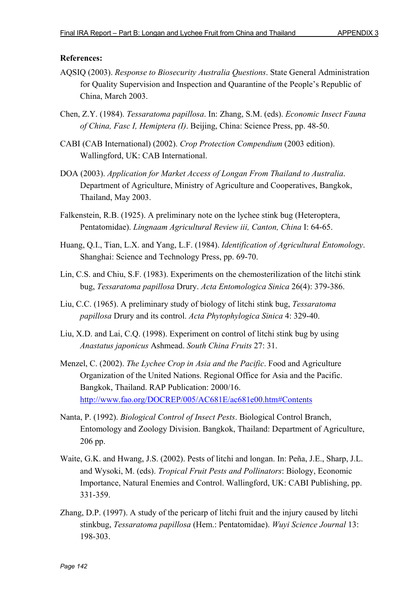- AQSIQ (2003). *Response to Biosecurity Australia Questions*. State General Administration for Quality Supervision and Inspection and Quarantine of the People's Republic of China, March 2003.
- Chen, Z.Y. (1984). *Tessaratoma papillosa*. In: Zhang, S.M. (eds). *Economic Insect Fauna of China, Fasc I, Hemiptera (I)*. Beijing, China: Science Press, pp. 48-50.
- CABI (CAB International) (2002). *Crop Protection Compendium* (2003 edition). Wallingford, UK: CAB International.
- DOA (2003). *Application for Market Access of Longan From Thailand to Australia*. Department of Agriculture, Ministry of Agriculture and Cooperatives, Bangkok, Thailand, May 2003.
- Falkenstein, R.B. (1925). A preliminary note on the lychee stink bug (Heteroptera, Pentatomidae). *Lingnaam Agricultural Review iii, Canton, China* I: 64-65.
- Huang, Q.I., Tian, L.X. and Yang, L.F. (1984). *Identification of Agricultural Entomology*. Shanghai: Science and Technology Press, pp. 69-70.
- Lin, C.S. and Chiu, S.F. (1983). Experiments on the chemosterilization of the litchi stink bug, *Tessaratoma papillosa* Drury. *Acta Entomologica Sinica* 26(4): 379-386.
- Liu, C.C. (1965). A preliminary study of biology of litchi stink bug, *Tessaratoma papillosa* Drury and its control. *Acta Phytophylogica Sinica* 4: 329-40.
- Liu, X.D. and Lai, C.Q. (1998). Experiment on control of litchi stink bug by using *Anastatus japonicus* Ashmead. *South China Fruits* 27: 31.
- Menzel, C. (2002). *The Lychee Crop in Asia and the Pacific*. Food and Agriculture Organization of the United Nations. Regional Office for Asia and the Pacific. Bangkok, Thailand. RAP Publication: 2000/16. http://www.fao.org/DOCREP/005/AC681E/ac681e00.htm#Contents
- Nanta, P. (1992). *Biological Control of Insect Pests*. Biological Control Branch, Entomology and Zoology Division. Bangkok, Thailand: Department of Agriculture, 206 pp.
- Waite, G.K. and Hwang, J.S. (2002). Pests of litchi and longan. In: Peña, J.E., Sharp, J.L. and Wysoki, M. (eds). *Tropical Fruit Pests and Pollinators*: Biology, Economic Importance, Natural Enemies and Control. Wallingford, UK: CABI Publishing, pp. 331-359.
- Zhang, D.P. (1997). A study of the pericarp of litchi fruit and the injury caused by litchi stinkbug, *Tessaratoma papillosa* (Hem.: Pentatomidae). *Wuyi Science Journal* 13: 198-303.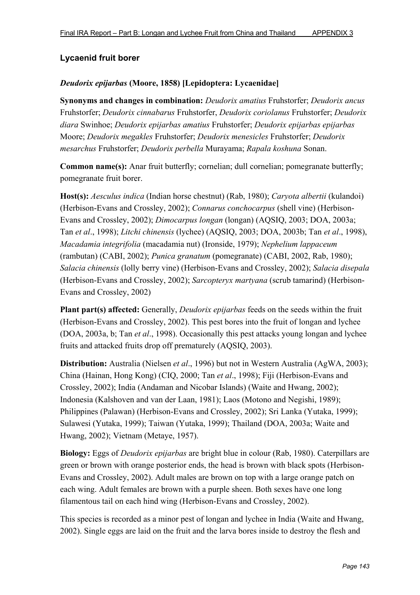# **Lycaenid fruit borer**

## *Deudorix epijarbas* **(Moore, 1858) [Lepidoptera: Lycaenidae]**

**Synonyms and changes in combination:** *Deudorix amatius* Fruhstorfer; *Deudorix ancus* Fruhstorfer; *Deudorix cinnabarus* Fruhstorfer, *Deudorix coriolanus* Fruhstorfer; *Deudorix diara* Swinhoe; *Deudorix epijarbas amatius* Fruhstorfer; *Deudorix epijarbas epijarbas* Moore; *Deudorix megakles* Fruhstorfer; *Deudorix menesicles* Fruhstorfer; *Deudorix mesarchus* Fruhstorfer; *Deudorix perbella* Murayama; *Rapala koshuna* Sonan.

**Common name(s):** Anar fruit butterfly; cornelian; dull cornelian; pomegranate butterfly; pomegranate fruit borer.

**Host(s):** *Aesculus indica* (Indian horse chestnut) (Rab, 1980); *Caryota albertii* (kulandoi) (Herbison-Evans and Crossley, 2002); *Connarus conchocarpus* (shell vine) (Herbison-Evans and Crossley, 2002); *Dimocarpus longan* (longan) (AQSIQ, 2003; DOA, 2003a; Tan *et al*., 1998); *Litchi chinensis* (lychee) (AQSIQ, 2003; DOA, 2003b; Tan *et al*., 1998), *Macadamia integrifolia* (macadamia nut) (Ironside, 1979); *Nephelium lappaceum* (rambutan) (CABI, 2002); *Punica granatum* (pomegranate) (CABI, 2002, Rab, 1980); *Salacia chinensis* (lolly berry vine) (Herbison-Evans and Crossley, 2002); *Salacia disepala* (Herbison-Evans and Crossley, 2002); *Sarcopteryx martyana* (scrub tamarind) (Herbison-Evans and Crossley, 2002)

**Plant part(s) affected:** Generally, *Deudorix epijarbas* feeds on the seeds within the fruit (Herbison-Evans and Crossley, 2002). This pest bores into the fruit of longan and lychee (DOA, 2003a, b; Tan *et al*., 1998). Occasionally this pest attacks young longan and lychee fruits and attacked fruits drop off prematurely (AQSIQ, 2003).

**Distribution:** Australia (Nielsen *et al*., 1996) but not in Western Australia (AgWA, 2003); China (Hainan, Hong Kong) (CIQ, 2000; Tan *et al*., 1998); Fiji (Herbison-Evans and Crossley, 2002); India (Andaman and Nicobar Islands) (Waite and Hwang, 2002); Indonesia (Kalshoven and van der Laan, 1981); Laos (Motono and Negishi, 1989); Philippines (Palawan) (Herbison-Evans and Crossley, 2002); Sri Lanka (Yutaka, 1999); Sulawesi (Yutaka, 1999); Taiwan (Yutaka, 1999); Thailand (DOA, 2003a; Waite and Hwang, 2002); Vietnam (Metaye, 1957).

**Biology:** Eggs of *Deudorix epijarbas* are bright blue in colour (Rab, 1980). Caterpillars are green or brown with orange posterior ends, the head is brown with black spots (Herbison-Evans and Crossley, 2002). Adult males are brown on top with a large orange patch on each wing. Adult females are brown with a purple sheen. Both sexes have one long filamentous tail on each hind wing (Herbison-Evans and Crossley, 2002).

This species is recorded as a minor pest of longan and lychee in India (Waite and Hwang, 2002). Single eggs are laid on the fruit and the larva bores inside to destroy the flesh and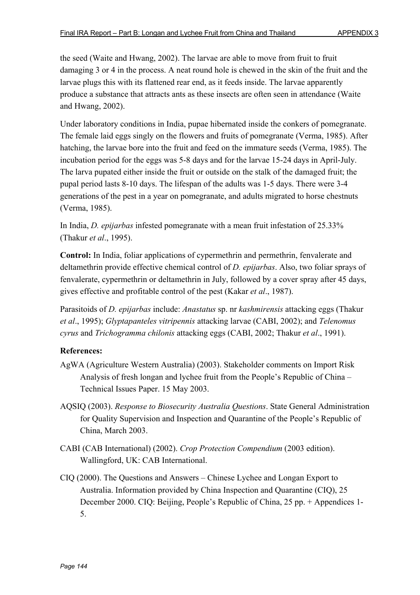the seed (Waite and Hwang, 2002). The larvae are able to move from fruit to fruit damaging 3 or 4 in the process. A neat round hole is chewed in the skin of the fruit and the larvae plugs this with its flattened rear end, as it feeds inside. The larvae apparently produce a substance that attracts ants as these insects are often seen in attendance (Waite and Hwang, 2002).

Under laboratory conditions in India, pupae hibernated inside the conkers of pomegranate. The female laid eggs singly on the flowers and fruits of pomegranate (Verma, 1985). After hatching, the larvae bore into the fruit and feed on the immature seeds (Verma, 1985). The incubation period for the eggs was 5-8 days and for the larvae 15-24 days in April-July. The larva pupated either inside the fruit or outside on the stalk of the damaged fruit; the pupal period lasts 8-10 days. The lifespan of the adults was 1-5 days. There were 3-4 generations of the pest in a year on pomegranate, and adults migrated to horse chestnuts (Verma, 1985).

In India, *D. epijarbas* infested pomegranate with a mean fruit infestation of 25.33% (Thakur *et al*., 1995).

**Control:** In India, foliar applications of cypermethrin and permethrin, fenvalerate and deltamethrin provide effective chemical control of *D. epijarbas*. Also, two foliar sprays of fenvalerate, cypermethrin or deltamethrin in July, followed by a cover spray after 45 days, gives effective and profitable control of the pest (Kakar *et al*., 1987).

Parasitoids of *D. epijarbas* include: *Anastatus* sp. nr *kashmirensis* attacking eggs (Thakur *et al*., 1995); *Glyptapanteles vitripennis* attacking larvae (CABI, 2002); and *Telenomus cyrus* and *Trichogramma chilonis* attacking eggs (CABI, 2002; Thakur *et al*., 1991).

- AgWA (Agriculture Western Australia) (2003). Stakeholder comments on Import Risk Analysis of fresh longan and lychee fruit from the People's Republic of China – Technical Issues Paper. 15 May 2003.
- AQSIQ (2003). *Response to Biosecurity Australia Questions*. State General Administration for Quality Supervision and Inspection and Quarantine of the People's Republic of China, March 2003.
- CABI (CAB International) (2002). *Crop Protection Compendium* (2003 edition). Wallingford, UK: CAB International.
- CIQ (2000). The Questions and Answers Chinese Lychee and Longan Export to Australia. Information provided by China Inspection and Quarantine (CIQ), 25 December 2000. CIQ: Beijing, People's Republic of China, 25 pp. + Appendices 1- 5.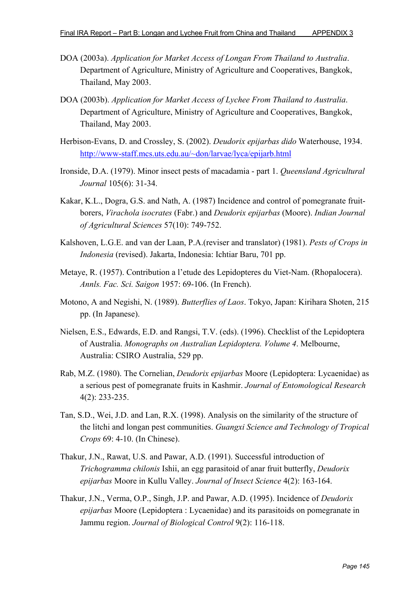- DOA (2003a). *Application for Market Access of Longan From Thailand to Australia*. Department of Agriculture, Ministry of Agriculture and Cooperatives, Bangkok, Thailand, May 2003.
- DOA (2003b). *Application for Market Access of Lychee From Thailand to Australia*. Department of Agriculture, Ministry of Agriculture and Cooperatives, Bangkok, Thailand, May 2003.
- Herbison-Evans, D. and Crossley, S. (2002). *Deudorix epijarbas dido* Waterhouse, 1934. http://www-staff.mcs.uts.edu.au/~don/larvae/lyca/epijarb.html
- Ironside, D.A. (1979). Minor insect pests of macadamia part 1. *Queensland Agricultural Journal* 105(6): 31-34.
- Kakar, K.L., Dogra, G.S. and Nath, A. (1987) Incidence and control of pomegranate fruitborers, *Virachola isocrates* (Fabr.) and *Deudorix epijarbas* (Moore). *Indian Journal of Agricultural Sciences* 57(10): 749-752.
- Kalshoven, L.G.E. and van der Laan, P.A.(reviser and translator) (1981). *Pests of Crops in Indonesia* (revised). Jakarta, Indonesia: Ichtiar Baru, 701 pp.
- Metaye, R. (1957). Contribution a l'etude des Lepidopteres du Viet-Nam. (Rhopalocera). *Annls. Fac. Sci. Saigon* 1957: 69-106. (In French).
- Motono, A and Negishi, N. (1989). *Butterflies of Laos*. Tokyo, Japan: Kirihara Shoten, 215 pp. (In Japanese).
- Nielsen, E.S., Edwards, E.D. and Rangsi, T.V. (eds). (1996). Checklist of the Lepidoptera of Australia. *Monographs on Australian Lepidoptera. Volume 4*. Melbourne, Australia: CSIRO Australia, 529 pp.
- Rab, M.Z. (1980). The Cornelian, *Deudorix epijarbas* Moore (Lepidoptera: Lycaenidae) as a serious pest of pomegranate fruits in Kashmir. *Journal of Entomological Research* 4(2): 233-235.
- Tan, S.D., Wei, J.D. and Lan, R.X. (1998). Analysis on the similarity of the structure of the litchi and longan pest communities. *Guangxi Science and Technology of Tropical Crops* 69: 4-10. (In Chinese).
- Thakur, J.N., Rawat, U.S. and Pawar, A.D. (1991). Successful introduction of *Trichogramma chilonis* Ishii, an egg parasitoid of anar fruit butterfly, *Deudorix epijarbas* Moore in Kullu Valley. *Journal of Insect Science* 4(2): 163-164.
- Thakur, J.N., Verma, O.P., Singh, J.P. and Pawar, A.D. (1995). Incidence of *Deudorix epijarbas* Moore (Lepidoptera : Lycaenidae) and its parasitoids on pomegranate in Jammu region. *Journal of Biological Control* 9(2): 116-118.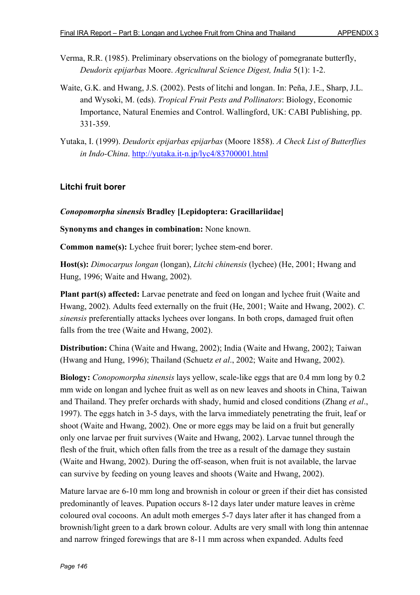- Verma, R.R. (1985). Preliminary observations on the biology of pomegranate butterfly, *Deudorix epijarbas* Moore. *Agricultural Science Digest, India* 5(1): 1-2.
- Waite, G.K. and Hwang, J.S. (2002). Pests of litchi and longan. In: Peña, J.E., Sharp, J.L. and Wysoki, M. (eds). *Tropical Fruit Pests and Pollinators*: Biology, Economic Importance, Natural Enemies and Control. Wallingford, UK: CABI Publishing, pp. 331-359.
- Yutaka, I. (1999). *Deudorix epijarbas epijarbas* (Moore 1858). *A Check List of Butterflies in Indo-China*. http://yutaka.it-n.jp/lyc4/83700001.html

## **Litchi fruit borer**

### *Conopomorpha sinensis* **Bradley [Lepidoptera: Gracillariidae]**

**Synonyms and changes in combination:** None known.

**Common name(s):** Lychee fruit borer; lychee stem-end borer.

**Host(s):** *Dimocarpus longan* (longan), *Litchi chinensis* (lychee) (He, 2001; Hwang and Hung, 1996; Waite and Hwang, 2002).

**Plant part(s) affected:** Larvae penetrate and feed on longan and lychee fruit (Waite and Hwang, 2002). Adults feed externally on the fruit (He, 2001; Waite and Hwang, 2002). *C. sinensis* preferentially attacks lychees over longans. In both crops, damaged fruit often falls from the tree (Waite and Hwang, 2002).

**Distribution:** China (Waite and Hwang, 2002); India (Waite and Hwang, 2002); Taiwan (Hwang and Hung, 1996); Thailand (Schuetz *et al*., 2002; Waite and Hwang, 2002).

**Biology:** *Conopomorpha sinensis* lays yellow, scale-like eggs that are 0.4 mm long by 0.2 mm wide on longan and lychee fruit as well as on new leaves and shoots in China, Taiwan and Thailand. They prefer orchards with shady, humid and closed conditions (Zhang *et al*., 1997). The eggs hatch in 3-5 days, with the larva immediately penetrating the fruit, leaf or shoot (Waite and Hwang, 2002). One or more eggs may be laid on a fruit but generally only one larvae per fruit survives (Waite and Hwang, 2002). Larvae tunnel through the flesh of the fruit, which often falls from the tree as a result of the damage they sustain (Waite and Hwang, 2002). During the off-season, when fruit is not available, the larvae can survive by feeding on young leaves and shoots (Waite and Hwang, 2002).

Mature larvae are 6-10 mm long and brownish in colour or green if their diet has consisted predominantly of leaves. Pupation occurs 8-12 days later under mature leaves in crème coloured oval cocoons. An adult moth emerges 5-7 days later after it has changed from a brownish/light green to a dark brown colour. Adults are very small with long thin antennae and narrow fringed forewings that are 8-11 mm across when expanded. Adults feed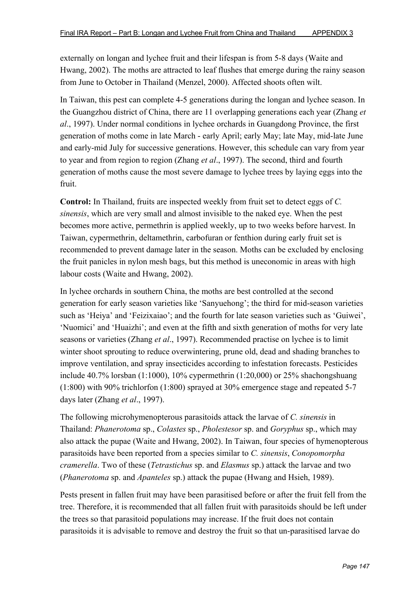externally on longan and lychee fruit and their lifespan is from 5-8 days (Waite and Hwang, 2002). The moths are attracted to leaf flushes that emerge during the rainy season from June to October in Thailand (Menzel, 2000). Affected shoots often wilt.

In Taiwan, this pest can complete 4-5 generations during the longan and lychee season. In the Guangzhou district of China, there are 11 overlapping generations each year (Zhang *et al*., 1997). Under normal conditions in lychee orchards in Guangdong Province, the first generation of moths come in late March - early April; early May; late May, mid-late June and early-mid July for successive generations. However, this schedule can vary from year to year and from region to region (Zhang *et al*., 1997). The second, third and fourth generation of moths cause the most severe damage to lychee trees by laying eggs into the fruit.

**Control:** In Thailand, fruits are inspected weekly from fruit set to detect eggs of *C. sinensis*, which are very small and almost invisible to the naked eye. When the pest becomes more active, permethrin is applied weekly, up to two weeks before harvest. In Taiwan, cypermethrin, deltamethrin, carbofuran or fenthion during early fruit set is recommended to prevent damage later in the season. Moths can be excluded by enclosing the fruit panicles in nylon mesh bags, but this method is uneconomic in areas with high labour costs (Waite and Hwang, 2002).

In lychee orchards in southern China, the moths are best controlled at the second generation for early season varieties like 'Sanyuehong'; the third for mid-season varieties such as 'Heiya' and 'Feizixaiao'; and the fourth for late season varieties such as 'Guiwei', 'Nuomici' and 'Huaizhi'; and even at the fifth and sixth generation of moths for very late seasons or varieties (Zhang *et al*., 1997). Recommended practise on lychee is to limit winter shoot sprouting to reduce overwintering, prune old, dead and shading branches to improve ventilation, and spray insecticides according to infestation forecasts. Pesticides include 40.7% lorsban (1:1000), 10% cypermethrin (1:20,000) or 25% shachongshuang (1:800) with 90% trichlorfon (1:800) sprayed at 30% emergence stage and repeated 5-7 days later (Zhang *et al*., 1997).

The following microhymenopterous parasitoids attack the larvae of *C. sinensis* in Thailand: *Phanerotoma* sp., *Colastes* sp., *Pholestesor* sp. and *Goryphus* sp., which may also attack the pupae (Waite and Hwang, 2002). In Taiwan, four species of hymenopterous parasitoids have been reported from a species similar to *C. sinensis*, *Conopomorpha cramerella*. Two of these (*Tetrastichus* sp. and *Elasmus* sp.) attack the larvae and two (*Phanerotoma* sp. and *Apanteles* sp.) attack the pupae (Hwang and Hsieh, 1989).

Pests present in fallen fruit may have been parasitised before or after the fruit fell from the tree. Therefore, it is recommended that all fallen fruit with parasitoids should be left under the trees so that parasitoid populations may increase. If the fruit does not contain parasitoids it is advisable to remove and destroy the fruit so that un-parasitised larvae do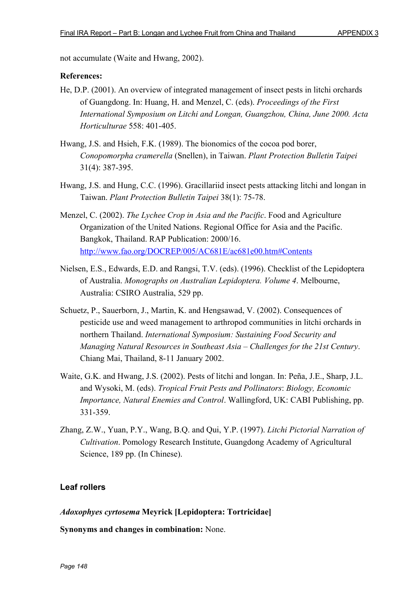not accumulate (Waite and Hwang, 2002).

#### **References:**

- He, D.P. (2001). An overview of integrated management of insect pests in litchi orchards of Guangdong. In: Huang, H. and Menzel, C. (eds). *Proceedings of the First International Symposium on Litchi and Longan, Guangzhou, China, June 2000. Acta Horticulturae* 558: 401-405.
- Hwang, J.S. and Hsieh, F.K. (1989). The bionomics of the cocoa pod borer, *Conopomorpha cramerella* (Snellen), in Taiwan. *Plant Protection Bulletin Taipei* 31(4): 387-395.
- Hwang, J.S. and Hung, C.C. (1996). Gracillariid insect pests attacking litchi and longan in Taiwan. *Plant Protection Bulletin Taipei* 38(1): 75-78.
- Menzel, C. (2002). *The Lychee Crop in Asia and the Pacific*. Food and Agriculture Organization of the United Nations. Regional Office for Asia and the Pacific. Bangkok, Thailand. RAP Publication: 2000/16. http://www.fao.org/DOCREP/005/AC681E/ac681e00.htm#Contents
- Nielsen, E.S., Edwards, E.D. and Rangsi, T.V. (eds). (1996). Checklist of the Lepidoptera of Australia. *Monographs on Australian Lepidoptera. Volume 4*. Melbourne, Australia: CSIRO Australia, 529 pp.
- Schuetz, P., Sauerborn, J., Martin, K. and Hengsawad, V. (2002). Consequences of pesticide use and weed management to arthropod communities in litchi orchards in northern Thailand. *International Symposium: Sustaining Food Security and Managing Natural Resources in Southeast Asia – Challenges for the 21st Century*. Chiang Mai, Thailand, 8-11 January 2002.
- Waite, G.K. and Hwang, J.S. (2002). Pests of litchi and longan. In: Peña, J.E., Sharp, J.L. and Wysoki, M. (eds). *Tropical Fruit Pests and Pollinators*: *Biology, Economic Importance, Natural Enemies and Control*. Wallingford, UK: CABI Publishing, pp. 331-359.
- Zhang, Z.W., Yuan, P.Y., Wang, B.Q. and Qui, Y.P. (1997). *Litchi Pictorial Narration of Cultivation*. Pomology Research Institute, Guangdong Academy of Agricultural Science, 189 pp. (In Chinese).

## **Leaf rollers**

### *Adoxophyes cyrtosema* **Meyrick [Lepidoptera: Tortricidae]**

**Synonyms and changes in combination:** None.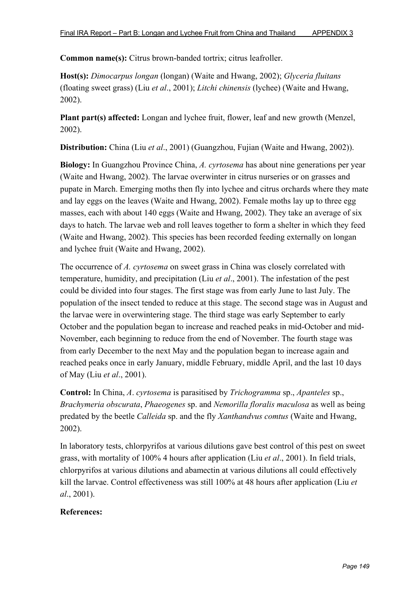**Common name(s):** Citrus brown-banded tortrix; citrus leafroller.

**Host(s):** *Dimocarpus longan* (longan) (Waite and Hwang, 2002); *Glyceria fluitans* (floating sweet grass) (Liu *et al*., 2001); *Litchi chinensis* (lychee) (Waite and Hwang, 2002).

**Plant part(s) affected:** Longan and lychee fruit, flower, leaf and new growth (Menzel, 2002).

**Distribution:** China (Liu *et al*., 2001) (Guangzhou, Fujian (Waite and Hwang, 2002)).

**Biology:** In Guangzhou Province China, *A. cyrtosema* has about nine generations per year (Waite and Hwang, 2002). The larvae overwinter in citrus nurseries or on grasses and pupate in March. Emerging moths then fly into lychee and citrus orchards where they mate and lay eggs on the leaves (Waite and Hwang, 2002). Female moths lay up to three egg masses, each with about 140 eggs (Waite and Hwang, 2002). They take an average of six days to hatch. The larvae web and roll leaves together to form a shelter in which they feed (Waite and Hwang, 2002). This species has been recorded feeding externally on longan and lychee fruit (Waite and Hwang, 2002).

The occurrence of *A. cyrtosema* on sweet grass in China was closely correlated with temperature, humidity, and precipitation (Liu *et al*., 2001). The infestation of the pest could be divided into four stages. The first stage was from early June to last July. The population of the insect tended to reduce at this stage. The second stage was in August and the larvae were in overwintering stage. The third stage was early September to early October and the population began to increase and reached peaks in mid-October and mid-November, each beginning to reduce from the end of November. The fourth stage was from early December to the next May and the population began to increase again and reached peaks once in early January, middle February, middle April, and the last 10 days of May (Liu *et al*., 2001).

**Control:** In China, *A*. *cyrtosema* is parasitised by *Trichogramma* sp., *Apanteles* sp., *Brachymeria obscurata*, *Phaeogenes* sp. and *Nemorilla floralis maculosa* as well as being predated by the beetle *Calleida* sp. and the fly *Xanthandvus comtus* (Waite and Hwang, 2002).

In laboratory tests, chlorpyrifos at various dilutions gave best control of this pest on sweet grass, with mortality of 100% 4 hours after application (Liu *et al*., 2001). In field trials, chlorpyrifos at various dilutions and abamectin at various dilutions all could effectively kill the larvae. Control effectiveness was still 100% at 48 hours after application (Liu *et al*., 2001).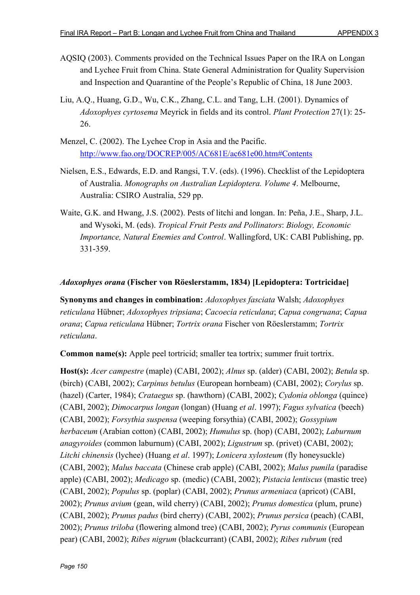- AQSIQ (2003). Comments provided on the Technical Issues Paper on the IRA on Longan and Lychee Fruit from China. State General Administration for Quality Supervision and Inspection and Quarantine of the People's Republic of China, 18 June 2003.
- Liu, A.Q., Huang, G.D., Wu, C.K., Zhang, C.L. and Tang, L.H. (2001). Dynamics of *Adoxophyes cyrtosema* Meyrick in fields and its control. *Plant Protection* 27(1): 25- 26.
- Menzel, C. (2002). The Lychee Crop in Asia and the Pacific. http://www.fao.org/DOCREP/005/AC681E/ac681e00.htm#Contents
- Nielsen, E.S., Edwards, E.D. and Rangsi, T.V. (eds). (1996). Checklist of the Lepidoptera of Australia. *Monographs on Australian Lepidoptera. Volume 4*. Melbourne, Australia: CSIRO Australia, 529 pp.
- Waite, G.K. and Hwang, J.S. (2002). Pests of litchi and longan. In: Peña, J.E., Sharp, J.L. and Wysoki, M. (eds). *Tropical Fruit Pests and Pollinators*: *Biology, Economic Importance, Natural Enemies and Control*. Wallingford, UK: CABI Publishing, pp. 331-359.

### *Adoxophyes orana* **(Fischer von Röeslerstamm, 1834) [Lepidoptera: Tortricidae]**

**Synonyms and changes in combination:** *Adoxophyes fasciata* Walsh; *Adoxophyes reticulana* Hübner; *Adoxophyes tripsiana*; *Cacoecia reticulana*; *Capua congruana*; *Capua orana*; *Capua reticulana* Hübner; *Tortrix orana* Fischer von Röeslerstamm; *Tortrix reticulana*.

**Common name(s):** Apple peel tortricid; smaller tea tortrix; summer fruit tortrix.

**Host(s):** *Acer campestre* (maple) (CABI, 2002); *Alnus* sp. (alder) (CABI, 2002); *Betula* sp. (birch) (CABI, 2002); *Carpinus betulus* (European hornbeam) (CABI, 2002); *Corylus* sp. (hazel) (Carter, 1984); *Crataegus* sp. (hawthorn) (CABI, 2002); *Cydonia oblonga* (quince) (CABI, 2002); *Dimocarpus longan* (longan) (Huang *et al*. 1997); *Fagus sylvatica* (beech) (CABI, 2002); *Forsythia suspensa* (weeping forsythia) (CABI, 2002); *Gossypium herbaceum* (Arabian cotton) (CABI, 2002); *Humulus* sp. (hop) (CABI, 2002); *Laburnum anagyroides* (common laburnum) (CABI, 2002); *Ligustrum* sp. (privet) (CABI, 2002); *Litchi chinensis* (lychee) (Huang *et al*. 1997); *Lonicera xylosteum* (fly honeysuckle) (CABI, 2002); *Malus baccata* (Chinese crab apple) (CABI, 2002); *Malus pumila* (paradise apple) (CABI, 2002); *Medicago* sp. (medic) (CABI, 2002); *Pistacia lentiscus* (mastic tree) (CABI, 2002); *Populus* sp. (poplar) (CABI, 2002); *Prunus armeniaca* (apricot) (CABI, 2002); *Prunus avium* (gean, wild cherry) (CABI, 2002); *Prunus domestica* (plum, prune) (CABI, 2002); *Prunus padus* (bird cherry) (CABI, 2002); *Prunus persica* (peach) (CABI, 2002); *Prunus triloba* (flowering almond tree) (CABI, 2002); *Pyrus communis* (European pear) (CABI, 2002); *Ribes nigrum* (blackcurrant) (CABI, 2002); *Ribes rubrum* (red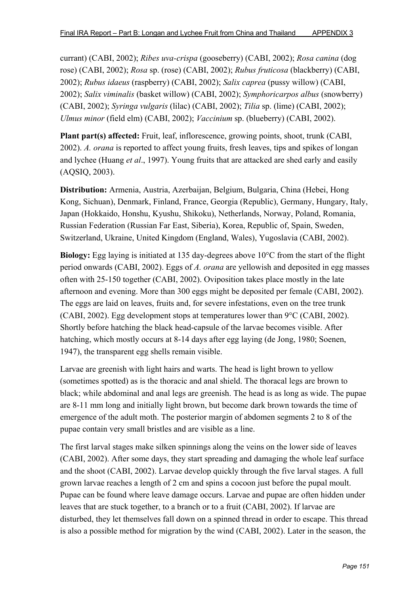currant) (CABI, 2002); *Ribes uva-crispa* (gooseberry) (CABI, 2002); *Rosa canina* (dog rose) (CABI, 2002); *Rosa* sp. (rose) (CABI, 2002); *Rubus fruticosa* (blackberry) (CABI, 2002); *Rubus idaeus* (raspberry) (CABI, 2002); *Salix caprea* (pussy willow) (CABI, 2002); *Salix viminalis* (basket willow) (CABI, 2002); *Symphoricarpos albus* (snowberry) (CABI, 2002); *Syringa vulgaris* (lilac) (CABI, 2002); *Tilia* sp. (lime) (CABI, 2002); *Ulmus minor* (field elm) (CABI, 2002); *Vaccinium* sp. (blueberry) (CABI, 2002).

**Plant part(s) affected:** Fruit, leaf, inflorescence, growing points, shoot, trunk (CABI, 2002). *A. orana* is reported to affect young fruits, fresh leaves, tips and spikes of longan and lychee (Huang *et al*., 1997). Young fruits that are attacked are shed early and easily (AQSIQ, 2003).

**Distribution:** Armenia, Austria, Azerbaijan, Belgium, Bulgaria, China (Hebei, Hong Kong, Sichuan), Denmark, Finland, France, Georgia (Republic), Germany, Hungary, Italy, Japan (Hokkaido, Honshu, Kyushu, Shikoku), Netherlands, Norway, Poland, Romania, Russian Federation (Russian Far East, Siberia), Korea, Republic of, Spain, Sweden, Switzerland, Ukraine, United Kingdom (England, Wales), Yugoslavia (CABI, 2002).

**Biology:** Egg laying is initiated at 135 day-degrees above 10°C from the start of the flight period onwards (CABI, 2002). Eggs of *A. orana* are yellowish and deposited in egg masses often with 25-150 together (CABI, 2002). Oviposition takes place mostly in the late afternoon and evening. More than 300 eggs might be deposited per female (CABI, 2002). The eggs are laid on leaves, fruits and, for severe infestations, even on the tree trunk (CABI, 2002). Egg development stops at temperatures lower than 9°C (CABI, 2002). Shortly before hatching the black head-capsule of the larvae becomes visible. After hatching, which mostly occurs at 8-14 days after egg laying (de Jong, 1980; Soenen, 1947), the transparent egg shells remain visible.

Larvae are greenish with light hairs and warts. The head is light brown to yellow (sometimes spotted) as is the thoracic and anal shield. The thoracal legs are brown to black; while abdominal and anal legs are greenish. The head is as long as wide. The pupae are 8-11 mm long and initially light brown, but become dark brown towards the time of emergence of the adult moth. The posterior margin of abdomen segments 2 to 8 of the pupae contain very small bristles and are visible as a line.

The first larval stages make silken spinnings along the veins on the lower side of leaves (CABI, 2002). After some days, they start spreading and damaging the whole leaf surface and the shoot (CABI, 2002). Larvae develop quickly through the five larval stages. A full grown larvae reaches a length of 2 cm and spins a cocoon just before the pupal moult. Pupae can be found where leave damage occurs. Larvae and pupae are often hidden under leaves that are stuck together, to a branch or to a fruit (CABI, 2002). If larvae are disturbed, they let themselves fall down on a spinned thread in order to escape. This thread is also a possible method for migration by the wind (CABI, 2002). Later in the season, the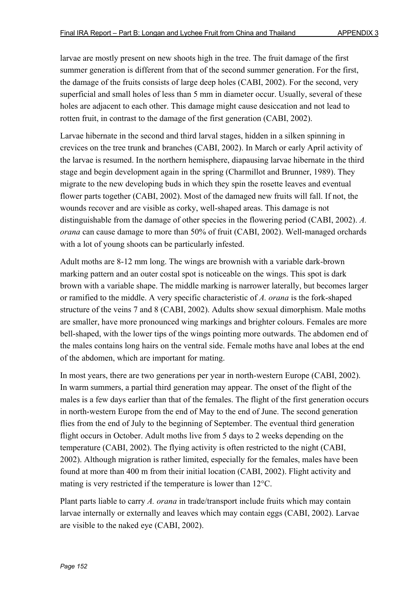larvae are mostly present on new shoots high in the tree. The fruit damage of the first summer generation is different from that of the second summer generation. For the first, the damage of the fruits consists of large deep holes (CABI, 2002). For the second, very superficial and small holes of less than 5 mm in diameter occur. Usually, several of these holes are adjacent to each other. This damage might cause desiccation and not lead to rotten fruit, in contrast to the damage of the first generation (CABI, 2002).

Larvae hibernate in the second and third larval stages, hidden in a silken spinning in crevices on the tree trunk and branches (CABI, 2002). In March or early April activity of the larvae is resumed. In the northern hemisphere, diapausing larvae hibernate in the third stage and begin development again in the spring (Charmillot and Brunner, 1989). They migrate to the new developing buds in which they spin the rosette leaves and eventual flower parts together (CABI, 2002). Most of the damaged new fruits will fall. If not, the wounds recover and are visible as corky, well-shaped areas. This damage is not distinguishable from the damage of other species in the flowering period (CABI, 2002). *A. orana* can cause damage to more than 50% of fruit (CABI, 2002). Well-managed orchards with a lot of young shoots can be particularly infested.

Adult moths are 8-12 mm long. The wings are brownish with a variable dark-brown marking pattern and an outer costal spot is noticeable on the wings. This spot is dark brown with a variable shape. The middle marking is narrower laterally, but becomes larger or ramified to the middle. A very specific characteristic of *A. orana* is the fork-shaped structure of the veins 7 and 8 (CABI, 2002). Adults show sexual dimorphism. Male moths are smaller, have more pronounced wing markings and brighter colours. Females are more bell-shaped, with the lower tips of the wings pointing more outwards. The abdomen end of the males contains long hairs on the ventral side. Female moths have anal lobes at the end of the abdomen, which are important for mating.

In most years, there are two generations per year in north-western Europe (CABI, 2002). In warm summers, a partial third generation may appear. The onset of the flight of the males is a few days earlier than that of the females. The flight of the first generation occurs in north-western Europe from the end of May to the end of June. The second generation flies from the end of July to the beginning of September. The eventual third generation flight occurs in October. Adult moths live from 5 days to 2 weeks depending on the temperature (CABI, 2002). The flying activity is often restricted to the night (CABI, 2002). Although migration is rather limited, especially for the females, males have been found at more than 400 m from their initial location (CABI, 2002). Flight activity and mating is very restricted if the temperature is lower than 12°C.

Plant parts liable to carry *A. orana* in trade/transport include fruits which may contain larvae internally or externally and leaves which may contain eggs (CABI, 2002). Larvae are visible to the naked eye (CABI, 2002).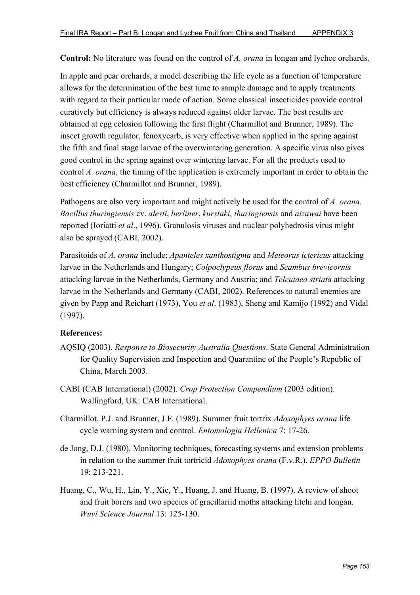**Control:** No literature was found on the control of *A. orana* in longan and lychee orchards.

In apple and pear orchards, a model describing the life cycle as a function of temperature allows for the determination of the best time to sample damage and to apply treatments with regard to their particular mode of action. Some classical insecticides provide control curatively but efficiency is always reduced against older larvae. The best results are obtained at egg eclosion following the first flight (Charmillot and Brunner, 1989). The insect growth regulator, fenoxycarb, is very effective when applied in the spring against the fifth and final stage larvae of the overwintering generation. A specific virus also gives good control in the spring against over wintering larvae. For all the products used to control *A. orana*, the timing of the application is extremely important in order to obtain the best efficiency (Charmillot and Brunner, 1989).

Pathogens are also very important and might actively be used for the control of *A. orana*. *Bacillus thuringiensis* cv. *alesti*, *berliner*, *kurstaki*, *thuringiensis* and *aizawai* have been reported (Ioriatti *et al*., 1996). Granulosis viruses and nuclear polyhedrosis virus might also be sprayed (CABI, 2002).

Parasitoids of *A. orana* include: *Apanteles xanthostigma* and *Meteorus ictericus* attacking larvae in the Netherlands and Hungary; *Colpoclypeus florus* and *Scambus brevicornis* attacking larvae in the Netherlands, Germany and Austria; and *Teleutaea striata* attacking larvae in the Netherlands and Germany (CABI, 2002). References to natural enemies are given by Papp and Reichart (1973), You *et al*. (1983), Sheng and Kamijo (1992) and Vidal (1997).

- AQSIQ (2003). *Response to Biosecurity Australia Questions*. State General Administration for Quality Supervision and Inspection and Quarantine of the People's Republic of China, March 2003.
- CABI (CAB International) (2002). *Crop Protection Compendium* (2003 edition). Wallingford, UK: CAB International.
- Charmillot, P.J. and Brunner, J.F. (1989). Summer fruit tortrix *Adoxophyes orana* life cycle warning system and control. *Entomologia Hellenica* 7: 17-26.
- de Jong, D.J. (1980). Monitoring techniques, forecasting systems and extension problems in relation to the summer fruit tortricid *Adoxophyes orana* (F.v.R.). *EPPO Bulletin* 19: 213-221.
- Huang, C., Wu, H., Lin, Y., Xie, Y., Huang, J. and Huang, B. (1997). A review of shoot and fruit borers and two species of gracillariid moths attacking litchi and longan. *Wuyi Science Journal* 13: 125-130.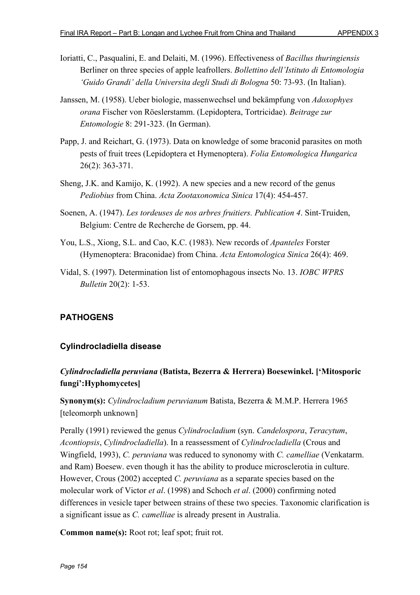- Ioriatti, C., Pasqualini, E. and Delaiti, M. (1996). Effectiveness of *Bacillus thuringiensis* Berliner on three species of apple leafrollers. *Bollettino dell'Istituto di Entomologia 'Guido Grandi' della Universita degli Studi di Bologna* 50: 73-93. (In Italian).
- Janssen, M. (1958). Ueber biologie, massenwechsel und bekämpfung von *Adoxophyes orana* Fischer von Röeslerstamm. (Lepidoptera, Tortricidae). *Beitrage zur Entomologie* 8: 291-323. (In German).
- Papp, J. and Reichart, G. (1973). Data on knowledge of some braconid parasites on moth pests of fruit trees (Lepidoptera et Hymenoptera). *Folia Entomologica Hungarica* 26(2): 363-371.
- Sheng, J.K. and Kamijo, K. (1992). A new species and a new record of the genus *Pediobius* from China. *Acta Zootaxonomica Sinica* 17(4): 454-457.
- Soenen, A. (1947). *Les tordeuses de nos arbres fruitiers. Publication 4*. Sint-Truiden, Belgium: Centre de Recherche de Gorsem, pp. 44.
- You, L.S., Xiong, S.L. and Cao, K.C. (1983). New records of *Apanteles* Forster (Hymenoptera: Braconidae) from China. *Acta Entomologica Sinica* 26(4): 469.
- Vidal, S. (1997). Determination list of entomophagous insects No. 13. *IOBC WPRS Bulletin* 20(2): 1-53.

# **PATHOGENS**

## **Cylindrocladiella disease**

# *Cylindrocladiella peruviana* **(Batista, Bezerra & Herrera) Boesewinkel. ['Mitosporic fungi':Hyphomycetes]**

**Synonym(s):** *Cylindrocladium peruvianum* Batista, Bezerra & M.M.P. Herrera 1965 [teleomorph unknown]

Perally (1991) reviewed the genus *Cylindrocladium* (syn. *Candelospora*, *Teracytum*, *Acontiopsis*, *Cylindrocladiella*). In a reassessment of *Cylindrocladiella* (Crous and Wingfield, 1993), *C. peruviana* was reduced to synonomy with *C. camelliae* (Venkatarm. and Ram) Boesew. even though it has the ability to produce microsclerotia in culture. However, Crous (2002) accepted *C. peruviana* as a separate species based on the molecular work of Victor *et al*. (1998) and Schoch *et al*. (2000) confirming noted differences in vesicle taper between strains of these two species. Taxonomic clarification is a significant issue as *C. camelliae* is already present in Australia.

**Common name(s):** Root rot; leaf spot; fruit rot.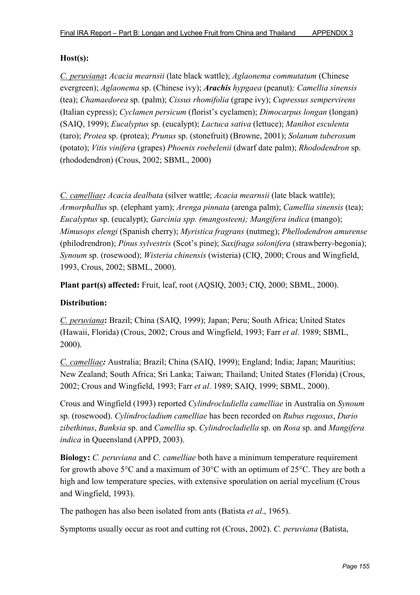### **Host(s):**

*C. peruviana***:** *Acacia mearnsii* (late black wattle); *Aglaonema commutatum* (Chinese evergreen); *Aglaonema* sp. (Chinese ivy); *Arachis hypgaea* (peanut)*; Camellia sinensis* (tea); *Chamaedorea* sp. (palm); *Cissus rhomifolia* (grape ivy); *Cupressus sempervirens* (Italian cypress); *Cyclamen persicum* (florist's cyclamen); *Dimocarpus longan* (longan) (SAIQ, 1999); *Eucalyptus* sp. (eucalypt); *Lactuca sativa* (lettuce); *Manihot esculenta* (taro); *Protea* sp. (protea); *Prunus* sp. (stonefruit) (Browne, 2001); *Solanum tuberosum* (potato); *Vitis vinifera* (grapes) *Phoenix roebelenii* (dwarf date palm); *Rhododendron* sp. (rhododendron) (Crous, 2002; SBML, 2000)

*C. camelliae: Acacia dealbata* (silver wattle; *Acacia mearnsii* (late black wattle); *Armorphallus* sp. (elephant yam); *Arenga pinnata* (arenga palm); *Camellia sinensis* (tea); *Eucalyptus* sp. (eucalypt); *Garcinia spp. (mangosteen); Mangifera indica* (mango); *Mimusops elengi* (Spanish cherry); *Myristica fragrans* (nutmeg); *Phellodendron amurense* (philodrendron); *Pinus sylvestris* (Scot's pine); *Saxifraga solonifera* (strawberry-begonia); *Synoum* sp. (rosewood); *Wisteria chinensis* (wisteria) (CIQ, 2000; Crous and Wingfield, 1993, Crous, 2002; SBML, 2000).

**Plant part(s) affected:** Fruit, leaf, root (AQSIQ, 2003; CIQ, 2000; SBML, 2000).

### **Distribution:**

*C. peruviana***:** Brazil; China (SAIQ, 1999); Japan; Peru; South Africa; United States (Hawaii, Florida) (Crous, 2002; Crous and Wingfield, 1993; Farr *et al*. 1989; SBML, 2000).

*C. camelliae:* Australia; Brazil; China (SAIQ, 1999); England; India; Japan; Mauritius; New Zealand; South Africa; Sri Lanka; Taiwan; Thailand; United States (Florida) (Crous, 2002; Crous and Wingfield, 1993; Farr *et al*. 1989; SAIQ, 1999; SBML, 2000).

Crous and Wingfield (1993) reported *Cylindrocladiella camelliae* in Australia on *Synoum* sp. (rosewood). *Cylindrocladium camelliae* has been recorded on *Rubus rugosus*, *Durio zibethinus*, *Banksia* sp. and *Camellia* sp. *Cylindrocladiella* sp. on *Rosa* sp. and *Mangifera indica* in Queensland (APPD, 2003).

**Biology:** *C. peruviana* and *C. camelliae* both have a minimum temperature requirement for growth above 5°C and a maximum of 30°C with an optimum of 25°C. They are both a high and low temperature species, with extensive sporulation on aerial mycelium (Crous and Wingfield, 1993).

The pathogen has also been isolated from ants (Batista *et al*., 1965).

Symptoms usually occur as root and cutting rot (Crous, 2002). *C. peruviana* (Batista,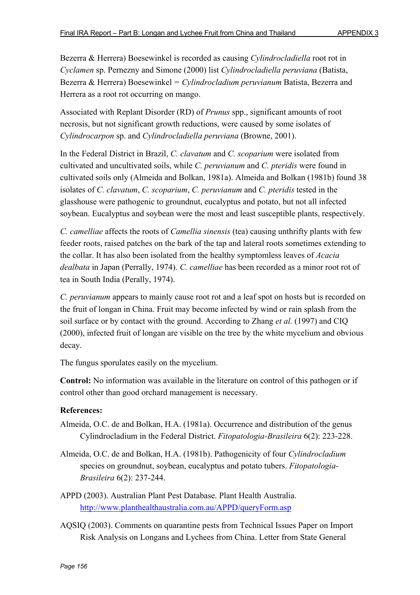Bezerra & Herrera) Boesewinkel is recorded as causing *Cylindrocladiella* root rot in *Cyclamen* sp. Pernezny and Simone (2000) list *Cylindrocladiella peruviana* (Batista, Bezerra & Herrera) Boesewinkel *= Cylindrocladium peruvianum* Batista, Bezerra and Herrera as a root rot occurring on mango.

Associated with Replant Disorder (RD) of *Prunus* spp., significant amounts of root necrosis, but not significant growth reductions, were caused by some isolates of *Cylindrocarpon* sp. and *Cylindrocladiella peruviana* (Browne, 2001).

In the Federal District in Brazil, *C. clavatum* and *C. scoparium* were isolated from cultivated and uncultivated soils, while *C. peruvianum* and *C. pteridis* were found in cultivated soils only (Almeida and Bolkan, 1981a). Almeida and Bolkan (1981b) found 38 isolates of *C. clavatum*, *C. scoparium*, *C. peruvianum* and *C. pteridis* tested in the glasshouse were pathogenic to groundnut, eucalyptus and potato, but not all infected soybean. Eucalyptus and soybean were the most and least susceptible plants, respectively.

*C. camelliae* affects the roots of *Camellia sinensis* (tea) causing unthrifty plants with few feeder roots, raised patches on the bark of the tap and lateral roots sometimes extending to the collar. It has also been isolated from the healthy symptomless leaves of *Acacia dealbata* in Japan (Perrally, 1974). *C. camelliae* has been recorded as a minor root rot of tea in South India (Perally, 1974).

*C. peruvianum* appears to mainly cause root rot and a leaf spot on hosts but is recorded on the fruit of longan in China. Fruit may become infected by wind or rain splash from the soil surface or by contact with the ground. According to Zhang *et al.* (1997) and CIQ (2000), infected fruit of longan are visible on the tree by the white mycelium and obvious decay.

The fungus sporulates easily on the mycelium.

**Control:** No information was available in the literature on control of this pathogen or if control other than good orchard management is necessary.

- Almeida, O.C. de and Bolkan, H.A. (1981a). Occurrence and distribution of the genus Cylindrocladium in the Federal District. *Fitopatologia-Brasileira* 6(2): 223-228.
- Almeida, O.C. de and Bolkan, H.A. (1981b). Pathogenicity of four *Cylindrocladium* species on groundnut, soybean, eucalyptus and potato tubers. *Fitopatologia-Brasileira* 6(2): 237-244.
- APPD (2003). Australian Plant Pest Database. Plant Health Australia. http://www.planthealthaustralia.com.au/APPD/queryForm.asp
- AQSIQ (2003). Comments on quarantine pests from Technical Issues Paper on Import Risk Analysis on Longans and Lychees from China. Letter from State General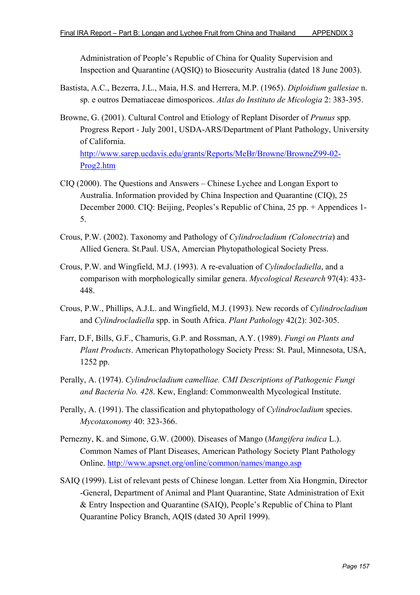Administration of People's Republic of China for Quality Supervision and Inspection and Quarantine (AQSIQ) to Biosecurity Australia (dated 18 June 2003).

- Bastista, A.C., Bezerra, J.L., Maia, H.S. and Herrera, M.P. (1965). *Diploidium gallesiae* n. sp. e outros Dematiaceae dimosporicos. *Atlas do Instituto de Micologia* 2: 383-395.
- Browne, G. (2001). Cultural Control and Etiology of Replant Disorder of *Prunus* spp. Progress Report - July 2001, USDA-ARS/Department of Plant Pathology, University of California.

http://www.sarep.ucdavis.edu/grants/Reports/MeBr/Browne/BrowneZ99-02- Prog2.htm

- CIQ (2000). The Questions and Answers Chinese Lychee and Longan Export to Australia. Information provided by China Inspection and Quarantine (CIQ), 25 December 2000. CIQ: Beijing, Peoples's Republic of China, 25 pp. + Appendices 1- 5.
- Crous, P.W. (2002). Taxonomy and Pathology of *Cylindrocladium (Calonectria*) and Allied Genera. St.Paul. USA, Amercian Phytopathological Society Press.
- Crous, P.W. and Wingfield, M.J. (1993). A re-evaluation of *Cylindocladiella*, and a comparison with morphologically similar genera. *Mycological Research* 97(4): 433- 448.
- Crous, P.W., Phillips, A.J.L. and Wingfield, M.J. (1993). New records of *Cylindrocladium* and *Cylindrocladiella* spp. in South Africa. *Plant Pathology* 42(2): 302-305.
- Farr, D.F, Bills, G.F., Chamuris, G.P. and Rossman, A.Y. (1989). *Fungi on Plants and Plant Products*. American Phytopathology Society Press: St. Paul, Minnesota, USA, 1252 pp.
- Perally, A. (1974). *Cylindrocladium camelliae. CMI Descriptions of Pathogenic Fungi and Bacteria No. 428*. Kew, England: Commonwealth Mycological Institute.
- Perally, A. (1991). The classification and phytopathology of *Cylindrocladium* species. *Mycotaxonomy* 40: 323-366.
- Pernezny, K. and Simone, G.W. (2000). Diseases of Mango (*Mangifera indica* L.). Common Names of Plant Diseases, American Pathology Society Plant Pathology Online. http://www.apsnet.org/online/common/names/mango.asp
- SAIQ (1999). List of relevant pests of Chinese longan. Letter from Xia Hongmin, Director -General, Department of Animal and Plant Quarantine, State Administration of Exit & Entry Inspection and Quarantine (SAIQ), People's Republic of China to Plant Quarantine Policy Branch, AQIS (dated 30 April 1999).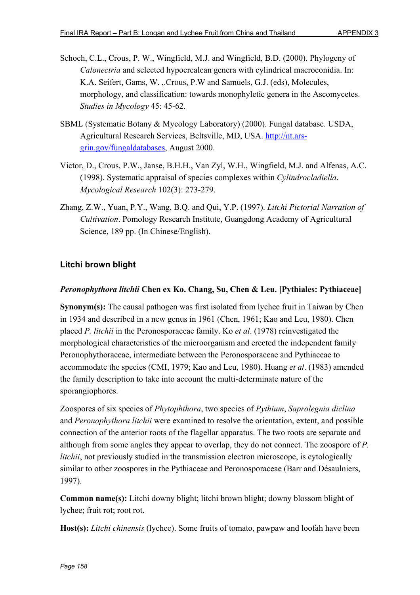- Schoch, C.L., Crous, P. W., Wingfield, M.J. and Wingfield, B.D. (2000). Phylogeny of *Calonectria* and selected hypocrealean genera with cylindrical macroconidia. In: K.A. Seifert, Gams, W. ,.Crous, P.W and Samuels, G.J. (eds), Molecules, morphology, and classification: towards monophyletic genera in the Ascomycetes. *Studies in Mycology* 45: 45-62.
- SBML (Systematic Botany & Mycology Laboratory) (2000). Fungal database. USDA, Agricultural Research Services, Beltsville, MD, USA. http://nt.arsgrin.gov/fungaldatabases, August 2000.
- Victor, D., Crous, P.W., Janse, B.H.H., Van Zyl, W.H., Wingfield, M.J. and Alfenas, A.C. (1998). Systematic appraisal of species complexes within *Cylindrocladiella*. *Mycological Research* 102(3): 273-279.
- Zhang, Z.W., Yuan, P.Y., Wang, B.Q. and Qui, Y.P. (1997). *Litchi Pictorial Narration of Cultivation*. Pomology Research Institute, Guangdong Academy of Agricultural Science, 189 pp. (In Chinese/English).

## **Litchi brown blight**

### *Peronophythora litchii* **Chen ex Ko. Chang, Su, Chen & Leu. [Pythiales: Pythiaceae]**

**Synonym(s):** The causal pathogen was first isolated from lychee fruit in Taiwan by Chen in 1934 and described in a new genus in 1961 (Chen, 1961; Kao and Leu, 1980). Chen placed *P. litchii* in the Peronosporaceae family. Ko *et al*. (1978) reinvestigated the morphological characteristics of the microorganism and erected the independent family Peronophythoraceae, intermediate between the Peronosporaceae and Pythiaceae to accommodate the species (CMI, 1979; Kao and Leu, 1980). Huang *et al*. (1983) amended the family description to take into account the multi-determinate nature of the sporangiophores.

Zoospores of six species of *Phytophthora*, two species of *Pythium*, *Saprolegnia diclina* and *Peronophythora litchii* were examined to resolve the orientation, extent, and possible connection of the anterior roots of the flagellar apparatus. The two roots are separate and although from some angles they appear to overlap, they do not connect. The zoospore of *P. litchii*, not previously studied in the transmission electron microscope, is cytologically similar to other zoospores in the Pythiaceae and Peronosporaceae (Barr and Désaulniers, 1997).

**Common name(s):** Litchi downy blight; litchi brown blight; downy blossom blight of lychee; fruit rot; root rot.

**Host(s):** *Litchi chinensis* (lychee). Some fruits of tomato, pawpaw and loofah have been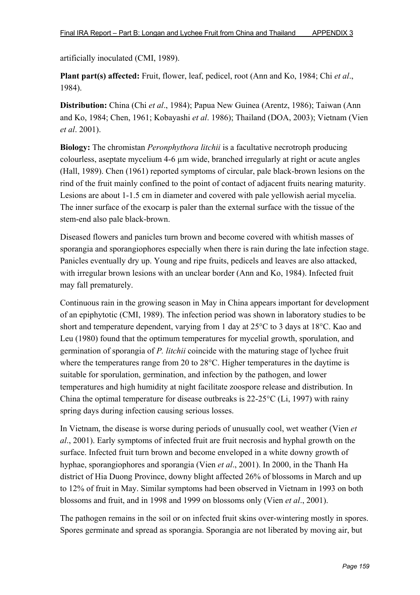artificially inoculated (CMI, 1989).

**Plant part(s) affected:** Fruit, flower, leaf, pedicel, root (Ann and Ko, 1984; Chi *et al*., 1984).

**Distribution:** China (Chi *et al*., 1984); Papua New Guinea (Arentz, 1986); Taiwan (Ann and Ko, 1984; Chen, 1961; Kobayashi *et al*. 1986); Thailand (DOA, 2003); Vietnam (Vien *et al*. 2001).

**Biology:** The chromistan *Peronphythora litchii* is a facultative necrotroph producing colourless, aseptate mycelium 4-6 µm wide, branched irregularly at right or acute angles (Hall, 1989). Chen (1961) reported symptoms of circular, pale black-brown lesions on the rind of the fruit mainly confined to the point of contact of adjacent fruits nearing maturity. Lesions are about 1-1.5 cm in diameter and covered with pale yellowish aerial mycelia. The inner surface of the exocarp is paler than the external surface with the tissue of the stem-end also pale black-brown.

Diseased flowers and panicles turn brown and become covered with whitish masses of sporangia and sporangiophores especially when there is rain during the late infection stage. Panicles eventually dry up. Young and ripe fruits, pedicels and leaves are also attacked, with irregular brown lesions with an unclear border (Ann and Ko, 1984). Infected fruit may fall prematurely.

Continuous rain in the growing season in May in China appears important for development of an epiphytotic (CMI, 1989). The infection period was shown in laboratory studies to be short and temperature dependent, varying from 1 day at 25°C to 3 days at 18°C. Kao and Leu (1980) found that the optimum temperatures for mycelial growth, sporulation, and germination of sporangia of *P. litchii* coincide with the maturing stage of lychee fruit where the temperatures range from 20 to 28°C. Higher temperatures in the daytime is suitable for sporulation, germination, and infection by the pathogen, and lower temperatures and high humidity at night facilitate zoospore release and distribution. In China the optimal temperature for disease outbreaks is 22-25°C (Li, 1997) with rainy spring days during infection causing serious losses.

In Vietnam, the disease is worse during periods of unusually cool, wet weather (Vien *et al*., 2001). Early symptoms of infected fruit are fruit necrosis and hyphal growth on the surface. Infected fruit turn brown and become enveloped in a white downy growth of hyphae, sporangiophores and sporangia (Vien *et al*., 2001). In 2000, in the Thanh Ha district of Hia Duong Province, downy blight affected 26% of blossoms in March and up to 12% of fruit in May. Similar symptoms had been observed in Vietnam in 1993 on both blossoms and fruit, and in 1998 and 1999 on blossoms only (Vien *et al*., 2001).

The pathogen remains in the soil or on infected fruit skins over-wintering mostly in spores. Spores germinate and spread as sporangia. Sporangia are not liberated by moving air, but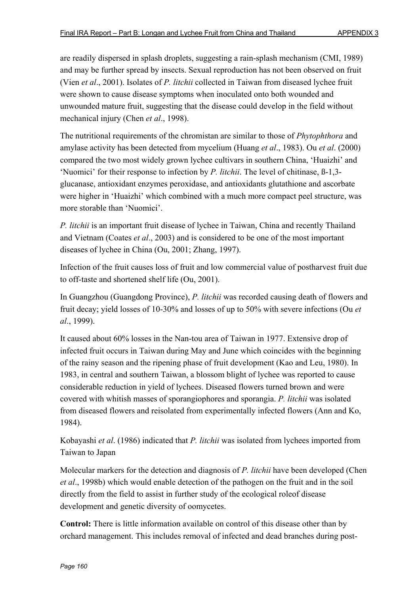are readily dispersed in splash droplets, suggesting a rain-splash mechanism (CMI, 1989) and may be further spread by insects. Sexual reproduction has not been observed on fruit (Vien *et al*., 2001). Isolates of *P. litchii* collected in Taiwan from diseased lychee fruit were shown to cause disease symptoms when inoculated onto both wounded and unwounded mature fruit, suggesting that the disease could develop in the field without mechanical injury (Chen *et al*., 1998).

The nutritional requirements of the chromistan are similar to those of *Phytophthora* and amylase activity has been detected from mycelium (Huang *et al*., 1983). Ou *et al*. (2000) compared the two most widely grown lychee cultivars in southern China, 'Huaizhi' and 'Nuomici' for their response to infection by *P. litchii*. The level of chitinase, ß-1,3 glucanase, antioxidant enzymes peroxidase, and antioxidants glutathione and ascorbate were higher in 'Huaizhi' which combined with a much more compact peel structure, was more storable than 'Nuomici'.

*P. litchii* is an important fruit disease of lychee in Taiwan, China and recently Thailand and Vietnam (Coates *et al*., 2003) and is considered to be one of the most important diseases of lychee in China (Ou, 2001; Zhang, 1997).

Infection of the fruit causes loss of fruit and low commercial value of postharvest fruit due to off-taste and shortened shelf life (Ou, 2001).

In Guangzhou (Guangdong Province), *P. litchii* was recorded causing death of flowers and fruit decay; yield losses of 10-30% and losses of up to 50% with severe infections (Ou *et al*., 1999).

It caused about 60% losses in the Nan-tou area of Taiwan in 1977. Extensive drop of infected fruit occurs in Taiwan during May and June which coincides with the beginning of the rainy season and the ripening phase of fruit development (Kao and Leu, 1980). In 1983, in central and southern Taiwan, a blossom blight of lychee was reported to cause considerable reduction in yield of lychees. Diseased flowers turned brown and were covered with whitish masses of sporangiophores and sporangia. *P. litchii* was isolated from diseased flowers and reisolated from experimentally infected flowers (Ann and Ko, 1984).

Kobayashi *et al*. (1986) indicated that *P. litchii* was isolated from lychees imported from Taiwan to Japan

Molecular markers for the detection and diagnosis of *P. litchii* have been developed (Chen *et al*., 1998b) which would enable detection of the pathogen on the fruit and in the soil directly from the field to assist in further study of the ecological roleof disease development and genetic diversity of oomycetes.

**Control:** There is little information available on control of this disease other than by orchard management. This includes removal of infected and dead branches during post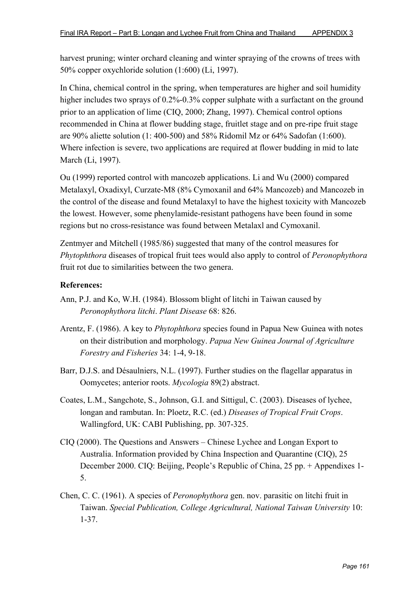harvest pruning; winter orchard cleaning and winter spraying of the crowns of trees with 50% copper oxychloride solution (1:600) (Li, 1997).

In China, chemical control in the spring, when temperatures are higher and soil humidity higher includes two sprays of 0.2%-0.3% copper sulphate with a surfactant on the ground prior to an application of lime (CIQ, 2000; Zhang, 1997). Chemical control options recommended in China at flower budding stage, fruitlet stage and on pre-ripe fruit stage are 90% aliette solution (1: 400-500) and 58% Ridomil Mz or 64% Sadofan (1:600). Where infection is severe, two applications are required at flower budding in mid to late March (Li, 1997).

Ou (1999) reported control with mancozeb applications. Li and Wu (2000) compared Metalaxyl, Oxadixyl, Curzate-M8 (8% Cymoxanil and 64% Mancozeb) and Mancozeb in the control of the disease and found Metalaxyl to have the highest toxicity with Mancozeb the lowest. However, some phenylamide-resistant pathogens have been found in some regions but no cross-resistance was found between Metalaxl and Cymoxanil.

Zentmyer and Mitchell (1985/86) suggested that many of the control measures for *Phytophthora* diseases of tropical fruit tees would also apply to control of *Peronophythora* fruit rot due to similarities between the two genera.

- Ann, P.J. and Ko, W.H. (1984). Blossom blight of litchi in Taiwan caused by *Peronophythora litchi*. *Plant Disease* 68: 826.
- Arentz, F. (1986). A key to *Phytophthora* species found in Papua New Guinea with notes on their distribution and morphology. *Papua New Guinea Journal of Agriculture Forestry and Fisheries* 34: 1-4, 9-18.
- Barr, D.J.S. and Désaulniers, N.L. (1997). Further studies on the flagellar apparatus in Oomycetes; anterior roots. *Mycologia* 89(2) abstract.
- Coates, L.M., Sangchote, S., Johnson, G.I. and Sittigul, C. (2003). Diseases of lychee, longan and rambutan. In: Ploetz, R.C. (ed.) *Diseases of Tropical Fruit Crops*. Wallingford, UK: CABI Publishing, pp. 307-325.
- CIQ (2000). The Questions and Answers Chinese Lychee and Longan Export to Australia. Information provided by China Inspection and Quarantine (CIQ), 25 December 2000. CIQ: Beijing, People's Republic of China, 25 pp. + Appendixes 1- 5.
- Chen, C. C. (1961). A species of *Peronophythora* gen. nov. parasitic on litchi fruit in Taiwan. *Special Publication, College Agricultural, National Taiwan University* 10: 1-37.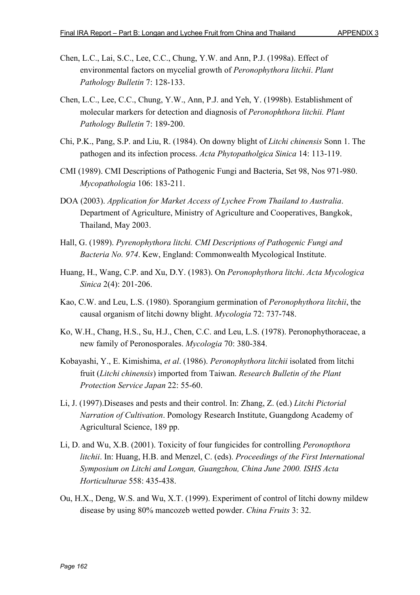- Chen, L.C., Lai, S.C., Lee, C.C., Chung, Y.W. and Ann, P.J. (1998a). Effect of environmental factors on mycelial growth of *Peronophythora litchii*. *Plant Pathology Bulletin* 7: 128-133.
- Chen, L.C., Lee, C.C., Chung, Y.W., Ann, P.J. and Yeh, Y. (1998b). Establishment of molecular markers for detection and diagnosis of *Peronophthora litchii. Plant Pathology Bulletin* 7: 189-200.
- Chi, P.K., Pang, S.P. and Liu, R. (1984). On downy blight of *Litchi chinensis* Sonn 1. The pathogen and its infection process. *Acta Phytopatholgica Sinica* 14: 113-119.
- CMI (1989). CMI Descriptions of Pathogenic Fungi and Bacteria, Set 98, Nos 971-980. *Mycopathologia* 106: 183-211.
- DOA (2003). *Application for Market Access of Lychee From Thailand to Australia*. Department of Agriculture, Ministry of Agriculture and Cooperatives, Bangkok, Thailand, May 2003.
- Hall, G. (1989). *Pyrenophythora litchi. CMI Descriptions of Pathogenic Fungi and Bacteria No. 974*. Kew, England: Commonwealth Mycological Institute.
- Huang, H., Wang, C.P. and Xu, D.Y. (1983). On *Peronophythora litchi*. *Acta Mycologica Sinica* 2(4): 201-206.
- Kao, C.W. and Leu, L.S. (1980). Sporangium germination of *Peronophythora litchii*, the causal organism of litchi downy blight. *Mycologia* 72: 737-748.
- Ko, W.H., Chang, H.S., Su, H.J., Chen, C.C. and Leu, L.S. (1978). Peronophythoraceae, a new family of Peronosporales. *Mycologia* 70: 380-384.
- Kobayashi, Y., E. Kimishima, *et al*. (1986). *Peronophythora litchii* isolated from litchi fruit (*Litchi chinensis*) imported from Taiwan. *Research Bulletin of the Plant Protection Service Japan* 22: 55-60.
- Li, J. (1997).Diseases and pests and their control. In: Zhang, Z. (ed.) *Litchi Pictorial Narration of Cultivation*. Pomology Research Institute, Guangdong Academy of Agricultural Science, 189 pp.
- Li, D. and Wu, X.B. (2001). Toxicity of four fungicides for controlling *Peronopthora litchii*. In: Huang, H.B. and Menzel, C. (eds). *Proceedings of the First International Symposium on Litchi and Longan, Guangzhou, China June 2000. ISHS Acta Horticulturae* 558: 435-438.
- Ou, H.X., Deng, W.S. and Wu, X.T. (1999). Experiment of control of litchi downy mildew disease by using 80% mancozeb wetted powder. *China Fruits* 3: 32.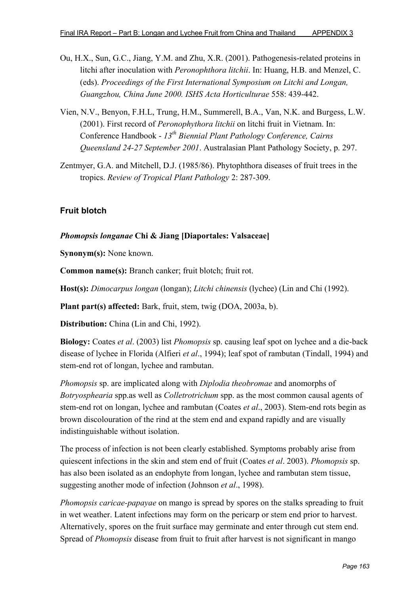- Ou, H.X., Sun, G.C., Jiang, Y.M. and Zhu, X.R. (2001). Pathogenesis-related proteins in litchi after inoculation with *Peronophthora litchii*. In: Huang, H.B. and Menzel, C. (eds). *Proceedings of the First International Symposium on Litchi and Longan, Guangzhou, China June 2000. ISHS Acta Horticulturae* 558: 439-442.
- Vien, N.V., Benyon, F.H.L, Trung, H.M., Summerell, B.A., Van, N.K. and Burgess, L.W. (2001). First record of *Peronophythora litchii* on litchi fruit in Vietnam. In: Conference Handbook - *13th Biennial Plant Pathology Conference, Cairns Queensland 24-27 September 2001*. Australasian Plant Pathology Society, p. 297.
- Zentmyer, G.A. and Mitchell, D.J. (1985/86). Phytophthora diseases of fruit trees in the tropics. *Review of Tropical Plant Pathology* 2: 287-309.

## **Fruit blotch**

#### *Phomopsis longanae* **Chi & Jiang [Diaportales: Valsaceae]**

**Synonym(s):** None known.

**Common name(s):** Branch canker; fruit blotch; fruit rot.

**Host(s):** *Dimocarpus longan* (longan); *Litchi chinensis* (lychee) (Lin and Chi (1992).

**Plant part(s) affected:** Bark, fruit, stem, twig (DOA, 2003a, b).

**Distribution:** China (Lin and Chi, 1992).

**Biology:** Coates *et al*. (2003) list *Phomopsis* sp. causing leaf spot on lychee and a die-back disease of lychee in Florida (Alfieri *et al*., 1994); leaf spot of rambutan (Tindall, 1994) and stem-end rot of longan, lychee and rambutan.

*Phomopsis* sp. are implicated along with *Diplodia theobromae* and anomorphs of *Botryosphearia* spp.as well as *Colletrotrichum* spp. as the most common causal agents of stem-end rot on longan, lychee and rambutan (Coates *et al*., 2003). Stem-end rots begin as brown discolouration of the rind at the stem end and expand rapidly and are visually indistinguishable without isolation.

The process of infection is not been clearly established. Symptoms probably arise from quiescent infections in the skin and stem end of fruit (Coates *et al*. 2003). *Phomopsis* sp. has also been isolated as an endophyte from longan, lychee and rambutan stem tissue, suggesting another mode of infection (Johnson *et al*., 1998).

*Phomopsis caricae-papayae* on mango is spread by spores on the stalks spreading to fruit in wet weather. Latent infections may form on the pericarp or stem end prior to harvest. Alternatively, spores on the fruit surface may germinate and enter through cut stem end. Spread of *Phomopsis* disease from fruit to fruit after harvest is not significant in mango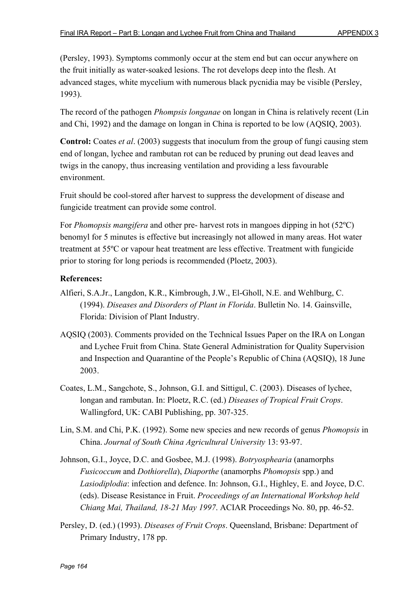(Persley, 1993). Symptoms commonly occur at the stem end but can occur anywhere on the fruit initially as water-soaked lesions. The rot develops deep into the flesh. At advanced stages, white mycelium with numerous black pycnidia may be visible (Persley, 1993).

The record of the pathogen *Phompsis longanae* on longan in China is relatively recent (Lin and Chi, 1992) and the damage on longan in China is reported to be low (AQSIQ, 2003).

**Control:** Coates *et al*. (2003) suggests that inoculum from the group of fungi causing stem end of longan, lychee and rambutan rot can be reduced by pruning out dead leaves and twigs in the canopy, thus increasing ventilation and providing a less favourable environment.

Fruit should be cool-stored after harvest to suppress the development of disease and fungicide treatment can provide some control.

For *Phomopsis mangifera* and other pre- harvest rots in mangoes dipping in hot (52ºC) benomyl for 5 minutes is effective but increasingly not allowed in many areas. Hot water treatment at 55ºC or vapour heat treatment are less effective. Treatment with fungicide prior to storing for long periods is recommended (Ploetz, 2003).

- Alfieri, S.A.Jr., Langdon, K.R., Kimbrough, J.W., El-Gholl, N.E. and Wehlburg, C. (1994). *Diseases and Disorders of Plant in Florida*. Bulletin No. 14. Gainsville, Florida: Division of Plant Industry.
- AQSIQ (2003). Comments provided on the Technical Issues Paper on the IRA on Longan and Lychee Fruit from China. State General Administration for Quality Supervision and Inspection and Quarantine of the People's Republic of China (AQSIQ), 18 June 2003.
- Coates, L.M., Sangchote, S., Johnson, G.I. and Sittigul, C. (2003). Diseases of lychee, longan and rambutan. In: Ploetz, R.C. (ed.) *Diseases of Tropical Fruit Crops*. Wallingford, UK: CABI Publishing, pp. 307-325.
- Lin, S.M. and Chi, P.K. (1992). Some new species and new records of genus *Phomopsis* in China. *Journal of South China Agricultural University* 13: 93-97.
- Johnson, G.I., Joyce, D.C. and Gosbee, M.J. (1998). *Botryosphearia* (anamorphs *Fusicoccum* and *Dothiorella*), *Diaporthe* (anamorphs *Phomopsis* spp.) and *Lasiodiplodia*: infection and defence. In: Johnson, G.I., Highley, E. and Joyce, D.C. (eds). Disease Resistance in Fruit. *Proceedings of an International Workshop held Chiang Mai, Thailand, 18-21 May 1997*. ACIAR Proceedings No. 80, pp. 46-52.
- Persley, D. (ed.) (1993). *Diseases of Fruit Crops*. Queensland, Brisbane: Department of Primary Industry, 178 pp.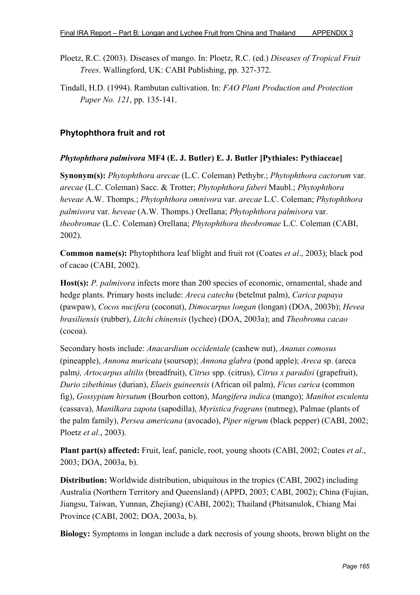- Ploetz, R.C. (2003). Diseases of mango. In: Ploetz, R.C. (ed.) *Diseases of Tropical Fruit Trees*. Wallingford, UK: CABI Publishing, pp. 327-372.
- Tindall, H.D. (1994). Rambutan cultivation. In: *FAO Plant Production and Protection Paper No. 121*, pp. 135-141.

# **Phytophthora fruit and rot**

### *Phytophthora palmivora* **MF4 (E. J. Butler) E. J. Butler [Pythiales: Pythiaceae]**

**Synonym(s):** *Phytophthora arecae* (L.C. Coleman) Pethybr.; *Phytophthora cactorum* var. *arecae* (L.C. Coleman) Sacc. & Trotter; *Phytophthora faberi* Maubl.; *Phytophthora heveae* A.W. Thomps.; *Phytophthora omnivora* var. *arecae* L.C. Coleman; *Phytophthora palmivora* var. *heveae* (A.W. Thomps.) Orellana; *Phytophthora palmivora* var. *theobromae* (L.C. Coleman) Orellana; *Phytophthora theobromae* L.C. Coleman (CABI, 2002).

**Common name(s):** Phytophthora leaf blight and fruit rot (Coates *et al*., 2003); black pod of cacao (CABI, 2002).

**Host(s):** *P. palmivora* infects more than 200 species of economic, ornamental, shade and hedge plants. Primary hosts include: *Areca catechu* (betelnut palm), *Carica papaya* (pawpaw), *Cocos nucifera* (coconut), *Dimocarpus longan* (longan) (DOA, 2003b); *Hevea brasiliensis* (rubber), *Litchi chinensis* (lychee) (DOA, 2003a); and *Theobroma cacao* (cocoa).

Secondary hosts include: *Anacardium occidentale* (cashew nut), *Ananas comosus* (pineapple), *Annona muricata* (soursop); *Annona glabra* (pond apple); *Areca* sp. (areca palm*), Artocarpus altilis* (breadfruit), *Citrus* spp. (citrus), *Citrus x paradisi* (grapefruit), *Durio zibethinus* (durian), *Elaeis guineensis* (African oil palm), *Ficus carica* (common fig), *Gossypium hirsutum* (Bourbon cotton), *Mangifera indica* (mango); *Manihot esculenta* (cassava), *Manilkara zapota* (sapodilla), *Myristica fragrans* (nutmeg), Palmae (plants of the palm family), *Persea americana* (avocado), *Piper nigrum* (black pepper) (CABI, 2002; Ploetz *et al*., 2003).

**Plant part(s) affected:** Fruit, leaf, panicle, root, young shoots (CABI, 2002; Coates *et al*., 2003; DOA, 2003a, b).

**Distribution:** Worldwide distribution, ubiquitous in the tropics (CABI, 2002) including Australia (Northern Territory and Queensland) (APPD, 2003; CABI, 2002); China (Fujian, Jiangsu, Taiwan, Yunnan, Zhejiang) (CABI, 2002); Thailand (Phitsanulok, Chiang Mai Province (CABI, 2002; DOA, 2003a, b).

**Biology:** Symptoms in longan include a dark necrosis of young shoots, brown blight on the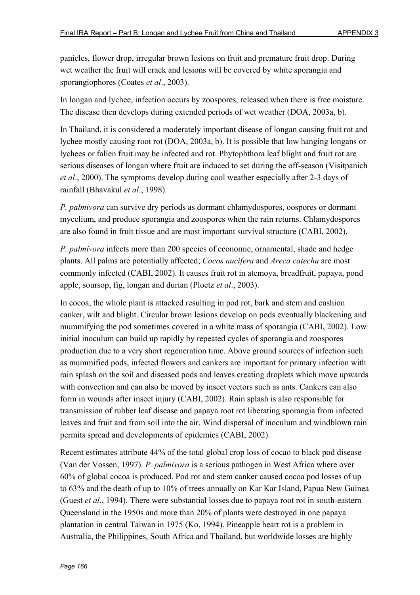panicles, flower drop, irregular brown lesions on fruit and premature fruit drop. During wet weather the fruit will crack and lesions will be covered by white sporangia and sporangiophores (Coates *et al*., 2003).

In longan and lychee, infection occurs by zoospores, released when there is free moisture. The disease then develops during extended periods of wet weather (DOA, 2003a, b).

In Thailand, it is considered a moderately important disease of longan causing fruit rot and lychee mostly causing root rot (DOA, 2003a, b). It is possible that low hanging longans or lychees or fallen fruit may be infected and rot. Phytophthora leaf blight and fruit rot are serious diseases of longan where fruit are induced to set during the off-season (Visitpanich *et al*., 2000). The symptoms develop during cool weather especially after 2-3 days of rainfall (Bhavakul *et al*., 1998).

*P. palmivora* can survive dry periods as dormant chlamydospores, oospores or dormant mycelium, and produce sporangia and zoospores when the rain returns. Chlamydospores are also found in fruit tissue and are most important survival structure (CABI, 2002).

*P. palmivora* infects more than 200 species of economic, ornamental, shade and hedge plants. All palms are potentially affected; *Cocos nucifera* and *Areca catechu* are most commonly infected (CABI, 2002). It causes fruit rot in atemoya, breadfruit, papaya, pond apple, soursop, fig, longan and durian (Ploetz *et al*., 2003).

In cocoa, the whole plant is attacked resulting in pod rot, bark and stem and cushion canker, wilt and blight. Circular brown lesions develop on pods eventually blackening and mummifying the pod sometimes covered in a white mass of sporangia (CABI, 2002). Low initial inoculum can build up rapidly by repeated cycles of sporangia and zoospores production due to a very short regeneration time. Above ground sources of infection such as mummified pods, infected flowers and cankers are important for primary infection with rain splash on the soil and diseased pods and leaves creating droplets which move upwards with convection and can also be moved by insect vectors such as ants. Cankers can also form in wounds after insect injury (CABI, 2002). Rain splash is also responsible for transmission of rubber leaf disease and papaya root rot liberating sporangia from infected leaves and fruit and from soil into the air. Wind dispersal of inoculum and windblown rain permits spread and developments of epidemics (CABI, 2002).

Recent estimates attribute 44% of the total global crop loss of cocao to black pod disease (Van der Vossen, 1997). *P. palmivora* is a serious pathogen in West Africa where over 60% of global cocoa is produced. Pod rot and stem canker caused cocoa pod losses of up to 63% and the death of up to 10% of trees annually on Kar Kar Island, Papua New Guinea (Guest *et al*., 1994). There were substantial losses due to papaya root rot in south-eastern Queensland in the 1950s and more than 20% of plants were destroyed in one papaya plantation in central Taiwan in 1975 (Ko, 1994). Pineapple heart rot is a problem in Australia, the Philippines, South Africa and Thailand, but worldwide losses are highly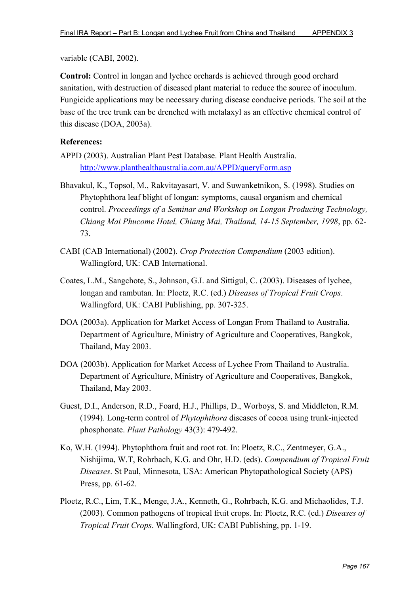variable (CABI, 2002).

**Control:** Control in longan and lychee orchards is achieved through good orchard sanitation, with destruction of diseased plant material to reduce the source of inoculum. Fungicide applications may be necessary during disease conducive periods. The soil at the base of the tree trunk can be drenched with metalaxyl as an effective chemical control of this disease (DOA, 2003a).

- APPD (2003). Australian Plant Pest Database. Plant Health Australia. http://www.planthealthaustralia.com.au/APPD/queryForm.asp
- Bhavakul, K., Topsol, M., Rakvitayasart, V. and Suwanketnikon, S. (1998). Studies on Phytophthora leaf blight of longan: symptoms, causal organism and chemical control. *Proceedings of a Seminar and Workshop on Longan Producing Technology, Chiang Mai Phucome Hotel, Chiang Mai, Thailand, 14-15 September, 1998*, pp. 62- 73.
- CABI (CAB International) (2002). *Crop Protection Compendium* (2003 edition). Wallingford, UK: CAB International.
- Coates, L.M., Sangchote, S., Johnson, G.I. and Sittigul, C. (2003). Diseases of lychee, longan and rambutan. In: Ploetz, R.C. (ed.) *Diseases of Tropical Fruit Crops*. Wallingford, UK: CABI Publishing, pp. 307-325.
- DOA (2003a). Application for Market Access of Longan From Thailand to Australia. Department of Agriculture, Ministry of Agriculture and Cooperatives, Bangkok, Thailand, May 2003.
- DOA (2003b). Application for Market Access of Lychee From Thailand to Australia. Department of Agriculture, Ministry of Agriculture and Cooperatives, Bangkok, Thailand, May 2003.
- Guest, D.I., Anderson, R.D., Foard, H.J., Phillips, D., Worboys, S. and Middleton, R.M. (1994). Long-term control of *Phytophthora* diseases of cocoa using trunk-injected phosphonate. *Plant Pathology* 43(3): 479-492.
- Ko, W.H. (1994). Phytophthora fruit and root rot. In: Ploetz, R.C., Zentmeyer, G.A., Nishijima, W.T, Rohrbach, K.G. and Ohr, H.D. (eds). *Compendium of Tropical Fruit Diseases*. St Paul, Minnesota, USA: American Phytopathological Society (APS) Press, pp. 61-62.
- Ploetz, R.C., Lim, T.K., Menge, J.A., Kenneth, G., Rohrbach, K.G. and Michaolides, T.J. (2003). Common pathogens of tropical fruit crops. In: Ploetz, R.C. (ed.) *Diseases of Tropical Fruit Crops*. Wallingford, UK: CABI Publishing, pp. 1-19.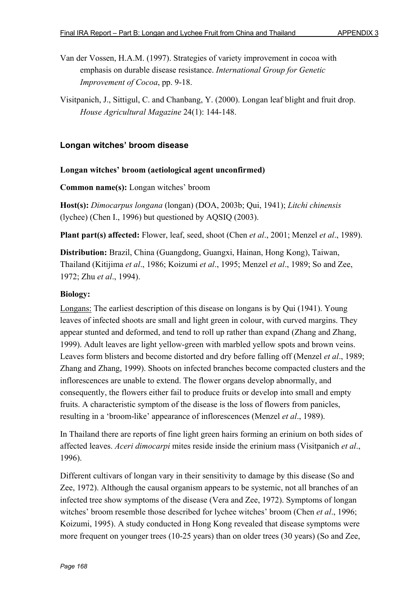- Van der Vossen, H.A.M. (1997). Strategies of variety improvement in cocoa with emphasis on durable disease resistance. *International Group for Genetic Improvement of Cocoa*, pp. 9-18.
- Visitpanich, J., Sittigul, C. and Chanbang, Y. (2000). Longan leaf blight and fruit drop. *House Agricultural Magazine* 24(1): 144-148.

### **Longan witches' broom disease**

#### **Longan witches' broom (aetiological agent unconfirmed)**

**Common name(s):** Longan witches' broom

**Host(s):** *Dimocarpus longana* (longan) (DOA, 2003b; Qui, 1941); *Litchi chinensis* (lychee) (Chen I., 1996) but questioned by AQSIQ (2003).

**Plant part(s) affected:** Flower, leaf, seed, shoot (Chen *et al*., 2001; Menzel *et al*., 1989).

**Distribution:** Brazil, China (Guangdong, Guangxi, Hainan, Hong Kong), Taiwan, Thailand (Kitijima *et al*., 1986; Koizumi *et al*., 1995; Menzel *et al*., 1989; So and Zee, 1972; Zhu *et al*., 1994).

#### **Biology:**

Longans: The earliest description of this disease on longans is by Qui (1941). Young leaves of infected shoots are small and light green in colour, with curved margins. They appear stunted and deformed, and tend to roll up rather than expand (Zhang and Zhang, 1999). Adult leaves are light yellow-green with marbled yellow spots and brown veins. Leaves form blisters and become distorted and dry before falling off (Menzel *et al*., 1989; Zhang and Zhang, 1999). Shoots on infected branches become compacted clusters and the inflorescences are unable to extend. The flower organs develop abnormally, and consequently, the flowers either fail to produce fruits or develop into small and empty fruits. A characteristic symptom of the disease is the loss of flowers from panicles, resulting in a 'broom-like' appearance of inflorescences (Menzel *et al*., 1989).

In Thailand there are reports of fine light green hairs forming an erinium on both sides of affected leaves. *Aceri dimocarpi* mites reside inside the erinium mass (Visitpanich *et al*., 1996).

Different cultivars of longan vary in their sensitivity to damage by this disease (So and Zee, 1972). Although the causal organism appears to be systemic, not all branches of an infected tree show symptoms of the disease (Vera and Zee, 1972). Symptoms of longan witches' broom resemble those described for lychee witches' broom (Chen *et al*., 1996; Koizumi, 1995). A study conducted in Hong Kong revealed that disease symptoms were more frequent on younger trees (10-25 years) than on older trees (30 years) (So and Zee,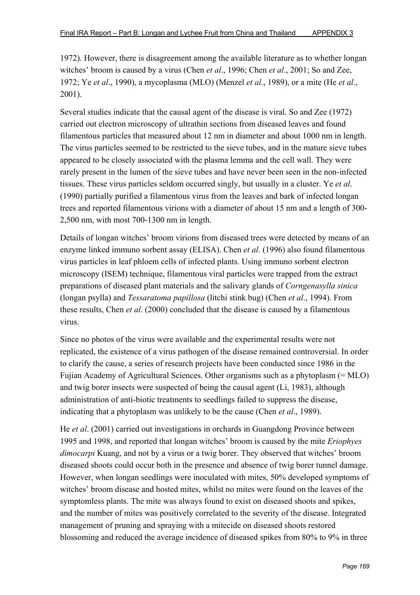1972). However, there is disagreement among the available literature as to whether longan witches' broom is caused by a virus (Chen *et al*., 1996; Chen *et al*., 2001; So and Zee, 1972; Ye *et al*., 1990), a mycoplasma (MLO) (Menzel *et al*., 1989), or a mite (He *et al*., 2001).

Several studies indicate that the causal agent of the disease is viral. So and Zee (1972) carried out electron microscopy of ultrathin sections from diseased leaves and found filamentous particles that measured about 12 nm in diameter and about 1000 nm in length. The virus particles seemed to be restricted to the sieve tubes, and in the mature sieve tubes appeared to be closely associated with the plasma lemma and the cell wall. They were rarely present in the lumen of the sieve tubes and have never been seen in the non-infected tissues. These virus particles seldom occurred singly, but usually in a cluster. Ye *et al*. (1990) partially purified a filamentous virus from the leaves and bark of infected longan trees and reported filamentous virions with a diameter of about 15 nm and a length of 300- 2,500 nm, with most 700-1300 nm in length.

Details of longan witches' broom virions from diseased trees were detected by means of an enzyme linked immuno sorbent assay (ELISA). Chen *et al*. (1996) also found filamentous virus particles in leaf phloem cells of infected plants. Using immuno sorbent electron microscopy (ISEM) technique, filamentous viral particles were trapped from the extract preparations of diseased plant materials and the salivary glands of *Corngenasylla sinica* (longan psylla) and *Tessaratoma papillosa* (litchi stink bug) (Chen *et al*., 1994). From these results, Chen *et al*. (2000) concluded that the disease is caused by a filamentous virus.

Since no photos of the virus were available and the experimental results were not replicated, the existence of a virus pathogen of the disease remained controversial. In order to clarify the cause, a series of research projects have been conducted since 1986 in the Fujian Academy of Agricultural Sciences. Other organisms such as a phytoplasm (= MLO) and twig borer insects were suspected of being the causal agent (Li, 1983), although administration of anti-biotic treatments to seedlings failed to suppress the disease, indicating that a phytoplasm was unlikely to be the cause (Chen *et al*., 1989).

He *et al*. (2001) carried out investigations in orchards in Guangdong Province between 1995 and 1998, and reported that longan witches' broom is caused by the mite *Eriophyes dimocarpi* Kuang, and not by a virus or a twig borer. They observed that witches' broom diseased shoots could occur both in the presence and absence of twig borer tunnel damage. However, when longan seedlings were inoculated with mites, 50% developed symptoms of witches' broom disease and hosted mites, whilst no mites were found on the leaves of the symptomless plants. The mite was always found to exist on diseased shoots and spikes, and the number of mites was positively correlated to the severity of the disease. Integrated management of pruning and spraying with a mitecide on diseased shoots restored blossoming and reduced the average incidence of diseased spikes from 80% to 9% in three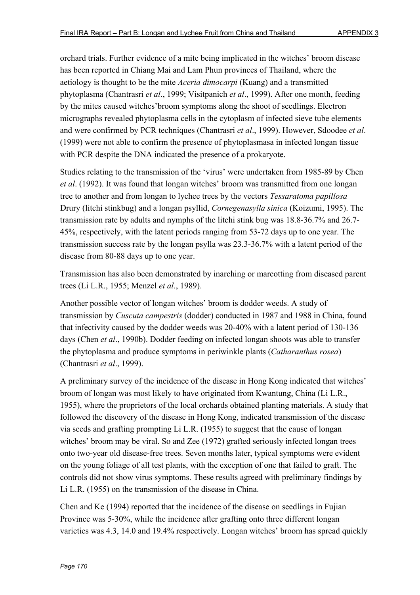orchard trials. Further evidence of a mite being implicated in the witches' broom disease has been reported in Chiang Mai and Lam Phun provinces of Thailand, where the aetiology is thought to be the mite *Aceria dimocarpi* (Kuang) and a transmitted phytoplasma (Chantrasri *et al*., 1999; Visitpanich *et al*., 1999). After one month, feeding by the mites caused witches'broom symptoms along the shoot of seedlings. Electron micrographs revealed phytoplasma cells in the cytoplasm of infected sieve tube elements and were confirmed by PCR techniques (Chantrasri *et al*., 1999). However, Sdoodee *et al*. (1999) were not able to confirm the presence of phytoplasmasa in infected longan tissue with PCR despite the DNA indicated the presence of a prokaryote.

Studies relating to the transmission of the 'virus' were undertaken from 1985-89 by Chen *et al*. (1992). It was found that longan witches' broom was transmitted from one longan tree to another and from longan to lychee trees by the vectors *Tessaratoma papillosa* Drury (litchi stinkbug) and a longan psyllid, *Cornegenasylla sinica* (Koizumi, 1995). The transmission rate by adults and nymphs of the litchi stink bug was 18.8-36.7% and 26.7- 45%, respectively, with the latent periods ranging from 53-72 days up to one year. The transmission success rate by the longan psylla was 23.3-36.7% with a latent period of the disease from 80-88 days up to one year.

Transmission has also been demonstrated by inarching or marcotting from diseased parent trees (Li L.R., 1955; Menzel *et al*., 1989).

Another possible vector of longan witches' broom is dodder weeds. A study of transmission by *Cuscuta campestris* (dodder) conducted in 1987 and 1988 in China, found that infectivity caused by the dodder weeds was 20-40% with a latent period of 130-136 days (Chen *et al*., 1990b). Dodder feeding on infected longan shoots was able to transfer the phytoplasma and produce symptoms in periwinkle plants (*Catharanthus rosea*) (Chantrasri *et al*., 1999).

A preliminary survey of the incidence of the disease in Hong Kong indicated that witches' broom of longan was most likely to have originated from Kwantung, China (Li L.R., 1955), where the proprietors of the local orchards obtained planting materials. A study that followed the discovery of the disease in Hong Kong, indicated transmission of the disease via seeds and grafting prompting Li L.R. (1955) to suggest that the cause of longan witches' broom may be viral. So and Zee (1972) grafted seriously infected longan trees onto two-year old disease-free trees. Seven months later, typical symptoms were evident on the young foliage of all test plants, with the exception of one that failed to graft. The controls did not show virus symptoms. These results agreed with preliminary findings by Li L.R. (1955) on the transmission of the disease in China.

Chen and Ke (1994) reported that the incidence of the disease on seedlings in Fujian Province was 5-30%, while the incidence after grafting onto three different longan varieties was 4.3, 14.0 and 19.4% respectively. Longan witches' broom has spread quickly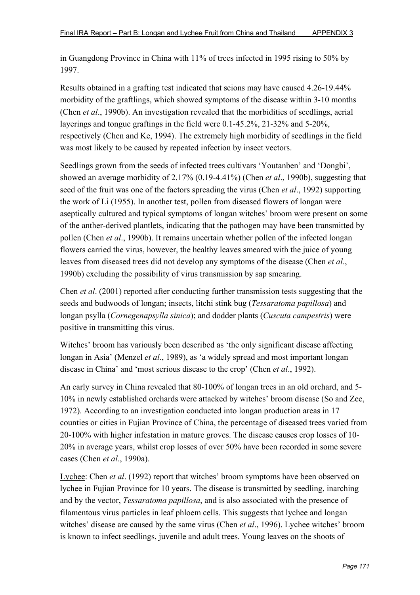in Guangdong Province in China with 11% of trees infected in 1995 rising to 50% by 1997.

Results obtained in a grafting test indicated that scions may have caused 4.26-19.44% morbidity of the graftlings, which showed symptoms of the disease within 3-10 months (Chen *et al*., 1990b). An investigation revealed that the morbidities of seedlings, aerial layerings and tongue graftings in the field were 0.1-45.2%, 21-32% and 5-20%, respectively (Chen and Ke, 1994). The extremely high morbidity of seedlings in the field was most likely to be caused by repeated infection by insect vectors.

Seedlings grown from the seeds of infected trees cultivars 'Youtanben' and 'Dongbi', showed an average morbidity of 2.17% (0.19-4.41%) (Chen *et al*., 1990b), suggesting that seed of the fruit was one of the factors spreading the virus (Chen *et al*., 1992) supporting the work of Li (1955). In another test, pollen from diseased flowers of longan were aseptically cultured and typical symptoms of longan witches' broom were present on some of the anther-derived plantlets, indicating that the pathogen may have been transmitted by pollen (Chen *et al*., 1990b). It remains uncertain whether pollen of the infected longan flowers carried the virus, however, the healthy leaves smeared with the juice of young leaves from diseased trees did not develop any symptoms of the disease (Chen *et al*., 1990b) excluding the possibility of virus transmission by sap smearing.

Chen *et al*. (2001) reported after conducting further transmission tests suggesting that the seeds and budwoods of longan; insects, litchi stink bug (*Tessaratoma papillosa*) and longan psylla (*Cornegenapsylla sinica*); and dodder plants (*Cuscuta campestris*) were positive in transmitting this virus.

Witches' broom has variously been described as 'the only significant disease affecting longan in Asia' (Menzel *et al*., 1989), as 'a widely spread and most important longan disease in China' and 'most serious disease to the crop' (Chen *et al*., 1992).

An early survey in China revealed that 80-100% of longan trees in an old orchard, and 5- 10% in newly established orchards were attacked by witches' broom disease (So and Zee, 1972). According to an investigation conducted into longan production areas in 17 counties or cities in Fujian Province of China, the percentage of diseased trees varied from 20-100% with higher infestation in mature groves. The disease causes crop losses of 10- 20% in average years, whilst crop losses of over 50% have been recorded in some severe cases (Chen *et al*., 1990a).

Lychee: Chen *et al.* (1992) report that witches' broom symptoms have been observed on lychee in Fujian Province for 10 years. The disease is transmitted by seedling, inarching and by the vector, *Tessaratoma papillosa*, and is also associated with the presence of filamentous virus particles in leaf phloem cells. This suggests that lychee and longan witches' disease are caused by the same virus (Chen *et al*., 1996). Lychee witches' broom is known to infect seedlings, juvenile and adult trees. Young leaves on the shoots of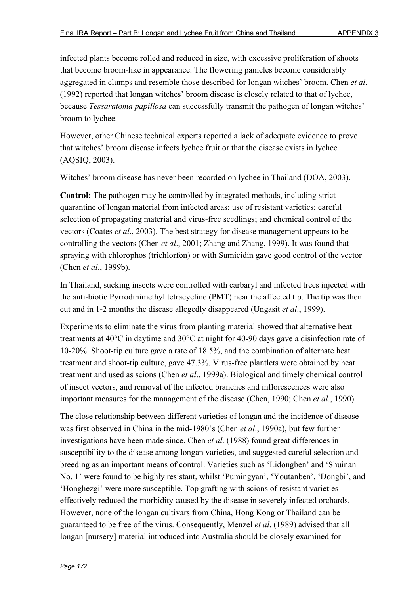infected plants become rolled and reduced in size, with excessive proliferation of shoots that become broom-like in appearance. The flowering panicles become considerably aggregated in clumps and resemble those described for longan witches' broom. Chen *et al*. (1992) reported that longan witches' broom disease is closely related to that of lychee, because *Tessaratoma papillosa* can successfully transmit the pathogen of longan witches' broom to lychee.

However, other Chinese technical experts reported a lack of adequate evidence to prove that witches' broom disease infects lychee fruit or that the disease exists in lychee (AQSIQ, 2003).

Witches' broom disease has never been recorded on lychee in Thailand (DOA, 2003).

**Control:** The pathogen may be controlled by integrated methods, including strict quarantine of longan material from infected areas; use of resistant varieties; careful selection of propagating material and virus-free seedlings; and chemical control of the vectors (Coates *et al*., 2003). The best strategy for disease management appears to be controlling the vectors (Chen *et al*., 2001; Zhang and Zhang, 1999). It was found that spraying with chlorophos (trichlorfon) or with Sumicidin gave good control of the vector (Chen *et al*., 1999b).

In Thailand, sucking insects were controlled with carbaryl and infected trees injected with the anti-biotic Pyrrodinimethyl tetracycline (PMT) near the affected tip. The tip was then cut and in 1-2 months the disease allegedly disappeared (Ungasit *et al*., 1999).

Experiments to eliminate the virus from planting material showed that alternative heat treatments at  $40^{\circ}$ C in daytime and  $30^{\circ}$ C at night for 40-90 days gave a disinfection rate of 10-20%. Shoot-tip culture gave a rate of 18.5%, and the combination of alternate heat treatment and shoot-tip culture, gave 47.3%. Virus-free plantlets were obtained by heat treatment and used as scions (Chen *et al*., 1999a). Biological and timely chemical control of insect vectors, and removal of the infected branches and inflorescences were also important measures for the management of the disease (Chen, 1990; Chen *et al*., 1990).

The close relationship between different varieties of longan and the incidence of disease was first observed in China in the mid-1980's (Chen *et al*., 1990a), but few further investigations have been made since. Chen *et al*. (1988) found great differences in susceptibility to the disease among longan varieties, and suggested careful selection and breeding as an important means of control. Varieties such as 'Lidongben' and 'Shuinan No. 1' were found to be highly resistant, whilst 'Pumingyan', 'Youtanben', 'Dongbi', and 'Honghezgi' were more susceptible. Top grafting with scions of resistant varieties effectively reduced the morbidity caused by the disease in severely infected orchards. However, none of the longan cultivars from China, Hong Kong or Thailand can be guaranteed to be free of the virus. Consequently, Menzel *et al*. (1989) advised that all longan [nursery] material introduced into Australia should be closely examined for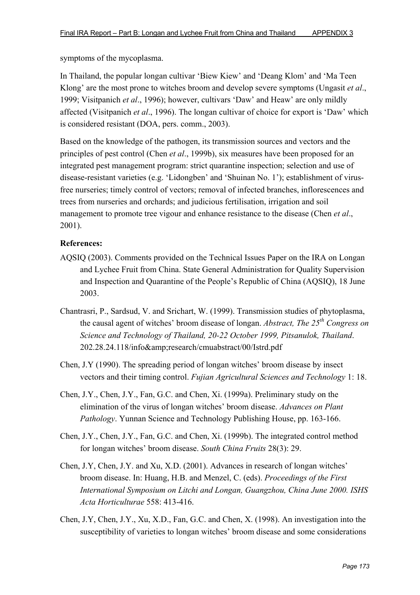symptoms of the mycoplasma.

In Thailand, the popular longan cultivar 'Biew Kiew' and 'Deang Klom' and 'Ma Teen Klong' are the most prone to witches broom and develop severe symptoms (Ungasit *et al*., 1999; Visitpanich *et al*., 1996); however, cultivars 'Daw' and Heaw' are only mildly affected (Visitpanich *et al*., 1996). The longan cultivar of choice for export is 'Daw' which is considered resistant (DOA, pers. comm., 2003).

Based on the knowledge of the pathogen, its transmission sources and vectors and the principles of pest control (Chen *et al*., 1999b), six measures have been proposed for an integrated pest management program: strict quarantine inspection; selection and use of disease-resistant varieties (e.g. 'Lidongben' and 'Shuinan No. 1'); establishment of virusfree nurseries; timely control of vectors; removal of infected branches, inflorescences and trees from nurseries and orchards; and judicious fertilisation, irrigation and soil management to promote tree vigour and enhance resistance to the disease (Chen *et al*., 2001).

- AQSIQ (2003). Comments provided on the Technical Issues Paper on the IRA on Longan and Lychee Fruit from China. State General Administration for Quality Supervision and Inspection and Quarantine of the People's Republic of China (AQSIQ), 18 June 2003.
- Chantrasri, P., Sardsud, V. and Srichart, W. (1999). Transmission studies of phytoplasma, the causal agent of witches' broom disease of longan. *Abstract, The 25th Congress on Science and Technology of Thailand, 20-22 October 1999, Pitsanulok, Thailand*. 202.28.24.118/info&research/cmuabstract/00/Istrd.pdf
- Chen, J.Y (1990). The spreading period of longan witches' broom disease by insect vectors and their timing control. *Fujian Agricultural Sciences and Technology* 1: 18.
- Chen, J.Y., Chen, J.Y., Fan, G.C. and Chen, Xi. (1999a). Preliminary study on the elimination of the virus of longan witches' broom disease. *Advances on Plant Pathology*. Yunnan Science and Technology Publishing House, pp. 163-166.
- Chen, J.Y., Chen, J.Y., Fan, G.C. and Chen, Xi. (1999b). The integrated control method for longan witches' broom disease. *South China Fruits* 28(3): 29.
- Chen, J.Y, Chen, J.Y. and Xu, X.D. (2001). Advances in research of longan witches' broom disease. In: Huang, H.B. and Menzel, C. (eds). *Proceedings of the First International Symposium on Litchi and Longan, Guangzhou, China June 2000. ISHS Acta Horticulturae* 558: 413-416.
- Chen, J.Y, Chen, J.Y., Xu, X.D., Fan, G.C. and Chen, X. (1998). An investigation into the susceptibility of varieties to longan witches' broom disease and some considerations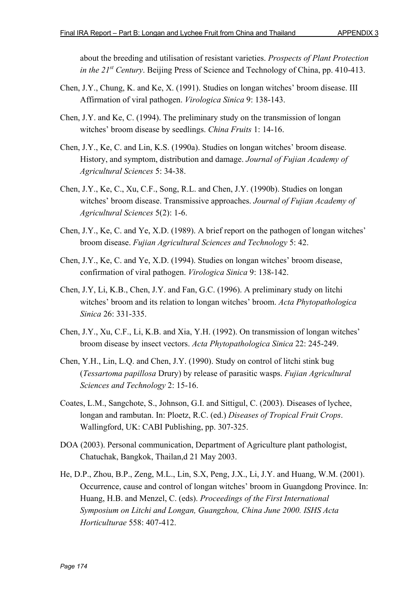about the breeding and utilisation of resistant varieties. *Prospects of Plant Protection in the 21st Century*. Beijing Press of Science and Technology of China, pp. 410-413.

- Chen, J.Y., Chung, K. and Ke, X. (1991). Studies on longan witches' broom disease. III Affirmation of viral pathogen. *Virologica Sinica* 9: 138-143.
- Chen, J.Y. and Ke, C. (1994). The preliminary study on the transmission of longan witches' broom disease by seedlings. *China Fruits* 1: 14-16.
- Chen, J.Y., Ke, C. and Lin, K.S. (1990a). Studies on longan witches' broom disease. History, and symptom, distribution and damage. *Journal of Fujian Academy of Agricultural Sciences* 5: 34-38.
- Chen, J.Y., Ke, C., Xu, C.F., Song, R.L. and Chen, J.Y. (1990b). Studies on longan witches' broom disease. Transmissive approaches. *Journal of Fujian Academy of Agricultural Sciences* 5(2): 1-6.
- Chen, J.Y., Ke, C. and Ye, X.D. (1989). A brief report on the pathogen of longan witches' broom disease. *Fujian Agricultural Sciences and Technology* 5: 42.
- Chen, J.Y., Ke, C. and Ye, X.D. (1994). Studies on longan witches' broom disease, confirmation of viral pathogen. *Virologica Sinica* 9: 138-142.
- Chen, J.Y, Li, K.B., Chen, J.Y. and Fan, G.C. (1996). A preliminary study on litchi witches' broom and its relation to longan witches' broom. *Acta Phytopathologica Sinica* 26: 331-335.
- Chen, J.Y., Xu, C.F., Li, K.B. and Xia, Y.H. (1992). On transmission of longan witches' broom disease by insect vectors. *Acta Phytopathologica Sinica* 22: 245-249.
- Chen, Y.H., Lin, L.Q. and Chen, J.Y. (1990). Study on control of litchi stink bug (*Tessartoma papillosa* Drury) by release of parasitic wasps. *Fujian Agricultural Sciences and Technology* 2: 15-16.
- Coates, L.M., Sangchote, S., Johnson, G.I. and Sittigul, C. (2003). Diseases of lychee, longan and rambutan. In: Ploetz, R.C. (ed.) *Diseases of Tropical Fruit Crops*. Wallingford, UK: CABI Publishing, pp. 307-325.
- DOA (2003). Personal communication, Department of Agriculture plant pathologist, Chatuchak, Bangkok, Thailan,d 21 May 2003.
- He, D.P., Zhou, B.P., Zeng, M.L., Lin, S.X, Peng, J.X., Li, J.Y. and Huang, W.M. (2001). Occurrence, cause and control of longan witches' broom in Guangdong Province. In: Huang, H.B. and Menzel, C. (eds). *Proceedings of the First International Symposium on Litchi and Longan, Guangzhou, China June 2000. ISHS Acta Horticulturae* 558: 407-412.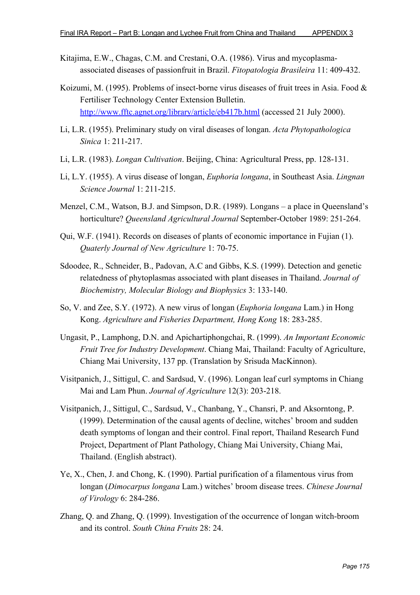- Kitajima, E.W., Chagas, C.M. and Crestani, O.A. (1986). Virus and mycoplasmaassociated diseases of passionfruit in Brazil. *Fitopatologia Brasileira* 11: 409-432.
- Koizumi, M. (1995). Problems of insect-borne virus diseases of fruit trees in Asia. Food & Fertiliser Technology Center Extension Bulletin. http://www.fftc.agnet.org/library/article/eb417b.html (accessed 21 July 2000).
- Li, L.R. (1955). Preliminary study on viral diseases of longan. *Acta Phytopathologica Sinica* 1: 211-217.
- Li, L.R. (1983). *Longan Cultivation*. Beijing, China: Agricultural Press, pp. 128-131.
- Li, L.Y. (1955). A virus disease of longan, *Euphoria longana*, in Southeast Asia. *Lingnan Science Journal* 1: 211-215.
- Menzel, C.M., Watson, B.J. and Simpson, D.R. (1989). Longans a place in Queensland's horticulture? *Queensland Agricultural Journal* September-October 1989: 251-264.
- Qui, W.F. (1941). Records on diseases of plants of economic importance in Fujian (1). *Quaterly Journal of New Agriculture* 1: 70-75.
- Sdoodee, R., Schneider, B., Padovan, A.C and Gibbs, K.S. (1999). Detection and genetic relatedness of phytoplasmas associated with plant diseases in Thailand. *Journal of Biochemistry, Molecular Biology and Biophysics* 3: 133-140.
- So, V. and Zee, S.Y. (1972). A new virus of longan (*Euphoria longana* Lam.) in Hong Kong. *Agriculture and Fisheries Department, Hong Kong* 18: 283-285.
- Ungasit, P., Lamphong, D.N. and Apichartiphongchai, R. (1999). *An Important Economic Fruit Tree for Industry Development*. Chiang Mai, Thailand: Faculty of Agriculture, Chiang Mai University, 137 pp. (Translation by Srisuda MacKinnon).
- Visitpanich, J., Sittigul, C. and Sardsud, V. (1996). Longan leaf curl symptoms in Chiang Mai and Lam Phun. *Journal of Agriculture* 12(3): 203-218.
- Visitpanich, J., Sittigul, C., Sardsud, V., Chanbang, Y., Chansri, P. and Aksorntong, P. (1999). Determination of the causal agents of decline, witches' broom and sudden death symptoms of longan and their control. Final report, Thailand Research Fund Project, Department of Plant Pathology, Chiang Mai University, Chiang Mai, Thailand. (English abstract).
- Ye, X., Chen, J. and Chong, K. (1990). Partial purification of a filamentous virus from longan (*Dimocarpus longana* Lam.) witches' broom disease trees. *Chinese Journal of Virology* 6: 284-286.
- Zhang, Q. and Zhang, Q. (1999). Investigation of the occurrence of longan witch-broom and its control. *South China Fruits* 28: 24.